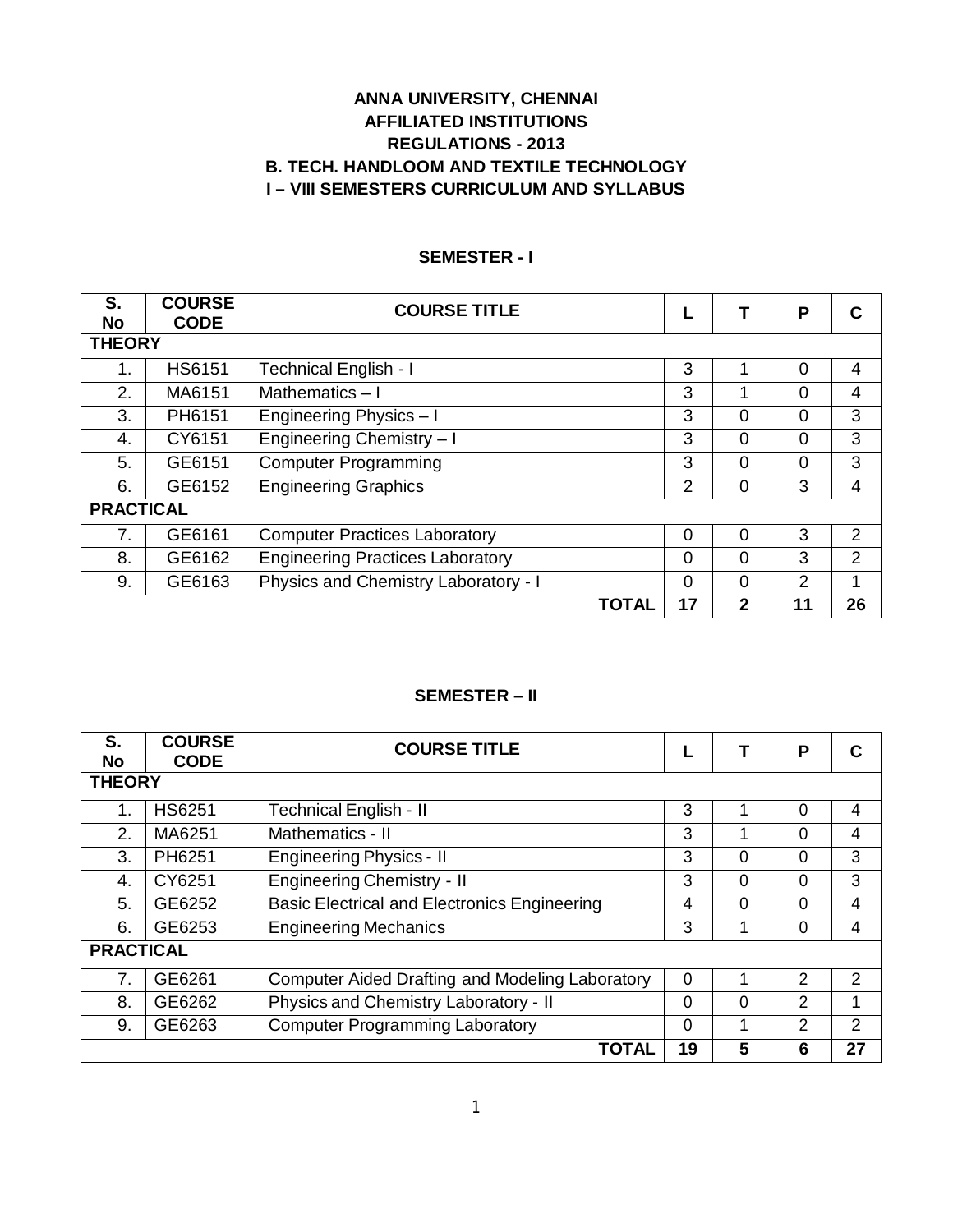# **ANNA UNIVERSITY, CHENNAI AFFILIATED INSTITUTIONS REGULATIONS - 2013 B. TECH. HANDLOOM AND TEXTILE TECHNOLOGY I – VIII SEMESTERS CURRICULUM AND SYLLABUS**

| S.               | <b>COURSE</b> | <b>COURSE TITLE</b>                     |                |          | P              |               |
|------------------|---------------|-----------------------------------------|----------------|----------|----------------|---------------|
| <b>No</b>        | <b>CODE</b>   |                                         |                |          |                |               |
| <b>THEORY</b>    |               |                                         |                |          |                |               |
| 1.               | <b>HS6151</b> | <b>Technical English - I</b>            | 3              |          | 0              | 4             |
| 2.               | MA6151        | Mathematics $-1$                        | 3              |          | $\Omega$       | 4             |
| 3.               | PH6151        | Engineering Physics - I                 | 3              | 0        | $\overline{0}$ | 3             |
| 4.               | CY6151        | Engineering Chemistry - I               | 3              | $\Omega$ | $\Omega$       | 3             |
| 5.               | GE6151        | <b>Computer Programming</b>             | 3              | $\Omega$ | 0              | 3             |
| 6.               | GE6152        | <b>Engineering Graphics</b>             | $\overline{2}$ | 0        | 3              | 4             |
| <b>PRACTICAL</b> |               |                                         |                |          |                |               |
| 7.               | GE6161        | <b>Computer Practices Laboratory</b>    | $\Omega$       | $\Omega$ | 3              | $\mathcal{P}$ |
| 8.               | GE6162        | <b>Engineering Practices Laboratory</b> | $\Omega$       | $\Omega$ | 3              | $\mathcal{P}$ |
| 9.               | GE6163        | Physics and Chemistry Laboratory - I    | 0              | $\Omega$ | $\overline{2}$ |               |
|                  |               | <b>TOTAL</b>                            | 17             | 2        | 11             | 26            |

# **SEMESTER - I**

#### **SEMESTER – II**

| S.<br><b>No</b>  | <b>COURSE</b><br><b>CODE</b> | <b>COURSE TITLE</b>                                    |    |          | P |               |
|------------------|------------------------------|--------------------------------------------------------|----|----------|---|---------------|
| <b>THEORY</b>    |                              |                                                        |    |          |   |               |
|                  | <b>HS6251</b>                | Technical English - II                                 | 3  |          | 0 | 4             |
| 2.               | MA6251                       | Mathematics - II                                       | 3  |          | 0 | 4             |
| 3.               | PH6251                       | <b>Engineering Physics - II</b>                        | 3  | 0        | 0 | 3             |
| 4.               | CY6251                       | <b>Engineering Chemistry - II</b>                      | 3  | $\Omega$ | 0 | 3             |
| 5.               | GE6252                       | <b>Basic Electrical and Electronics Engineering</b>    | 4  | $\Omega$ | 0 | 4             |
| 6.               | GE6253                       | <b>Engineering Mechanics</b>                           | 3  |          | 0 | 4             |
| <b>PRACTICAL</b> |                              |                                                        |    |          |   |               |
| 7.               | GE6261                       | <b>Computer Aided Drafting and Modeling Laboratory</b> | 0  |          | 2 | $\mathcal{P}$ |
| 8.               | GE6262                       | Physics and Chemistry Laboratory - II                  | 0  | $\Omega$ | 2 |               |
| 9.               | GE6263                       | <b>Computer Programming Laboratory</b>                 |    |          | 2 | 2             |
|                  |                              | <b>TOTAL</b>                                           | 19 | 5        | 6 | 27            |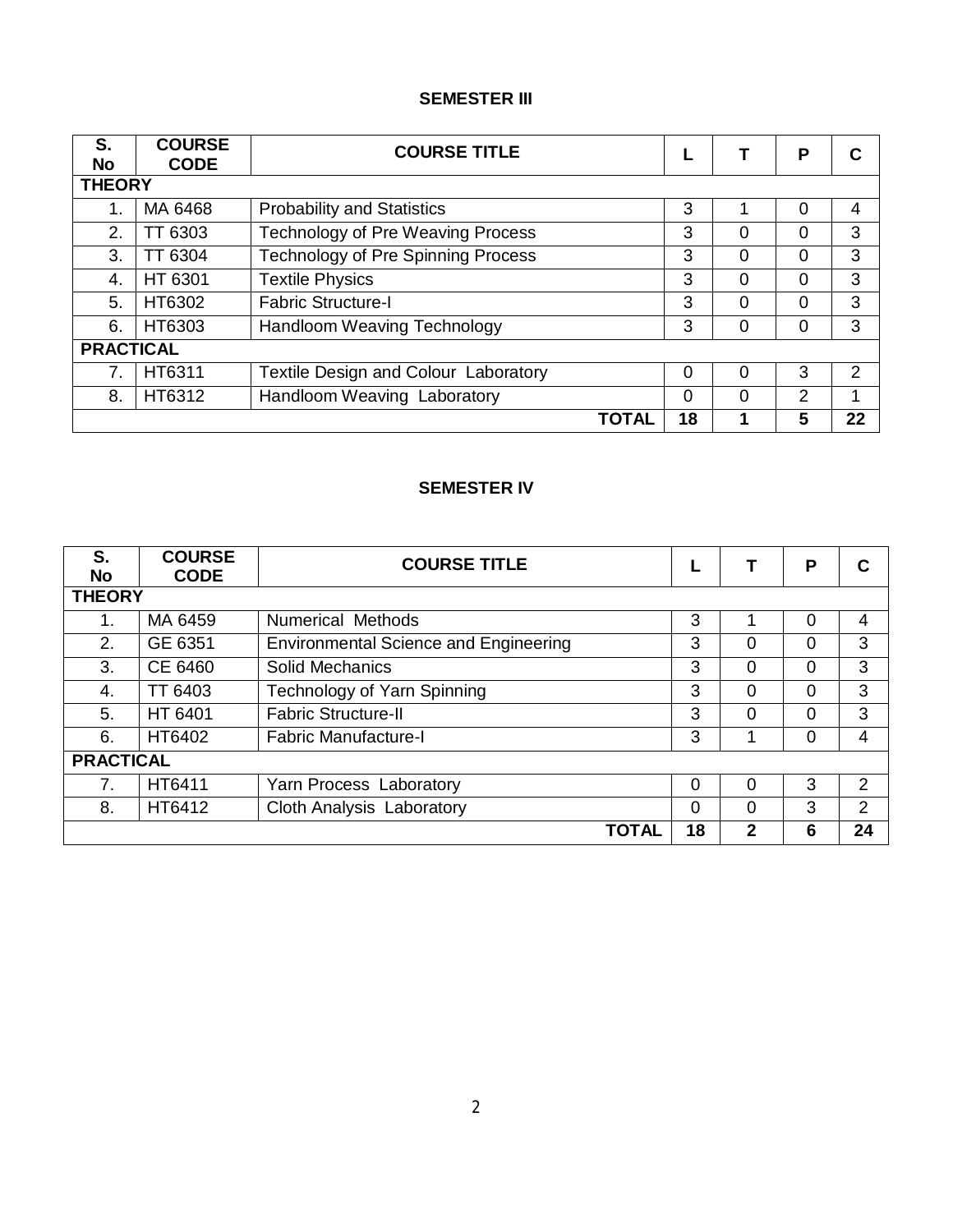# **SEMESTER III**

| S.<br>No         | <b>COURSE</b><br><b>CODE</b> | <b>COURSE TITLE</b>                         |    |   | Ρ        |    |
|------------------|------------------------------|---------------------------------------------|----|---|----------|----|
| <b>THEORY</b>    |                              |                                             |    |   |          |    |
| 1.               | MA 6468                      | <b>Probability and Statistics</b>           | 3  |   | 0        | 4  |
| 2.               | TT 6303                      | <b>Technology of Pre Weaving Process</b>    | 3  | 0 | 0        | 3  |
| 3.               | TT 6304                      | <b>Technology of Pre Spinning Process</b>   | 3  | 0 | 0        | 3  |
| $\overline{4}$ . | HT 6301                      | <b>Textile Physics</b>                      | 3  | 0 | 0        | 3  |
| 5.               | HT6302                       | <b>Fabric Structure-I</b>                   | 3  | 0 | $\Omega$ | 3  |
| 6.               | HT6303                       | Handloom Weaving Technology                 | 3  | 0 | 0        | 3  |
| <b>PRACTICAL</b> |                              |                                             |    |   |          |    |
| 7.               | HT6311                       | <b>Textile Design and Colour Laboratory</b> | 0  | 0 | 3        | 2  |
| 8.               | HT6312                       | Handloom Weaving Laboratory                 | 0  | 0 | 2        | 1  |
|                  |                              | <b>TOTAL</b>                                | 18 |   | 5        | 22 |

# **SEMESTER IV**

| S.<br><b>No</b>  | <b>COURSE</b><br><b>CODE</b> | <b>COURSE TITLE</b>                          |    |              | P |                |
|------------------|------------------------------|----------------------------------------------|----|--------------|---|----------------|
| <b>THEORY</b>    |                              |                                              |    |              |   |                |
| 1.               | MA 6459                      | <b>Numerical Methods</b>                     | 3  |              | 0 | 4              |
| 2.               | GE 6351                      | <b>Environmental Science and Engineering</b> | 3  | 0            | 0 | 3              |
| 3.               | CE 6460                      | <b>Solid Mechanics</b>                       | 3  | $\Omega$     | 0 | 3              |
| 4.               | TT 6403                      | Technology of Yarn Spinning                  | 3  | $\Omega$     | 0 | 3              |
| 5.               | HT 6401                      | <b>Fabric Structure-II</b>                   | 3  | $\Omega$     | 0 | 3              |
| 6.               | HT6402                       | <b>Fabric Manufacture-I</b>                  | 3  |              | 0 | 4              |
| <b>PRACTICAL</b> |                              |                                              |    |              |   |                |
| 7.               | HT6411                       | Yarn Process Laboratory                      | 0  | 0            | 3 | $\overline{2}$ |
| 8.               | HT6412                       | Cloth Analysis Laboratory                    | 0  | $\Omega$     | 3 | 2              |
|                  |                              | <b>TOTAL</b>                                 | 18 | $\mathbf{2}$ | 6 | 24             |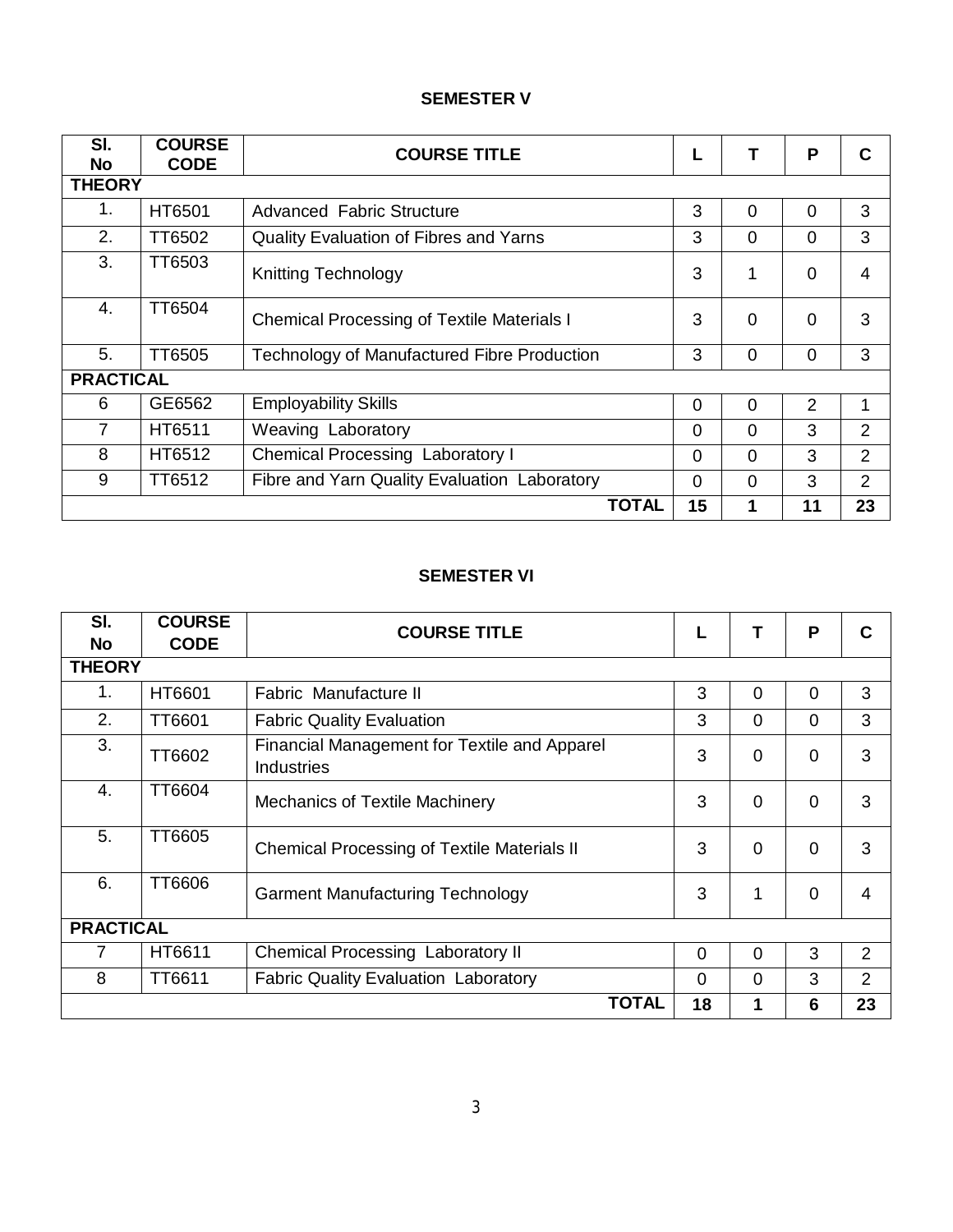# **SEMESTER V**

| SI.<br><b>No</b> | <b>COURSE</b><br><b>CODE</b> | <b>COURSE TITLE</b>                                | L        |          | P              | С              |
|------------------|------------------------------|----------------------------------------------------|----------|----------|----------------|----------------|
| <b>THEORY</b>    |                              |                                                    |          |          |                |                |
| $1_{-}$          | HT6501                       | <b>Advanced Fabric Structure</b>                   | 3        | $\Omega$ | $\overline{0}$ | 3              |
| 2.               | TT6502                       | Quality Evaluation of Fibres and Yarns             | 3        | 0        | $\mathbf 0$    | 3              |
| 3.               | TT6503                       | <b>Knitting Technology</b>                         | 3        | 1        | $\overline{0}$ | 4              |
| 4.               | TT6504                       | <b>Chemical Processing of Textile Materials I</b>  | 3        | $\Omega$ | $\Omega$       | 3              |
| 5.               | TT6505                       | <b>Technology of Manufactured Fibre Production</b> | 3        | 0        | $\mathbf 0$    | 3              |
| <b>PRACTICAL</b> |                              |                                                    |          |          |                |                |
| 6                | GE6562                       | <b>Employability Skills</b>                        | $\Omega$ | $\Omega$ | 2              | 1              |
| $\overline{7}$   | HT6511                       | Weaving Laboratory                                 | $\Omega$ | $\Omega$ | 3              | $\overline{2}$ |
| 8                | HT6512                       | <b>Chemical Processing Laboratory I</b>            | $\Omega$ | $\Omega$ | 3              | $\overline{2}$ |
| 9                | TT6512                       | Fibre and Yarn Quality Evaluation Laboratory       | $\Omega$ | $\Omega$ | 3              | $\overline{2}$ |
|                  |                              | <b>TOTAL</b>                                       | 15       | 1        | 11             | 23             |

# **SEMESTER VI**

| SI.              | <b>COURSE</b> | <b>COURSE TITLE</b>                                               |          |          | P              | С              |
|------------------|---------------|-------------------------------------------------------------------|----------|----------|----------------|----------------|
| <b>No</b>        | <b>CODE</b>   |                                                                   |          |          |                |                |
| <b>THEORY</b>    |               |                                                                   |          |          |                |                |
| 1.               | HT6601        | Fabric Manufacture II                                             | 3        | $\Omega$ | 0              | 3              |
| 2.               | <b>TT6601</b> | <b>Fabric Quality Evaluation</b>                                  | 3        | 0        | $\overline{0}$ | 3              |
| 3.               | TT6602        | Financial Management for Textile and Apparel<br><b>Industries</b> | 3        | $\Omega$ | $\mathbf 0$    | 3              |
| 4.               | TT6604        | <b>Mechanics of Textile Machinery</b>                             | 3        | $\Omega$ | $\mathbf 0$    | 3              |
| 5.               | TT6605        | <b>Chemical Processing of Textile Materials II</b>                | 3        | $\Omega$ | $\overline{0}$ | 3              |
| 6.               | TT6606        | <b>Garment Manufacturing Technology</b>                           | 3        | 1        | 0              | 4              |
| <b>PRACTICAL</b> |               |                                                                   |          |          |                |                |
| 7                | HT6611        | Chemical Processing Laboratory II                                 | $\Omega$ | 0        | 3              | 2              |
| 8                | TT6611        | <b>Fabric Quality Evaluation Laboratory</b>                       | $\Omega$ | $\Omega$ | 3              | $\overline{2}$ |
|                  |               | <b>TOTAL</b>                                                      | 18       | 1        | 6              | 23             |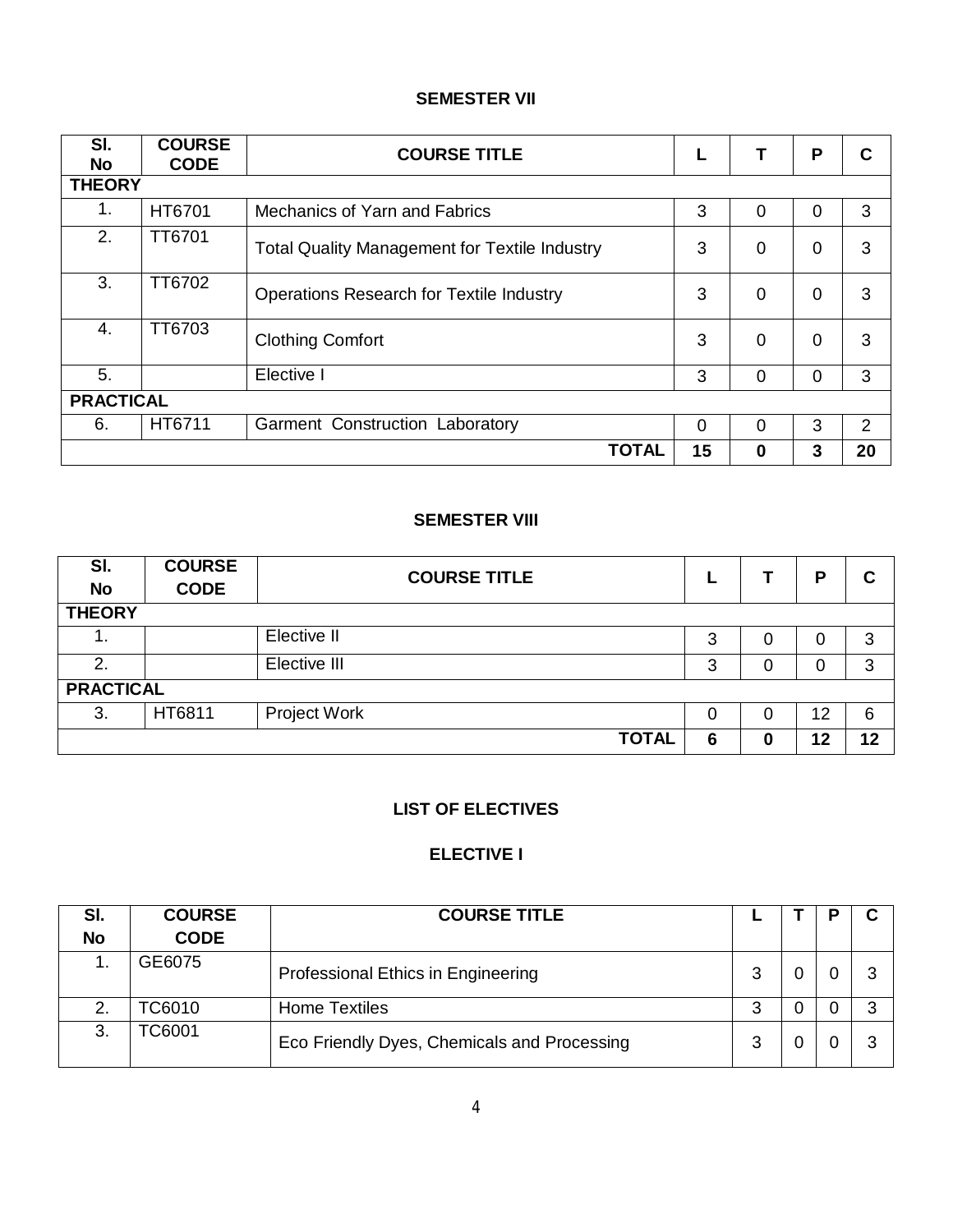# **SEMESTER VII**

| SI.<br><b>No</b> | <b>COURSE</b><br><b>CODE</b> | <b>COURSE TITLE</b>                                  |    |          | P              |    |
|------------------|------------------------------|------------------------------------------------------|----|----------|----------------|----|
| <b>THEORY</b>    |                              |                                                      |    |          |                |    |
| 1.               | HT6701                       | Mechanics of Yarn and Fabrics                        | 3  | $\Omega$ | 0              | 3  |
| 2.               | TT6701                       | <b>Total Quality Management for Textile Industry</b> | 3  | $\Omega$ | 0              | 3  |
| 3.               | TT6702                       | <b>Operations Research for Textile Industry</b>      | 3  | $\Omega$ | $\Omega$       | 3  |
| 4.               | TT6703                       | <b>Clothing Comfort</b>                              | 3  | $\Omega$ | $\Omega$       | 3  |
| 5.               |                              | Elective I                                           | 3  | $\Omega$ | $\overline{0}$ | 3  |
| <b>PRACTICAL</b> |                              |                                                      |    |          |                |    |
| 6.               | HT6711                       | Garment Construction Laboratory                      | 0  | 0        | 3              | 2  |
|                  |                              | <b>TOTAL</b>                                         | 15 | O        | 3              | 20 |

# **SEMESTER VIII**

| SI.<br><b>No</b> | <b>COURSE</b><br><b>CODE</b> | <b>COURSE TITLE</b> |          |   | Р  | C  |
|------------------|------------------------------|---------------------|----------|---|----|----|
| <b>THEORY</b>    |                              |                     |          |   |    |    |
| . .              |                              | Elective II         | 3        | O | 0  | 3  |
| 2.               |                              | Elective III        | 3        |   | 0  | 3  |
| <b>PRACTICAL</b> |                              |                     |          |   |    |    |
| 3.               | HT6811                       | Project Work        | $\Omega$ | O | 12 | 6  |
|                  |                              | <b>TOTAL</b>        | 6        | 0 | 12 | 12 |

# **LIST OF ELECTIVES**

# **ELECTIVE I**

| SI.       | <b>COURSE</b> | <b>COURSE TITLE</b>                         |   |  |  |
|-----------|---------------|---------------------------------------------|---|--|--|
| <b>No</b> | <b>CODE</b>   |                                             |   |  |  |
|           | GE6075        | Professional Ethics in Engineering          | 3 |  |  |
| 2.        | TC6010        | <b>Home Textiles</b>                        | 3 |  |  |
| 3.        | <b>C6001</b>  | Eco Friendly Dyes, Chemicals and Processing | 3 |  |  |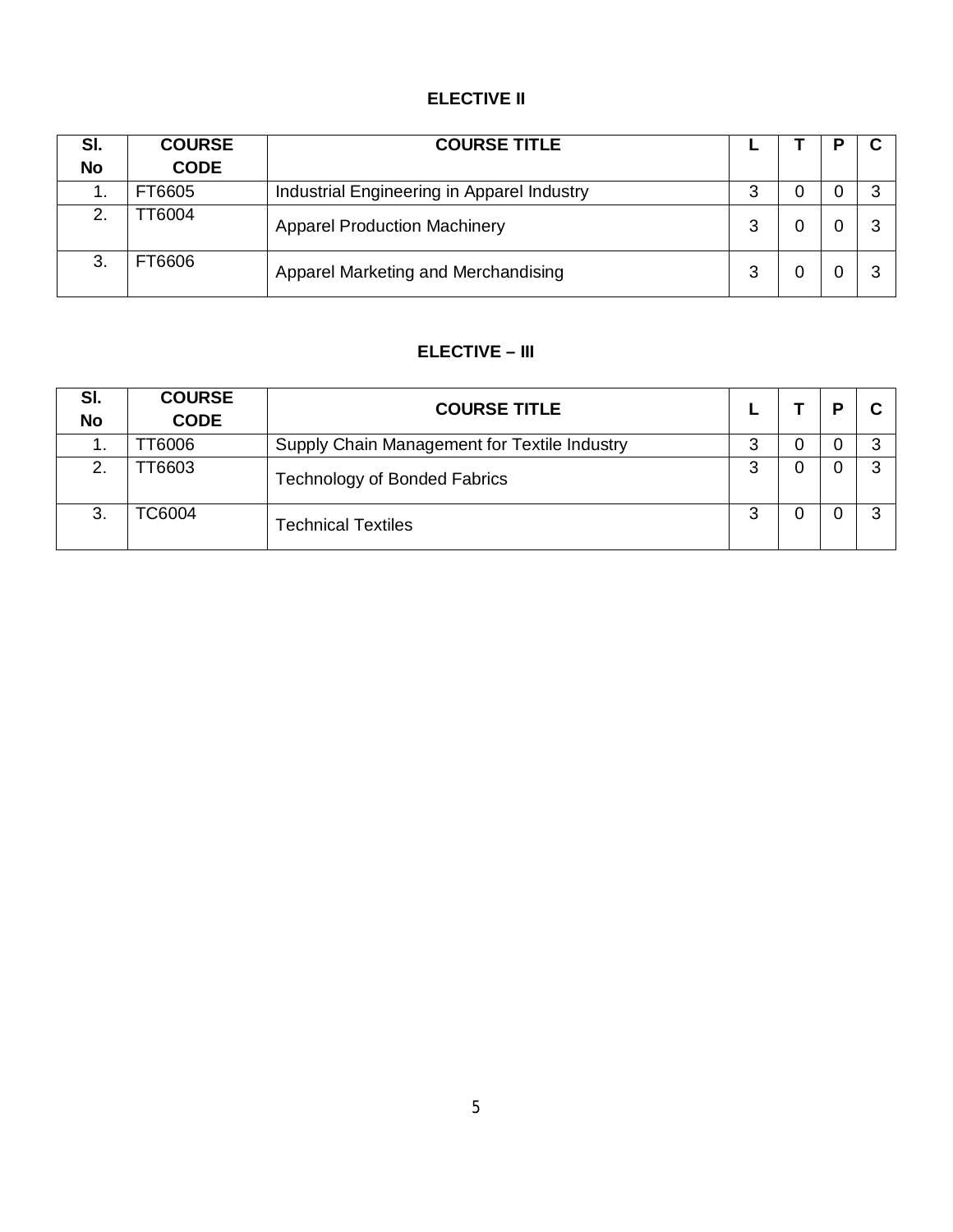# **ELECTIVE II**

| SI.<br><b>No</b> | <b>COURSE</b><br><b>CODE</b> | <b>COURSE TITLE</b>                        |   |   |   |
|------------------|------------------------------|--------------------------------------------|---|---|---|
| . .              | FT6605                       | Industrial Engineering in Apparel Industry | 3 | 0 | ◠ |
| 2.               | T6004                        | <b>Apparel Production Machinery</b>        | 3 |   |   |
| 3.               | FT6606                       | Apparel Marketing and Merchandising        | 3 |   |   |

# **ELECTIVE – III**

| SI.<br><b>No</b> | <b>COURSE</b><br><b>CODE</b> | <b>COURSE TITLE</b>                          |        | D | ◠ |
|------------------|------------------------------|----------------------------------------------|--------|---|---|
| . .              | T6006                        | Supply Chain Management for Textile Industry | ≏<br>J |   | 3 |
| 2.               | T6603                        | <b>Technology of Bonded Fabrics</b>          | 3      |   | 3 |
| 3.               | <b>C6004</b>                 | <b>Technical Textiles</b>                    | 3      |   | 3 |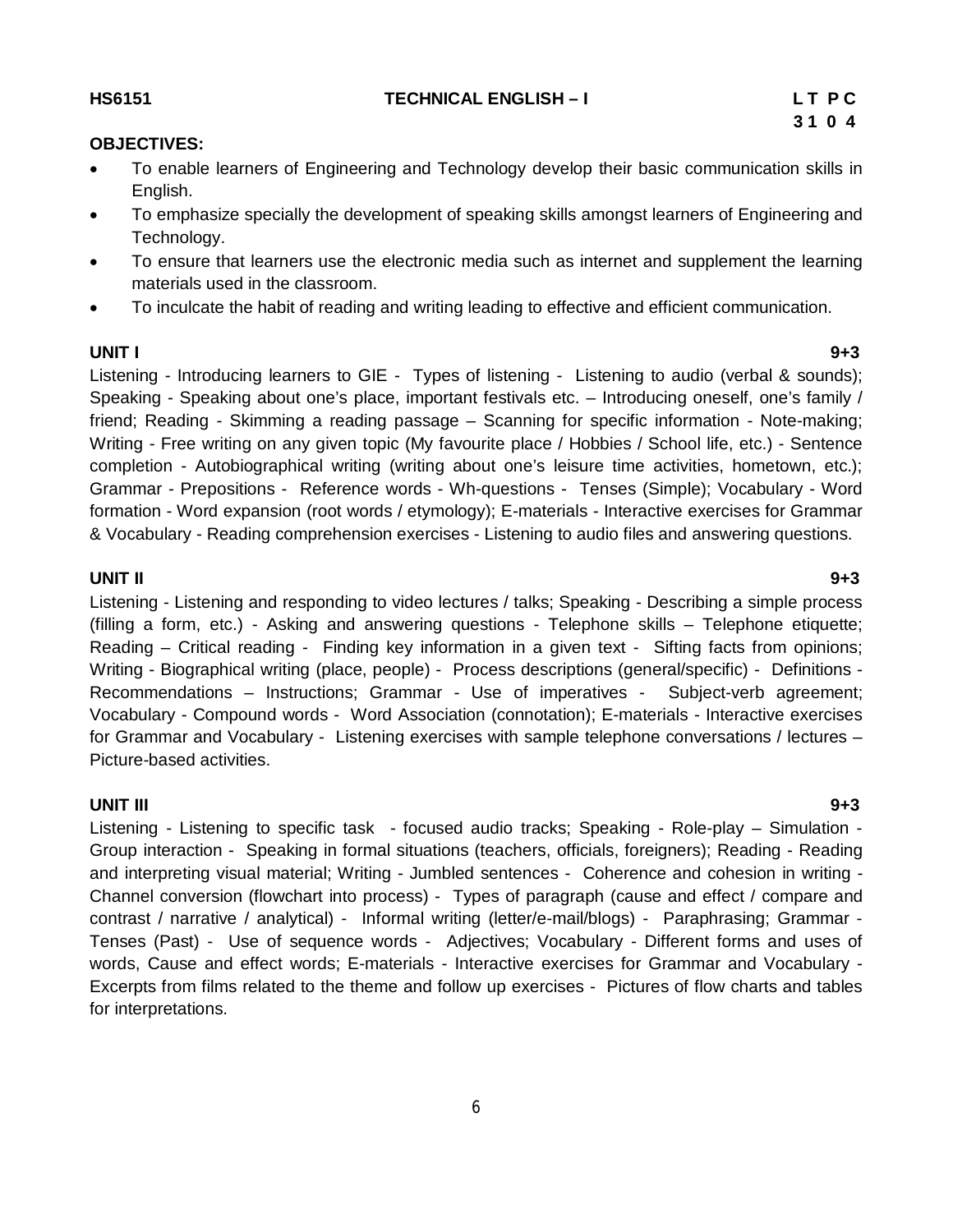# Writing - Free writing on any given topic (My favourite place / Hobbies / School life, etc.) - Sentence completion - Autobiographical writing (writing about one's leisure time activities, hometown, etc.); Grammar - Prepositions - Reference words - Wh-questions - Tenses (Simple); Vocabulary - Word formation - Word expansion (root words / etymology); E-materials - Interactive exercises for Grammar & Vocabulary - Reading comprehension exercises - Listening to audio files and answering questions.

Speaking - Speaking about one's place, important festivals etc. – Introducing oneself, one's family / friend; Reading - Skimming a reading passage – Scanning for specific information - Note-making;

# **UNIT II 9+3**

Listening - Listening and responding to video lectures / talks; Speaking - Describing a simple process (filling a form, etc.) - Asking and answering questions - Telephone skills – Telephone etiquette; Reading – Critical reading - Finding key information in a given text - Sifting facts from opinions; Writing - Biographical writing (place, people) - Process descriptions (general/specific) - Definitions - Recommendations – Instructions; Grammar - Use of imperatives - Subject-verb agreement; Vocabulary - Compound words - Word Association (connotation); E-materials - Interactive exercises for Grammar and Vocabulary - Listening exercises with sample telephone conversations / lectures – Picture-based activities.

# **UNIT III 9+3**

Listening - Listening to specific task - focused audio tracks; Speaking - Role-play – Simulation - Group interaction - Speaking in formal situations (teachers, officials, foreigners); Reading - Reading and interpreting visual material; Writing - Jumbled sentences - Coherence and cohesion in writing - Channel conversion (flowchart into process) - Types of paragraph (cause and effect / compare and contrast / narrative / analytical) - Informal writing (letter/e-mail/blogs) - Paraphrasing; Grammar - Tenses (Past) - Use of sequence words - Adjectives; Vocabulary - Different forms and uses of words, Cause and effect words; E-materials - Interactive exercises for Grammar and Vocabulary - Excerpts from films related to the theme and follow up exercises - Pictures of flow charts and tables for interpretations.

# **OBJECTIVES:**

- To enable learners of Engineering and Technology develop their basic communication skills in English.
- To emphasize specially the development of speaking skills amongst learners of Engineering and Technology.
- To ensure that learners use the electronic media such as internet and supplement the learning materials used in the classroom.
- To inculcate the habit of reading and writing leading to effective and efficient communication.

# 6

#### **UNIT I 9+3** Listening - Introducing learners to GIE - Types of listening - Listening to audio (verbal & sounds);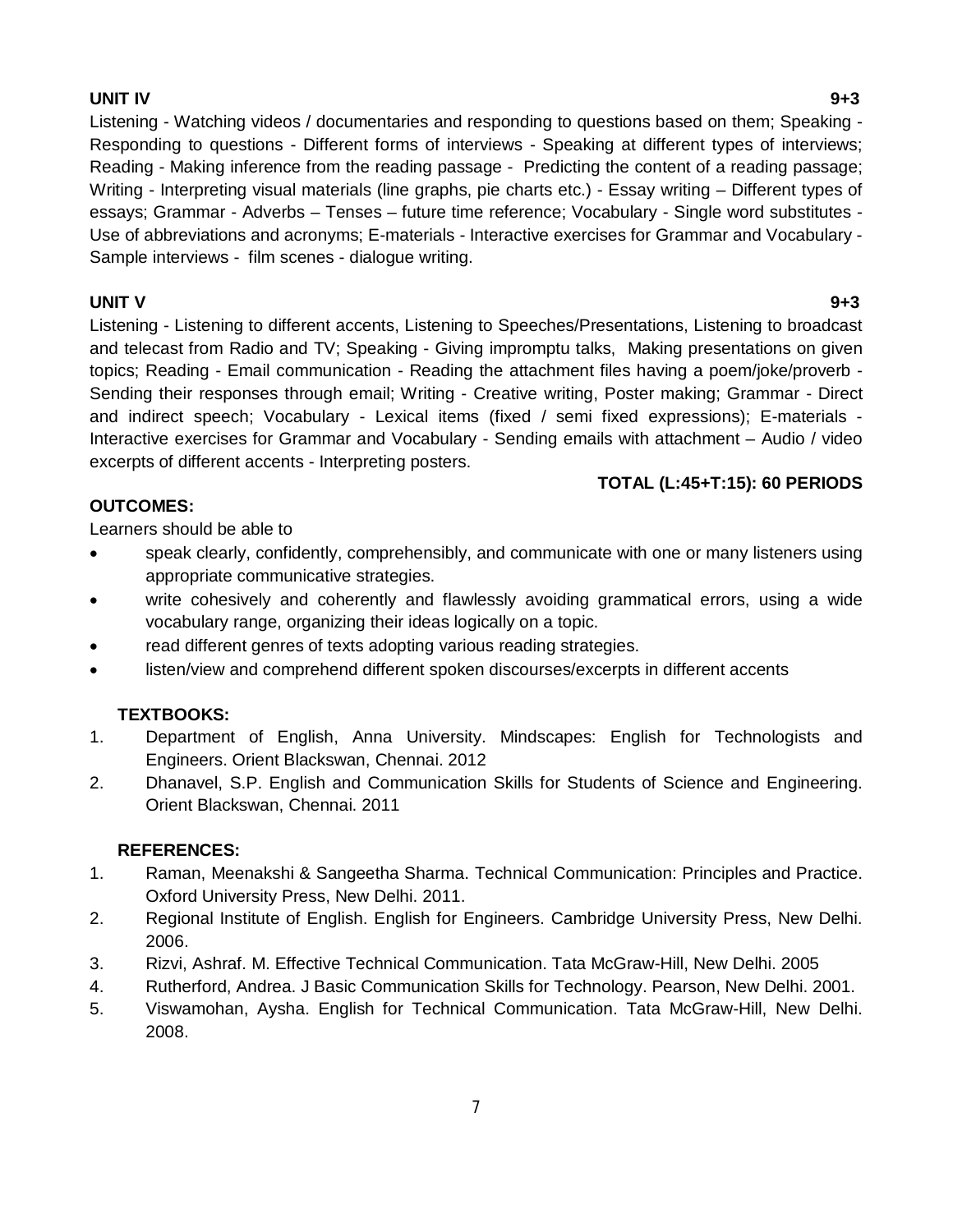### **UNIT IV 9+3**

Listening - Watching videos / documentaries and responding to questions based on them; Speaking - Responding to questions - Different forms of interviews - Speaking at different types of interviews; Reading - Making inference from the reading passage - Predicting the content of a reading passage; Writing - Interpreting visual materials (line graphs, pie charts etc.) - Essay writing – Different types of essays; Grammar - Adverbs – Tenses – future time reference; Vocabulary - Single word substitutes - Use of abbreviations and acronyms; E-materials - Interactive exercises for Grammar and Vocabulary - Sample interviews - film scenes - dialogue writing.

# **UNIT V 9+3**

Listening - Listening to different accents, Listening to Speeches/Presentations, Listening to broadcast and telecast from Radio and TV; Speaking - Giving impromptu talks, Making presentations on given topics; Reading - Email communication - Reading the attachment files having a poem/joke/proverb - Sending their responses through email; Writing - Creative writing, Poster making; Grammar - Direct and indirect speech; Vocabulary - Lexical items (fixed / semi fixed expressions); E-materials - Interactive exercises for Grammar and Vocabulary - Sending emails with attachment – Audio / video excerpts of different accents - Interpreting posters.

# **TOTAL (L:45+T:15): 60 PERIODS**

# **OUTCOMES:**

Learners should be able to

- speak clearly, confidently, comprehensibly, and communicate with one or many listeners using appropriate communicative strategies.
- write cohesively and coherently and flawlessly avoiding grammatical errors, using a wide vocabulary range, organizing their ideas logically on a topic.
- read different genres of texts adopting various reading strategies.
- listen/view and comprehend different spoken discourses/excerpts in different accents

# **TEXTBOOKS:**

- 1. Department of English, Anna University. Mindscapes: English for Technologists and Engineers. Orient Blackswan, Chennai. 2012
- 2. Dhanavel, S.P. English and Communication Skills for Students of Science and Engineering. Orient Blackswan, Chennai. 2011

# **REFERENCES:**

- 1. Raman, Meenakshi & Sangeetha Sharma. Technical Communication: Principles and Practice. Oxford University Press, New Delhi. 2011.
- 2. Regional Institute of English. English for Engineers. Cambridge University Press, New Delhi. 2006.
- 3. Rizvi, Ashraf. M. Effective Technical Communication. Tata McGraw-Hill, New Delhi. 2005
- 4. Rutherford, Andrea. J Basic Communication Skills for Technology. Pearson, New Delhi. 2001.
- 5. Viswamohan, Aysha. English for Technical Communication. Tata McGraw-Hill, New Delhi. 2008.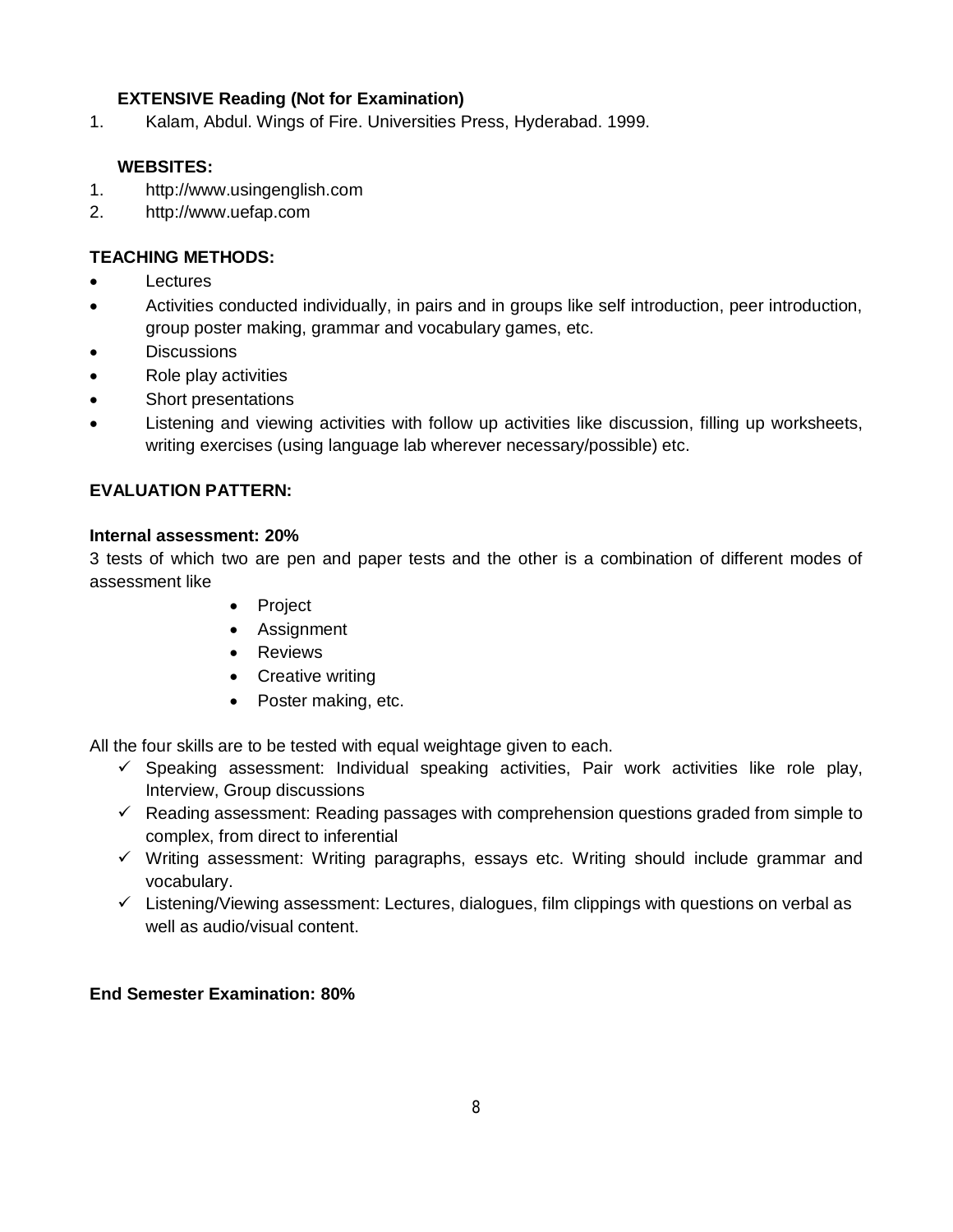# **EXTENSIVE Reading (Not for Examination)**

1. Kalam, Abdul. Wings of Fire. Universities Press, Hyderabad. 1999.

## **WEBSITES:**

- 1. http://www.usingenglish.com
- 2. http://www.uefap.com

# **TEACHING METHODS:**

- **Lectures**
- Activities conducted individually, in pairs and in groups like self introduction, peer introduction, group poster making, grammar and vocabulary games, etc.
- **Discussions**
- Role play activities
- Short presentations
- Listening and viewing activities with follow up activities like discussion, filling up worksheets, writing exercises (using language lab wherever necessary/possible) etc.

# **EVALUATION PATTERN:**

#### **Internal assessment: 20%**

3 tests of which two are pen and paper tests and the other is a combination of different modes of assessment like

- Project
- Assignment
- Reviews
- Creative writing
- Poster making, etc.

All the four skills are to be tested with equal weightage given to each.

- $\checkmark$  Speaking assessment: Individual speaking activities, Pair work activities like role play, Interview, Group discussions
- $\checkmark$  Reading assessment: Reading passages with comprehension questions graded from simple to complex, from direct to inferential
- $\checkmark$  Writing assessment: Writing paragraphs, essays etc. Writing should include grammar and vocabulary.
- $\checkmark$  Listening/Viewing assessment: Lectures, dialogues, film clippings with questions on verbal as well as audio/visual content.

## **End Semester Examination: 80%**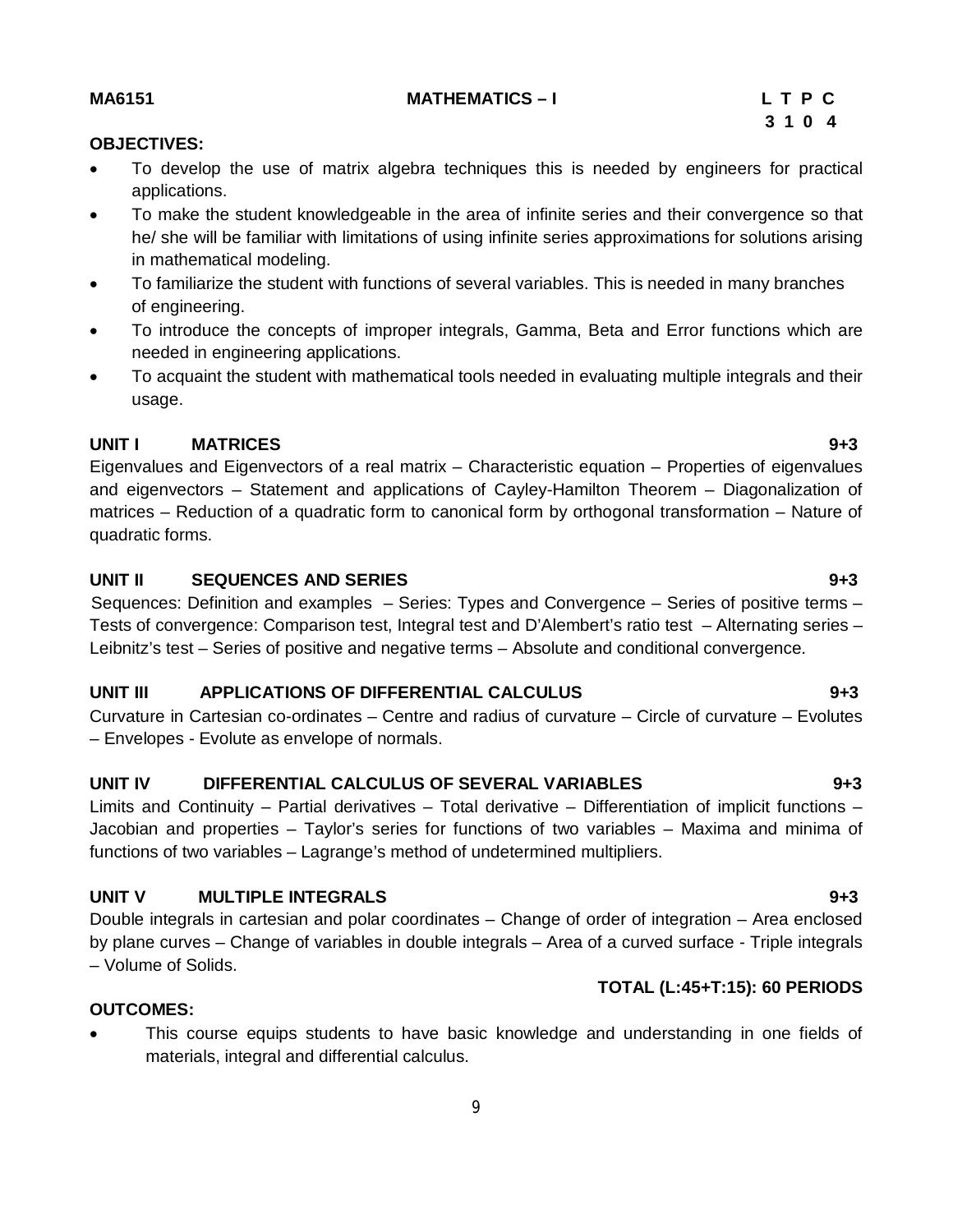# **MA6151 MATHEMATICS – I L T P C**

# **3 1 0 4**

# **OBJECTIVES:**

- To develop the use of matrix algebra techniques this is needed by engineers for practical applications.
- To make the student knowledgeable in the area of infinite series and their convergence so that he/ she will be familiar with limitations of using infinite series approximations for solutions arising in mathematical modeling.
- To familiarize the student with functions of several variables. This is needed in many branches of engineering.
- To introduce the concepts of improper integrals, Gamma, Beta and Error functions which are needed in engineering applications.
- To acquaint the student with mathematical tools needed in evaluating multiple integrals and their usage.

# **UNIT I MATRICES 9+3**

Eigenvalues and Eigenvectors of a real matrix – Characteristic equation – Properties of eigenvalues and eigenvectors – Statement and applications of Cayley-Hamilton Theorem – Diagonalization of matrices – Reduction of a quadratic form to canonical form by orthogonal transformation – Nature of quadratic forms.

# **UNIT II SEQUENCES AND SERIES 9+3**

Sequences: Definition and examples – Series: Types and Convergence – Series of positive terms – Tests of convergence: Comparison test, Integral test and D'Alembert's ratio test – Alternating series – Leibnitz's test – Series of positive and negative terms – Absolute and conditional convergence.

# **UNIT III APPLICATIONS OF DIFFERENTIAL CALCULUS 9+3**

Curvature in Cartesian co-ordinates – Centre and radius of curvature – Circle of curvature – Evolutes – Envelopes - Evolute as envelope of normals.

# **UNIT IV DIFFERENTIAL CALCULUS OF SEVERAL VARIABLES 9+3**

Limits and Continuity – Partial derivatives – Total derivative – Differentiation of implicit functions – Jacobian and properties – Taylor's series for functions of two variables – Maxima and minima of functions of two variables – Lagrange's method of undetermined multipliers.

# **UNIT V MULTIPLE INTEGRALS 9+3**

Double integrals in cartesian and polar coordinates – Change of order of integration – Area enclosed by plane curves – Change of variables in double integrals – Area of a curved surface - Triple integrals – Volume of Solids.

# **TOTAL (L:45+T:15): 60 PERIODS**

# **OUTCOMES:**

 This course equips students to have basic knowledge and understanding in one fields of materials, integral and differential calculus.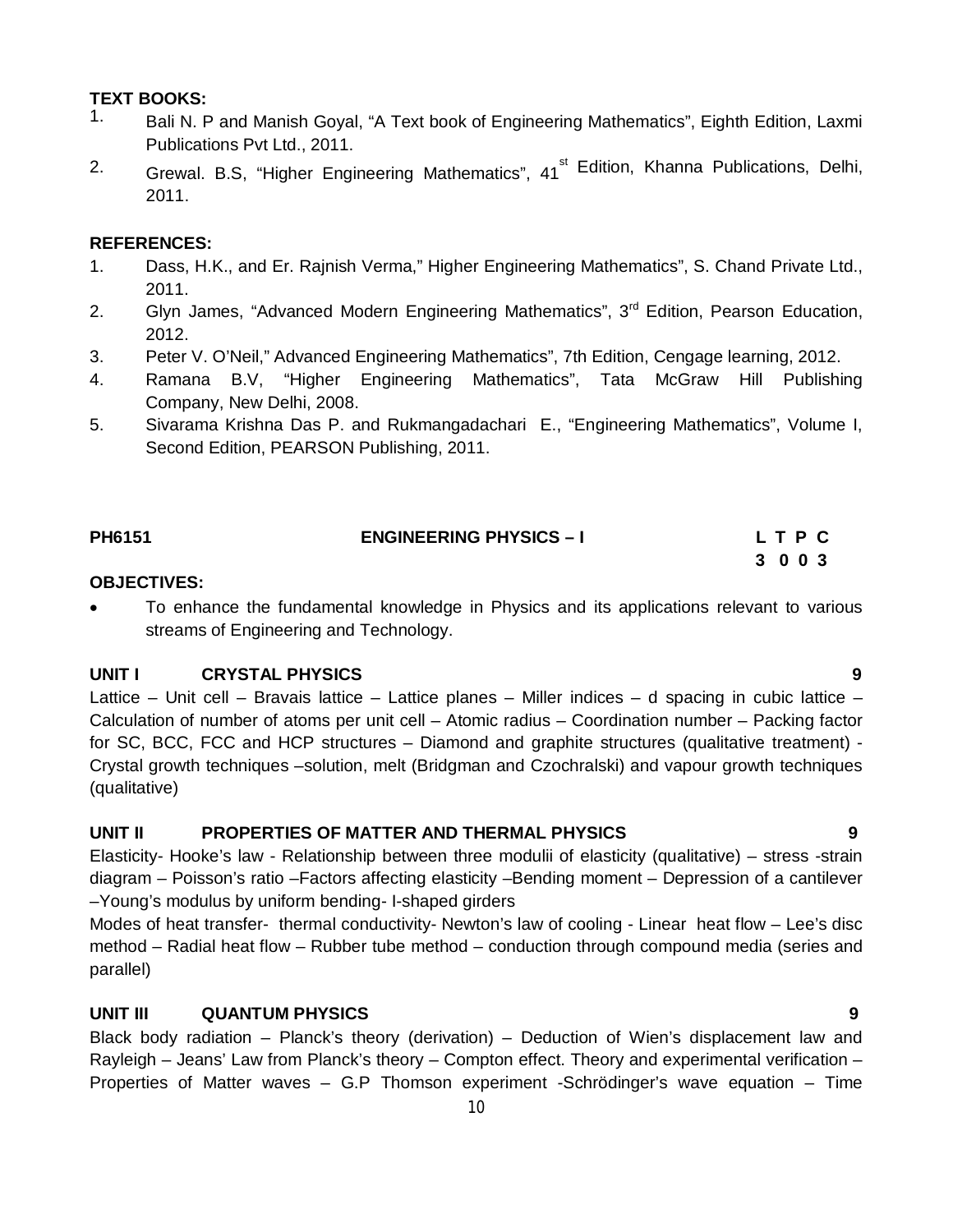# **TEXT BOOKS:**

- 1. Bali N. P and Manish Goyal, "A Text book of Engineering Mathematics", Eighth Edition, Laxmi Publications Pvt Ltd., 2011.
- <sup>2.</sup> Grewal. B.S, "Higher Engineering Mathematics", 41<sup>st</sup> Edition, Khanna Publications, Delhi, 2011.

# **REFERENCES:**

- 1. Dass, H.K., and Er. Rajnish Verma," Higher Engineering Mathematics", S. Chand Private Ltd., 2011.
- 2. Glyn James, "Advanced Modern Engineering Mathematics", 3<sup>rd</sup> Edition, Pearson Education, 2012.
- 3. Peter V. O'Neil," Advanced Engineering Mathematics", 7th Edition, Cengage learning, 2012.
- 4. Ramana B.V, "Higher Engineering Mathematics", Tata McGraw Hill Publishing Company, New Delhi, 2008.
- 5. Sivarama Krishna Das P. and Rukmangadachari E., "Engineering Mathematics", Volume I, Second Edition, PEARSON Publishing, 2011.

| PH6151 | <b>ENGINEERING PHYSICS - I</b> | LTPC |
|--------|--------------------------------|------|
|        |                                | 3003 |

#### **OBJECTIVES:**

 To enhance the fundamental knowledge in Physics and its applications relevant to various streams of Engineering and Technology.

## **UNIT I CRYSTAL PHYSICS 9**

Lattice – Unit cell – Bravais lattice – Lattice planes – Miller indices – d spacing in cubic lattice – Calculation of number of atoms per unit cell – Atomic radius – Coordination number – Packing factor for SC, BCC, FCC and HCP structures – Diamond and graphite structures (qualitative treatment) - Crystal growth techniques –solution, melt (Bridgman and Czochralski) and vapour growth techniques (qualitative)

## **UNIT II PROPERTIES OF MATTER AND THERMAL PHYSICS 9**

Elasticity- Hooke's law - Relationship between three modulii of elasticity (qualitative) – stress -strain diagram – Poisson's ratio –Factors affecting elasticity –Bending moment – Depression of a cantilever –Young's modulus by uniform bending- I-shaped girders

Modes of heat transfer- thermal conductivity- Newton's law of cooling - Linear heat flow – Lee's disc method – Radial heat flow – Rubber tube method – conduction through compound media (series and parallel)

# **UNIT III QUANTUM PHYSICS 9**

Black body radiation – Planck's theory (derivation) – Deduction of Wien's displacement law and Rayleigh – Jeans' Law from Planck's theory – Compton effect. Theory and experimental verification – Properties of Matter waves – G.P Thomson experiment -Schrödinger's wave equation – Time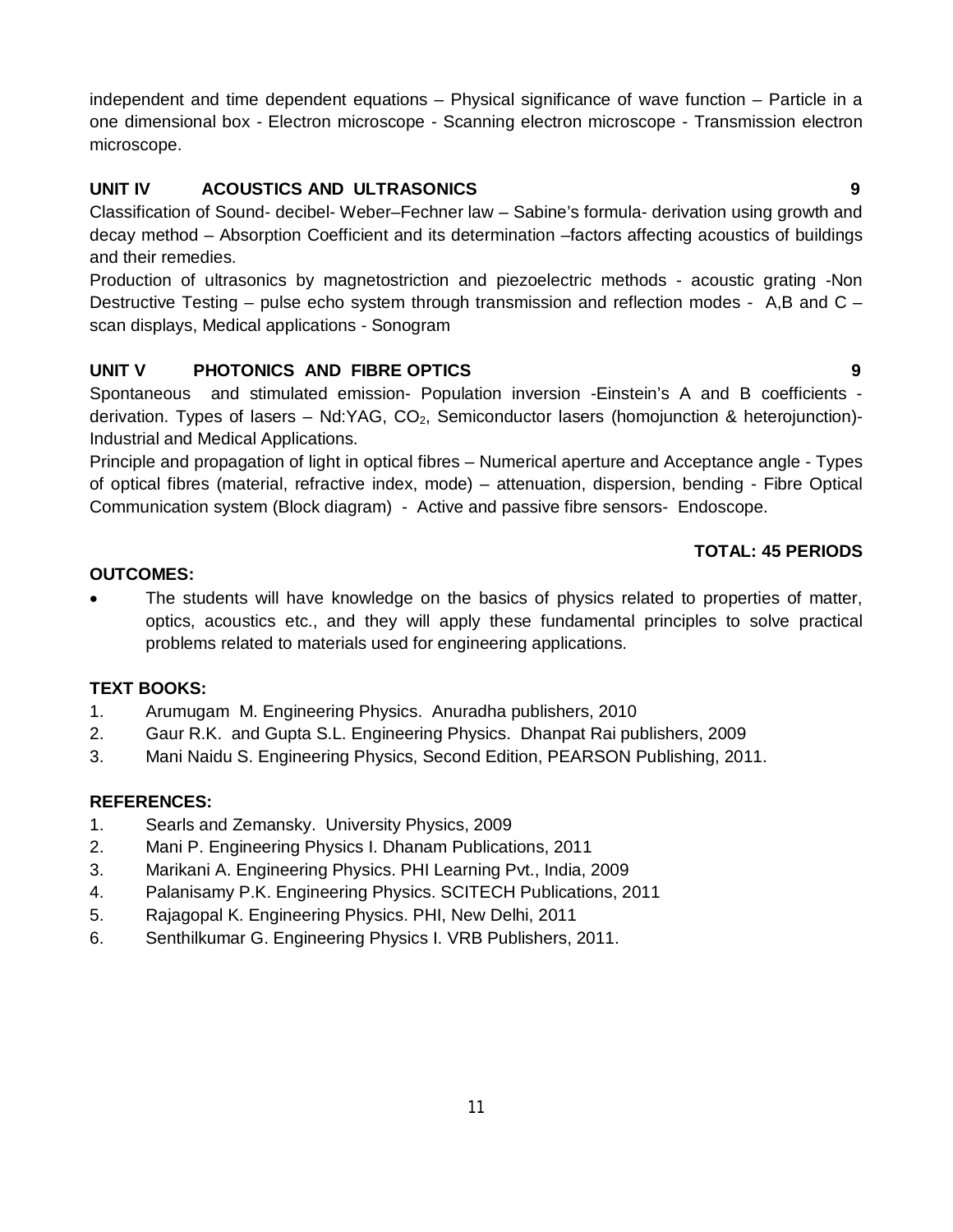independent and time dependent equations – Physical significance of wave function – Particle in a one dimensional box - Electron microscope - Scanning electron microscope - Transmission electron microscope.

# **UNIT IV ACOUSTICS AND ULTRASONICS 9**

Classification of Sound- decibel- Weber–Fechner law – Sabine's formula- derivation using growth and decay method – Absorption Coefficient and its determination –factors affecting acoustics of buildings and their remedies.

Production of ultrasonics by magnetostriction and piezoelectric methods - acoustic grating -Non Destructive Testing – pulse echo system through transmission and reflection modes - A,B and C – scan displays, Medical applications - Sonogram

# **UNIT V PHOTONICS AND FIBRE OPTICS 9**

Spontaneous and stimulated emission- Population inversion -Einstein's A and B coefficients derivation. Types of lasers – Nd:YAG,  $CO<sub>2</sub>$ , Semiconductor lasers (homojunction & heterojunction)-Industrial and Medical Applications.

Principle and propagation of light in optical fibres – Numerical aperture and Acceptance angle - Types of optical fibres (material, refractive index, mode) – attenuation, dispersion, bending - Fibre Optical Communication system (Block diagram) - Active and passive fibre sensors- Endoscope.

# **TOTAL: 45 PERIODS**

# **OUTCOMES:**

 The students will have knowledge on the basics of physics related to properties of matter, optics, acoustics etc., and they will apply these fundamental principles to solve practical problems related to materials used for engineering applications.

# **TEXT BOOKS:**

- 1. Arumugam M. Engineering Physics. Anuradha publishers, 2010
- 2. Gaur R.K. and Gupta S.L. Engineering Physics. Dhanpat Rai publishers, 2009
- 3. Mani Naidu S. Engineering Physics, Second Edition, PEARSON Publishing, 2011.

## **REFERENCES:**

- 1. Searls and Zemansky. University Physics, 2009
- 2. Mani P. Engineering Physics I. Dhanam Publications, 2011
- 3. Marikani A. Engineering Physics. PHI Learning Pvt., India, 2009
- 4. Palanisamy P.K. Engineering Physics. SCITECH Publications, 2011
- 5. Rajagopal K. Engineering Physics. PHI, New Delhi, 2011
- 6. Senthilkumar G. Engineering Physics I. VRB Publishers, 2011.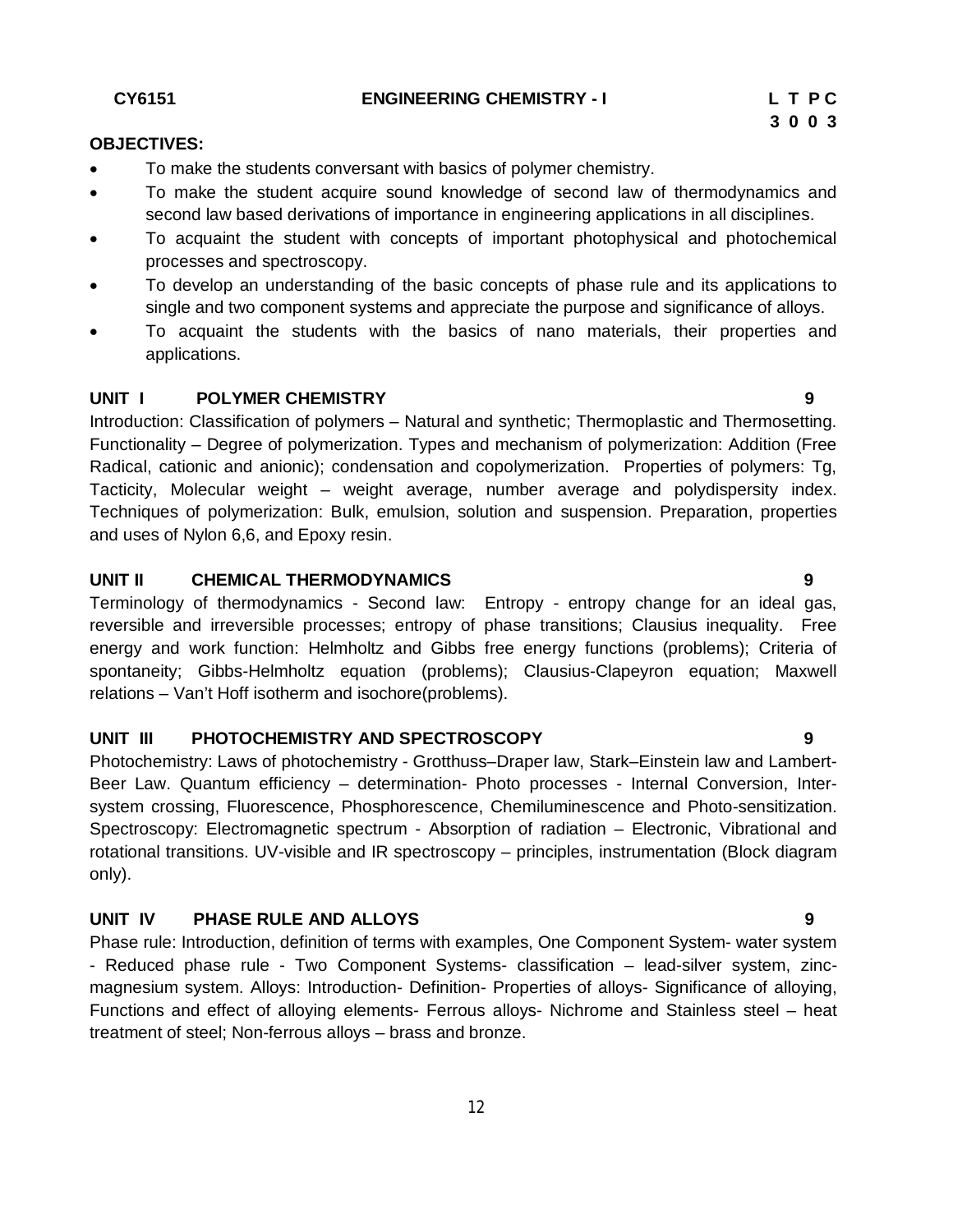**CY6151 ENGINEERING CHEMISTRY - I L T P C**

#### **OBJECTIVES:**

- To make the students conversant with basics of polymer chemistry.
- To make the student acquire sound knowledge of second law of thermodynamics and second law based derivations of importance in engineering applications in all disciplines.
- To acquaint the student with concepts of important photophysical and photochemical processes and spectroscopy.
- To develop an understanding of the basic concepts of phase rule and its applications to single and two component systems and appreciate the purpose and significance of alloys.
- To acquaint the students with the basics of nano materials, their properties and applications.

#### **UNIT I** POLYMER CHEMISTRY **19 1**

Introduction: Classification of polymers – Natural and synthetic; Thermoplastic and Thermosetting. Functionality – Degree of polymerization. Types and mechanism of polymerization: Addition (Free Radical, cationic and anionic); condensation and copolymerization. Properties of polymers: Tg, Tacticity, Molecular weight – weight average, number average and polydispersity index. Techniques of polymerization: Bulk, emulsion, solution and suspension. Preparation, properties and uses of Nylon 6,6, and Epoxy resin.

#### **UNIT II CHEMICAL THERMODYNAMICS 9**

Terminology of thermodynamics - Second law: Entropy - entropy change for an ideal gas, reversible and irreversible processes; entropy of phase transitions; Clausius inequality. Free energy and work function: Helmholtz and Gibbs free energy functions (problems); Criteria of spontaneity; Gibbs-Helmholtz equation (problems); Clausius-Clapeyron equation; Maxwell relations – Van't Hoff isotherm and isochore(problems).

## **UNIT III PHOTOCHEMISTRY AND SPECTROSCOPY 9**

Photochemistry: Laws of photochemistry - Grotthuss–Draper law, Stark–Einstein law and Lambert-Beer Law. Quantum efficiency – determination- Photo processes - Internal Conversion, Intersystem crossing, Fluorescence, Phosphorescence, Chemiluminescence and Photo-sensitization. Spectroscopy: Electromagnetic spectrum - Absorption of radiation – Electronic, Vibrational and rotational transitions. UV-visible and IR spectroscopy – principles, instrumentation (Block diagram only).

### **UNIT IV PHASE RULE AND ALLOYS 9**

Phase rule: Introduction, definition of terms with examples, One Component System- water system - Reduced phase rule - Two Component Systems- classification – lead-silver system, zincmagnesium system. Alloys: Introduction- Definition- Properties of alloys- Significance of alloying, Functions and effect of alloying elements- Ferrous alloys- Nichrome and Stainless steel – heat treatment of steel; Non-ferrous alloys – brass and bronze.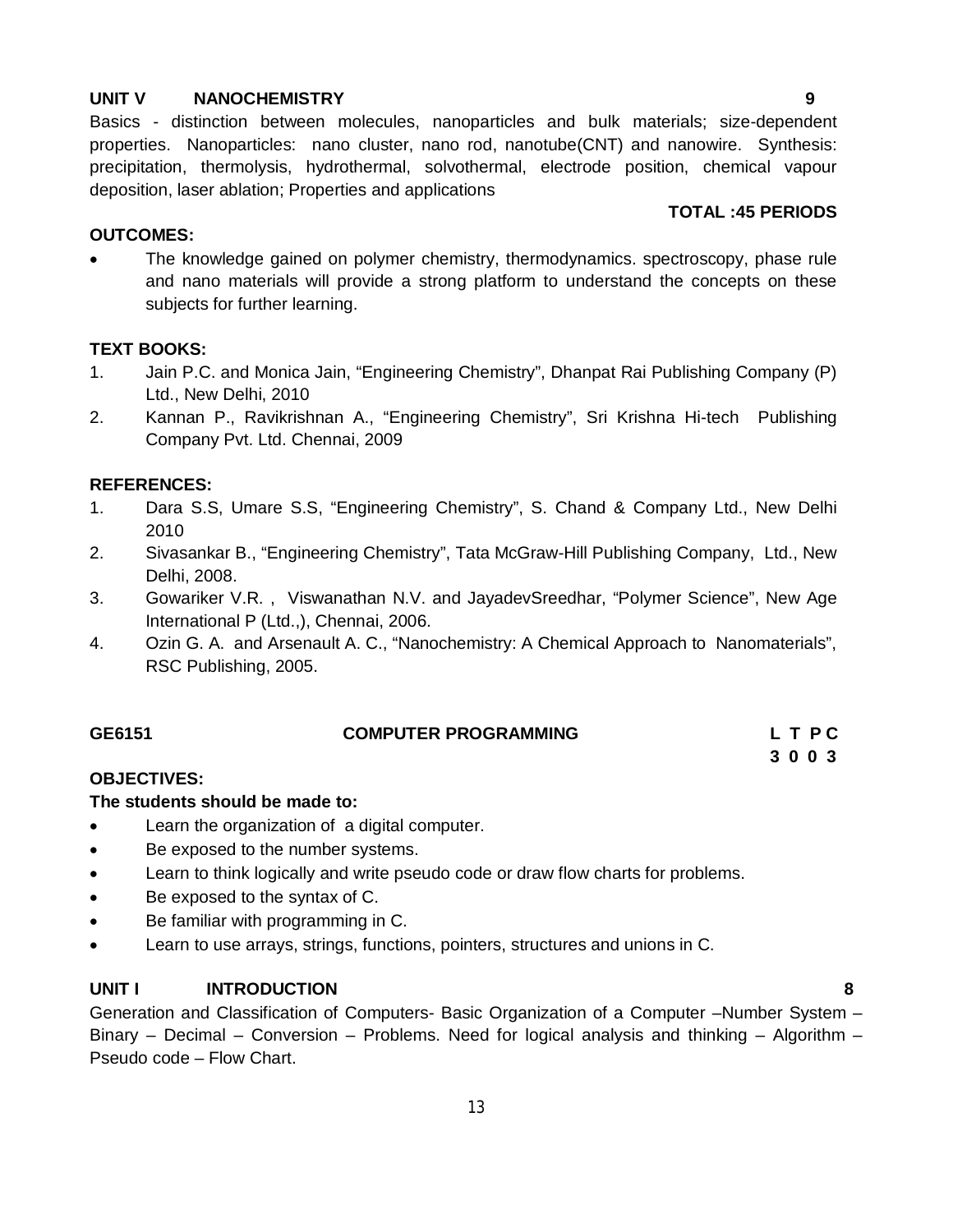#### **UNIT V NANOCHEMISTRY 9**

Basics - distinction between molecules, nanoparticles and bulk materials; size-dependent properties. Nanoparticles: nano cluster, nano rod, nanotube(CNT) and nanowire. Synthesis: precipitation, thermolysis, hydrothermal, solvothermal, electrode position, chemical vapour deposition, laser ablation; Properties and applications

#### **OUTCOMES:**

 The knowledge gained on polymer chemistry, thermodynamics. spectroscopy, phase rule and nano materials will provide a strong platform to understand the concepts on these subjects for further learning.

#### **TEXT BOOKS:**

- 1. Jain P.C. and Monica Jain, "Engineering Chemistry", Dhanpat Rai Publishing Company (P) Ltd., New Delhi, 2010
- 2. Kannan P., Ravikrishnan A., "Engineering Chemistry", Sri Krishna Hi-tech Publishing Company Pvt. Ltd. Chennai, 2009

#### **REFERENCES:**

- 1. Dara S.S, Umare S.S, "Engineering Chemistry", S. Chand & Company Ltd., New Delhi 2010
- 2. Sivasankar B., "Engineering Chemistry", Tata McGraw-Hill Publishing Company, Ltd., New Delhi, 2008.
- 3. Gowariker V.R. , Viswanathan N.V. and JayadevSreedhar, "Polymer Science", New Age International P (Ltd.,), Chennai, 2006.
- 4. Ozin G. A. and Arsenault A. C., "Nanochemistry: A Chemical Approach to Nanomaterials", RSC Publishing, 2005.

| GE6151 | <b>COMPUTER PROGRAMMING</b> | L T P C |
|--------|-----------------------------|---------|
|        |                             | 3003    |

## **OBJECTIVES:**

#### **The students should be made to:**

- Learn the organization of a digital computer.
- Be exposed to the number systems.
- Learn to think logically and write pseudo code or draw flow charts for problems.
- Be exposed to the syntax of C.
- Be familiar with programming in C.
- Learn to use arrays, strings, functions, pointers, structures and unions in C.

## **UNIT I INTRODUCTION 8**

Generation and Classification of Computers- Basic Organization of a Computer –Number System – Binary – Decimal – Conversion – Problems. Need for logical analysis and thinking – Algorithm – Pseudo code – Flow Chart.

**TOTAL :45 PERIODS**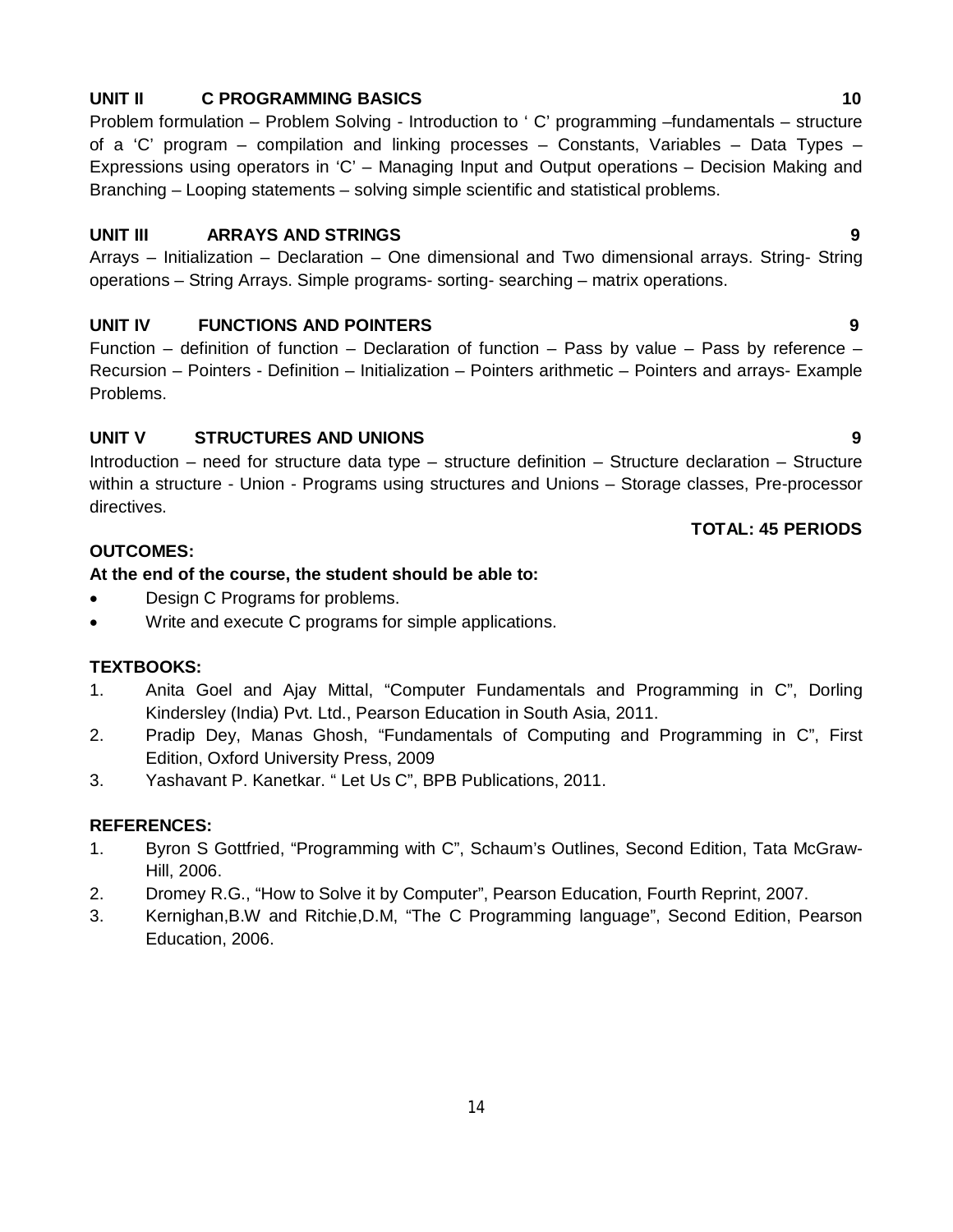## **UNIT II C PROGRAMMING BASICS 10**

Problem formulation – Problem Solving - Introduction to ' C' programming –fundamentals – structure of a 'C' program – compilation and linking processes – Constants, Variables – Data Types – Expressions using operators in 'C' – Managing Input and Output operations – Decision Making and Branching – Looping statements – solving simple scientific and statistical problems.

#### **UNIT III ARRAYS AND STRINGS 9**

Arrays – Initialization – Declaration – One dimensional and Two dimensional arrays. String- String operations – String Arrays. Simple programs- sorting- searching – matrix operations.

## **UNIT IV FUNCTIONS AND POINTERS 9**

Function – definition of function – Declaration of function – Pass by value – Pass by reference – Recursion – Pointers - Definition – Initialization – Pointers arithmetic – Pointers and arrays- Example Problems.

## **UNIT V STRUCTURES AND UNIONS 9**

Introduction – need for structure data type – structure definition – Structure declaration – Structure within a structure - Union - Programs using structures and Unions – Storage classes, Pre-processor directives.

#### **TOTAL: 45 PERIODS**

#### **OUTCOMES:**

#### **At the end of the course, the student should be able to:**

- Design C Programs for problems.
- Write and execute C programs for simple applications.

## **TEXTBOOKS:**

- 1. Anita Goel and Ajay Mittal, "Computer Fundamentals and Programming in C", Dorling Kindersley (India) Pvt. Ltd., Pearson Education in South Asia, 2011.
- 2. Pradip Dey, Manas Ghosh, "Fundamentals of Computing and Programming in C", First Edition, Oxford University Press, 2009
- 3. Yashavant P. Kanetkar. " Let Us C", BPB Publications, 2011.

#### **REFERENCES:**

- 1. Byron S Gottfried, "Programming with C", Schaum's Outlines, Second Edition, Tata McGraw-Hill, 2006.
- 2. Dromey R.G., "How to Solve it by Computer", Pearson Education, Fourth Reprint, 2007.
- 3. Kernighan,B.W and Ritchie,D.M, "The C Programming language", Second Edition, Pearson Education, 2006.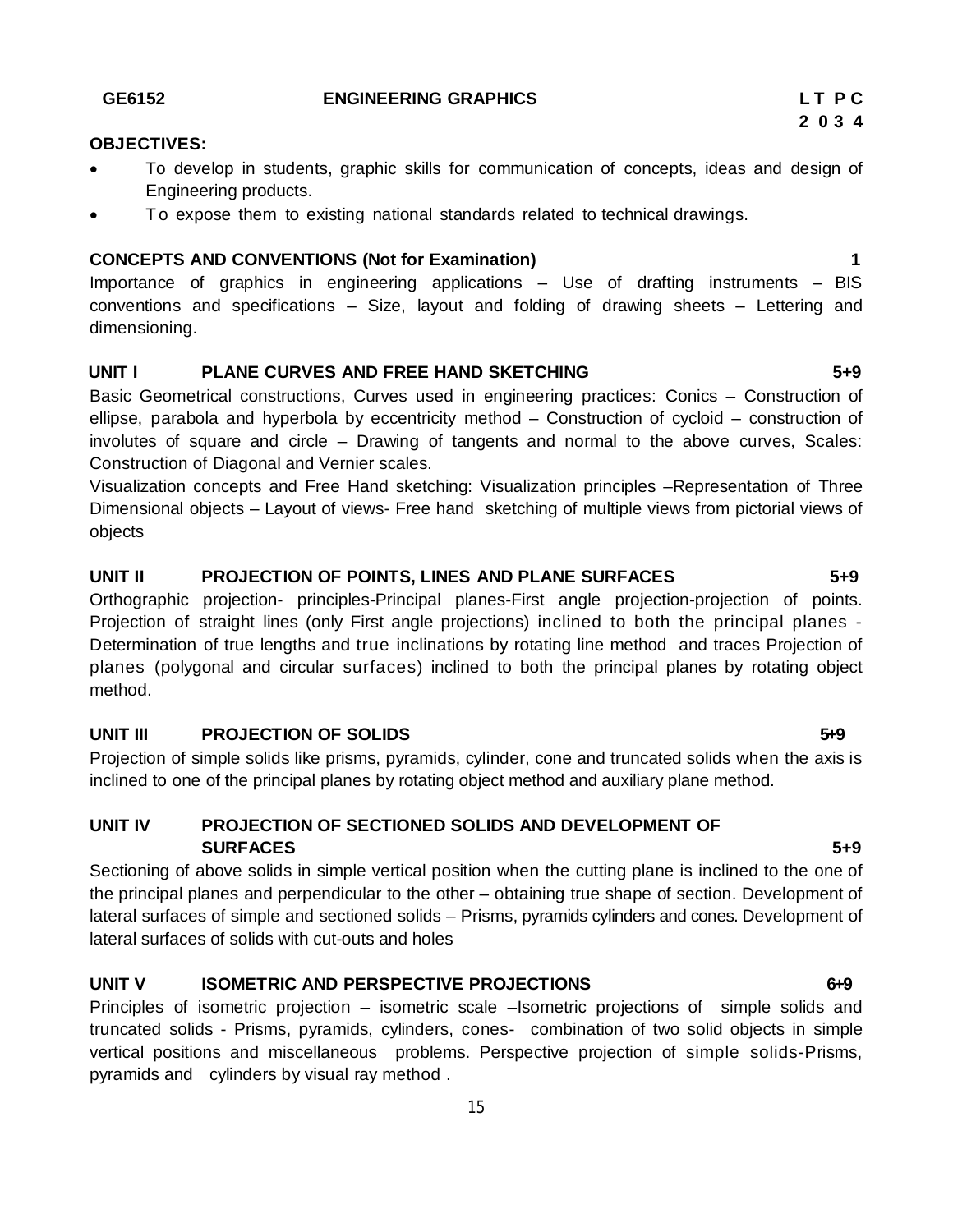- To develop in students, graphic skills for communication of concepts, ideas and design of Engineering products.
- To expose them to existing national standards related to technical drawings.

# **CONCEPTS AND CONVENTIONS (Not for Examination) 1**

Importance of graphics in engineering applications – Use of drafting instruments – BIS conventions and specifications – Size, layout and folding of drawing sheets – Lettering and dimensioning.

# **UNIT I PLANE CURVES AND FREE HAND SKETCHING 5+9**

Basic Geometrical constructions, Curves used in engineering practices: Conics – Construction of ellipse, parabola and hyperbola by eccentricity method – Construction of cycloid – construction of involutes of square and circle – Drawing of tangents and normal to the above curves, Scales: Construction of Diagonal and Vernier scales.

Visualization concepts and Free Hand sketching: Visualization principles –Representation of Three Dimensional objects – Layout of views- Free hand sketching of multiple views from pictorial views of objects

# **UNIT II PROJECTION OF POINTS, LINES AND PLANE SURFACES 5+9**

Orthographic projection- principles-Principal planes-First angle projection-projection of points. Projection of straight lines (only First angle projections) inclined to both the principal planes - Determination of true lengths and true inclinations by rotating line method and traces Projection of planes (polygonal and circular surfaces) inclined to both the principal planes by rotating object method.

# **UNIT III** PROJECTION OF SOLIDS 649

Projection of simple solids like prisms, pyramids, cylinder, cone and truncated solids when the axis is inclined to one of the principal planes by rotating object method and auxiliary plane method.

# **UNIT IV PROJECTION OF SECTIONED SOLIDS AND DEVELOPMENT OF SURFACES** 5+9

Sectioning of above solids in simple vertical position when the cutting plane is inclined to the one of the principal planes and perpendicular to the other – obtaining true shape of section. Development of lateral surfaces of simple and sectioned solids – Prisms, pyramids cylinders and cones. Development of lateral surfaces of solids with cut-outs and holes

# **UNIT V ISOMETRIC AND PERSPECTIVE PROJECTIONS** 6+9

Principles of isometric projection – isometric scale –Isometric projections of simple solids and truncated solids - Prisms, pyramids, cylinders, cones- combination of two solid objects in simple vertical positions and miscellaneous problems. Perspective projection of simple solids-Prisms, pyramids and cylinders by visual ray method .

#### **GE6152 ENGINEERING GRAPHICS L T P C**

**OBJECTIVES:**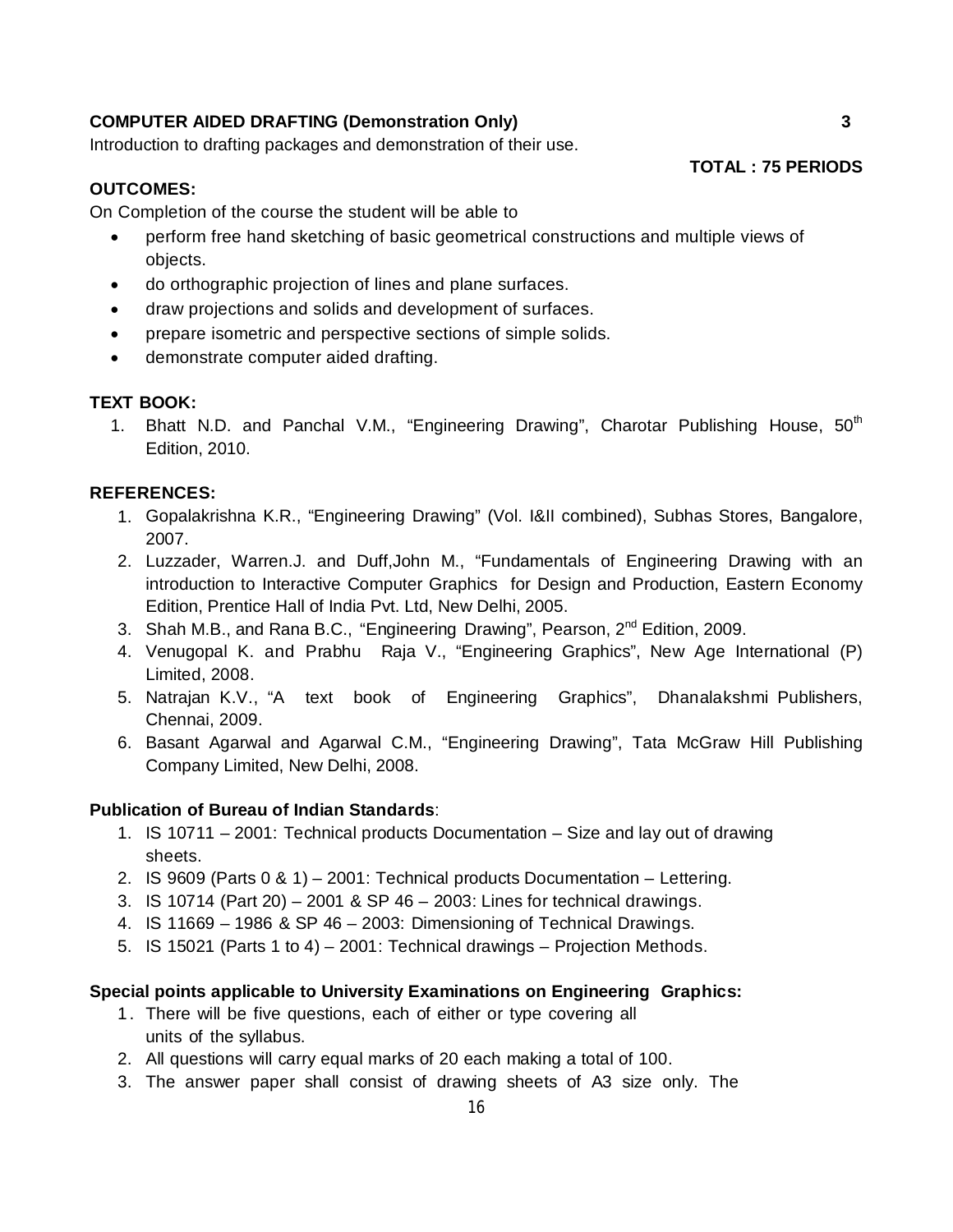### **COMPUTER AIDED DRAFTING (Demonstration Only) 3**

Introduction to drafting packages and demonstration of their use.

# **OUTCOMES:**

On Completion of the course the student will be able to

- perform free hand sketching of basic geometrical constructions and multiple views of objects.
- do orthographic projection of lines and plane surfaces.
- draw projections and solids and development of surfaces.
- prepare isometric and perspective sections of simple solids.
- demonstrate computer aided drafting.

# **TEXT BOOK:**

1. Bhatt N.D. and Panchal V.M., "Engineering Drawing", Charotar Publishing House, 50<sup>th</sup> Edition, 2010.

#### **REFERENCES:**

- 1. Gopalakrishna K.R., "Engineering Drawing" (Vol. I&II combined), Subhas Stores, Bangalore, 2007.
- 2. Luzzader, Warren.J. and Duff,John M., "Fundamentals of Engineering Drawing with an introduction to Interactive Computer Graphics for Design and Production, Eastern Economy Edition, Prentice Hall of India Pvt. Ltd, New Delhi, 2005.
- 3. Shah M.B., and Rana B.C., "Engineering Drawing", Pearson, 2<sup>nd</sup> Edition, 2009.
- 4. Venugopal K. and Prabhu Raja V., "Engineering Graphics", New Age International (P) Limited, 2008.
- 5. Natrajan K.V., "A text book of Engineering Graphics", Dhanalakshmi Publishers, Chennai, 2009.
- 6. Basant Agarwal and Agarwal C.M., "Engineering Drawing", Tata McGraw Hill Publishing Company Limited, New Delhi, 2008.

#### **Publication of Bureau of Indian Standards**:

- 1. IS 10711 2001: Technical products Documentation Size and lay out of drawing sheets.
- 2. IS 9609 (Parts 0 & 1) 2001: Technical products Documentation Lettering.
- 3. IS 10714 (Part 20) 2001 & SP 46 2003: Lines for technical drawings.
- 4. IS 11669 1986 & SP 46 2003: Dimensioning of Technical Drawings.
- 5. IS 15021 (Parts 1 to 4) 2001: Technical drawings Projection Methods.

#### **Special points applicable to University Examinations on Engineering Graphics:**

- 1 . There will be five questions, each of either or type covering all units of the syllabus.
- 2. All questions will carry equal marks of 20 each making a total of 100.
- 3. The answer paper shall consist of drawing sheets of A3 size only. The

**TOTAL : 75 PERIODS**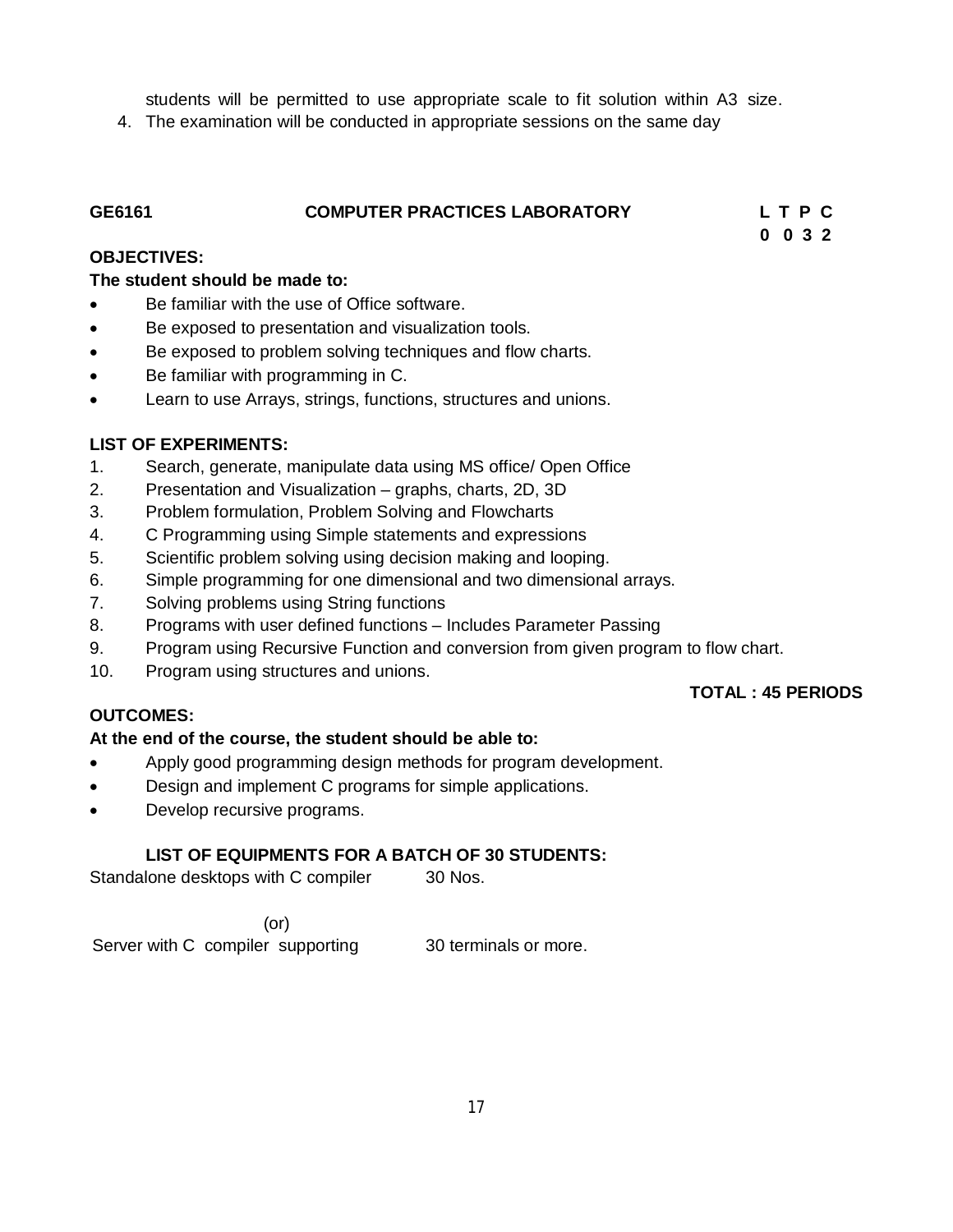students will be permitted to use appropriate scale to fit solution within A3 size.

4. The examination will be conducted in appropriate sessions on the same day

| GE6161 | <b>COMPUTER PRACTICES LABORATORY</b> | LTPC |  |
|--------|--------------------------------------|------|--|
|        |                                      |      |  |

 **0 0 3 2**

#### **OBJECTIVES:**

#### **The student should be made to:**

- Be familiar with the use of Office software.
- Be exposed to presentation and visualization tools.
- Be exposed to problem solving techniques and flow charts.
- Be familiar with programming in C.
- Learn to use Arrays, strings, functions, structures and unions.

#### **LIST OF EXPERIMENTS:**

- 1. Search, generate, manipulate data using MS office/ Open Office
- 2. Presentation and Visualization graphs, charts, 2D, 3D
- 3. Problem formulation, Problem Solving and Flowcharts
- 4. C Programming using Simple statements and expressions
- 5. Scientific problem solving using decision making and looping.
- 6. Simple programming for one dimensional and two dimensional arrays.
- 7. Solving problems using String functions
- 8. Programs with user defined functions Includes Parameter Passing
- 9. Program using Recursive Function and conversion from given program to flow chart.
- 10. Program using structures and unions.

#### **TOTAL : 45 PERIODS**

## **OUTCOMES:**

## **At the end of the course, the student should be able to:**

- Apply good programming design methods for program development.
- Design and implement C programs for simple applications.
- Develop recursive programs.

## **LIST OF EQUIPMENTS FOR A BATCH OF 30 STUDENTS:**

Standalone desktops with C compiler 30 Nos.

 (or) Server with C compiler supporting 30 terminals or more.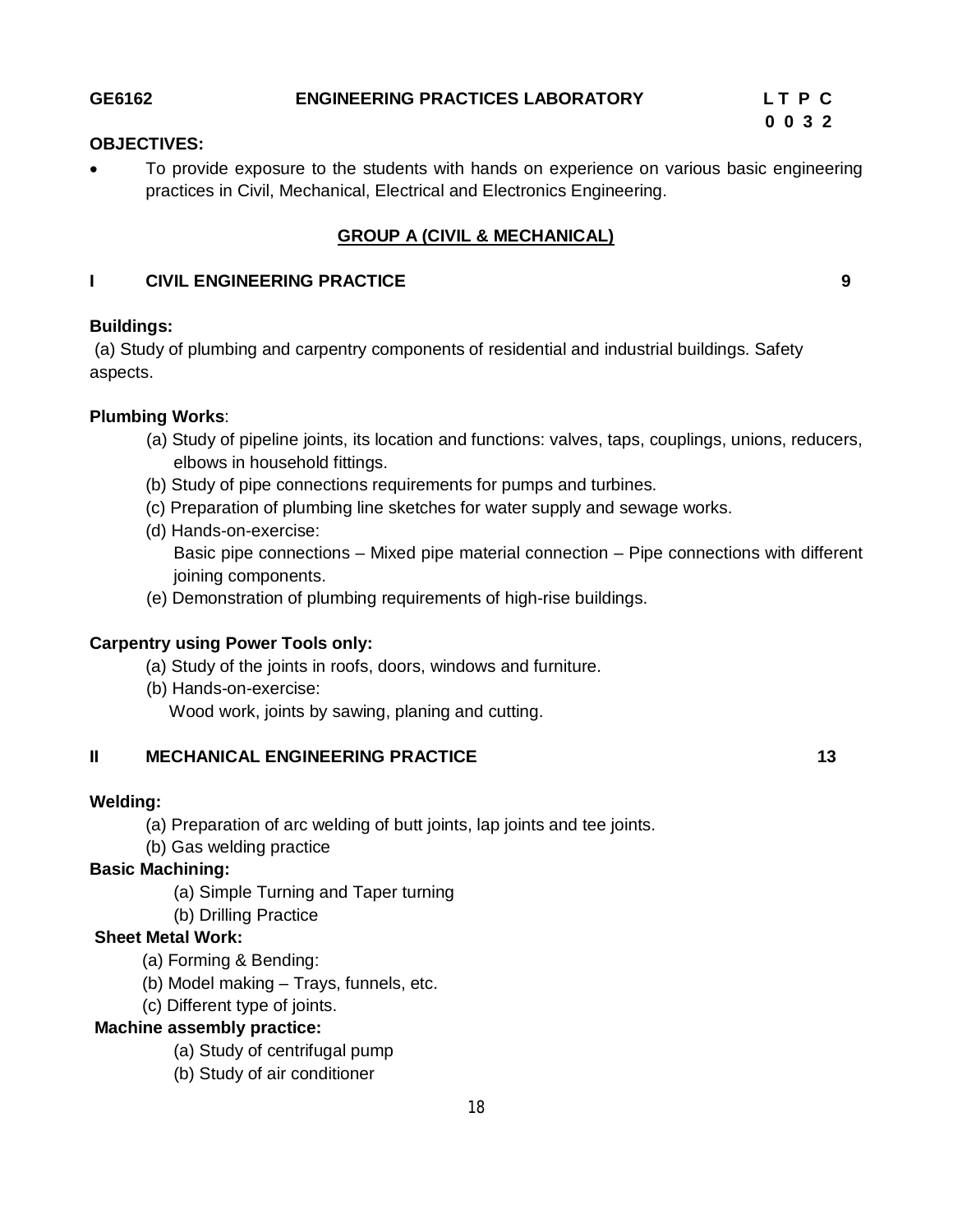## **GE6162 ENGINEERING PRACTICES LABORATORY L T P C**

 **0 0 3 2** 

### **OBJECTIVES:**

 To provide exposure to the students with hands on experience on various basic engineering practices in Civil, Mechanical, Electrical and Electronics Engineering.

# **GROUP A (CIVIL & MECHANICAL)**

#### **I CIVIL ENGINEERING PRACTICE 9**

# **Buildings:**

(a) Study of plumbing and carpentry components of residential and industrial buildings. Safety aspects.

#### **Plumbing Works**:

- (a) Study of pipeline joints, its location and functions: valves, taps, couplings, unions, reducers, elbows in household fittings.
- (b) Study of pipe connections requirements for pumps and turbines.
- (c) Preparation of plumbing line sketches for water supply and sewage works.
- (d) Hands-on-exercise: Basic pipe connections – Mixed pipe material connection – Pipe connections with different joining components.
- (e) Demonstration of plumbing requirements of high-rise buildings.

#### **Carpentry using Power Tools only:**

- (a) Study of the joints in roofs, doors, windows and furniture.
- (b) Hands-on-exercise: Wood work, joints by sawing, planing and cutting.

## **II MECHANICAL ENGINEERING PRACTICE 13 13**

#### **Welding:**

- (a) Preparation of arc welding of butt joints, lap joints and tee joints.
- (b) Gas welding practice

## **Basic Machining:**

- (a) Simple Turning and Taper turning
- (b) Drilling Practice

#### **Sheet Metal Work:**

- (a) Forming & Bending:
- (b) Model making Trays, funnels, etc.
- (c) Different type of joints.

#### **Machine assembly practice:**

- (a) Study of centrifugal pump
- (b) Study of air conditioner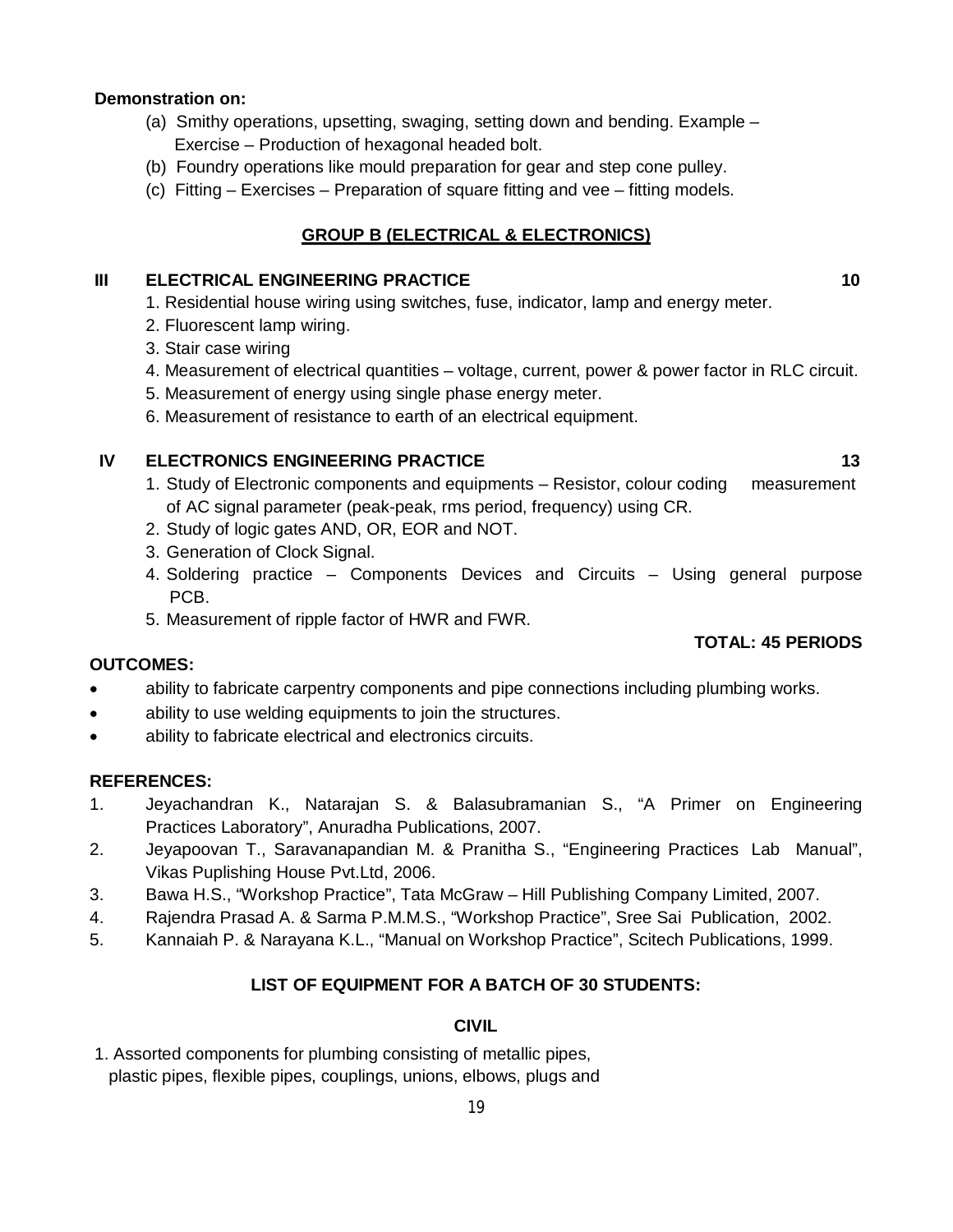## **Demonstration on:**

- (a) Smithy operations, upsetting, swaging, setting down and bending. Example Exercise – Production of hexagonal headed bolt.
- (b) Foundry operations like mould preparation for gear and step cone pulley.
- (c) Fitting Exercises Preparation of square fitting and vee fitting models.

# **GROUP B (ELECTRICAL & ELECTRONICS)**

### **III ELECTRICAL ENGINEERING PRACTICE 10 10 10**

- 1. Residential house wiring using switches, fuse, indicator, lamp and energy meter.
- 2. Fluorescent lamp wiring.
- 3. Stair case wiring
- 4. Measurement of electrical quantities voltage, current, power & power factor in RLC circuit.
- 5. Measurement of energy using single phase energy meter.
- 6. Measurement of resistance to earth of an electrical equipment.

# **IV ELECTRONICS ENGINEERING PRACTICE 13 13**

- 1. Study of Electronic components and equipments Resistor, colour coding measurement of AC signal parameter (peak-peak, rms period, frequency) using CR.
- 2. Study of logic gates AND, OR, EOR and NOT.
- 3. Generation of Clock Signal.
- 4. Soldering practice Components Devices and Circuits Using general purpose PCB.
- 5. Measurement of ripple factor of HWR and FWR.

## **OUTCOMES:**

- ability to fabricate carpentry components and pipe connections including plumbing works.
- ability to use welding equipments to join the structures.
- ability to fabricate electrical and electronics circuits.

## **REFERENCES:**

- 1. Jeyachandran K., Natarajan S. & Balasubramanian S., "A Primer on Engineering Practices Laboratory", Anuradha Publications, 2007.
- 2. Jeyapoovan T., Saravanapandian M. & Pranitha S., "Engineering Practices Lab Manual", Vikas Puplishing House Pvt.Ltd, 2006.
- 3. Bawa H.S., "Workshop Practice", Tata McGraw Hill Publishing Company Limited, 2007.
- 4. Rajendra Prasad A. & Sarma P.M.M.S., "Workshop Practice", Sree Sai Publication, 2002.
- 5. Kannaiah P. & Narayana K.L., "Manual on Workshop Practice", Scitech Publications, 1999.

# **LIST OF EQUIPMENT FOR A BATCH OF 30 STUDENTS:**

# **CIVIL**

1. Assorted components for plumbing consisting of metallic pipes, plastic pipes, flexible pipes, couplings, unions, elbows, plugs and

# **TOTAL: 45 PERIODS**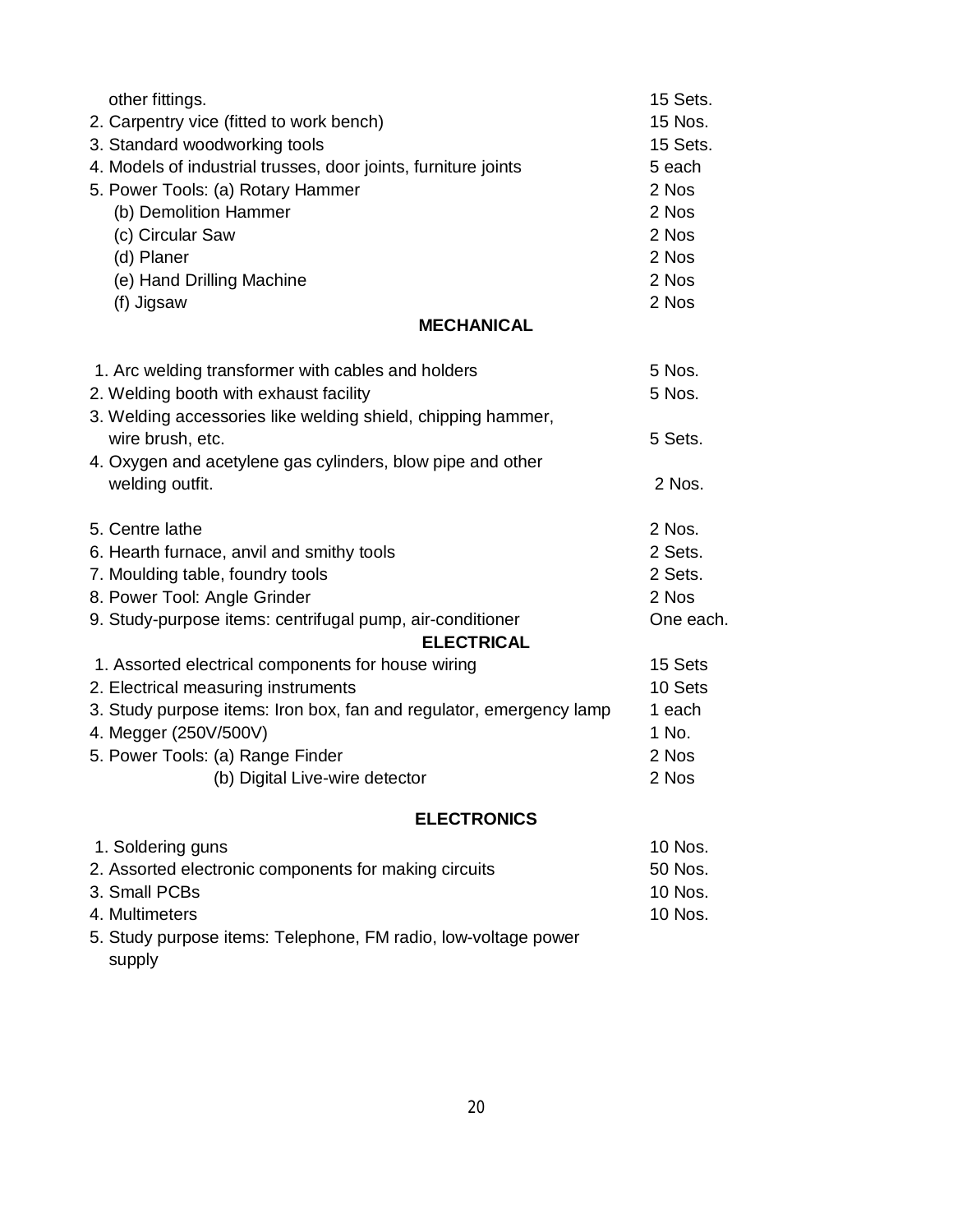| other fittings.                                                     | 15 Sets.  |
|---------------------------------------------------------------------|-----------|
| 2. Carpentry vice (fitted to work bench)                            | 15 Nos.   |
| 3. Standard woodworking tools                                       | 15 Sets.  |
| 4. Models of industrial trusses, door joints, furniture joints      | 5 each    |
| 5. Power Tools: (a) Rotary Hammer                                   | 2 Nos     |
| (b) Demolition Hammer                                               | 2 Nos     |
| (c) Circular Saw                                                    | 2 Nos     |
| (d) Planer                                                          | 2 Nos     |
| (e) Hand Drilling Machine                                           | 2 Nos     |
| (f) Jigsaw                                                          | 2 Nos     |
| <b>MECHANICAL</b>                                                   |           |
| 1. Arc welding transformer with cables and holders                  | 5 Nos.    |
| 2. Welding booth with exhaust facility                              | 5 Nos.    |
| 3. Welding accessories like welding shield, chipping hammer,        |           |
| wire brush, etc.                                                    | 5 Sets.   |
| 4. Oxygen and acetylene gas cylinders, blow pipe and other          |           |
| welding outfit.                                                     | 2 Nos.    |
| 5. Centre lathe                                                     | 2 Nos.    |
| 6. Hearth furnace, anvil and smithy tools                           | 2 Sets.   |
| 7. Moulding table, foundry tools                                    | 2 Sets.   |
| 8. Power Tool: Angle Grinder                                        | 2 Nos     |
| 9. Study-purpose items: centrifugal pump, air-conditioner           | One each. |
| <b>ELECTRICAL</b>                                                   |           |
| 1. Assorted electrical components for house wiring                  | 15 Sets   |
| 2. Electrical measuring instruments                                 | 10 Sets   |
| 3. Study purpose items: Iron box, fan and regulator, emergency lamp | 1 each    |
| 4. Megger (250V/500V)                                               | 1 No.     |
| 5. Power Tools: (a) Range Finder                                    | 2 Nos     |
| (b) Digital Live-wire detector                                      | 2 Nos     |
| <b>ELECTRONICS</b>                                                  |           |
| 1. Soldering guns                                                   | 10 Nos.   |
| 2. Assorted electronic components for making circuits               | 50 Nos.   |

4. Multimeters 10 Nos. 5. Study purpose items: Telephone, FM radio, low-voltage power supply

3. Small PCBs 10 Nos.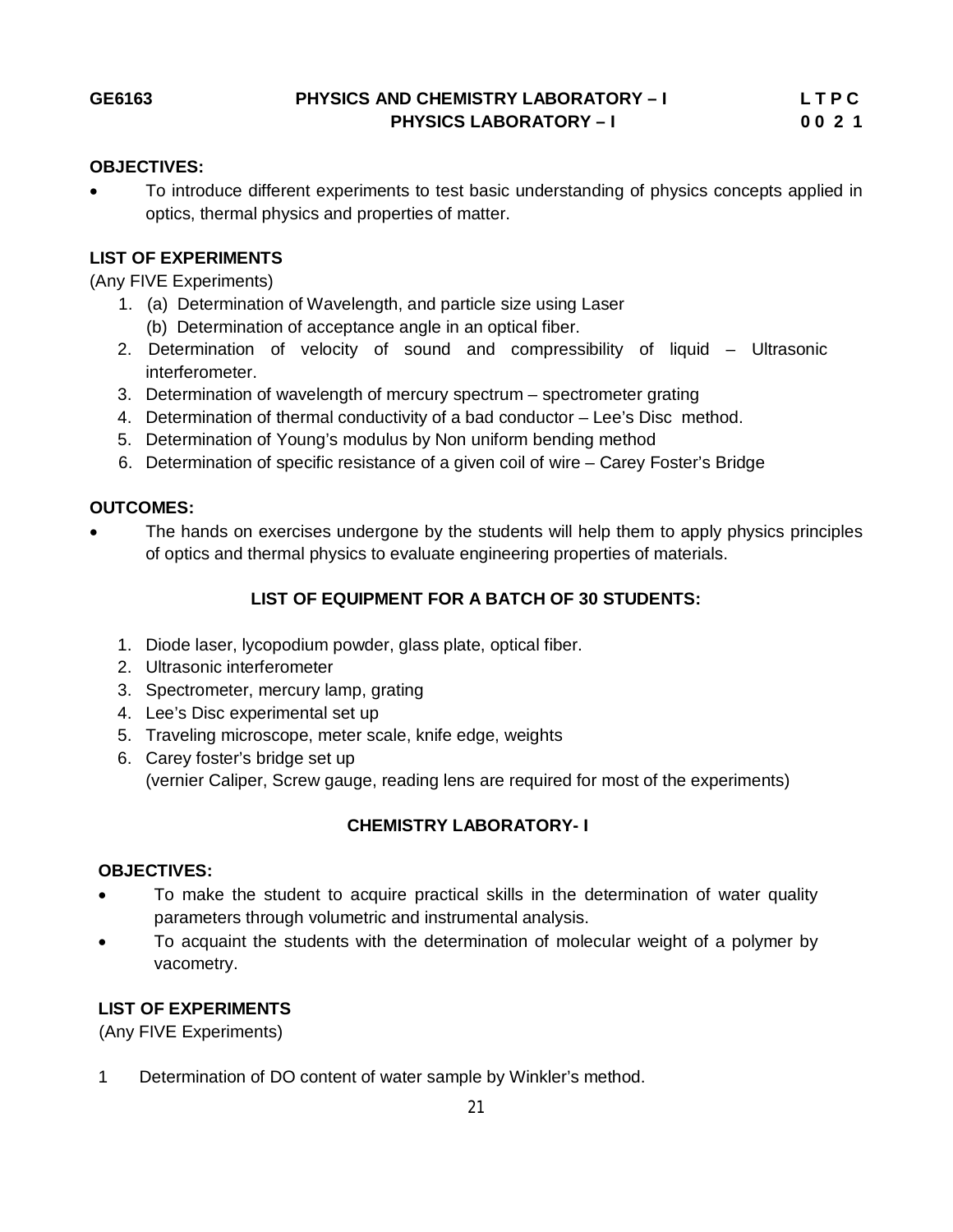#### **OBJECTIVES:**

 To introduce different experiments to test basic understanding of physics concepts applied in optics, thermal physics and properties of matter.

#### **LIST OF EXPERIMENTS**

(Any FIVE Experiments)

- 1. (a) Determination of Wavelength, and particle size using Laser (b) Determination of acceptance angle in an optical fiber.
- 2. Determination of velocity of sound and compressibility of liquid Ultrasonic interferometer.
- 3. Determination of wavelength of mercury spectrum spectrometer grating
- 4. Determination of thermal conductivity of a bad conductor Lee's Disc method.
- 5. Determination of Young's modulus by Non uniform bending method
- 6. Determination of specific resistance of a given coil of wire Carey Foster's Bridge

### **OUTCOMES:**

• The hands on exercises undergone by the students will help them to apply physics principles of optics and thermal physics to evaluate engineering properties of materials.

# **LIST OF EQUIPMENT FOR A BATCH OF 30 STUDENTS:**

- 1. Diode laser, lycopodium powder, glass plate, optical fiber.
- 2. Ultrasonic interferometer
- 3. Spectrometer, mercury lamp, grating
- 4. Lee's Disc experimental set up
- 5. Traveling microscope, meter scale, knife edge, weights
- 6. Carey foster's bridge set up (vernier Caliper, Screw gauge, reading lens are required for most of the experiments)

## **CHEMISTRY LABORATORY- I**

#### **OBJECTIVES:**

- To make the student to acquire practical skills in the determination of water quality parameters through volumetric and instrumental analysis.
- To acquaint the students with the determination of molecular weight of a polymer by vacometry.

#### **LIST OF EXPERIMENTS**

(Any FIVE Experiments)

1 Determination of DO content of water sample by Winkler's method.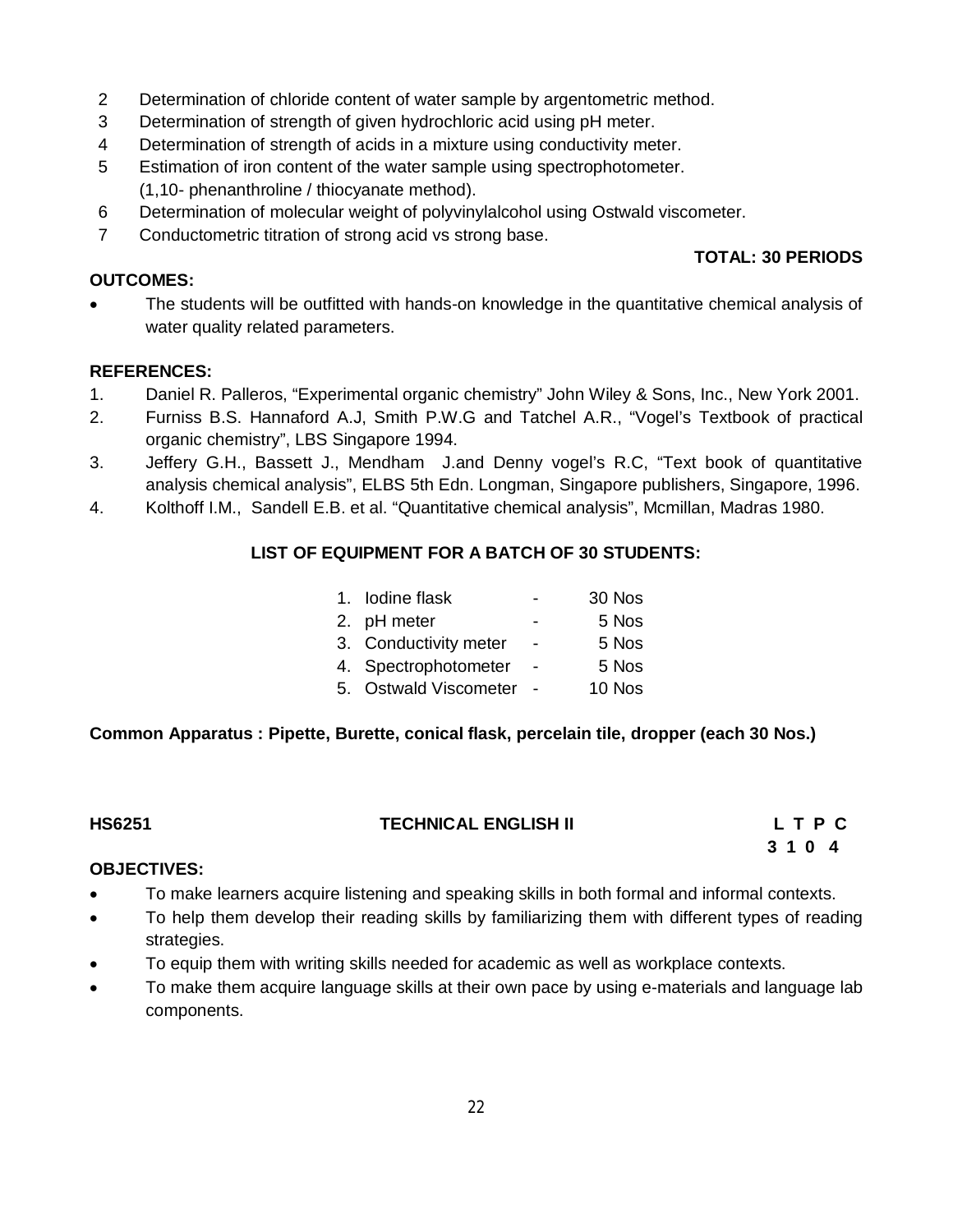- 2 Determination of chloride content of water sample by argentometric method.
- 3 Determination of strength of given hydrochloric acid using pH meter.
- 4 Determination of strength of acids in a mixture using conductivity meter.
- 5 Estimation of iron content of the water sample using spectrophotometer. (1,10- phenanthroline / thiocyanate method).
- 6 Determination of molecular weight of polyvinylalcohol using Ostwald viscometer.
- 7 Conductometric titration of strong acid vs strong base.

### **OUTCOMES:**

# **TOTAL: 30 PERIODS**

 The students will be outfitted with hands-on knowledge in the quantitative chemical analysis of water quality related parameters.

## **REFERENCES:**

- 1. Daniel R. Palleros, "Experimental organic chemistry" John Wiley & Sons, Inc., New York 2001.
- 2. Furniss B.S. Hannaford A.J, Smith P.W.G and Tatchel A.R., "Vogel's Textbook of practical organic chemistry", LBS Singapore 1994.
- 3. Jeffery G.H., Bassett J., Mendham J.and Denny vogel's R.C, "Text book of quantitative analysis chemical analysis", ELBS 5th Edn. Longman, Singapore publishers, Singapore, 1996.
- 4. Kolthoff I.M., Sandell E.B. et al. "Quantitative chemical analysis", Mcmillan, Madras 1980.

# **LIST OF EQUIPMENT FOR A BATCH OF 30 STUDENTS:**

| 1. Iodine flask       |                | 30 Nos |
|-----------------------|----------------|--------|
| 2. pH meter           |                | 5 Nos  |
| 3. Conductivity meter | $\blacksquare$ | 5 Nos  |
| 4. Spectrophotometer  |                | 5 Nos  |
| 5. Ostwald Viscometer |                | 10 Nos |

## **Common Apparatus : Pipette, Burette, conical flask, percelain tile, dropper (each 30 Nos.)**

| <b>HS6251</b> |
|---------------|
|---------------|

## **TECHNICAL ENGLISH II L T P C**

 **3 1 0 4**

## **OBJECTIVES:**

- To make learners acquire listening and speaking skills in both formal and informal contexts.
- To help them develop their reading skills by familiarizing them with different types of reading strategies.
- To equip them with writing skills needed for academic as well as workplace contexts.
- To make them acquire language skills at their own pace by using e-materials and language lab components.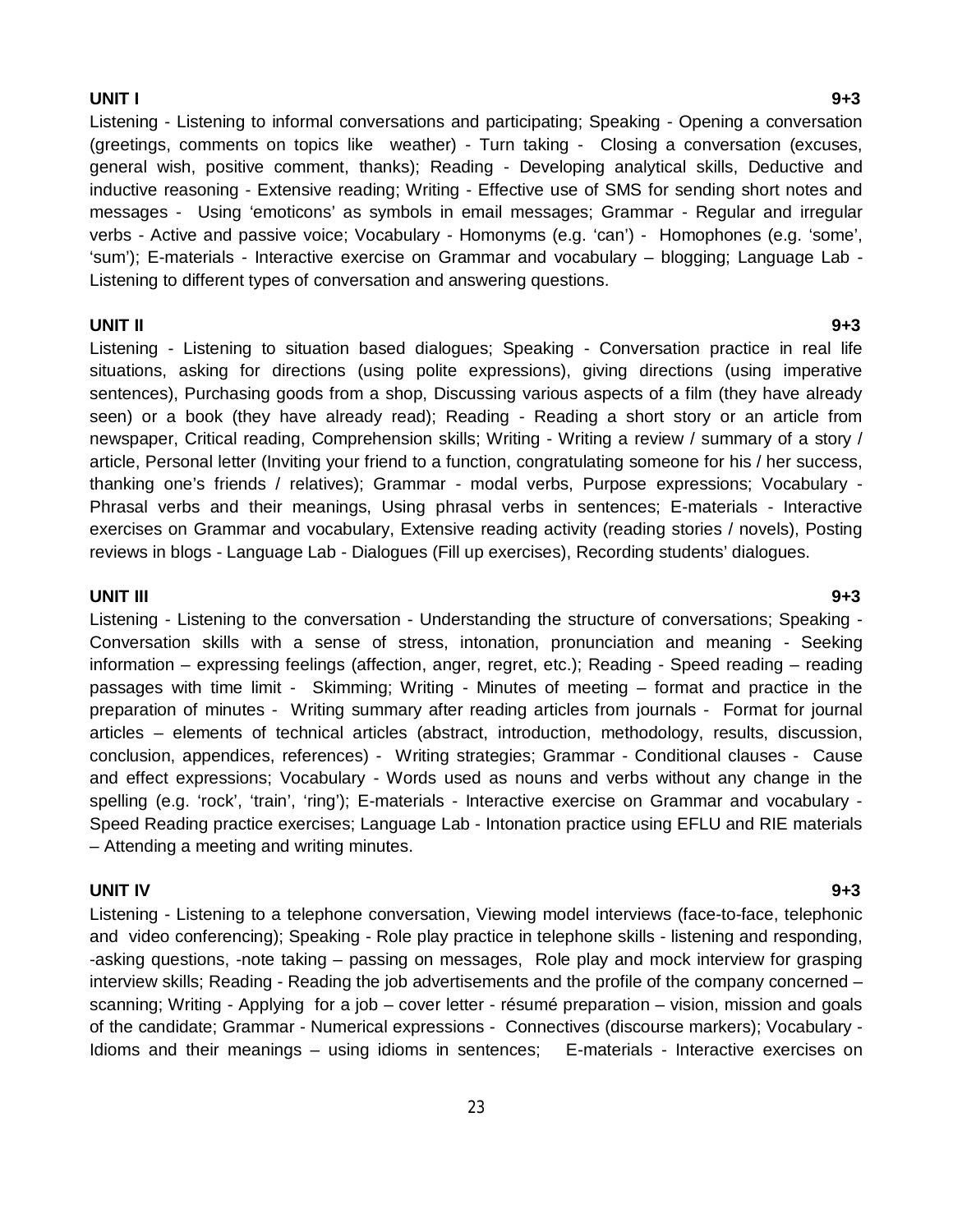#### **UNIT I 9+3**

Listening - Listening to informal conversations and participating; Speaking - Opening a conversation (greetings, comments on topics like weather) - Turn taking - Closing a conversation (excuses, general wish, positive comment, thanks); Reading - Developing analytical skills, Deductive and inductive reasoning - Extensive reading; Writing - Effective use of SMS for sending short notes and messages - Using 'emoticons' as symbols in email messages; Grammar - Regular and irregular verbs - Active and passive voice; Vocabulary - Homonyms (e.g. 'can') - Homophones (e.g. 'some', 'sum'); E-materials - Interactive exercise on Grammar and vocabulary – blogging; Language Lab - Listening to different types of conversation and answering questions.

#### **UNIT II 9+3**

Listening - Listening to situation based dialogues; Speaking - Conversation practice in real life situations, asking for directions (using polite expressions), giving directions (using imperative sentences), Purchasing goods from a shop, Discussing various aspects of a film (they have already seen) or a book (they have already read); Reading - Reading a short story or an article from newspaper, Critical reading, Comprehension skills; Writing - Writing a review / summary of a story / article, Personal letter (Inviting your friend to a function, congratulating someone for his / her success, thanking one's friends / relatives); Grammar - modal verbs, Purpose expressions; Vocabulary - Phrasal verbs and their meanings, Using phrasal verbs in sentences; E-materials - Interactive exercises on Grammar and vocabulary, Extensive reading activity (reading stories / novels), Posting reviews in blogs - Language Lab - Dialogues (Fill up exercises), Recording students' dialogues.

#### **UNIT III 9+3**

Listening - Listening to the conversation - Understanding the structure of conversations; Speaking - Conversation skills with a sense of stress, intonation, pronunciation and meaning - Seeking information – expressing feelings (affection, anger, regret, etc.); Reading - Speed reading – reading passages with time limit - Skimming; Writing - Minutes of meeting – format and practice in the preparation of minutes - Writing summary after reading articles from journals - Format for journal articles – elements of technical articles (abstract, introduction, methodology, results, discussion, conclusion, appendices, references) - Writing strategies; Grammar - Conditional clauses - Cause and effect expressions; Vocabulary - Words used as nouns and verbs without any change in the spelling (e.g. 'rock', 'train', 'ring'); E-materials - Interactive exercise on Grammar and vocabulary -Speed Reading practice exercises; Language Lab - Intonation practice using EFLU and RIE materials – Attending a meeting and writing minutes.

#### **UNIT IV 9+3**

Listening - Listening to a telephone conversation, Viewing model interviews (face-to-face, telephonic and video conferencing); Speaking - Role play practice in telephone skills - listening and responding, -asking questions, -note taking – passing on messages, Role play and mock interview for grasping interview skills; Reading - Reading the job advertisements and the profile of the company concerned – scanning; Writing - Applying for a job – cover letter - résumé preparation – vision, mission and goals of the candidate; Grammar - Numerical expressions - Connectives (discourse markers); Vocabulary - Idioms and their meanings – using idioms in sentences; E-materials - Interactive exercises on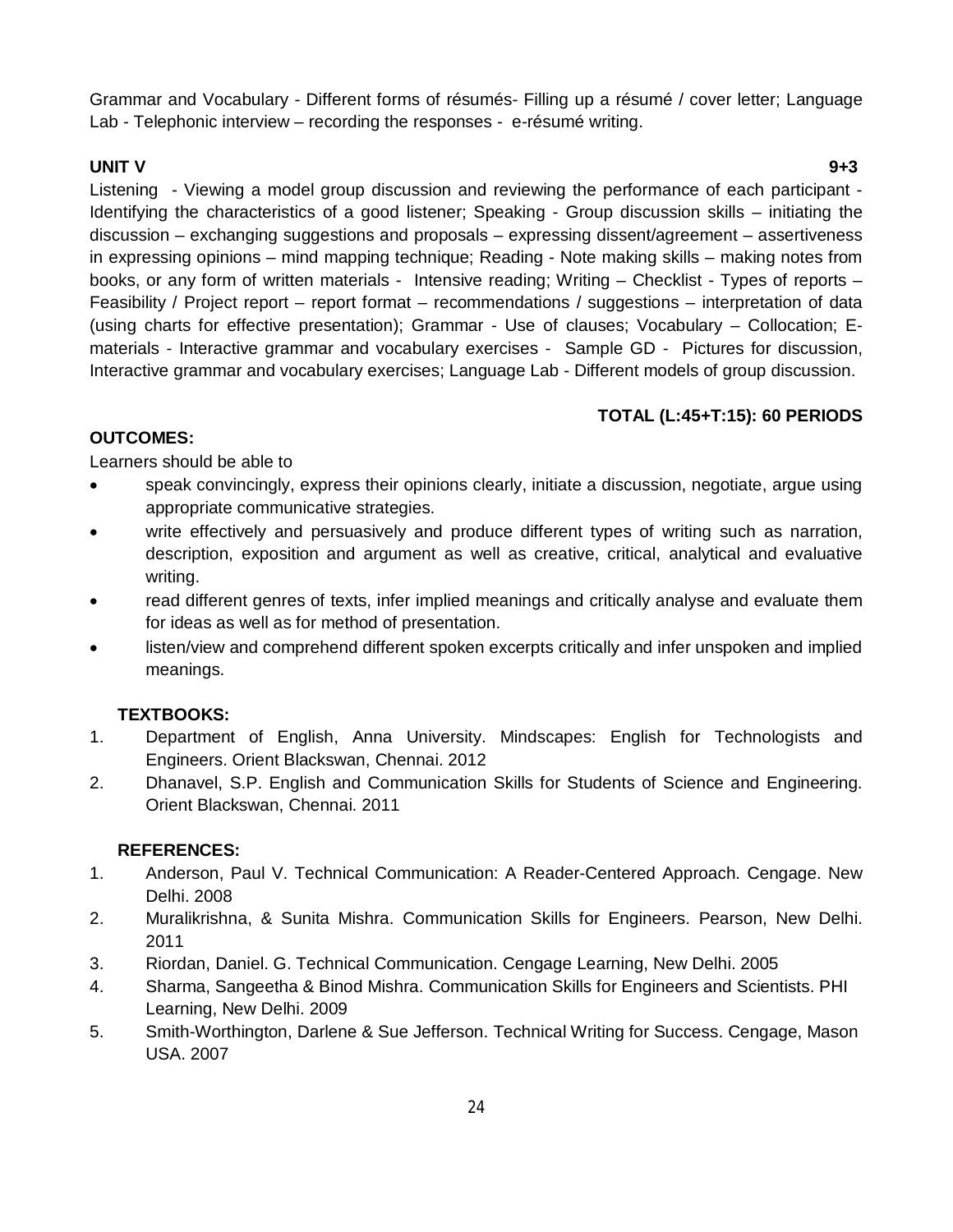Grammar and Vocabulary - Different forms of résumés- Filling up a résumé / cover letter; Language Lab - Telephonic interview – recording the responses - e-résumé writing.

## **UNIT V 9+3**

Listening - Viewing a model group discussion and reviewing the performance of each participant - Identifying the characteristics of a good listener; Speaking - Group discussion skills – initiating the discussion – exchanging suggestions and proposals – expressing dissent/agreement – assertiveness in expressing opinions – mind mapping technique; Reading - Note making skills – making notes from books, or any form of written materials - Intensive reading; Writing – Checklist - Types of reports – Feasibility / Project report – report format – recommendations / suggestions – interpretation of data (using charts for effective presentation); Grammar - Use of clauses; Vocabulary – Collocation; Ematerials - Interactive grammar and vocabulary exercises - Sample GD - Pictures for discussion, Interactive grammar and vocabulary exercises; Language Lab - Different models of group discussion.

# **TOTAL (L:45+T:15): 60 PERIODS**

# **OUTCOMES:**

Learners should be able to

- speak convincingly, express their opinions clearly, initiate a discussion, negotiate, argue using appropriate communicative strategies.
- write effectively and persuasively and produce different types of writing such as narration, description, exposition and argument as well as creative, critical, analytical and evaluative writing.
- read different genres of texts, infer implied meanings and critically analyse and evaluate them for ideas as well as for method of presentation.
- listen/view and comprehend different spoken excerpts critically and infer unspoken and implied meanings.

# **TEXTBOOKS:**

- 1. Department of English, Anna University. Mindscapes: English for Technologists and Engineers. Orient Blackswan, Chennai. 2012
- 2. Dhanavel, S.P. English and Communication Skills for Students of Science and Engineering. Orient Blackswan, Chennai. 2011

## **REFERENCES:**

- 1. Anderson, Paul V. Technical Communication: A Reader-Centered Approach. Cengage. New Delhi. 2008
- 2. Muralikrishna, & Sunita Mishra. Communication Skills for Engineers. Pearson, New Delhi. 2011
- 3. Riordan, Daniel. G. Technical Communication. Cengage Learning, New Delhi. 2005
- 4. Sharma, Sangeetha & Binod Mishra. Communication Skills for Engineers and Scientists. PHI Learning, New Delhi. 2009
- 5. Smith-Worthington, Darlene & Sue Jefferson. Technical Writing for Success. Cengage, Mason USA. 2007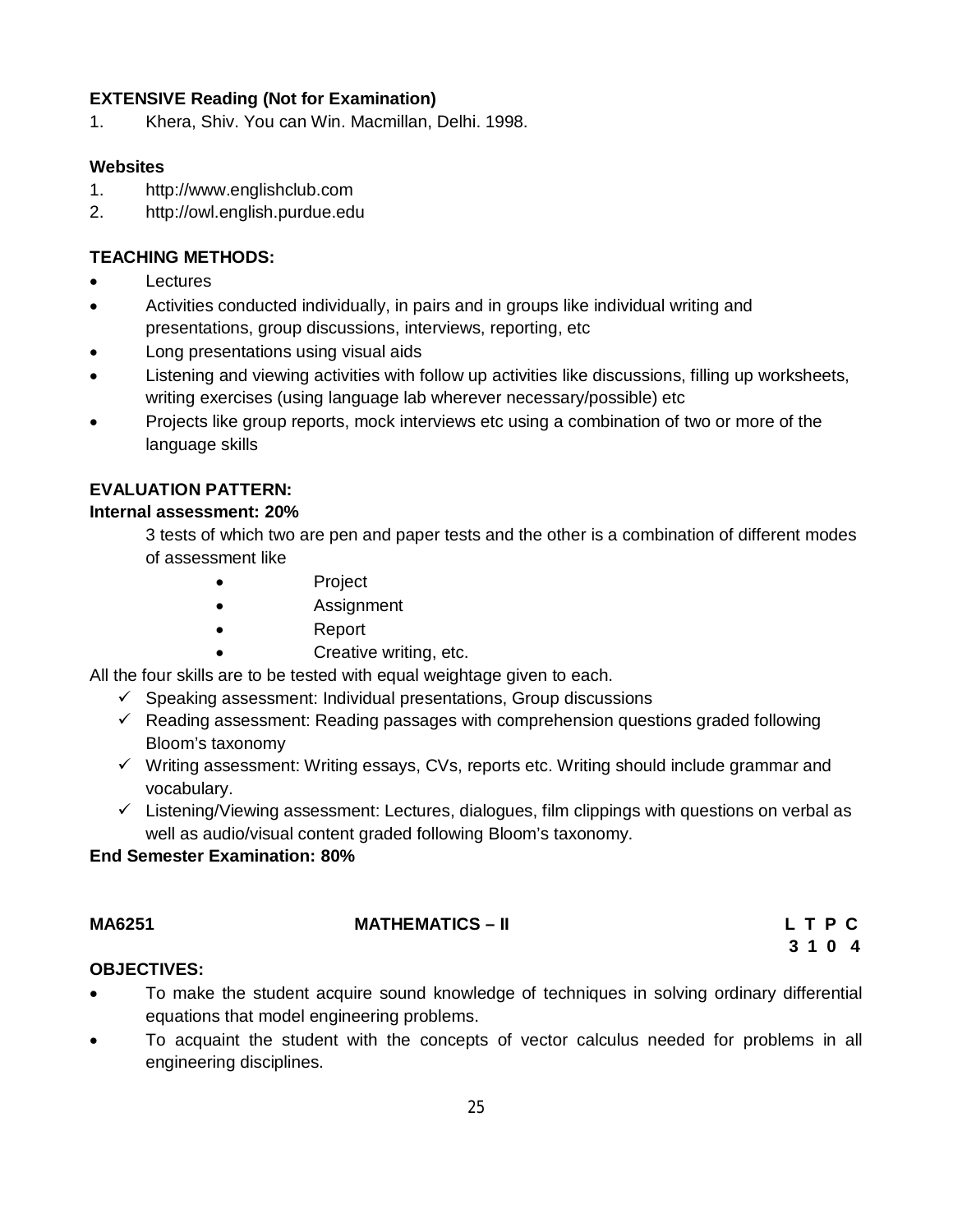# **EXTENSIVE Reading (Not for Examination)**

1. Khera, Shiv. You can Win. Macmillan, Delhi. 1998.

## **Websites**

- 1. http://www.englishclub.com
- 2. http://owl.english.purdue.edu

## **TEACHING METHODS:**

- **Lectures**
- Activities conducted individually, in pairs and in groups like individual writing and presentations, group discussions, interviews, reporting, etc
- Long presentations using visual aids
- Listening and viewing activities with follow up activities like discussions, filling up worksheets, writing exercises (using language lab wherever necessary/possible) etc
- Projects like group reports, mock interviews etc using a combination of two or more of the language skills

## **EVALUATION PATTERN:**

## **Internal assessment: 20%**

3 tests of which two are pen and paper tests and the other is a combination of different modes of assessment like

- Project
- **Assignment**
- Report
	- Creative writing, etc.

All the four skills are to be tested with equal weightage given to each.

- $\checkmark$  Speaking assessment: Individual presentations, Group discussions
- $\checkmark$  Reading assessment: Reading passages with comprehension questions graded following Bloom's taxonomy
- $\checkmark$  Writing assessment: Writing essays, CVs, reports etc. Writing should include grammar and vocabulary.
- $\checkmark$  Listening/Viewing assessment: Lectures, dialogues, film clippings with questions on verbal as well as audio/visual content graded following Bloom's taxonomy.

## **End Semester Examination: 80%**

| MA6251 | <b>MATHEMATICS – II</b> | LTPC |  |  |
|--------|-------------------------|------|--|--|
|        |                         | 3104 |  |  |

## **OBJECTIVES:**

- To make the student acquire sound knowledge of techniques in solving ordinary differential equations that model engineering problems.
- To acquaint the student with the concepts of vector calculus needed for problems in all engineering disciplines.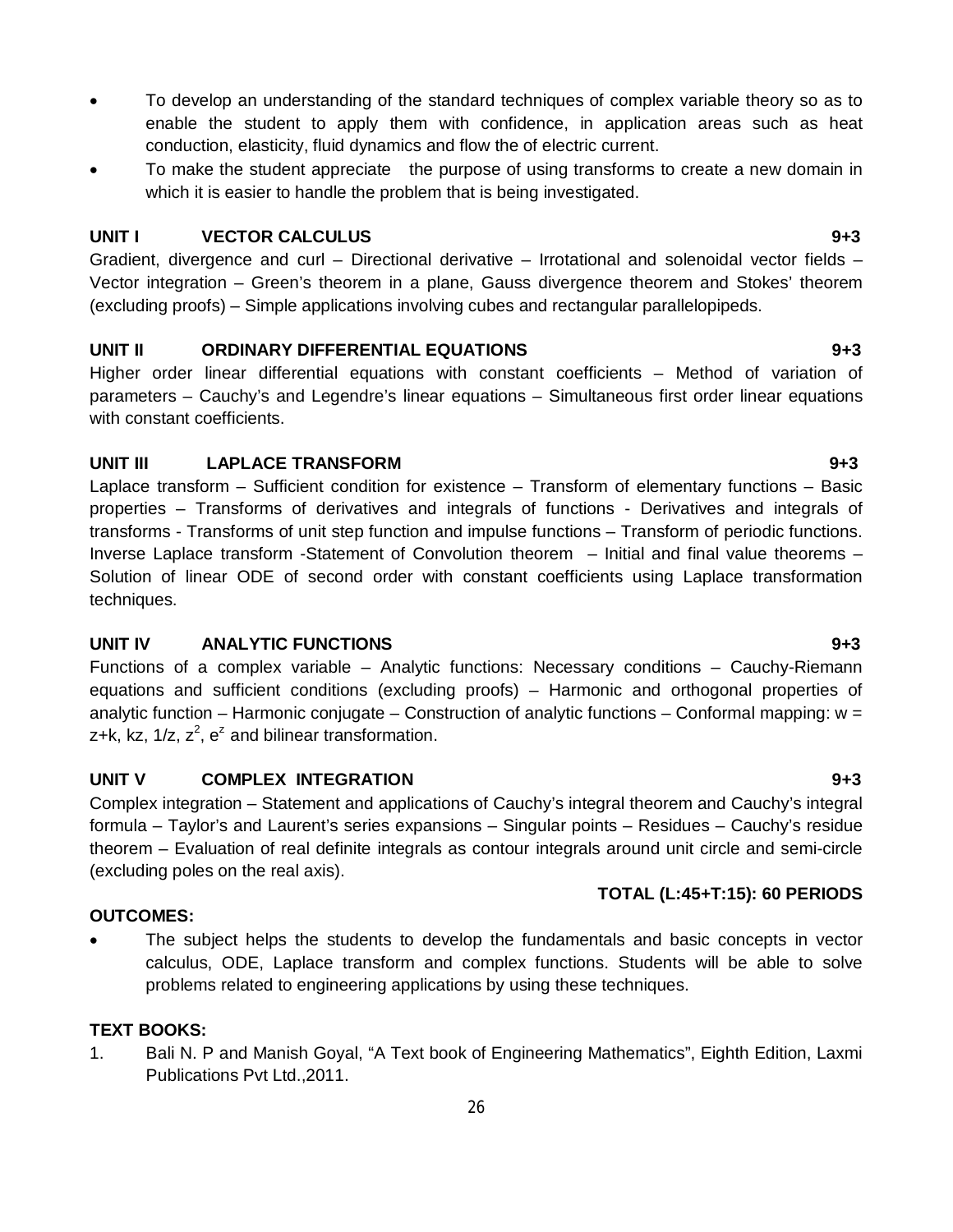- To develop an understanding of the standard techniques of complex variable theory so as to enable the student to apply them with confidence, in application areas such as heat conduction, elasticity, fluid dynamics and flow the of electric current.
- To make the student appreciate the purpose of using transforms to create a new domain in which it is easier to handle the problem that is being investigated.

# **UNIT I VECTOR CALCULUS 9+3**

Gradient, divergence and curl – Directional derivative – Irrotational and solenoidal vector fields – Vector integration – Green's theorem in a plane, Gauss divergence theorem and Stokes' theorem (excluding proofs) – Simple applications involving cubes and rectangular parallelopipeds.

# **UNIT II ORDINARY DIFFERENTIAL EQUATIONS 9+3**

Higher order linear differential equations with constant coefficients – Method of variation of parameters – Cauchy's and Legendre's linear equations – Simultaneous first order linear equations with constant coefficients.

# **UNIT III LAPLACE TRANSFORM 9+3**

Laplace transform – Sufficient condition for existence – Transform of elementary functions – Basic properties – Transforms of derivatives and integrals of functions - Derivatives and integrals of transforms - Transforms of unit step function and impulse functions – Transform of periodic functions. Inverse Laplace transform -Statement of Convolution theorem – Initial and final value theorems – Solution of linear ODE of second order with constant coefficients using Laplace transformation techniques.

# **UNIT IV ANALYTIC FUNCTIONS 9+3**

Functions of a complex variable – Analytic functions: Necessary conditions – Cauchy-Riemann equations and sufficient conditions (excluding proofs) – Harmonic and orthogonal properties of analytic function – Harmonic conjugate – Construction of analytic functions – Conformal mapping: w = z+k, kz,  $1/z$ ,  $z^2$ ,  $e^z$  and bilinear transformation.

# **UNIT V COMPLEX INTEGRATION 9+3**

Complex integration – Statement and applications of Cauchy's integral theorem and Cauchy's integral formula – Taylor's and Laurent's series expansions – Singular points – Residues – Cauchy's residue theorem – Evaluation of real definite integrals as contour integrals around unit circle and semi-circle (excluding poles on the real axis).

# **OUTCOMES:**

 The subject helps the students to develop the fundamentals and basic concepts in vector calculus, ODE, Laplace transform and complex functions. Students will be able to solve problems related to engineering applications by using these techniques.

# **TEXT BOOKS:**

1. Bali N. P and Manish Goyal, "A Text book of Engineering Mathematics", Eighth Edition, Laxmi Publications Pvt Ltd.,2011.

**TOTAL (L:45+T:15): 60 PERIODS**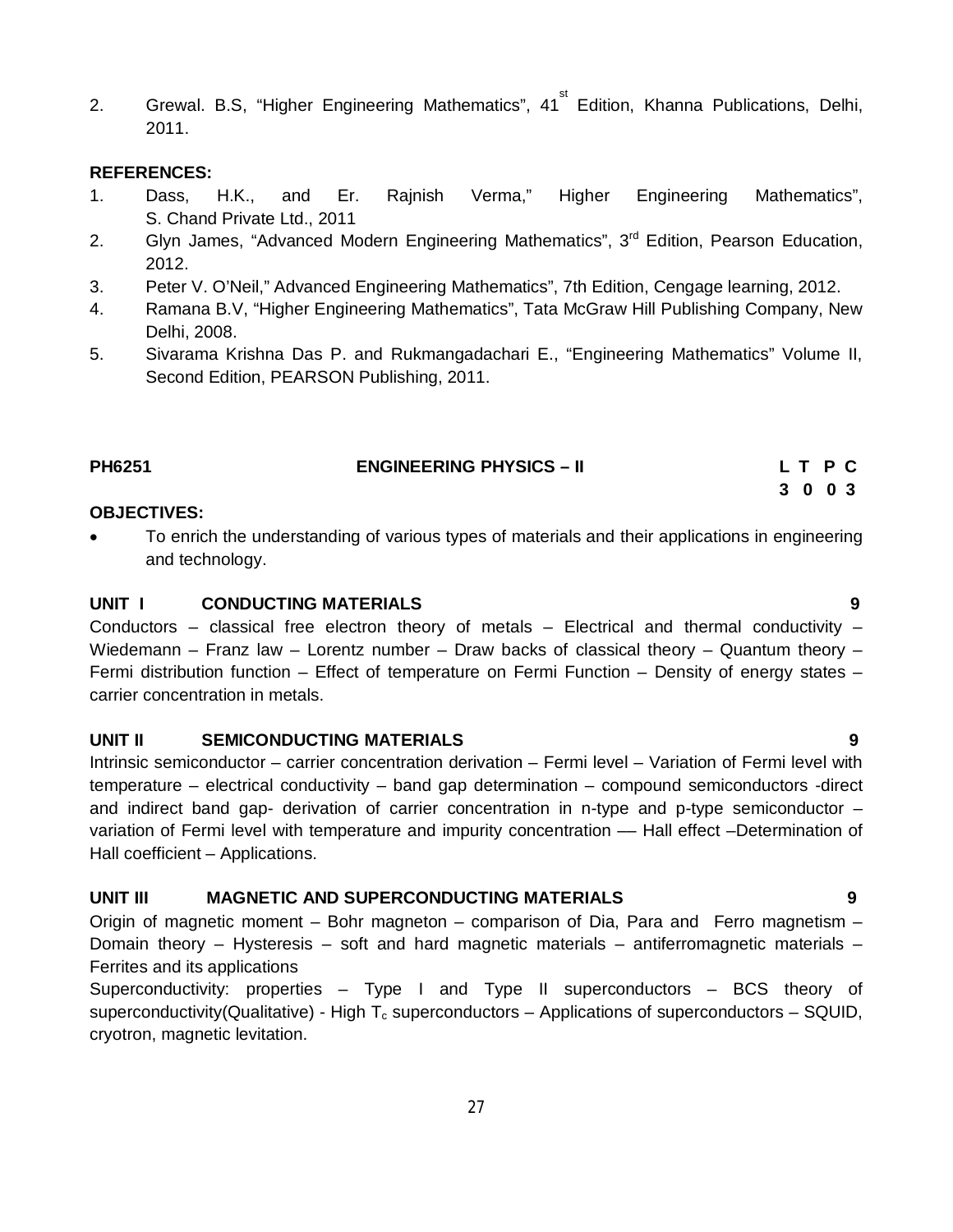2. Grewal. B.S, "Higher Engineering Mathematics", 41<sup>st</sup> Edition, Khanna Publications, Delhi, 2011.

#### **REFERENCES:**

- 1. Dass, H.K., and Er. Rajnish Verma," Higher Engineering Mathematics", S. Chand Private Ltd., 2011
- 2. Glyn James, "Advanced Modern Engineering Mathematics", 3<sup>rd</sup> Edition, Pearson Education, 2012.
- 3. Peter V. O'Neil," Advanced Engineering Mathematics", 7th Edition, Cengage learning, 2012.
- 4. Ramana B.V, "Higher Engineering Mathematics", Tata McGraw Hill Publishing Company, New Delhi, 2008.
- 5. Sivarama Krishna Das P. and Rukmangadachari E., "Engineering Mathematics" Volume II, Second Edition, PEARSON Publishing, 2011.

| PH6251 | <b>ENGINEERING PHYSICS - II</b> | LT PC   |  |  |
|--------|---------------------------------|---------|--|--|
|        |                                 | 3 0 0 3 |  |  |

#### **OBJECTIVES:**

 To enrich the understanding of various types of materials and their applications in engineering and technology.

### **UNIT I CONDUCTING MATERIALS 9**

Conductors – classical free electron theory of metals – Electrical and thermal conductivity – Wiedemann – Franz law – Lorentz number – Draw backs of classical theory – Quantum theory – Fermi distribution function – Effect of temperature on Fermi Function – Density of energy states – carrier concentration in metals.

#### **UNIT II SEMICONDUCTING MATERIALS 9**

Intrinsic semiconductor – carrier concentration derivation – Fermi level – Variation of Fermi level with temperature – electrical conductivity – band gap determination – compound semiconductors -direct and indirect band gap- derivation of carrier concentration in n-type and p-type semiconductor – variation of Fermi level with temperature and impurity concentration –– Hall effect –Determination of Hall coefficient – Applications.

# **UNIT III MAGNETIC AND SUPERCONDUCTING MATERIALS 9**

Origin of magnetic moment – Bohr magneton – comparison of Dia, Para and Ferro magnetism – Domain theory – Hysteresis – soft and hard magnetic materials – antiferromagnetic materials – Ferrites and its applications

Superconductivity: properties – Type I and Type II superconductors – BCS theory of superconductivity(Qualitative) - High  $T_c$  superconductors – Applications of superconductors – SQUID, cryotron, magnetic levitation.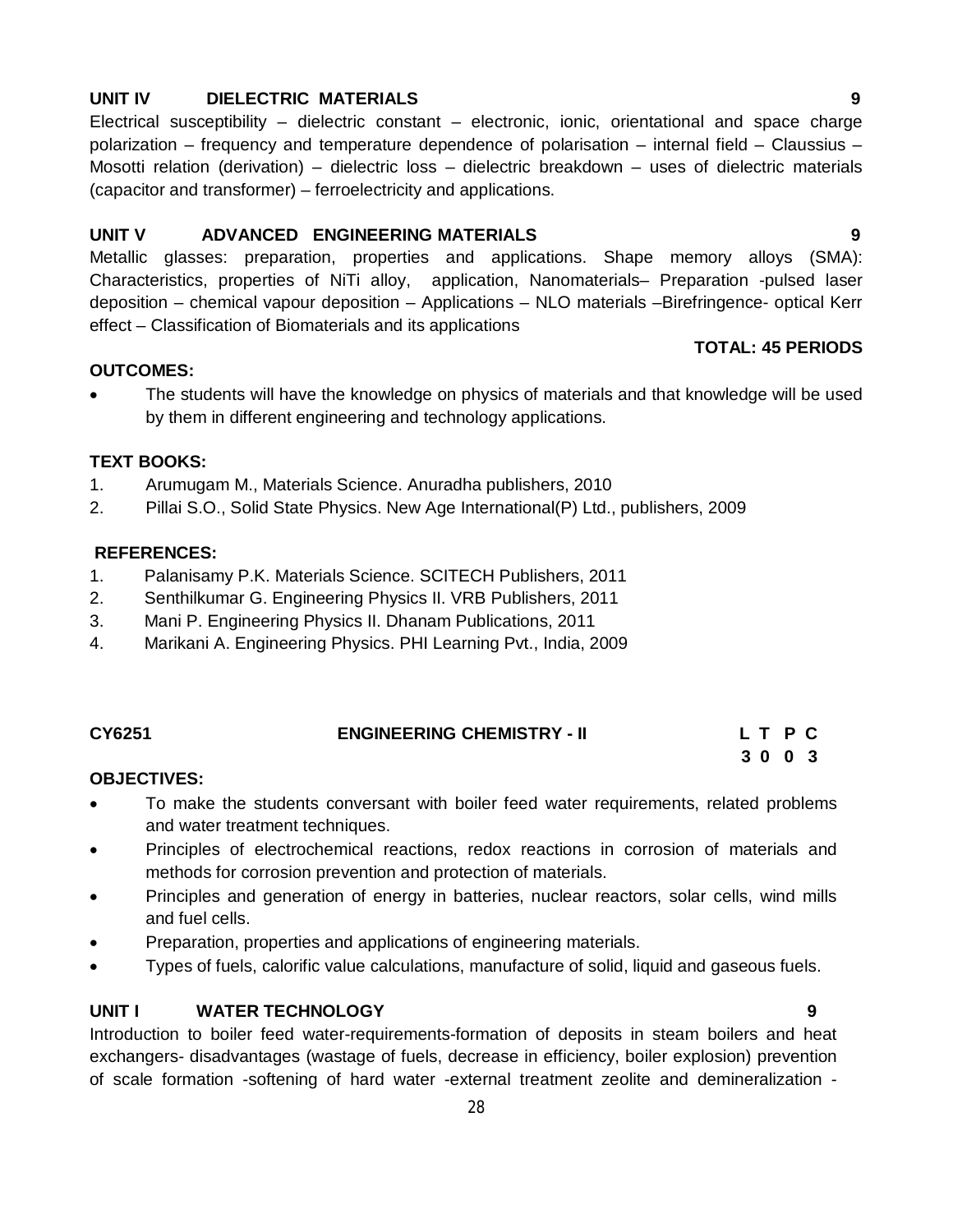# **UNIT IV DIELECTRIC MATERIALS 9**

Electrical susceptibility – dielectric constant – electronic, ionic, orientational and space charge polarization – frequency and temperature dependence of polarisation – internal field – Claussius – Mosotti relation (derivation) – dielectric loss – dielectric breakdown – uses of dielectric materials (capacitor and transformer) – ferroelectricity and applications.

# **UNIT V ADVANCED ENGINEERING MATERIALS 9**

Metallic glasses: preparation, properties and applications. Shape memory alloys (SMA): Characteristics, properties of NiTi alloy, application, Nanomaterials– Preparation -pulsed laser deposition – chemical vapour deposition – Applications – NLO materials –Birefringence- optical Kerr effect – Classification of Biomaterials and its applications

#### **TOTAL: 45 PERIODS**

## **OUTCOMES:**

 The students will have the knowledge on physics of materials and that knowledge will be used by them in different engineering and technology applications.

## **TEXT BOOKS:**

- 1. Arumugam M., Materials Science. Anuradha publishers, 2010
- 2. Pillai S.O., Solid State Physics. New Age International(P) Ltd., publishers, 2009

#### **REFERENCES:**

- 1. Palanisamy P.K. Materials Science. SCITECH Publishers, 2011
- 2. Senthilkumar G. Engineering Physics II. VRB Publishers, 2011
- 3. Mani P. Engineering Physics II. Dhanam Publications, 2011
- 4. Marikani A. Engineering Physics. PHI Learning Pvt., India, 2009

| CY6251 | <b>ENGINEERING CHEMISTRY - II</b> | LTPC |
|--------|-----------------------------------|------|
|        |                                   | 3003 |

## **OBJECTIVES:**

- To make the students conversant with boiler feed water requirements, related problems and water treatment techniques.
- Principles of electrochemical reactions, redox reactions in corrosion of materials and methods for corrosion prevention and protection of materials.
- Principles and generation of energy in batteries, nuclear reactors, solar cells, wind mills and fuel cells.
- Preparation, properties and applications of engineering materials.
- Types of fuels, calorific value calculations, manufacture of solid, liquid and gaseous fuels.

#### **UNIT I WATER TECHNOLOGY 9**

Introduction to boiler feed water-requirements-formation of deposits in steam boilers and heat exchangers- disadvantages (wastage of fuels, decrease in efficiency, boiler explosion) prevention of scale formation -softening of hard water -external treatment zeolite and demineralization -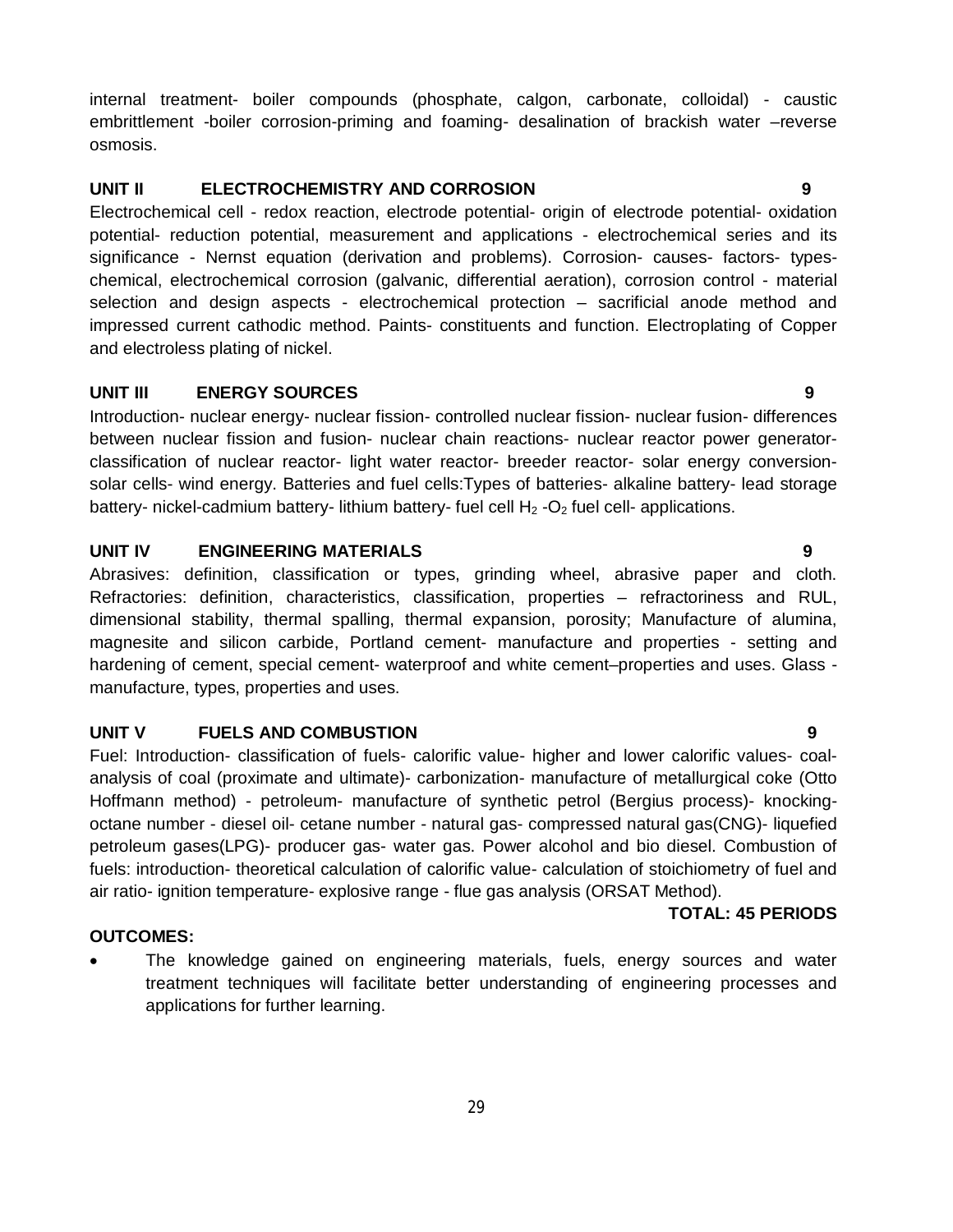internal treatment- boiler compounds (phosphate, calgon, carbonate, colloidal) - caustic embrittlement -boiler corrosion-priming and foaming- desalination of brackish water –reverse osmosis.

# **UNIT II ELECTROCHEMISTRY AND CORROSION 9**

Electrochemical cell - redox reaction, electrode potential- origin of electrode potential- oxidation potential- reduction potential, measurement and applications - electrochemical series and its significance - Nernst equation (derivation and problems). Corrosion- causes- factors- typeschemical, electrochemical corrosion (galvanic, differential aeration), corrosion control - material selection and design aspects - electrochemical protection – sacrificial anode method and impressed current cathodic method. Paints- constituents and function. Electroplating of Copper and electroless plating of nickel.

#### **UNIT III ENERGY SOURCES 9**

Introduction- nuclear energy- nuclear fission- controlled nuclear fission- nuclear fusion- differences between nuclear fission and fusion- nuclear chain reactions- nuclear reactor power generatorclassification of nuclear reactor- light water reactor- breeder reactor- solar energy conversionsolar cells- wind energy. Batteries and fuel cells:Types of batteries- alkaline battery- lead storage battery- nickel-cadmium battery- lithium battery- fuel cell  $H_2$ -O<sub>2</sub> fuel cell- applications.

#### **UNIT IV ENGINEERING MATERIALS 9**

Abrasives: definition, classification or types, grinding wheel, abrasive paper and cloth. Refractories: definition, characteristics, classification, properties – refractoriness and RUL, dimensional stability, thermal spalling, thermal expansion, porosity; Manufacture of alumina, magnesite and silicon carbide, Portland cement- manufacture and properties - setting and hardening of cement, special cement- waterproof and white cement–properties and uses. Glass manufacture, types, properties and uses.

#### **UNIT V FUELS AND COMBUSTION 9**

Fuel: Introduction- classification of fuels- calorific value- higher and lower calorific values- coalanalysis of coal (proximate and ultimate)- carbonization- manufacture of metallurgical coke (Otto Hoffmann method) - petroleum- manufacture of synthetic petrol (Bergius process)- knockingoctane number - diesel oil- cetane number - natural gas- compressed natural gas(CNG)- liquefied petroleum gases(LPG)- producer gas- water gas. Power alcohol and bio diesel. Combustion of fuels: introduction- theoretical calculation of calorific value- calculation of stoichiometry of fuel and air ratio- ignition temperature- explosive range - flue gas analysis (ORSAT Method).

#### **TOTAL: 45 PERIODS**

#### **OUTCOMES:**

 The knowledge gained on engineering materials, fuels, energy sources and water treatment techniques will facilitate better understanding of engineering processes and applications for further learning.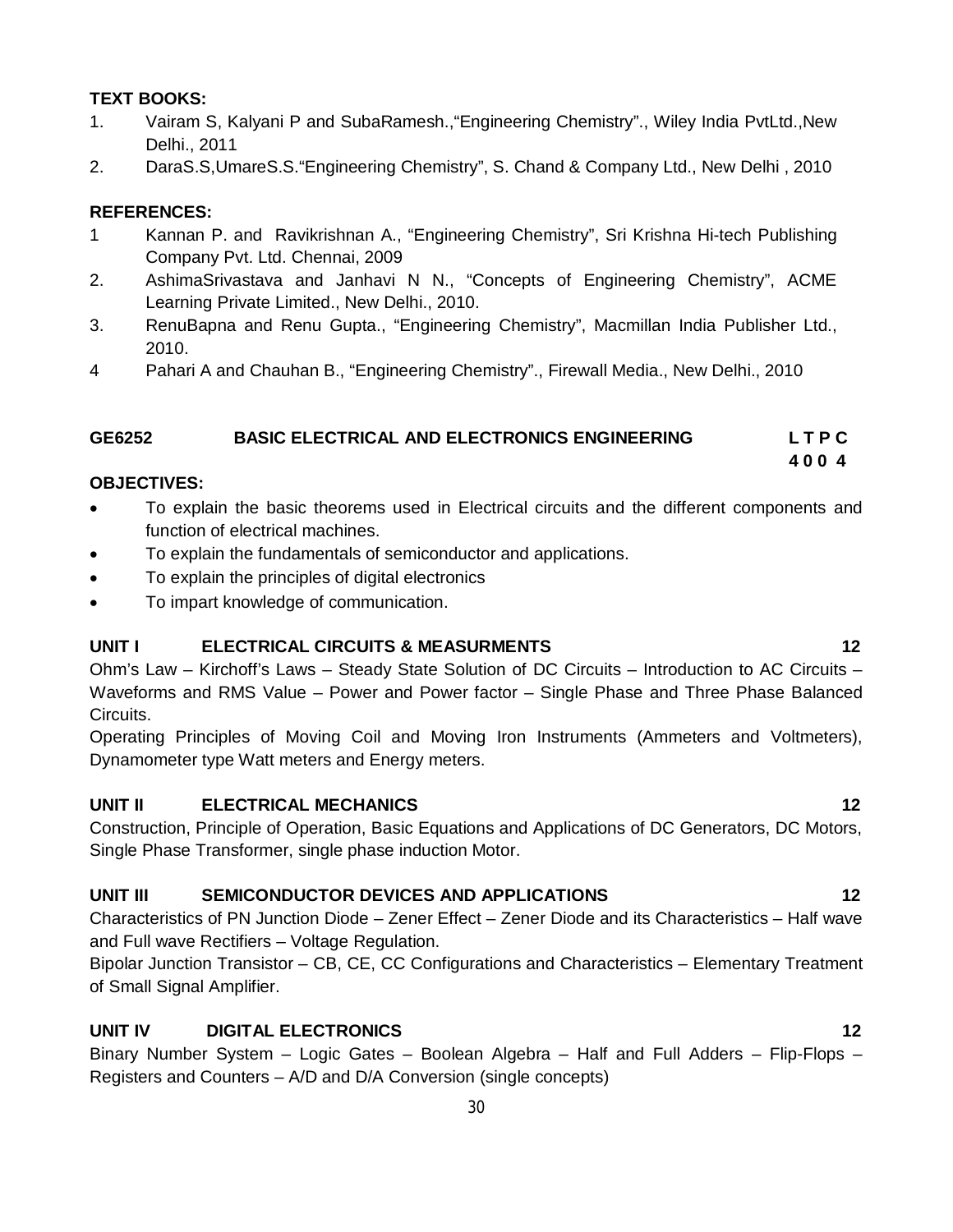# **TEXT BOOKS:**

- 1. Vairam S, Kalyani P and SubaRamesh.,"Engineering Chemistry"., Wiley India PvtLtd.,New Delhi., 2011
- 2. DaraS.S,UmareS.S."Engineering Chemistry", S. Chand & Company Ltd., New Delhi , 2010

# **REFERENCES:**

- 1 Kannan P. and Ravikrishnan A., "Engineering Chemistry", Sri Krishna Hi-tech Publishing Company Pvt. Ltd. Chennai, 2009
- 2. AshimaSrivastava and Janhavi N N., "Concepts of Engineering Chemistry", ACME Learning Private Limited., New Delhi., 2010.
- 3. RenuBapna and Renu Gupta., "Engineering Chemistry", Macmillan India Publisher Ltd., 2010.
- 4 Pahari A and Chauhan B., "Engineering Chemistry"., Firewall Media., New Delhi., 2010

# **GE6252 BASIC ELECTRICAL AND ELECTRONICS ENGINEERING L T P C 4 0 0 4**

## **OBJECTIVES:**

- To explain the basic theorems used in Electrical circuits and the different components and function of electrical machines.
- To explain the fundamentals of semiconductor and applications.
- To explain the principles of digital electronics
- To impart knowledge of communication.

## **UNIT I ELECTRICAL CIRCUITS & MEASURMENTS 12**

Ohm's Law – Kirchoff's Laws – Steady State Solution of DC Circuits – Introduction to AC Circuits – Waveforms and RMS Value – Power and Power factor – Single Phase and Three Phase Balanced Circuits.

Operating Principles of Moving Coil and Moving Iron Instruments (Ammeters and Voltmeters), Dynamometer type Watt meters and Energy meters.

# **UNIT II ELECTRICAL MECHANICS 12**

Construction, Principle of Operation, Basic Equations and Applications of DC Generators, DC Motors, Single Phase Transformer, single phase induction Motor.

## **UNIT III SEMICONDUCTOR DEVICES AND APPLICATIONS 12**

Characteristics of PN Junction Diode – Zener Effect – Zener Diode and its Characteristics – Half wave and Full wave Rectifiers – Voltage Regulation.

Bipolar Junction Transistor – CB, CE, CC Configurations and Characteristics – Elementary Treatment of Small Signal Amplifier.

# **UNIT IV DIGITAL ELECTRONICS 12**

Binary Number System – Logic Gates – Boolean Algebra – Half and Full Adders – Flip-Flops – Registers and Counters – A/D and D/A Conversion (single concepts)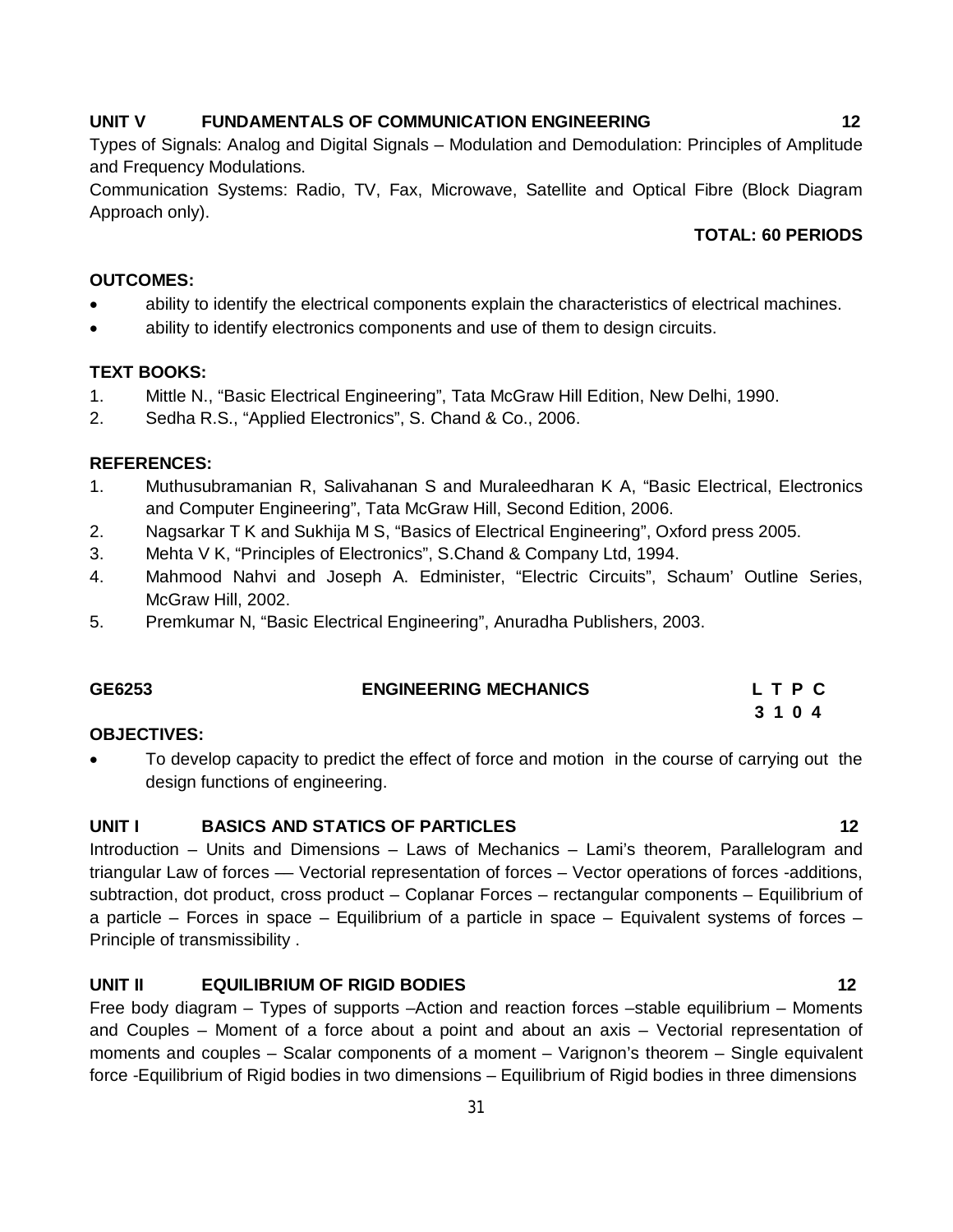#### UNIT V FUNDAMENTALS OF COMMUNICATION ENGINEERING 12

Types of Signals: Analog and Digital Signals – Modulation and Demodulation: Principles of Amplitude and Frequency Modulations.

Communication Systems: Radio, TV, Fax, Microwave, Satellite and Optical Fibre (Block Diagram Approach only).

# **TOTAL: 60 PERIODS**

#### **OUTCOMES:**

- ability to identify the electrical components explain the characteristics of electrical machines.
- ability to identify electronics components and use of them to design circuits.

#### **TEXT BOOKS:**

- 1. Mittle N., "Basic Electrical Engineering", Tata McGraw Hill Edition, New Delhi, 1990.
- 2. Sedha R.S., "Applied Electronics", S. Chand & Co., 2006.

#### **REFERENCES:**

- 1. Muthusubramanian R, Salivahanan S and Muraleedharan K A, "Basic Electrical, Electronics and Computer Engineering", Tata McGraw Hill, Second Edition, 2006.
- 2. Nagsarkar T K and Sukhija M S, "Basics of Electrical Engineering", Oxford press 2005.
- 3. Mehta V K, "Principles of Electronics", S.Chand & Company Ltd, 1994.
- 4. Mahmood Nahvi and Joseph A. Edminister, "Electric Circuits", Schaum' Outline Series, McGraw Hill, 2002.
- 5. Premkumar N, "Basic Electrical Engineering", Anuradha Publishers, 2003.

| GE6253 | <b>ENGINEERING MECHANICS</b> |  | LTPC |  |
|--------|------------------------------|--|------|--|
|        |                              |  |      |  |

#### **OBJECTIVES:**

 To develop capacity to predict the effect of force and motion in the course of carrying out the design functions of engineering.

#### **UNIT I BASICS AND STATICS OF PARTICLES 12**

Introduction – Units and Dimensions – Laws of Mechanics – Lami's theorem, Parallelogram and triangular Law of forces — Vectorial representation of forces – Vector operations of forces -additions, subtraction, dot product, cross product – Coplanar Forces – rectangular components – Equilibrium of a particle – Forces in space – Equilibrium of a particle in space – Equivalent systems of forces – Principle of transmissibility .

# **UNIT II EQUILIBRIUM OF RIGID BODIES 12**

Free body diagram – Types of supports –Action and reaction forces –stable equilibrium – Moments and Couples – Moment of a force about a point and about an axis – Vectorial representation of moments and couples – Scalar components of a moment – Varignon's theorem – Single equivalent force -Equilibrium of Rigid bodies in two dimensions – Equilibrium of Rigid bodies in three dimensions

 **3 1 0 4**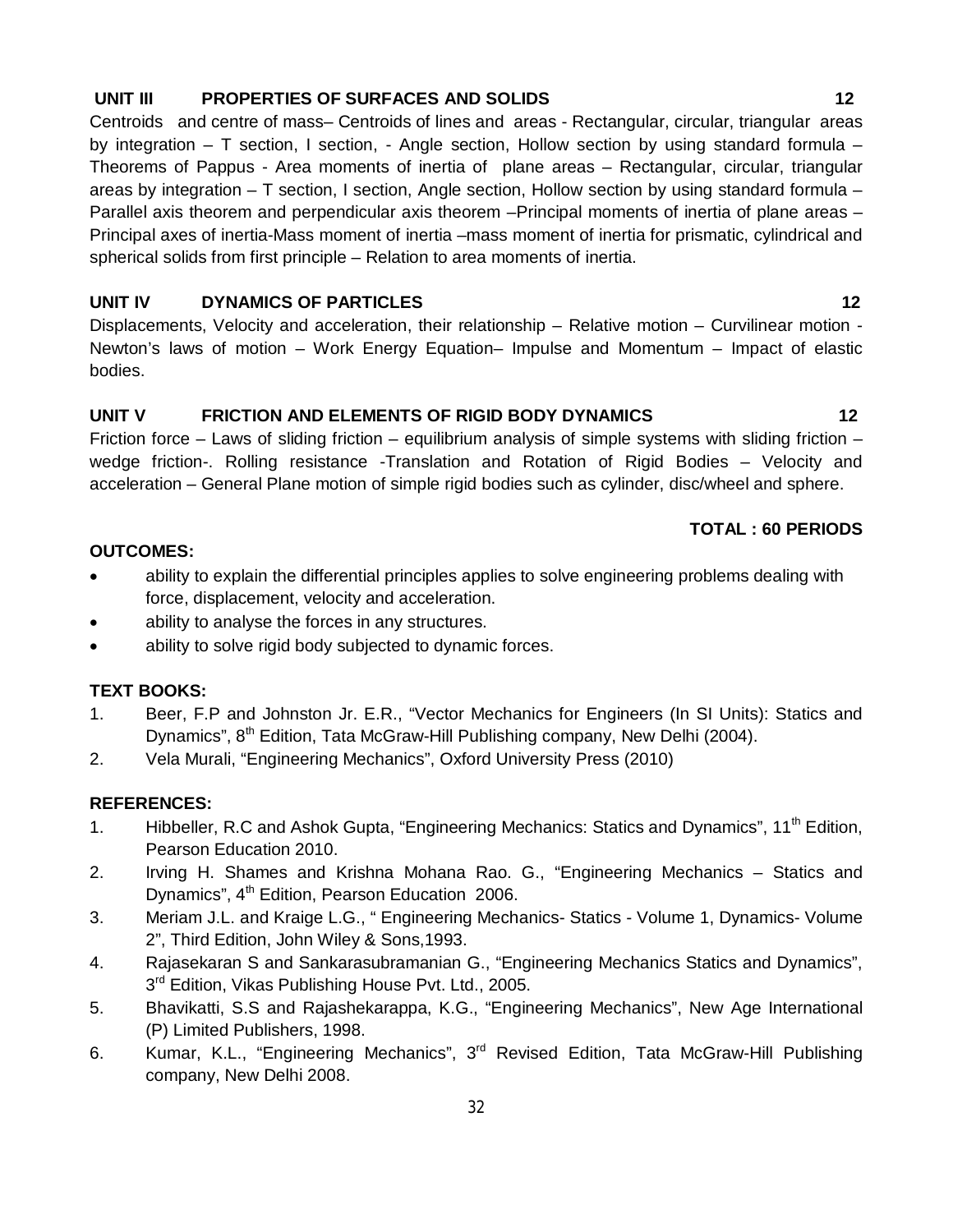## **UNIT III PROPERTIES OF SURFACES AND SOLIDS 12**

Centroids and centre of mass– Centroids of lines and areas - Rectangular, circular, triangular areas by integration – T section, I section, - Angle section, Hollow section by using standard formula – Theorems of Pappus - Area moments of inertia of plane areas – Rectangular, circular, triangular areas by integration – T section, I section, Angle section, Hollow section by using standard formula – Parallel axis theorem and perpendicular axis theorem –Principal moments of inertia of plane areas – Principal axes of inertia-Mass moment of inertia –mass moment of inertia for prismatic, cylindrical and spherical solids from first principle – Relation to area moments of inertia.

## **UNIT IV DYNAMICS OF PARTICLES** 22

Displacements, Velocity and acceleration, their relationship – Relative motion – Curvilinear motion - Newton's laws of motion – Work Energy Equation– Impulse and Momentum – Impact of elastic bodies.

#### UNIT V FRICTION AND ELEMENTS OF RIGID BODY DYNAMICS 42

Friction force – Laws of sliding friction – equilibrium analysis of simple systems with sliding friction – wedge friction-. Rolling resistance -Translation and Rotation of Rigid Bodies – Velocity and acceleration – General Plane motion of simple rigid bodies such as cylinder, disc/wheel and sphere.

#### **TOTAL : 60 PERIODS**

#### **OUTCOMES:**

- ability to explain the differential principles applies to solve engineering problems dealing with force, displacement, velocity and acceleration.
- ability to analyse the forces in any structures.
- ability to solve rigid body subjected to dynamic forces.

#### **TEXT BOOKS:**

- 1. Beer, F.P and Johnston Jr. E.R., "Vector Mechanics for Engineers (In SI Units): Statics and Dynamics", 8<sup>th</sup> Edition, Tata McGraw-Hill Publishing company, New Delhi (2004).
- 2. Vela Murali, "Engineering Mechanics", Oxford University Press (2010)

#### **REFERENCES:**

- 1. Hibbeller, R.C and Ashok Gupta, "Engineering Mechanics: Statics and Dynamics", 11<sup>th</sup> Edition, Pearson Education 2010.
- 2. Irving H. Shames and Krishna Mohana Rao. G., "Engineering Mechanics Statics and Dynamics", 4<sup>th</sup> Edition, Pearson Education 2006.
- 3. Meriam J.L. and Kraige L.G., " Engineering Mechanics- Statics Volume 1, Dynamics- Volume 2", Third Edition, John Wiley & Sons,1993.
- 4. Rajasekaran S and Sankarasubramanian G., "Engineering Mechanics Statics and Dynamics", 3<sup>rd</sup> Edition, Vikas Publishing House Pvt. Ltd., 2005.
- 5. Bhavikatti, S.S and Rajashekarappa, K.G., "Engineering Mechanics", New Age International (P) Limited Publishers, 1998.
- 6. Kumar, K.L., "Engineering Mechanics", 3<sup>rd</sup> Revised Edition, Tata McGraw-Hill Publishing company, New Delhi 2008.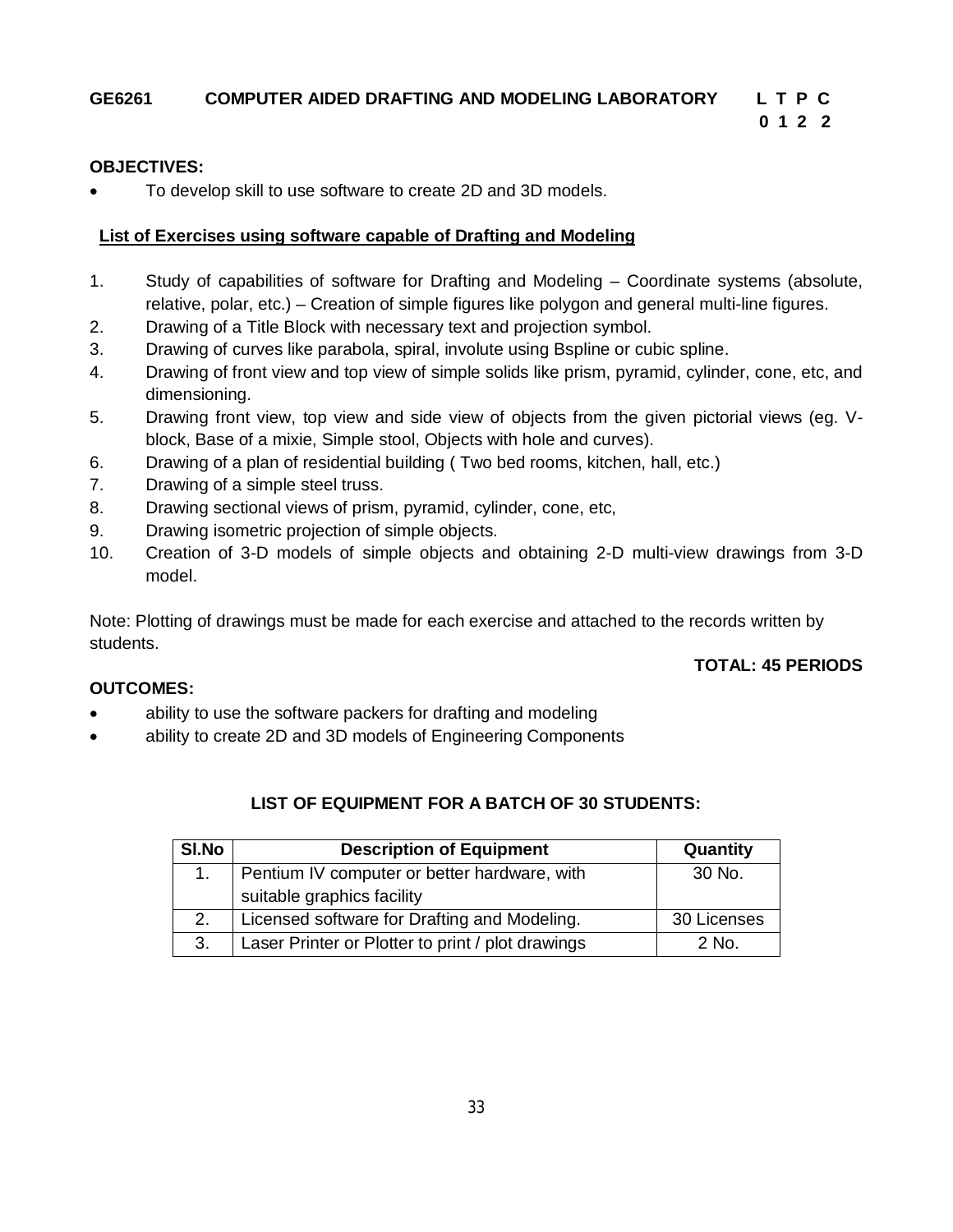# **GE6261 COMPUTER AIDED DRAFTING AND MODELING LABORATORY L T P C**

 **0 1 2 2** 

# **OBJECTIVES:**

• To develop skill to use software to create 2D and 3D models.

# **List of Exercises using software capable of Drafting and Modeling**

- 1. Study of capabilities of software for Drafting and Modeling Coordinate systems (absolute, relative, polar, etc.) – Creation of simple figures like polygon and general multi-line figures.
- 2. Drawing of a Title Block with necessary text and projection symbol.
- 3. Drawing of curves like parabola, spiral, involute using Bspline or cubic spline.
- 4. Drawing of front view and top view of simple solids like prism, pyramid, cylinder, cone, etc, and dimensioning.
- 5. Drawing front view, top view and side view of objects from the given pictorial views (eg. Vblock, Base of a mixie, Simple stool, Objects with hole and curves).
- 6. Drawing of a plan of residential building ( Two bed rooms, kitchen, hall, etc.)
- 7. Drawing of a simple steel truss.
- 8. Drawing sectional views of prism, pyramid, cylinder, cone, etc,
- 9. Drawing isometric projection of simple objects.
- 10. Creation of 3-D models of simple objects and obtaining 2-D multi-view drawings from 3-D model.

Note: Plotting of drawings must be made for each exercise and attached to the records written by students.

## **TOTAL: 45 PERIODS**

## **OUTCOMES:**

- ability to use the software packers for drafting and modeling
- ability to create 2D and 3D models of Engineering Components

# **LIST OF EQUIPMENT FOR A BATCH OF 30 STUDENTS:**

| SI.No | <b>Description of Equipment</b>                   | Quantity    |
|-------|---------------------------------------------------|-------------|
|       | Pentium IV computer or better hardware, with      |             |
|       | suitable graphics facility                        |             |
| 2.    | Licensed software for Drafting and Modeling.      | 30 Licenses |
| 3.    | Laser Printer or Plotter to print / plot drawings | 2 No.       |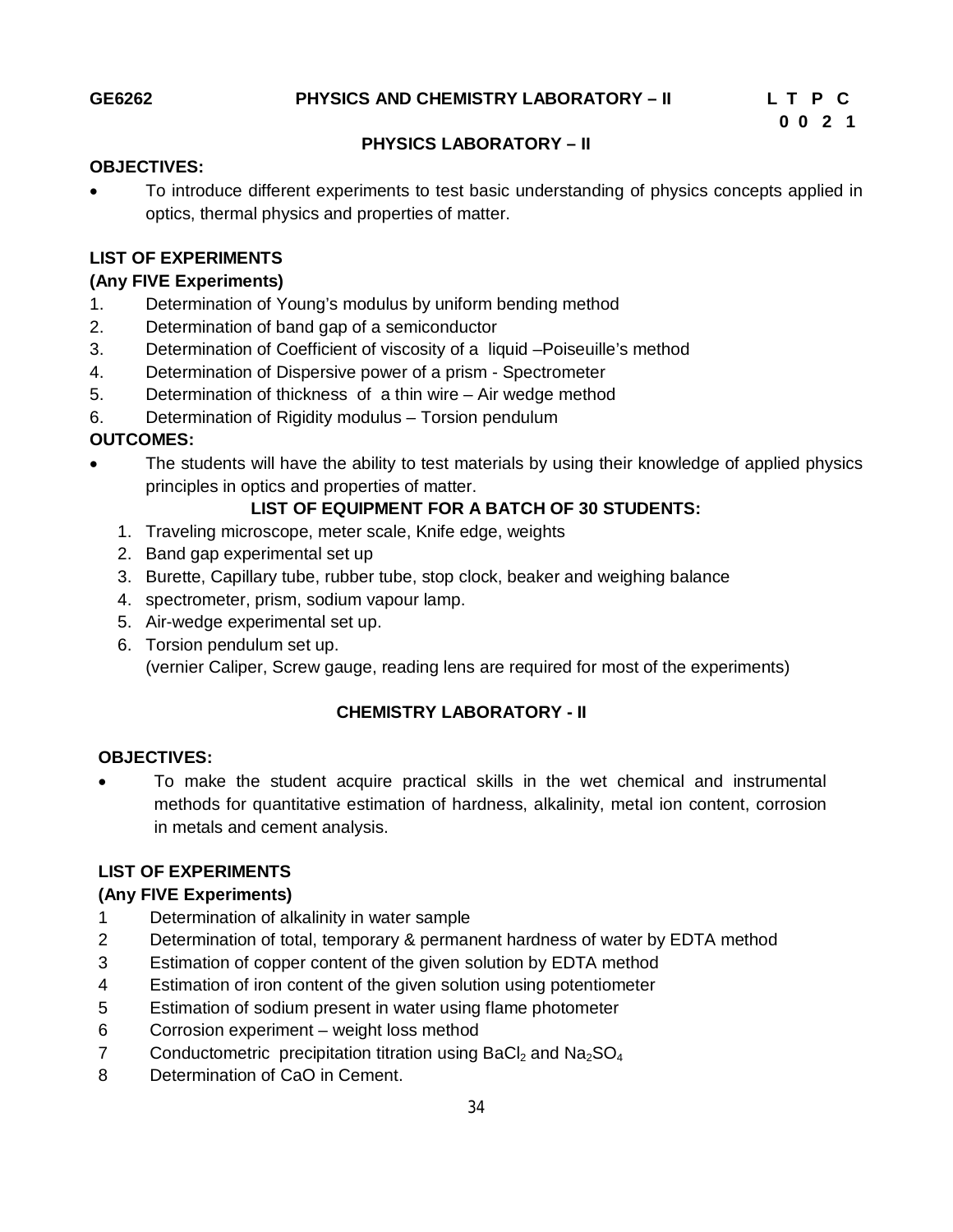## **PHYSICS LABORATORY – II**

#### **OBJECTIVES:**

 To introduce different experiments to test basic understanding of physics concepts applied in optics, thermal physics and properties of matter.

## **LIST OF EXPERIMENTS**

#### **(Any FIVE Experiments)**

- 1. Determination of Young's modulus by uniform bending method
- 2. Determination of band gap of a semiconductor
- 3. Determination of Coefficient of viscosity of a liquid –Poiseuille's method
- 4. Determination of Dispersive power of a prism Spectrometer
- 5. Determination of thickness of a thin wire Air wedge method
- 6. Determination of Rigidity modulus Torsion pendulum

#### **OUTCOMES:**

 The students will have the ability to test materials by using their knowledge of applied physics principles in optics and properties of matter.

#### **LIST OF EQUIPMENT FOR A BATCH OF 30 STUDENTS:**

- 1. Traveling microscope, meter scale, Knife edge, weights
- 2. Band gap experimental set up
- 3. Burette, Capillary tube, rubber tube, stop clock, beaker and weighing balance
- 4. spectrometer, prism, sodium vapour lamp.
- 5. Air-wedge experimental set up.
- 6. Torsion pendulum set up.

(vernier Caliper, Screw gauge, reading lens are required for most of the experiments)

# **CHEMISTRY LABORATORY - II**

#### **OBJECTIVES:**

 To make the student acquire practical skills in the wet chemical and instrumental methods for quantitative estimation of hardness, alkalinity, metal ion content, corrosion in metals and cement analysis.

#### **LIST OF EXPERIMENTS**

#### **(Any FIVE Experiments)**

- 1 Determination of alkalinity in water sample
- 2 Determination of total, temporary & permanent hardness of water by EDTA method
- 3 Estimation of copper content of the given solution by EDTA method
- 4 Estimation of iron content of the given solution using potentiometer
- 5 Estimation of sodium present in water using flame photometer
- 6 Corrosion experiment weight loss method
- 7 Conductometric precipitation titration using BaCl<sub>2</sub> and Na<sub>2</sub>SO<sub>4</sub>
- 8 Determination of CaO in Cement.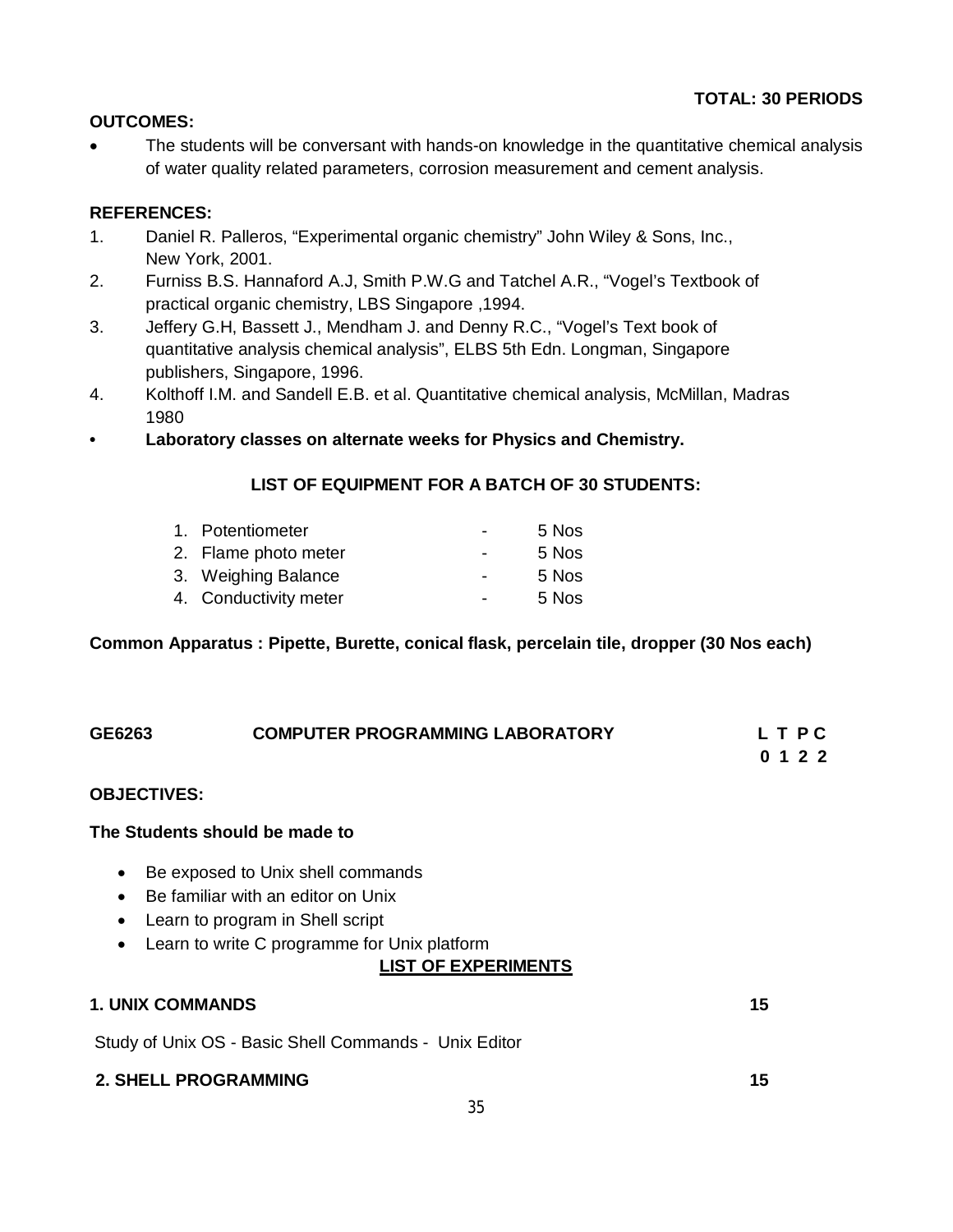# **OUTCOMES:**

• The students will be conversant with hands-on knowledge in the quantitative chemical analysis of water quality related parameters, corrosion measurement and cement analysis.

# **REFERENCES:**

- 1. Daniel R. Palleros, "Experimental organic chemistry" John Wiley & Sons, Inc., New York, 2001.
- 2. Furniss B.S. Hannaford A.J, Smith P.W.G and Tatchel A.R., "Vogel's Textbook of practical organic chemistry, LBS Singapore ,1994.
- 3. Jeffery G.H, Bassett J., Mendham J. and Denny R.C., "Vogel's Text book of quantitative analysis chemical analysis", ELBS 5th Edn. Longman, Singapore publishers, Singapore, 1996.
- 4. Kolthoff I.M. and Sandell E.B. et al. Quantitative chemical analysis, McMillan, Madras 1980
- **Laboratory classes on alternate weeks for Physics and Chemistry.**

# **LIST OF EQUIPMENT FOR A BATCH OF 30 STUDENTS:**

| 1. Potentiometer      |                          | 5 Nos |
|-----------------------|--------------------------|-------|
| 2. Flame photo meter  | $\overline{\phantom{0}}$ | 5 Nos |
| 3. Weighing Balance   | $\overline{\phantom{0}}$ | 5 Nos |
| 4. Conductivity meter | $\blacksquare$           | 5 Nos |

## **Common Apparatus : Pipette, Burette, conical flask, percelain tile, dropper (30 Nos each)**

| GE6263                                   | <b>COMPUTER PROGRAMMING LABORATORY</b>                                                                                                                                                    | LTPC<br>0 1 2 2 |
|------------------------------------------|-------------------------------------------------------------------------------------------------------------------------------------------------------------------------------------------|-----------------|
| <b>OBJECTIVES:</b>                       |                                                                                                                                                                                           |                 |
| The Students should be made to           |                                                                                                                                                                                           |                 |
| $\bullet$<br>$\bullet$<br>$\bullet$<br>٠ | Be exposed to Unix shell commands<br>Be familiar with an editor on Unix<br>Learn to program in Shell script<br>Learn to write C programme for Unix platform<br><b>LIST OF EXPERIMENTS</b> |                 |
| <b>1. UNIX COMMANDS</b>                  |                                                                                                                                                                                           | 15              |
|                                          | Study of Unix OS - Basic Shell Commands - Unix Editor                                                                                                                                     |                 |

**2. SHELL PROGRAMMING 15**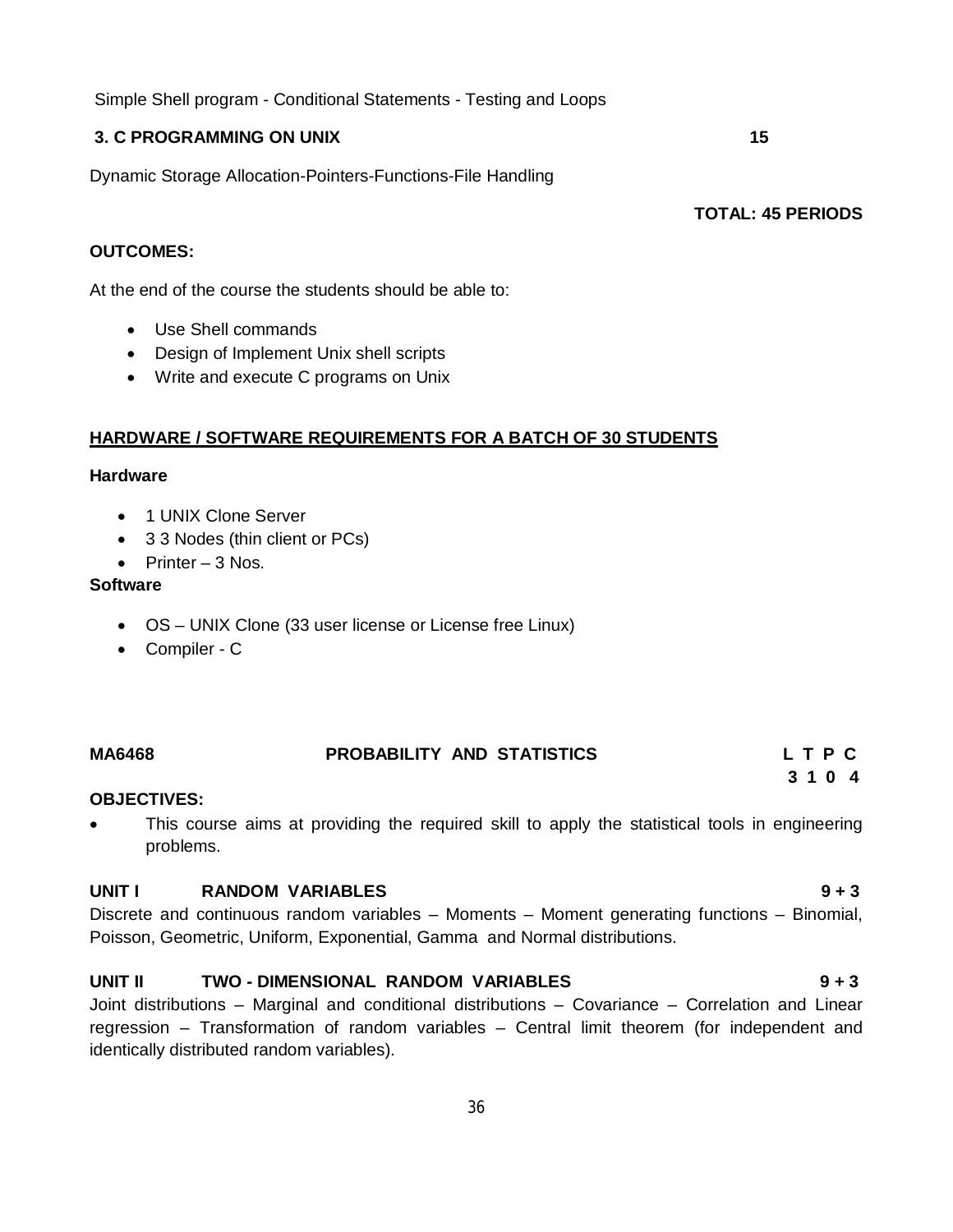Simple Shell program - Conditional Statements - Testing and Loops

### **3. C PROGRAMMING ON UNIX 15**

Dynamic Storage Allocation-Pointers-Functions-File Handling

**TOTAL: 45 PERIODS**

### **OUTCOMES:**

At the end of the course the students should be able to:

- Use Shell commands
- Design of Implement Unix shell scripts
- Write and execute C programs on Unix

## **HARDWARE / SOFTWARE REQUIREMENTS FOR A BATCH OF 30 STUDENTS**

#### **Hardware**

- 1 UNIX Clone Server
- 3 3 Nodes (thin client or PCs)
- Printer  $-3$  Nos.

#### **Software**

- OS UNIX Clone (33 user license or License free Linux)
- Compiler C

# **MA6468 PROBABILITY AND STATISTICS L T P C 3 1 0 4**

#### **OBJECTIVES:**

• This course aims at providing the required skill to apply the statistical tools in engineering problems.

#### **UNIT I RANDOM VARIABLES 9 + 3**

Discrete and continuous random variables – Moments – Moment generating functions – Binomial, Poisson, Geometric, Uniform, Exponential, Gamma and Normal distributions.

## **UNIT II TWO - DIMENSIONAL RANDOM VARIABLES 9 + 3**

Joint distributions – Marginal and conditional distributions – Covariance – Correlation and Linear regression – Transformation of random variables – Central limit theorem (for independent and identically distributed random variables).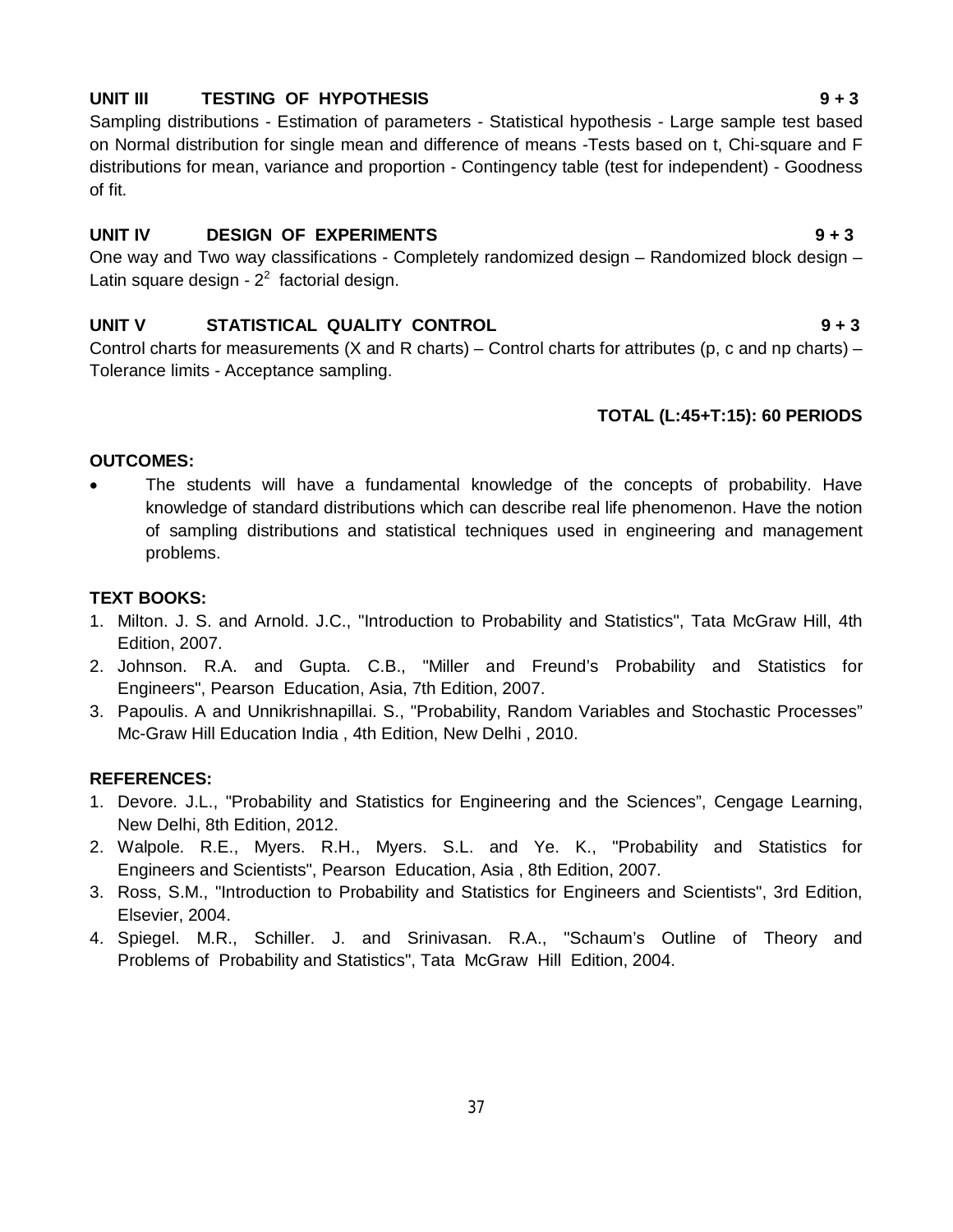#### **UNIT III TESTING OF HYPOTHESIS 9 + 3**

Sampling distributions - Estimation of parameters - Statistical hypothesis - Large sample test based on Normal distribution for single mean and difference of means -Tests based on t, Chi-square and F distributions for mean, variance and proportion - Contingency table (test for independent) - Goodness of fit.

#### **UNIT IV DESIGN OF EXPERIMENTS 9 + 3**

One way and Two way classifications - Completely randomized design – Randomized block design – Latin square design -  $2<sup>2</sup>$  factorial design.

#### **UNIT V STATISTICAL QUALITY CONTROL 9 + 3**

Control charts for measurements (X and R charts) – Control charts for attributes (p, c and np charts) – Tolerance limits - Acceptance sampling.

#### **TOTAL (L:45+T:15): 60 PERIODS**

#### **OUTCOMES:**

 The students will have a fundamental knowledge of the concepts of probability. Have knowledge of standard distributions which can describe real life phenomenon. Have the notion of sampling distributions and statistical techniques used in engineering and management problems.

#### **TEXT BOOKS:**

- 1. Milton. J. S. and Arnold. J.C., "Introduction to Probability and Statistics", Tata McGraw Hill, 4th Edition, 2007.
- 2. Johnson. R.A. and Gupta. C.B., "Miller and Freund's Probability and Statistics for Engineers", Pearson Education, Asia, 7th Edition, 2007.
- 3. Papoulis. A and Unnikrishnapillai. S., "Probability, Random Variables and Stochastic Processes" Mc-Graw Hill Education India , 4th Edition, New Delhi , 2010.

#### **REFERENCES:**

- 1. Devore. J.L., "Probability and Statistics for Engineering and the Sciences", Cengage Learning, New Delhi, 8th Edition, 2012.
- 2. Walpole. R.E., Myers. R.H., Myers. S.L. and Ye. K., "Probability and Statistics for Engineers and Scientists", Pearson Education, Asia , 8th Edition, 2007.
- 3. Ross, S.M., "Introduction to Probability and Statistics for Engineers and Scientists", 3rd Edition, Elsevier, 2004.
- 4. Spiegel. M.R., Schiller. J. and Srinivasan. R.A., "Schaum's Outline of Theory and Problems of Probability and Statistics", Tata McGraw Hill Edition, 2004.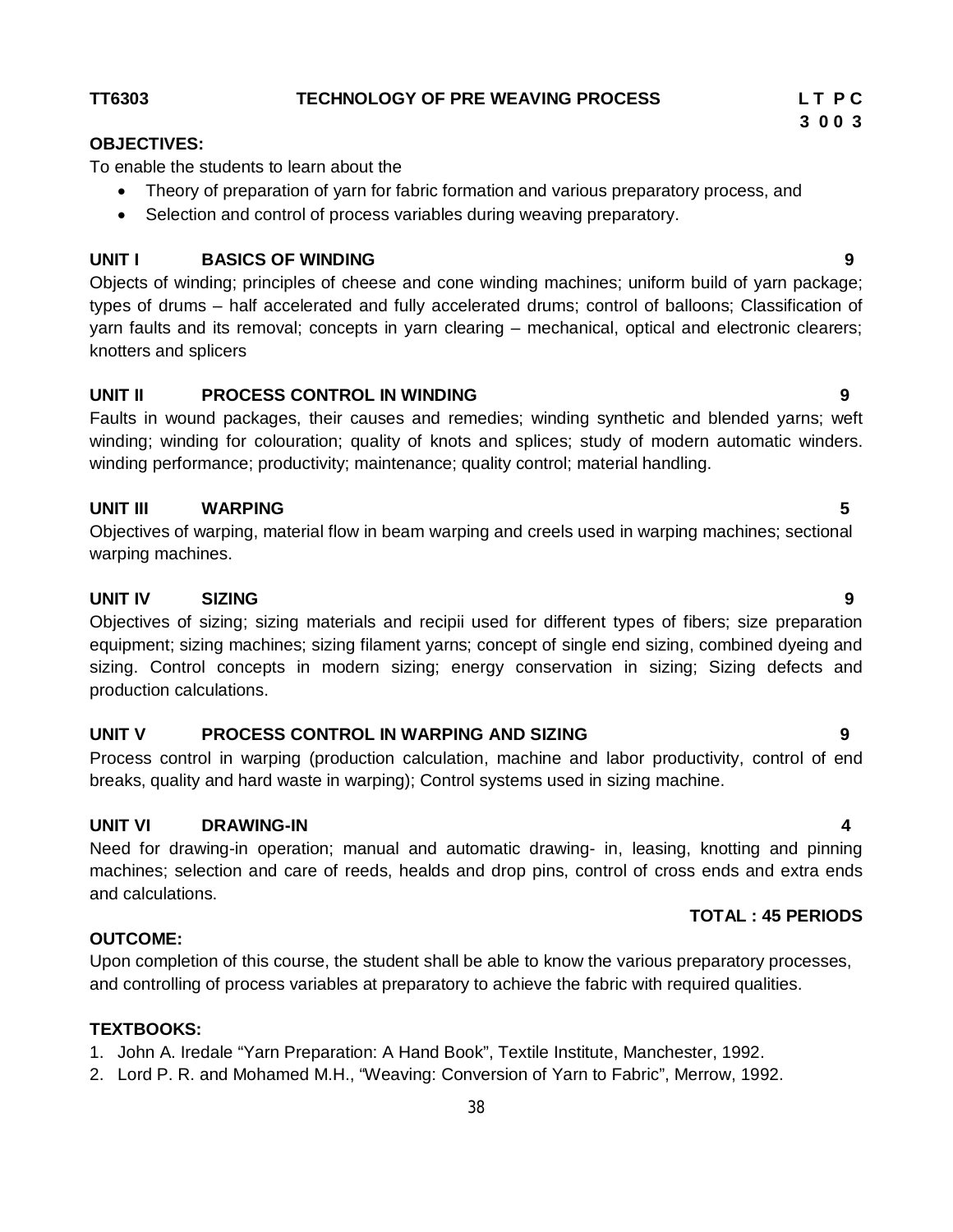# **UNIT I BASICS OF WINDING 9**

Theory of preparation of yarn for fabric formation and various preparatory process, and

• Selection and control of process variables during weaving preparatory.

Objects of winding; principles of cheese and cone winding machines; uniform build of yarn package; types of drums – half accelerated and fully accelerated drums; control of balloons; Classification of yarn faults and its removal; concepts in yarn clearing – mechanical, optical and electronic clearers; knotters and splicers

# **UNIT II PROCESS CONTROL IN WINDING 9**

To enable the students to learn about the

Faults in wound packages, their causes and remedies; winding synthetic and blended yarns; weft winding; winding for colouration; quality of knots and splices; study of modern automatic winders. winding performance; productivity; maintenance; quality control; material handling.

## **UNIT III WARPING 5**

Objectives of warping, material flow in beam warping and creels used in warping machines; sectional warping machines.

# **UNIT IV SIZING 9**

Objectives of sizing; sizing materials and recipii used for different types of fibers; size preparation equipment; sizing machines; sizing filament yarns; concept of single end sizing, combined dyeing and sizing. Control concepts in modern sizing; energy conservation in sizing; Sizing defects and production calculations.

## **UNIT V PROCESS CONTROL IN WARPING AND SIZING 9**

Process control in warping (production calculation, machine and labor productivity, control of end breaks, quality and hard waste in warping); Control systems used in sizing machine.

## **UNIT VI DRAWING-IN 4**

Need for drawing-in operation; manual and automatic drawing- in, leasing, knotting and pinning machines; selection and care of reeds, healds and drop pins, control of cross ends and extra ends and calculations.

## **OUTCOME:**

Upon completion of this course, the student shall be able to know the various preparatory processes, and controlling of process variables at preparatory to achieve the fabric with required qualities.

## **TEXTBOOKS:**

1. John A. Iredale "Yarn Preparation: A Hand Book", Textile Institute, Manchester, 1992.

2. Lord P. R. and Mohamed M.H., "Weaving: Conversion of Yarn to Fabric", Merrow, 1992.

#### **TT6303 TECHNOLOGY OF PRE WEAVING PROCESS L T P C**

**OBJECTIVES:** 

 **TOTAL : 45 PERIODS**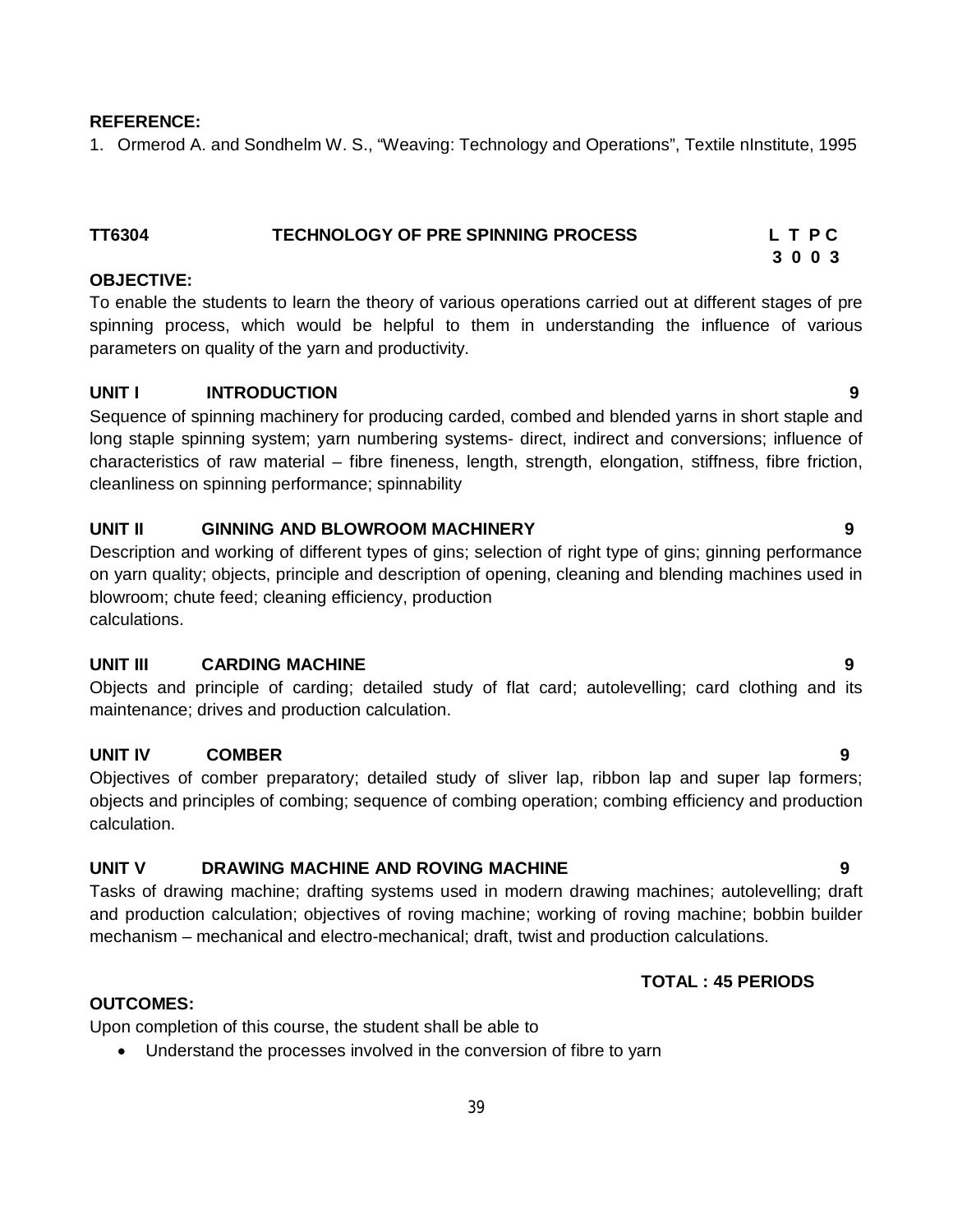#### **REFERENCE:**

1. Ormerod A. and Sondhelm W. S., "Weaving: Technology and Operations", Textile nInstitute, 1995

# **TT6304 TECHNOLOGY OF PRE SPINNING PROCESS L T P C**

#### **OBJECTIVE:**

To enable the students to learn the theory of various operations carried out at different stages of pre spinning process, which would be helpful to them in understanding the influence of various parameters on quality of the yarn and productivity.

 **3 0 0 3**

#### **UNIT I INTRODUCTION 9**

Sequence of spinning machinery for producing carded, combed and blended yarns in short staple and long staple spinning system; yarn numbering systems- direct, indirect and conversions; influence of characteristics of raw material – fibre fineness, length, strength, elongation, stiffness, fibre friction, cleanliness on spinning performance; spinnability

#### **UNIT II GINNING AND BLOWROOM MACHINERY 9**

Description and working of different types of gins; selection of right type of gins; ginning performance on yarn quality; objects, principle and description of opening, cleaning and blending machines used in blowroom; chute feed; cleaning efficiency, production calculations.

#### **UNIT III CARDING MACHINE 9**

Objects and principle of carding; detailed study of flat card; autolevelling; card clothing and its maintenance; drives and production calculation.

#### **UNIT IV COMBER 9**

Objectives of comber preparatory; detailed study of sliver lap, ribbon lap and super lap formers; objects and principles of combing; sequence of combing operation; combing efficiency and production calculation.

#### **UNIT V DRAWING MACHINE AND ROVING MACHINE 9**

Tasks of drawing machine; drafting systems used in modern drawing machines; autolevelling; draft and production calculation; objectives of roving machine; working of roving machine; bobbin builder mechanism – mechanical and electro-mechanical; draft, twist and production calculations.

#### **TOTAL : 45 PERIODS**

#### **OUTCOMES:**

Upon completion of this course, the student shall be able to

Understand the processes involved in the conversion of fibre to yarn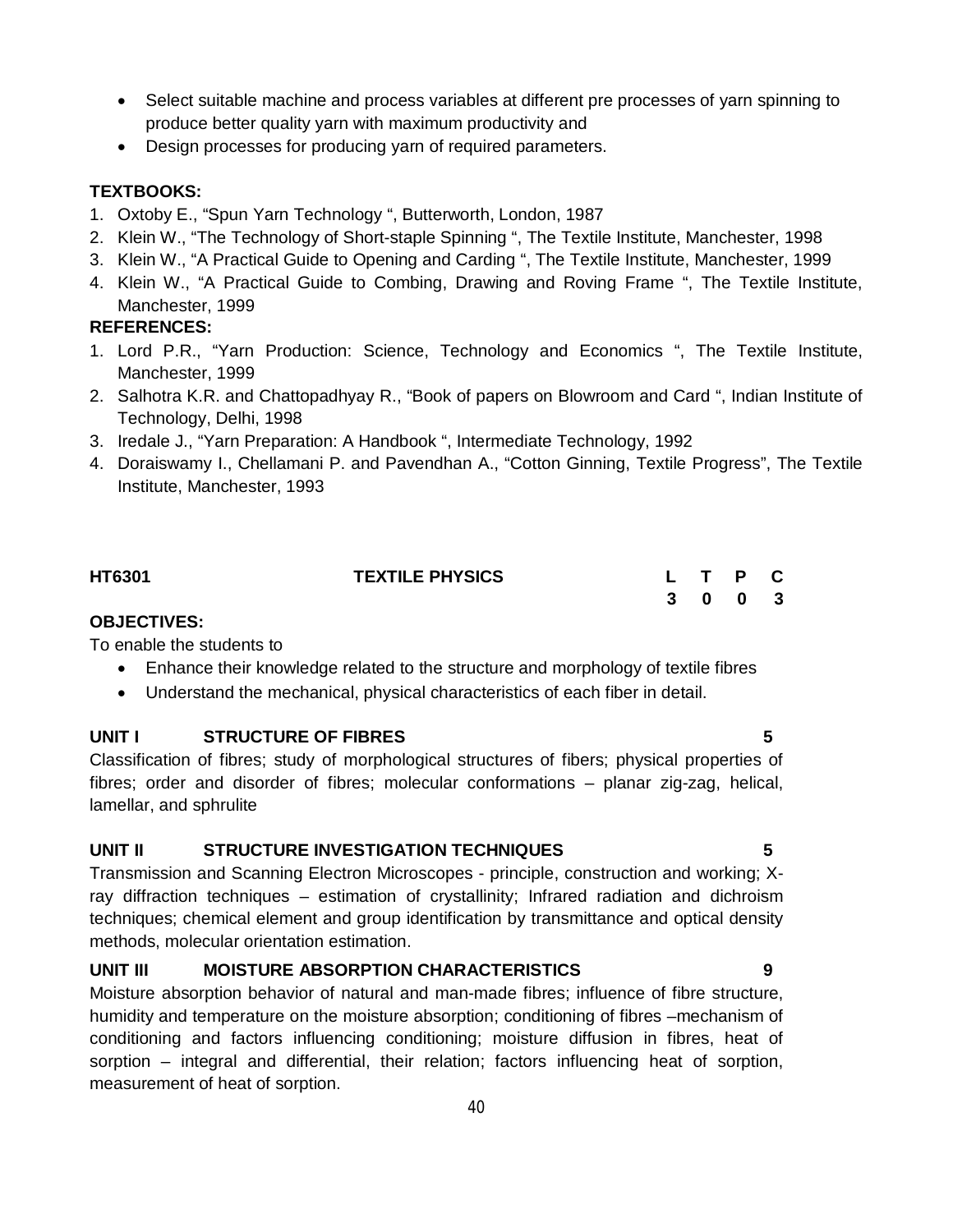- Select suitable machine and process variables at different pre processes of yarn spinning to produce better quality yarn with maximum productivity and
- Design processes for producing yarn of required parameters.

#### **TEXTBOOKS:**

- 1. Oxtoby E., "Spun Yarn Technology ", Butterworth, London, 1987
- 2. Klein W., "The Technology of Short-staple Spinning ", The Textile Institute, Manchester, 1998
- 3. Klein W., "A Practical Guide to Opening and Carding ", The Textile Institute, Manchester, 1999
- 4. Klein W., "A Practical Guide to Combing, Drawing and Roving Frame ", The Textile Institute, Manchester, 1999

#### **REFERENCES:**

- 1. Lord P.R., "Yarn Production: Science, Technology and Economics ", The Textile Institute, Manchester, 1999
- 2. Salhotra K.R. and Chattopadhyay R., "Book of papers on Blowroom and Card ", Indian Institute of Technology, Delhi, 1998
- 3. Iredale J., "Yarn Preparation: A Handbook ", Intermediate Technology, 1992
- 4. Doraiswamy I., Chellamani P. and Pavendhan A., "Cotton Ginning, Textile Progress", The Textile Institute, Manchester, 1993

| <b>HT6301</b>      | <b>TEXTILE PHYSICS</b> |  | L T P C |  |
|--------------------|------------------------|--|---------|--|
|                    |                        |  | 3 0 0 3 |  |
| <b>OBJECTIVES:</b> |                        |  |         |  |

To enable the students to

- Enhance their knowledge related to the structure and morphology of textile fibres
- Understand the mechanical, physical characteristics of each fiber in detail.

#### **UNIT I STRUCTURE OF FIBRES 5**

Classification of fibres; study of morphological structures of fibers; physical properties of fibres; order and disorder of fibres; molecular conformations – planar zig-zag, helical, lamellar, and sphrulite

#### **UNIT II STRUCTURE INVESTIGATION TECHNIQUES 5**

Transmission and Scanning Electron Microscopes - principle, construction and working; Xray diffraction techniques – estimation of crystallinity; Infrared radiation and dichroism techniques; chemical element and group identification by transmittance and optical density methods, molecular orientation estimation.

#### **UNIT III MOISTURE ABSORPTION CHARACTERISTICS 9**

Moisture absorption behavior of natural and man-made fibres; influence of fibre structure, humidity and temperature on the moisture absorption; conditioning of fibres –mechanism of conditioning and factors influencing conditioning; moisture diffusion in fibres, heat of sorption – integral and differential, their relation; factors influencing heat of sorption, measurement of heat of sorption.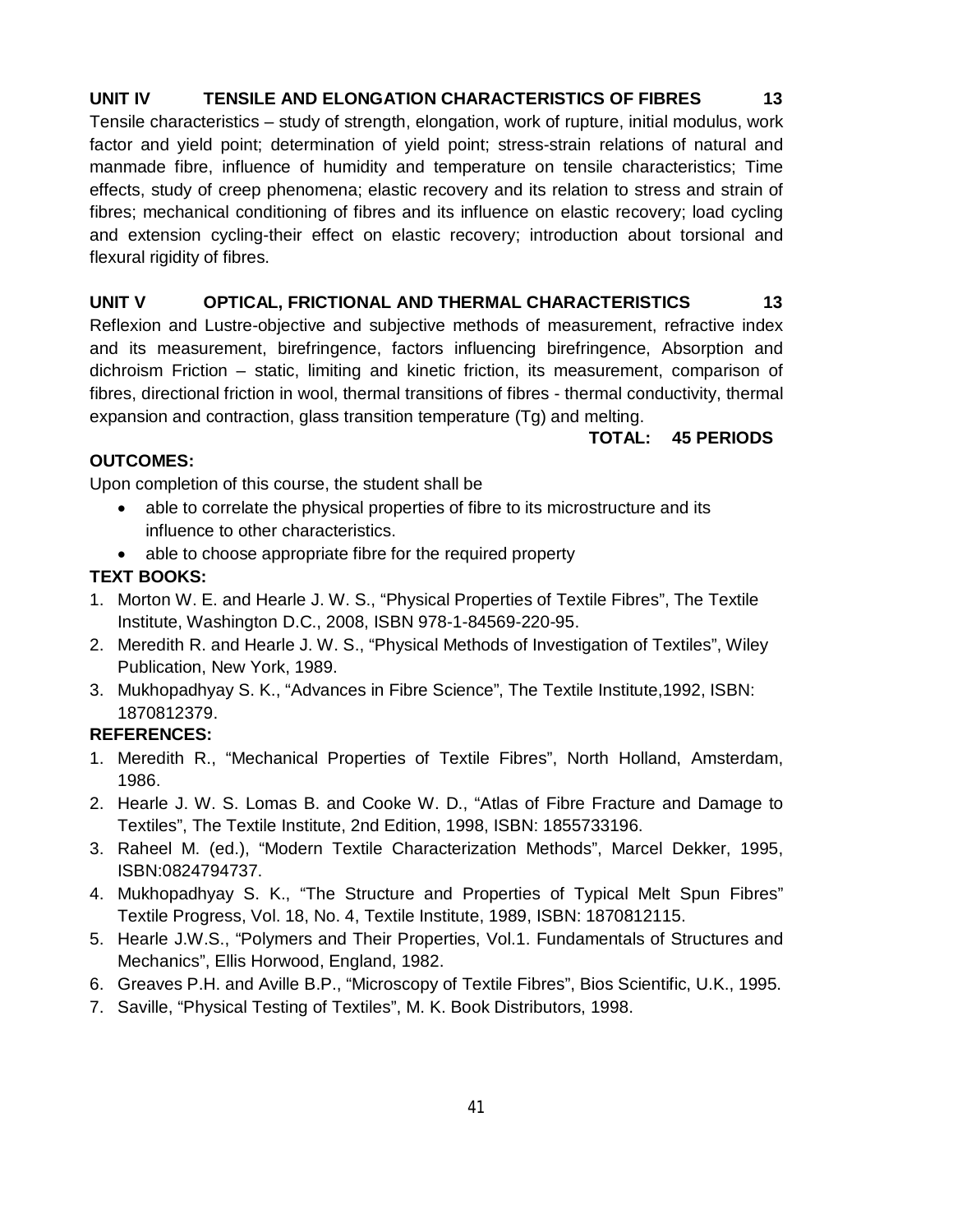### **UNIT IV TENSILE AND ELONGATION CHARACTERISTICS OF FIBRES 13**

Tensile characteristics – study of strength, elongation, work of rupture, initial modulus, work factor and yield point; determination of yield point; stress-strain relations of natural and manmade fibre, influence of humidity and temperature on tensile characteristics; Time effects, study of creep phenomena; elastic recovery and its relation to stress and strain of fibres; mechanical conditioning of fibres and its influence on elastic recovery; load cycling and extension cycling-their effect on elastic recovery; introduction about torsional and flexural rigidity of fibres.

#### **UNIT V OPTICAL, FRICTIONAL AND THERMAL CHARACTERISTICS 13**

Reflexion and Lustre-objective and subjective methods of measurement, refractive index and its measurement, birefringence, factors influencing birefringence, Absorption and dichroism Friction – static, limiting and kinetic friction, its measurement, comparison of fibres, directional friction in wool, thermal transitions of fibres - thermal conductivity, thermal expansion and contraction, glass transition temperature (Tg) and melting.

#### **TOTAL: 45 PERIODS**

#### **OUTCOMES:**

Upon completion of this course, the student shall be

- able to correlate the physical properties of fibre to its microstructure and its influence to other characteristics.
- able to choose appropriate fibre for the required property

#### **TEXT BOOKS:**

- 1. Morton W. E. and Hearle J. W. S., "Physical Properties of Textile Fibres", The Textile Institute, Washington D.C., 2008, ISBN 978-1-84569-220-95.
- 2. Meredith R. and Hearle J. W. S., "Physical Methods of Investigation of Textiles", Wiley Publication, New York, 1989.
- 3. Mukhopadhyay S. K., "Advances in Fibre Science", The Textile Institute,1992, ISBN: 1870812379.

#### **REFERENCES:**

- 1. Meredith R., "Mechanical Properties of Textile Fibres", North Holland, Amsterdam, 1986.
- 2. Hearle J. W. S. Lomas B. and Cooke W. D., "Atlas of Fibre Fracture and Damage to Textiles", The Textile Institute, 2nd Edition, 1998, ISBN: 1855733196.
- 3. Raheel M. (ed.), "Modern Textile Characterization Methods", Marcel Dekker, 1995, ISBN:0824794737.
- 4. Mukhopadhyay S. K., "The Structure and Properties of Typical Melt Spun Fibres" Textile Progress, Vol. 18, No. 4, Textile Institute, 1989, ISBN: 1870812115.
- 5. Hearle J.W.S., "Polymers and Their Properties, Vol.1. Fundamentals of Structures and Mechanics", Ellis Horwood, England, 1982.
- 6. Greaves P.H. and Aville B.P., "Microscopy of Textile Fibres", Bios Scientific, U.K., 1995.
- 7. Saville, "Physical Testing of Textiles", M. K. Book Distributors, 1998.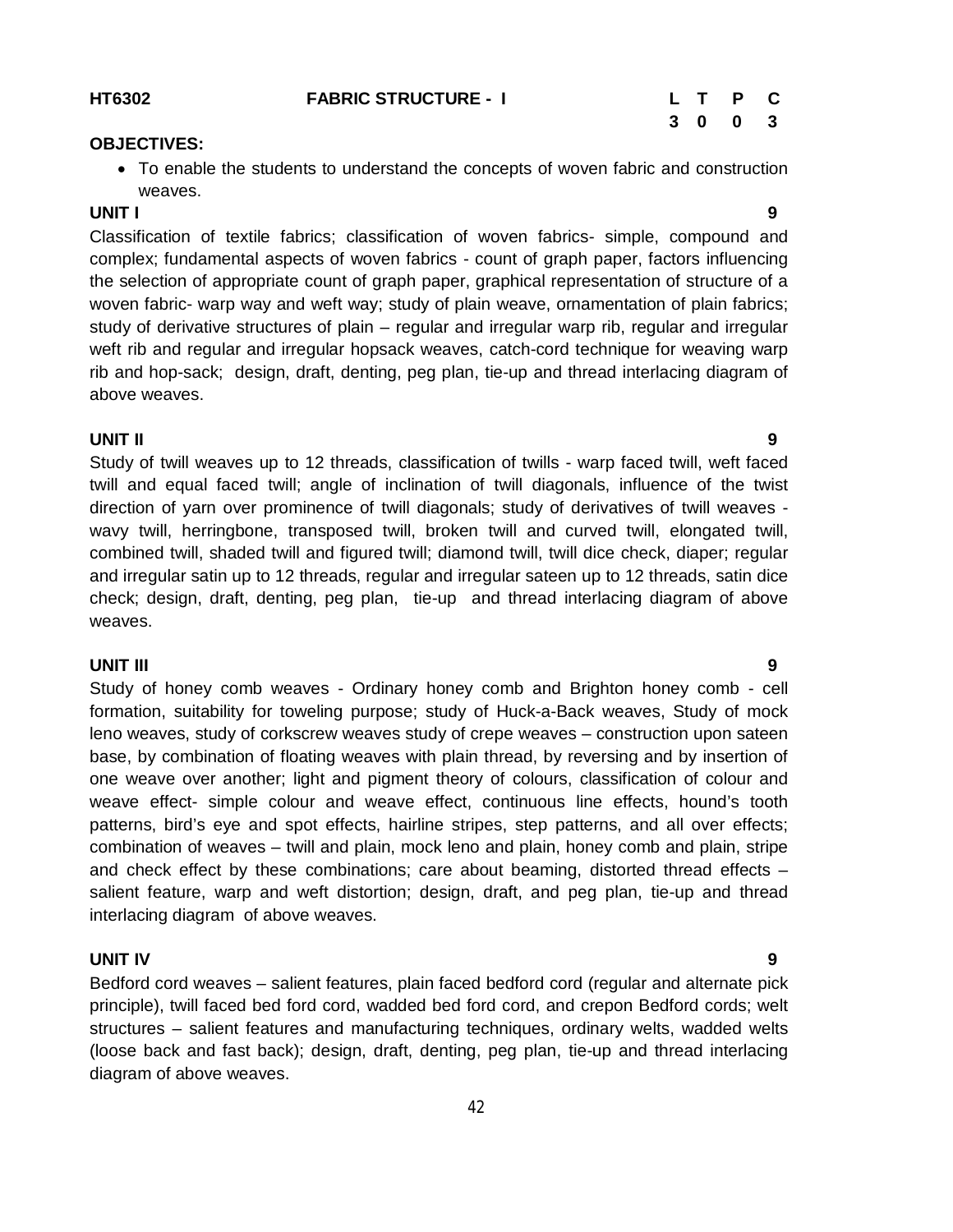# **3 0 0 3**

#### **OBJECTIVES:**

 To enable the students to understand the concepts of woven fabric and construction weaves.

#### **UNIT I 9**

Classification of textile fabrics; classification of woven fabrics- simple, compound and complex; fundamental aspects of woven fabrics - count of graph paper, factors influencing the selection of appropriate count of graph paper, graphical representation of structure of a woven fabric- warp way and weft way; study of plain weave, ornamentation of plain fabrics; study of derivative structures of plain – regular and irregular warp rib, regular and irregular weft rib and regular and irregular hopsack weaves, catch-cord technique for weaving warp rib and hop-sack; design, draft, denting, peg plan, tie-up and thread interlacing diagram of above weaves.

#### **UNIT II 9**

Study of twill weaves up to 12 threads, classification of twills - warp faced twill, weft faced twill and equal faced twill; angle of inclination of twill diagonals, influence of the twist direction of yarn over prominence of twill diagonals; study of derivatives of twill weaves wavy twill, herringbone, transposed twill, broken twill and curved twill, elongated twill, combined twill, shaded twill and figured twill; diamond twill, twill dice check, diaper; regular and irregular satin up to 12 threads, regular and irregular sateen up to 12 threads, satin dice check; design, draft, denting, peg plan, tie-up and thread interlacing diagram of above weaves.

#### **UNIT III 9**

Study of honey comb weaves - Ordinary honey comb and Brighton honey comb - cell formation, suitability for toweling purpose; study of Huck-a-Back weaves, Study of mock leno weaves, study of corkscrew weaves study of crepe weaves – construction upon sateen base, by combination of floating weaves with plain thread, by reversing and by insertion of one weave over another; light and pigment theory of colours, classification of colour and weave effect- simple colour and weave effect, continuous line effects, hound's tooth patterns, bird's eye and spot effects, hairline stripes, step patterns, and all over effects; combination of weaves – twill and plain, mock leno and plain, honey comb and plain, stripe and check effect by these combinations; care about beaming, distorted thread effects – salient feature, warp and weft distortion; design, draft, and peg plan, tie-up and thread interlacing diagram of above weaves.

#### **UNIT IV 9**

Bedford cord weaves – salient features, plain faced bedford cord (regular and alternate pick principle), twill faced bed ford cord, wadded bed ford cord, and crepon Bedford cords; welt structures – salient features and manufacturing techniques, ordinary welts, wadded welts (loose back and fast back); design, draft, denting, peg plan, tie-up and thread interlacing diagram of above weaves.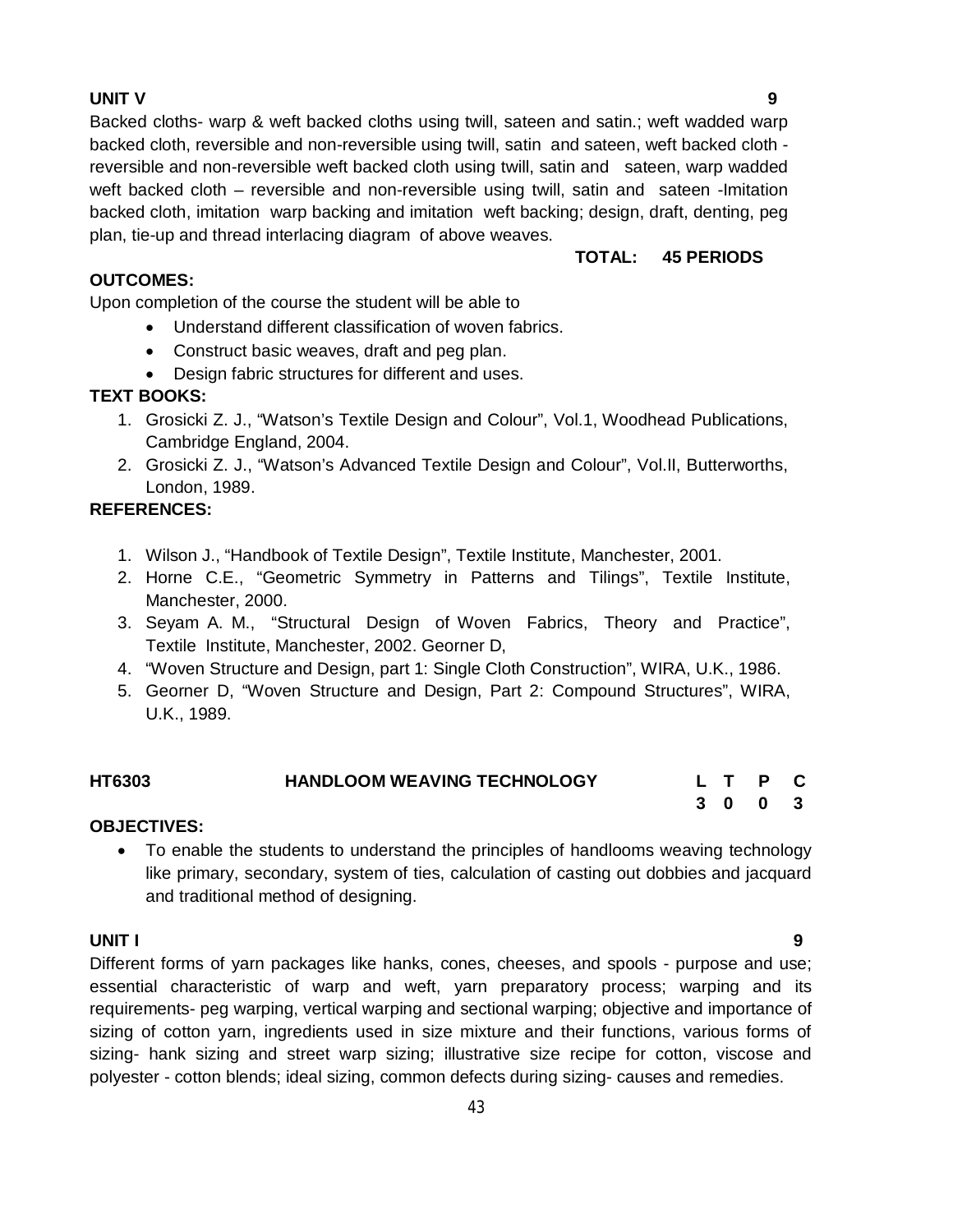#### **UNIT V 9**

Backed cloths- warp & weft backed cloths using twill, sateen and satin.; weft wadded warp backed cloth, reversible and non-reversible using twill, satin and sateen, weft backed cloth reversible and non-reversible weft backed cloth using twill, satin and sateen, warp wadded weft backed cloth – reversible and non-reversible using twill, satin and sateen -Imitation backed cloth, imitation warp backing and imitation weft backing; design, draft, denting, peg plan, tie-up and thread interlacing diagram of above weaves.

#### **OUTCOMES:**

 **TOTAL: 45 PERIODS**

Upon completion of the course the student will be able to

- Understand different classification of woven fabrics.
- Construct basic weaves, draft and peg plan.
- Design fabric structures for different and uses.

#### **TEXT BOOKS:**

- 1. Grosicki Z. J., "Watson's Textile Design and Colour", Vol.1, Woodhead Publications, Cambridge England, 2004.
- 2. Grosicki Z. J., "Watson's Advanced Textile Design and Colour", Vol.II, Butterworths, London, 1989.

#### **REFERENCES:**

- 1. Wilson J., "Handbook of Textile Design", Textile Institute, Manchester, 2001.
- 2. Horne C.E., "Geometric Symmetry in Patterns and Tilings", Textile Institute, Manchester, 2000.
- 3. Seyam A. M., "Structural Design of Woven Fabrics, Theory and Practice", Textile Institute, Manchester, 2002. Georner D,
- 4. "Woven Structure and Design, part 1: Single Cloth Construction", WIRA, U.K., 1986.
- 5. Georner D, "Woven Structure and Design, Part 2: Compound Structures", WIRA, U.K., 1989.

| HT6303     | <b>HANDLOOM WEAVING TECHNOLOGY</b> |  | L T P C |  |
|------------|------------------------------------|--|---------|--|
|            |                                    |  | 3 0 0 3 |  |
| ---------- |                                    |  |         |  |

#### **OBJECTIVES:**

 To enable the students to understand the principles of handlooms weaving technology like primary, secondary, system of ties, calculation of casting out dobbies and jacquard and traditional method of designing.

#### **UNIT I 9**

Different forms of yarn packages like hanks, cones, cheeses, and spools - purpose and use; essential characteristic of warp and weft, yarn preparatory process; warping and its requirements- peg warping, vertical warping and sectional warping; objective and importance of sizing of cotton yarn, ingredients used in size mixture and their functions, various forms of sizing- hank sizing and street warp sizing; illustrative size recipe for cotton, viscose and polyester - cotton blends; ideal sizing, common defects during sizing- causes and remedies.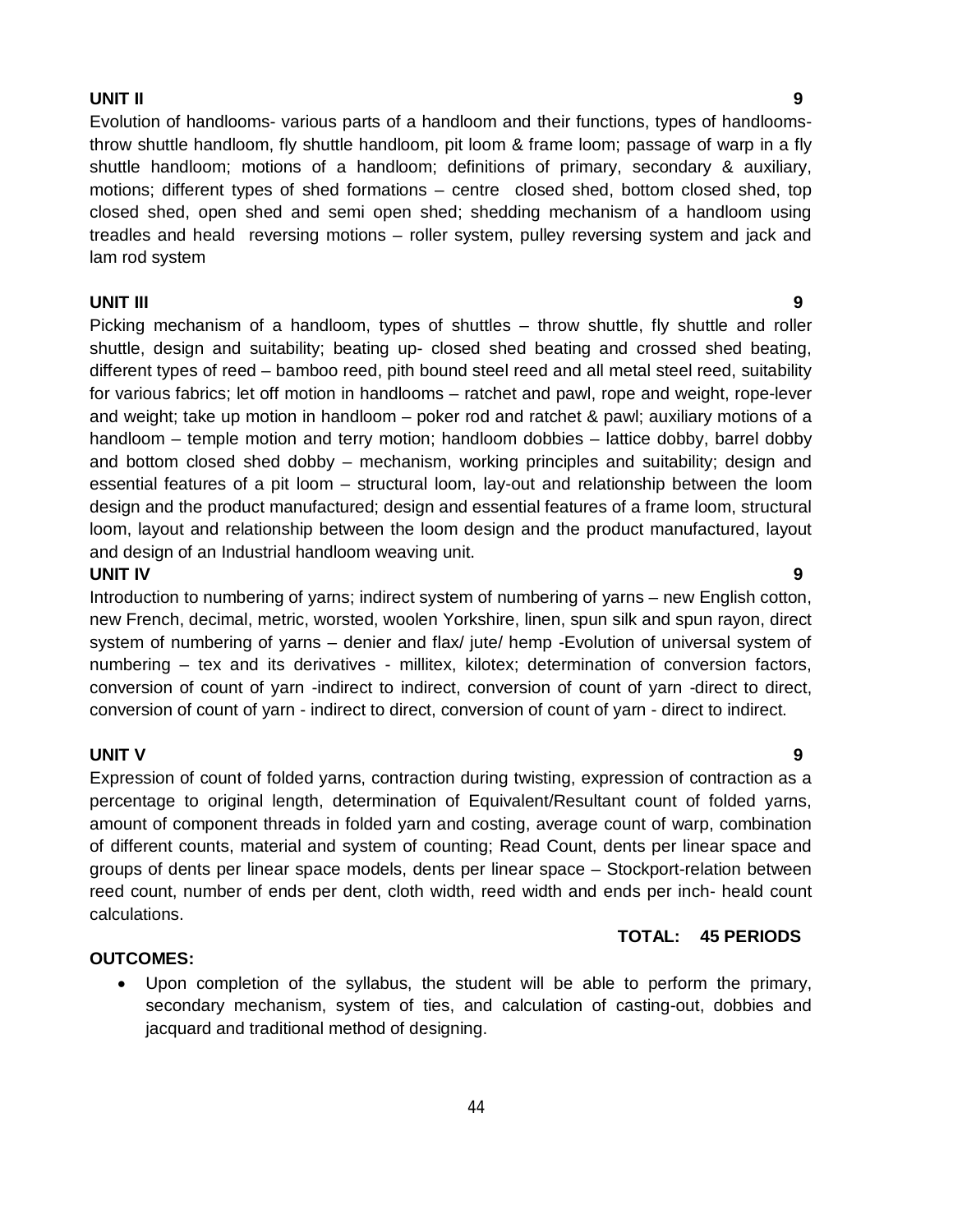#### **UNIT II 9**

Evolution of handlooms- various parts of a handloom and their functions, types of handloomsthrow shuttle handloom, fly shuttle handloom, pit loom & frame loom; passage of warp in a fly shuttle handloom; motions of a handloom; definitions of primary, secondary & auxiliary, motions; different types of shed formations – centre closed shed, bottom closed shed, top closed shed, open shed and semi open shed; shedding mechanism of a handloom using treadles and heald reversing motions – roller system, pulley reversing system and jack and lam rod system

#### **UNIT III 9**

Picking mechanism of a handloom, types of shuttles – throw shuttle, fly shuttle and roller shuttle, design and suitability; beating up- closed shed beating and crossed shed beating, different types of reed – bamboo reed, pith bound steel reed and all metal steel reed, suitability for various fabrics; let off motion in handlooms – ratchet and pawl, rope and weight, rope-lever and weight; take up motion in handloom – poker rod and ratchet & pawl; auxiliary motions of a handloom – temple motion and terry motion; handloom dobbies – lattice dobby, barrel dobby and bottom closed shed dobby – mechanism, working principles and suitability; design and essential features of a pit loom – structural loom, lay-out and relationship between the loom design and the product manufactured; design and essential features of a frame loom, structural loom, layout and relationship between the loom design and the product manufactured, layout and design of an Industrial handloom weaving unit.

#### **UNIT IV 9**

Introduction to numbering of yarns; indirect system of numbering of yarns – new English cotton, new French, decimal, metric, worsted, woolen Yorkshire, linen, spun silk and spun rayon, direct system of numbering of yarns – denier and flax/ jute/ hemp -Evolution of universal system of numbering – tex and its derivatives - millitex, kilotex; determination of conversion factors, conversion of count of yarn -indirect to indirect, conversion of count of yarn -direct to direct, conversion of count of yarn - indirect to direct, conversion of count of yarn - direct to indirect.

#### **UNIT V 9**

Expression of count of folded yarns, contraction during twisting, expression of contraction as a percentage to original length, determination of Equivalent/Resultant count of folded yarns, amount of component threads in folded yarn and costing, average count of warp, combination of different counts, material and system of counting; Read Count, dents per linear space and groups of dents per linear space models, dents per linear space – Stockport-relation between reed count, number of ends per dent, cloth width, reed width and ends per inch- heald count calculations.

#### **OUTCOMES:**

 Upon completion of the syllabus, the student will be able to perform the primary, secondary mechanism, system of ties, and calculation of casting-out, dobbies and jacquard and traditional method of designing.

## **TOTAL: 45 PERIODS**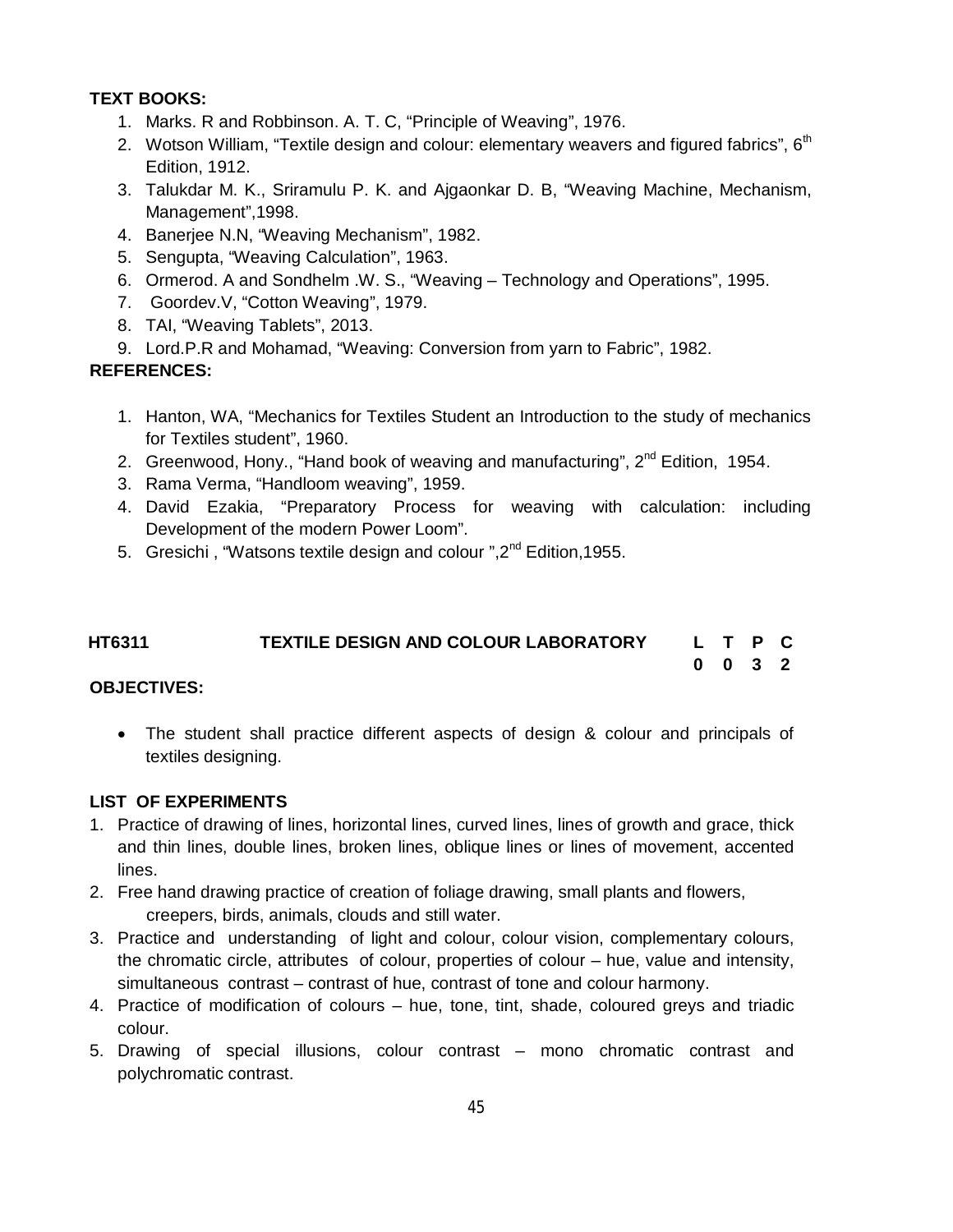# **TEXT BOOKS:**

- 1. Marks. R and Robbinson. A. T. C, "Principle of Weaving", 1976.
- 2. Wotson William, "Textile design and colour: elementary weavers and figured fabrics",  $6<sup>th</sup>$ Edition, 1912.
- 3. Talukdar M. K., Sriramulu P. K. and Ajgaonkar D. B, "Weaving Machine, Mechanism, Management",1998.
- 4. Banerjee N.N, "Weaving Mechanism", 1982.
- 5. Sengupta, "Weaving Calculation", 1963.
- 6. Ormerod. A and Sondhelm .W. S., "Weaving Technology and Operations", 1995.
- 7. Goordev.V, "Cotton Weaving", 1979.
- 8. TAI, "Weaving Tablets", 2013.
- 9. Lord.P.R and Mohamad, "Weaving: Conversion from yarn to Fabric", 1982.

#### **REFERENCES:**

- 1. Hanton, WA, "Mechanics for Textiles Student an Introduction to the study of mechanics for Textiles student", 1960.
- 2. Greenwood, Hony., "Hand book of weaving and manufacturing", 2<sup>nd</sup> Edition, 1954.
- 3. Rama Verma, "Handloom weaving", 1959.
- 4. David Ezakia, "Preparatory Process for weaving with calculation: including Development of the modern Power Loom".
- 5. Gresichi, "Watsons textile design and colour", 2<sup>nd</sup> Edition, 1955.

| HT6311 | <b>TEXTILE DESIGN AND COLOUR LABORATORY</b> |  | L T P C         |  |
|--------|---------------------------------------------|--|-----------------|--|
|        |                                             |  | $0 \t0 \t3 \t2$ |  |

#### **OBJECTIVES:**

 The student shall practice different aspects of design & colour and principals of textiles designing.

#### **LIST OF EXPERIMENTS**

- 1. Practice of drawing of lines, horizontal lines, curved lines, lines of growth and grace, thick and thin lines, double lines, broken lines, oblique lines or lines of movement, accented lines.
- 2. Free hand drawing practice of creation of foliage drawing, small plants and flowers, creepers, birds, animals, clouds and still water.
- 3. Practice and understanding of light and colour, colour vision, complementary colours, the chromatic circle, attributes of colour, properties of colour – hue, value and intensity, simultaneous contrast – contrast of hue, contrast of tone and colour harmony.
- 4. Practice of modification of colours hue, tone, tint, shade, coloured greys and triadic colour.
- 5. Drawing of special illusions, colour contrast mono chromatic contrast and polychromatic contrast.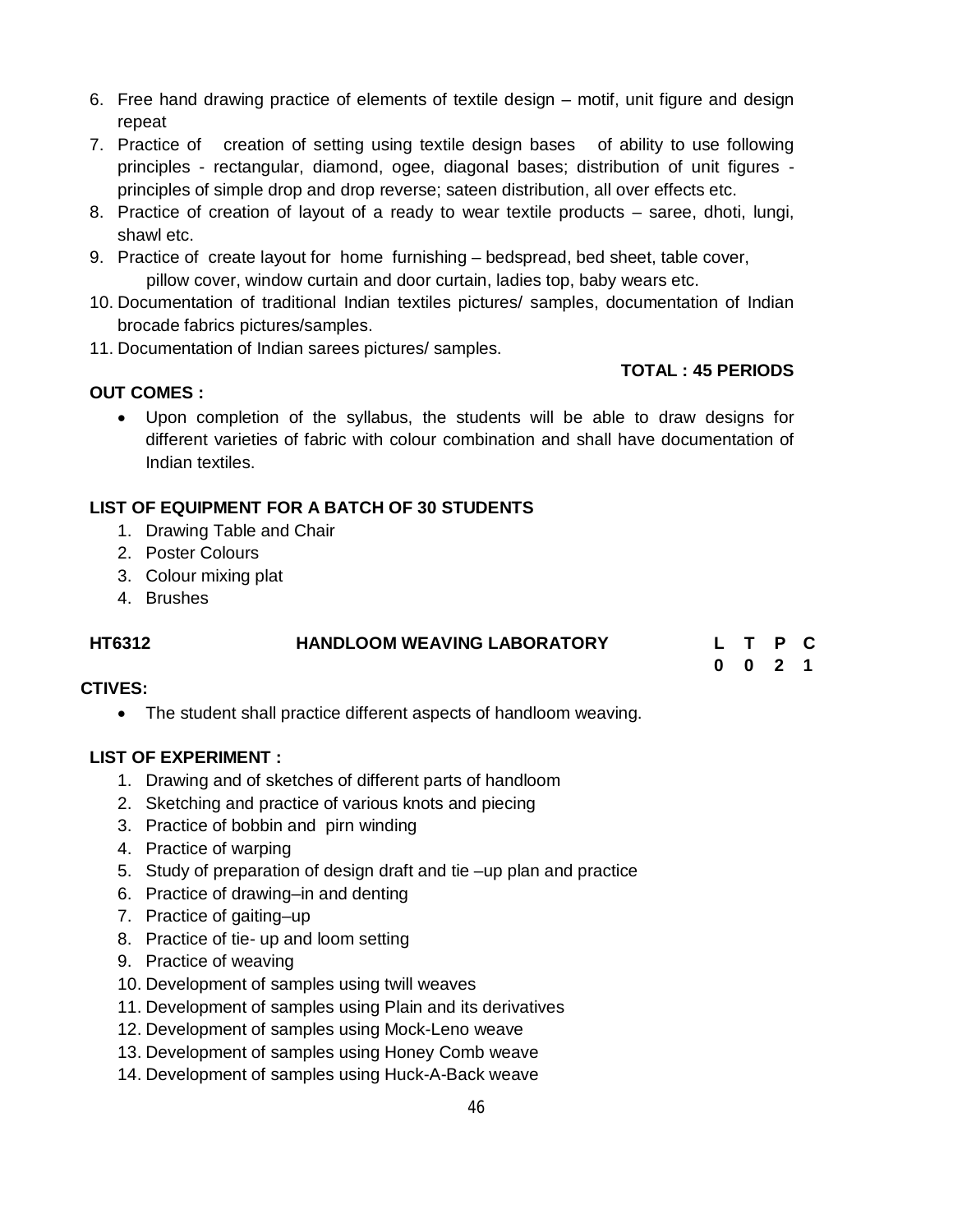- 6. Free hand drawing practice of elements of textile design motif, unit figure and design repeat
- 7. Practice of creation of setting using textile design bases of ability to use following principles - rectangular, diamond, ogee, diagonal bases; distribution of unit figures principles of simple drop and drop reverse; sateen distribution, all over effects etc.
- 8. Practice of creation of layout of a ready to wear textile products saree, dhoti, lungi, shawl etc.
- 9. Practice of create layout for home furnishing bedspread, bed sheet, table cover, pillow cover, window curtain and door curtain, ladies top, baby wears etc.
- 10. Documentation of traditional Indian textiles pictures/ samples, documentation of Indian brocade fabrics pictures/samples.
- 11. Documentation of Indian sarees pictures/ samples.

#### **TOTAL : 45 PERIODS**

**0 0 2 1**

## **OUT COMES :**

 Upon completion of the syllabus, the students will be able to draw designs for different varieties of fabric with colour combination and shall have documentation of Indian textiles.

# **LIST OF EQUIPMENT FOR A BATCH OF 30 STUDENTS**

- 1. Drawing Table and Chair
- 2. Poster Colours
- 3. Colour mixing plat
- 4. Brushes

# **HT6312 HANDLOOM WEAVING LABORATORY L T P C**

## CTIVES:

The student shall practice different aspects of handloom weaving.

## **LIST OF EXPERIMENT :**

- 1. Drawing and of sketches of different parts of handloom
- 2. Sketching and practice of various knots and piecing
- 3. Practice of bobbin and pirn winding
- 4. Practice of warping
- 5. Study of preparation of design draft and tie –up plan and practice
- 6. Practice of drawing–in and denting
- 7. Practice of gaiting–up
- 8. Practice of tie- up and loom setting
- 9. Practice of weaving
- 10. Development of samples using twill weaves
- 11. Development of samples using Plain and its derivatives
- 12. Development of samples using Mock-Leno weave
- 13. Development of samples using Honey Comb weave
- 14. Development of samples using Huck-A-Back weave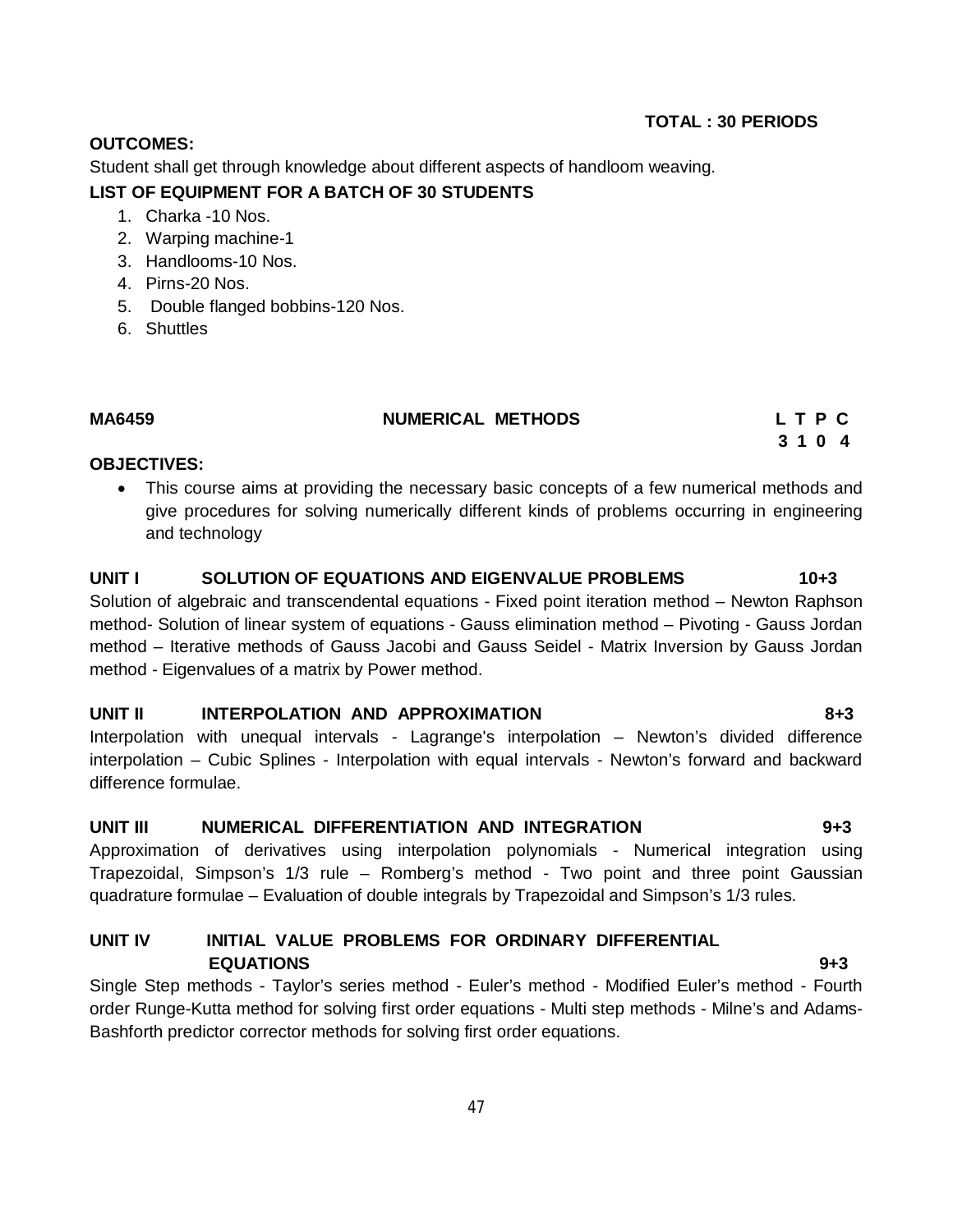#### **OUTCOMES:**

Student shall get through knowledge about different aspects of handloom weaving.

#### **LIST OF EQUIPMENT FOR A BATCH OF 30 STUDENTS**

- 1. Charka -10 Nos.
- 2. Warping machine-1
- 3. Handlooms-10 Nos.
- 4. Pirns-20 Nos.
- 5. Double flanged bobbins-120 Nos.
- 6. Shuttles

#### **MA6459 NUMERICAL METHODS L T P C**

# **3 1 0 4**

#### **OBJECTIVES:**

 This course aims at providing the necessary basic concepts of a few numerical methods and give procedures for solving numerically different kinds of problems occurring in engineering and technology

#### **UNIT I SOLUTION OF EQUATIONS AND EIGENVALUE PROBLEMS 10+3**

Solution of algebraic and transcendental equations - Fixed point iteration method – Newton Raphson method- Solution of linear system of equations - Gauss elimination method – Pivoting - Gauss Jordan method – Iterative methods of Gauss Jacobi and Gauss Seidel - Matrix Inversion by Gauss Jordan method - Eigenvalues of a matrix by Power method.

#### **UNIT II INTERPOLATION AND APPROXIMATION 8+3**

Interpolation with unequal intervals - Lagrange's interpolation – Newton's divided difference interpolation – Cubic Splines - Interpolation with equal intervals - Newton's forward and backward difference formulae.

## **UNIT III NUMERICAL DIFFERENTIATION AND INTEGRATION 9+3**

Approximation of derivatives using interpolation polynomials - Numerical integration using Trapezoidal, Simpson's 1/3 rule – Romberg's method - Two point and three point Gaussian quadrature formulae – Evaluation of double integrals by Trapezoidal and Simpson's 1/3 rules.

#### **UNIT IV INITIAL VALUE PROBLEMS FOR ORDINARY DIFFERENTIAL EQUATIONS 9+3**

Single Step methods - Taylor's series method - Euler's method - Modified Euler's method - Fourth order Runge-Kutta method for solving first order equations - Multi step methods - Milne's and Adams-Bashforth predictor corrector methods for solving first order equations.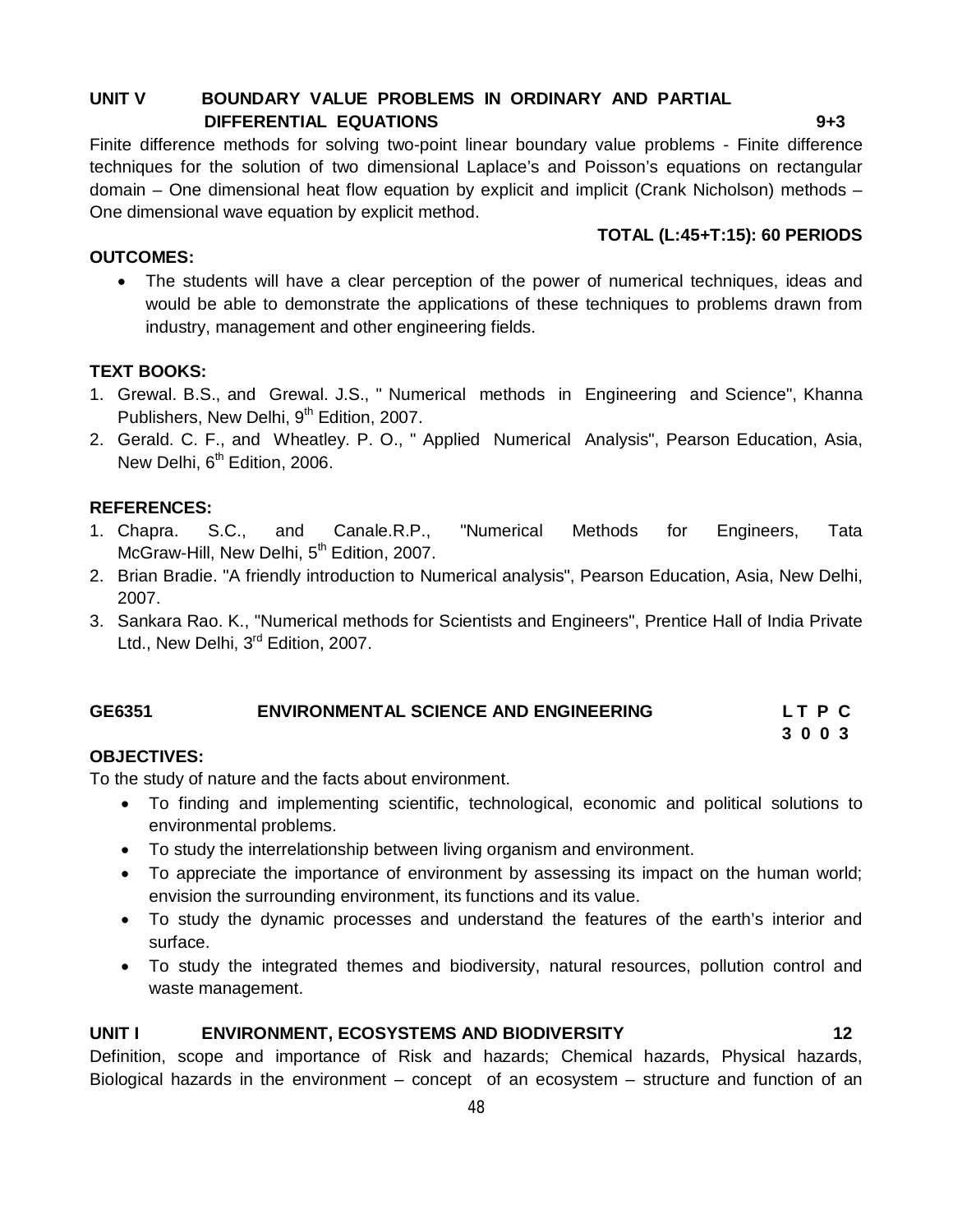#### **UNIT V BOUNDARY VALUE PROBLEMS IN ORDINARY AND PARTIAL DIFFERENTIAL EQUATIONS 9+3**

Finite difference methods for solving two-point linear boundary value problems - Finite difference techniques for the solution of two dimensional Laplace's and Poisson's equations on rectangular domain – One dimensional heat flow equation by explicit and implicit (Crank Nicholson) methods – One dimensional wave equation by explicit method.

# **TOTAL (L:45+T:15): 60 PERIODS**

#### **OUTCOMES:**

 The students will have a clear perception of the power of numerical techniques, ideas and would be able to demonstrate the applications of these techniques to problems drawn from industry, management and other engineering fields.

#### **TEXT BOOKS:**

- 1. Grewal. B.S., and Grewal. J.S., " Numerical methods in Engineering and Science", Khanna Publishers, New Delhi, 9<sup>th</sup> Edition, 2007.
- 2. Gerald. C. F., and Wheatley. P. O., " Applied Numerical Analysis", Pearson Education, Asia, New Delhi, 6<sup>th</sup> Edition, 2006.

#### **REFERENCES:**

- 1. Chapra. S.C., and Canale.R.P., "Numerical Methods for Engineers, Tata McGraw-Hill, New Delhi, 5<sup>th</sup> Edition, 2007.
- 2. Brian Bradie. "A friendly introduction to Numerical analysis", Pearson Education, Asia, New Delhi, 2007.
- 3. Sankara Rao. K., "Numerical methods for Scientists and Engineers", Prentice Hall of India Private Ltd., New Delhi, 3<sup>rd</sup> Edition, 2007.

#### **GE6351 ENVIRONMENTAL SCIENCE AND ENGINEERING L T P C 3 0 0 3**

## **OBJECTIVES:**

To the study of nature and the facts about environment.

- To finding and implementing scientific, technological, economic and political solutions to environmental problems.
- To study the interrelationship between living organism and environment.
- To appreciate the importance of environment by assessing its impact on the human world; envision the surrounding environment, its functions and its value.
- To study the dynamic processes and understand the features of the earth's interior and surface.
- To study the integrated themes and biodiversity, natural resources, pollution control and waste management.

#### **UNIT I ENVIRONMENT, ECOSYSTEMS AND BIODIVERSITY 12**

Definition, scope and importance of Risk and hazards; Chemical hazards, Physical hazards, Biological hazards in the environment – concept of an ecosystem – structure and function of an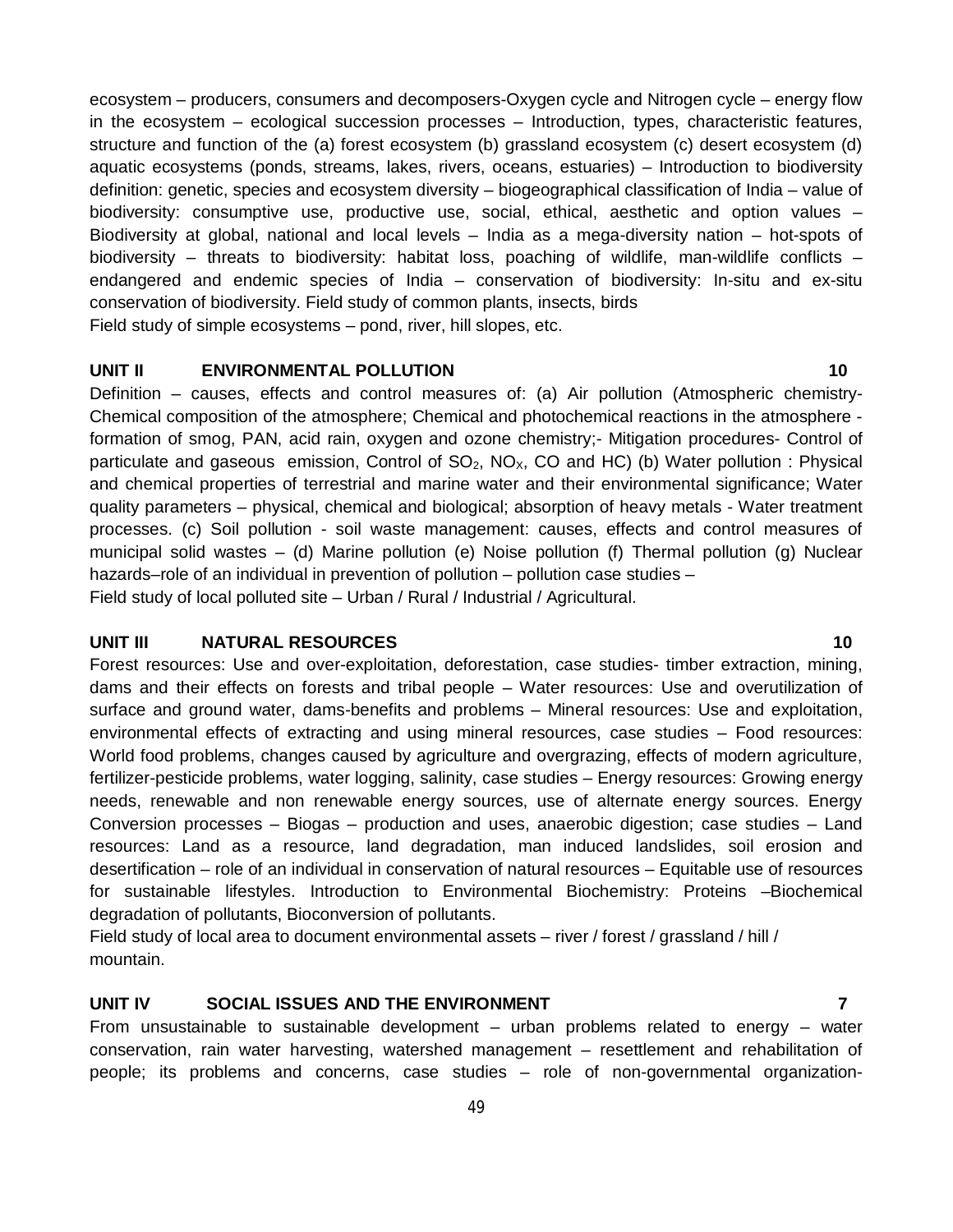ecosystem – producers, consumers and decomposers-Oxygen cycle and Nitrogen cycle – energy flow in the ecosystem – ecological succession processes – Introduction, types, characteristic features, structure and function of the (a) forest ecosystem (b) grassland ecosystem (c) desert ecosystem (d) aquatic ecosystems (ponds, streams, lakes, rivers, oceans, estuaries) – Introduction to biodiversity definition: genetic, species and ecosystem diversity – biogeographical classification of India – value of biodiversity: consumptive use, productive use, social, ethical, aesthetic and option values – Biodiversity at global, national and local levels – India as a mega-diversity nation – hot-spots of biodiversity – threats to biodiversity: habitat loss, poaching of wildlife, man-wildlife conflicts – endangered and endemic species of India – conservation of biodiversity: In-situ and ex-situ conservation of biodiversity. Field study of common plants, insects, birds Field study of simple ecosystems – pond, river, hill slopes, etc.

#### **UNIT II ENVIRONMENTAL POLLUTION 10**

Definition – causes, effects and control measures of: (a) Air pollution (Atmospheric chemistry-Chemical composition of the atmosphere; Chemical and photochemical reactions in the atmosphere formation of smog, PAN, acid rain, oxygen and ozone chemistry;- Mitigation procedures- Control of particulate and gaseous emission, Control of  $SO_2$ , NO<sub>x</sub>, CO and HC) (b) Water pollution : Physical and chemical properties of terrestrial and marine water and their environmental significance; Water quality parameters – physical, chemical and biological; absorption of heavy metals - Water treatment processes. (c) Soil pollution - soil waste management: causes, effects and control measures of municipal solid wastes – (d) Marine pollution (e) Noise pollution (f) Thermal pollution (g) Nuclear hazards–role of an individual in prevention of pollution – pollution case studies – Field study of local polluted site – Urban / Rural / Industrial / Agricultural.

#### **UNIT III NATURAL RESOURCES 10**

Forest resources: Use and over-exploitation, deforestation, case studies- timber extraction, mining, dams and their effects on forests and tribal people – Water resources: Use and overutilization of surface and ground water, dams-benefits and problems – Mineral resources: Use and exploitation, environmental effects of extracting and using mineral resources, case studies – Food resources: World food problems, changes caused by agriculture and overgrazing, effects of modern agriculture, fertilizer-pesticide problems, water logging, salinity, case studies – Energy resources: Growing energy needs, renewable and non renewable energy sources, use of alternate energy sources. Energy Conversion processes – Biogas – production and uses, anaerobic digestion; case studies – Land resources: Land as a resource, land degradation, man induced landslides, soil erosion and desertification – role of an individual in conservation of natural resources – Equitable use of resources for sustainable lifestyles. Introduction to Environmental Biochemistry: Proteins –Biochemical degradation of pollutants, Bioconversion of pollutants.

Field study of local area to document environmental assets – river / forest / grassland / hill / mountain.

#### **UNIT IV SOCIAL ISSUES AND THE ENVIRONMENT 7**

From unsustainable to sustainable development  $-$  urban problems related to energy  $-$  water conservation, rain water harvesting, watershed management – resettlement and rehabilitation of people; its problems and concerns, case studies – role of non-governmental organization-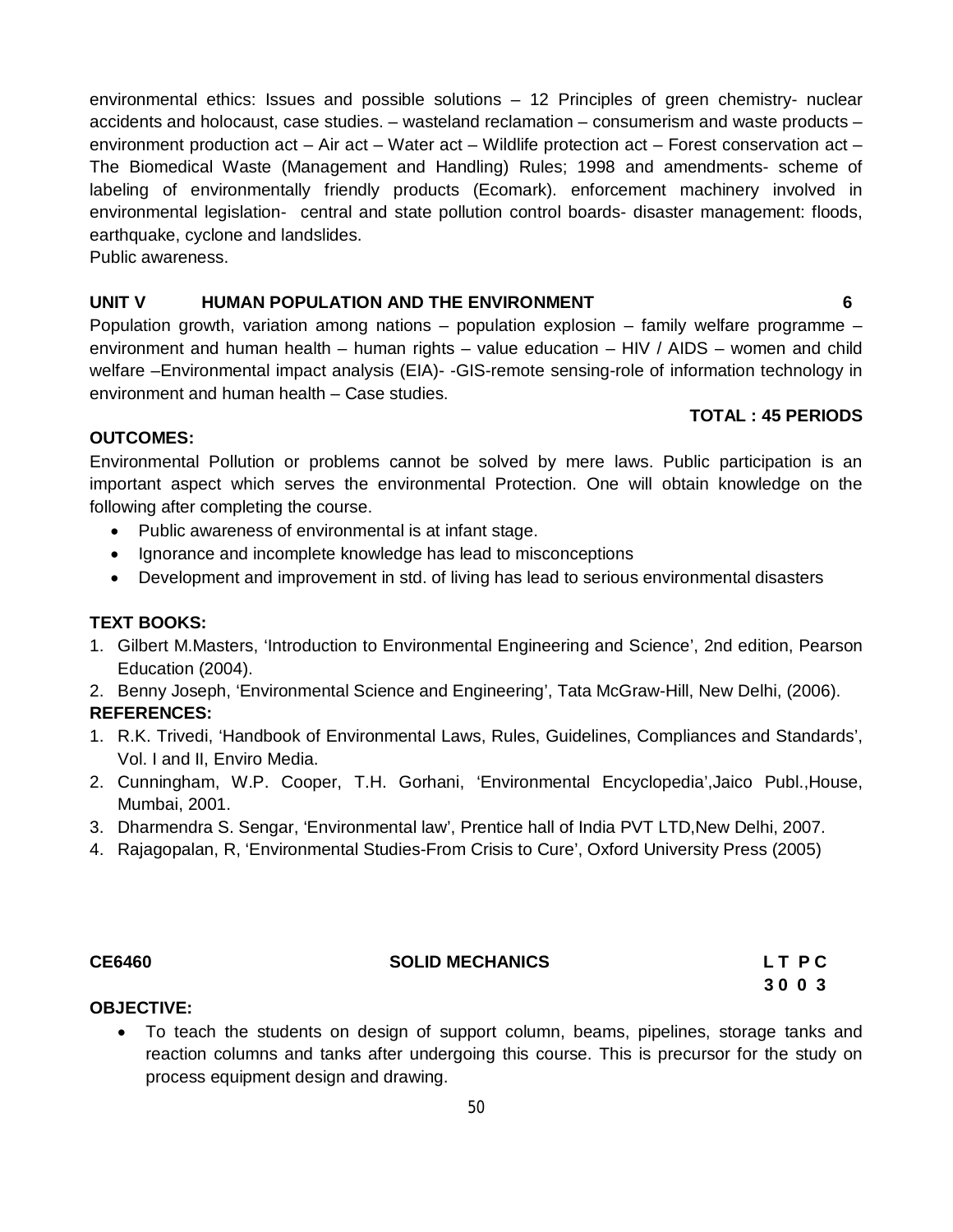environmental ethics: Issues and possible solutions – 12 Principles of green chemistry- nuclear accidents and holocaust, case studies. – wasteland reclamation – consumerism and waste products – environment production act – Air act – Water act – Wildlife protection act – Forest conservation act – The Biomedical Waste (Management and Handling) Rules; 1998 and amendments- scheme of labeling of environmentally friendly products (Ecomark). enforcement machinery involved in environmental legislation- central and state pollution control boards- disaster management: floods, earthquake, cyclone and landslides.

Public awareness.

### **UNIT V HUMAN POPULATION AND THE ENVIRONMENT 6**

Population growth, variation among nations – population explosion – family welfare programme – environment and human health – human rights – value education – HIV / AIDS – women and child welfare –Environmental impact analysis (EIA)- -GIS-remote sensing-role of information technology in environment and human health – Case studies.

#### **TOTAL : 45 PERIODS**

#### **OUTCOMES:**

Environmental Pollution or problems cannot be solved by mere laws. Public participation is an important aspect which serves the environmental Protection. One will obtain knowledge on the following after completing the course.

- Public awareness of environmental is at infant stage.
- Ignorance and incomplete knowledge has lead to misconceptions
- Development and improvement in std. of living has lead to serious environmental disasters

### **TEXT BOOKS:**

- 1. Gilbert M.Masters, 'Introduction to Environmental Engineering and Science', 2nd edition, Pearson Education (2004).
- 2. Benny Joseph, 'Environmental Science and Engineering', Tata McGraw-Hill, New Delhi, (2006).

## **REFERENCES:**

- 1. R.K. Trivedi, 'Handbook of Environmental Laws, Rules, Guidelines, Compliances and Standards', Vol. I and II, Enviro Media.
- 2. Cunningham, W.P. Cooper, T.H. Gorhani, 'Environmental Encyclopedia',Jaico Publ.,House, Mumbai, 2001.
- 3. Dharmendra S. Sengar, 'Environmental law', Prentice hall of India PVT LTD,New Delhi, 2007.
- 4. Rajagopalan, R, 'Environmental Studies-From Crisis to Cure', Oxford University Press (2005)

#### **CE6460 SOLID MECHANICS L T P C**

 **3 0 0 3**

#### **OBJECTIVE:**

 To teach the students on design of support column, beams, pipelines, storage tanks and reaction columns and tanks after undergoing this course. This is precursor for the study on process equipment design and drawing.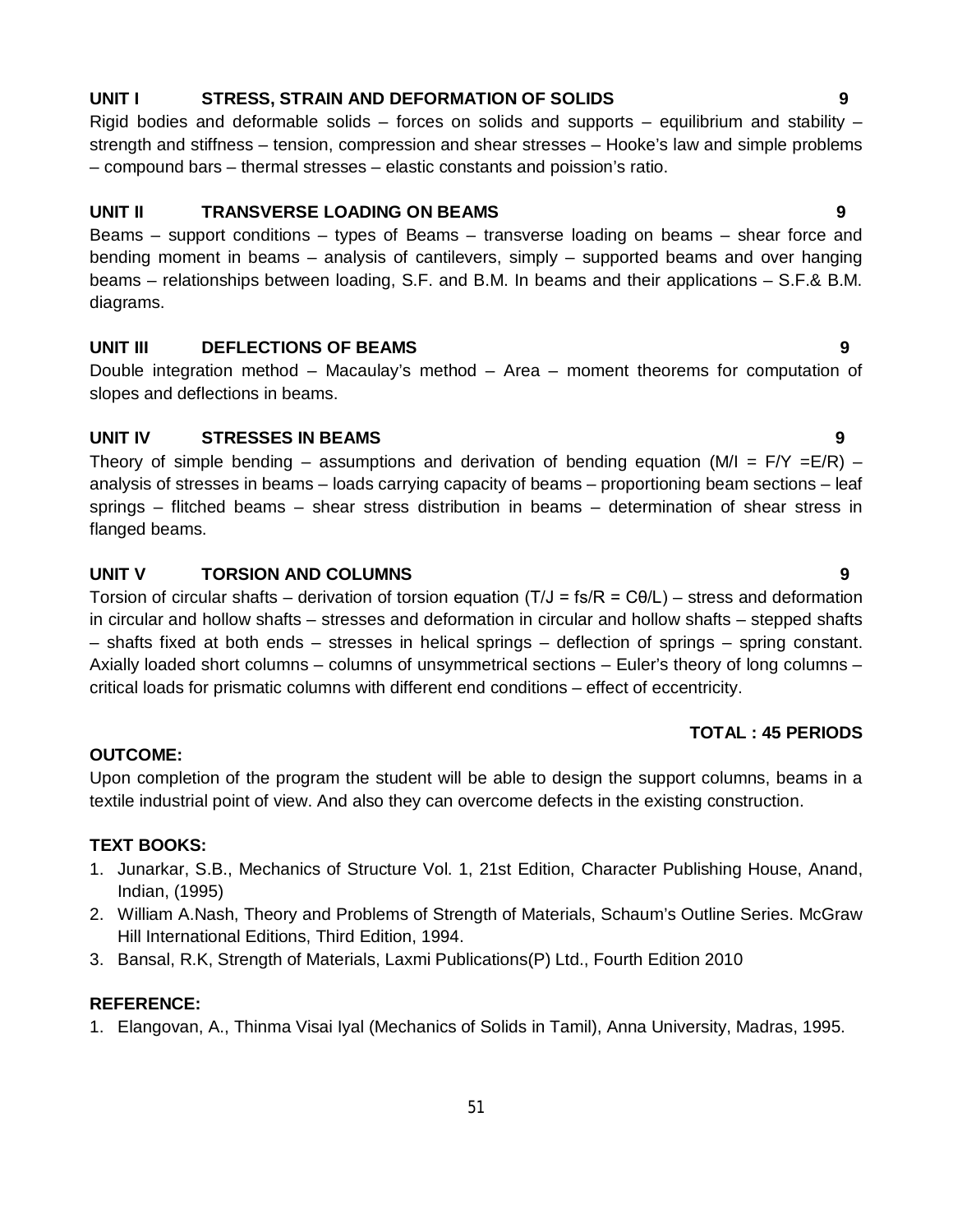#### **UNIT I STRESS, STRAIN AND DEFORMATION OF SOLIDS 9**

Rigid bodies and deformable solids – forces on solids and supports – equilibrium and stability – strength and stiffness – tension, compression and shear stresses – Hooke's law and simple problems – compound bars – thermal stresses – elastic constants and poission's ratio.

#### **UNIT II TRANSVERSE LOADING ON BEAMS 9**

Beams – support conditions – types of Beams – transverse loading on beams – shear force and bending moment in beams – analysis of cantilevers, simply – supported beams and over hanging beams – relationships between loading, S.F. and B.M. In beams and their applications – S.F.& B.M. diagrams.

#### **UNIT III DEFLECTIONS OF BEAMS 9**

Double integration method – Macaulay's method – Area – moment theorems for computation of slopes and deflections in beams.

#### **UNIT IV STRESSES IN BEAMS 9**

Theory of simple bending – assumptions and derivation of bending equation (M/I =  $F/Y = E/R$ ) – analysis of stresses in beams – loads carrying capacity of beams – proportioning beam sections – leaf springs – flitched beams – shear stress distribution in beams – determination of shear stress in flanged beams.

#### **UNIT V TORSION AND COLUMNS 9**

Torsion of circular shafts – derivation of torsion equation (T/J = fs/R =  $C\theta/L$ ) – stress and deformation in circular and hollow shafts – stresses and deformation in circular and hollow shafts – stepped shafts – shafts fixed at both ends – stresses in helical springs – deflection of springs – spring constant. Axially loaded short columns – columns of unsymmetrical sections – Euler's theory of long columns – critical loads for prismatic columns with different end conditions – effect of eccentricity.

#### **TOTAL : 45 PERIODS**

#### **OUTCOME:**

Upon completion of the program the student will be able to design the support columns, beams in a textile industrial point of view. And also they can overcome defects in the existing construction.

#### **TEXT BOOKS:**

- 1. Junarkar, S.B., Mechanics of Structure Vol. 1, 21st Edition, Character Publishing House, Anand, Indian, (1995)
- 2. William A.Nash, Theory and Problems of Strength of Materials, Schaum's Outline Series. McGraw Hill International Editions, Third Edition, 1994.
- 3. Bansal, R.K, Strength of Materials, Laxmi Publications(P) Ltd., Fourth Edition 2010

#### **REFERENCE:**

1. Elangovan, A., Thinma Visai Iyal (Mechanics of Solids in Tamil), Anna University, Madras, 1995.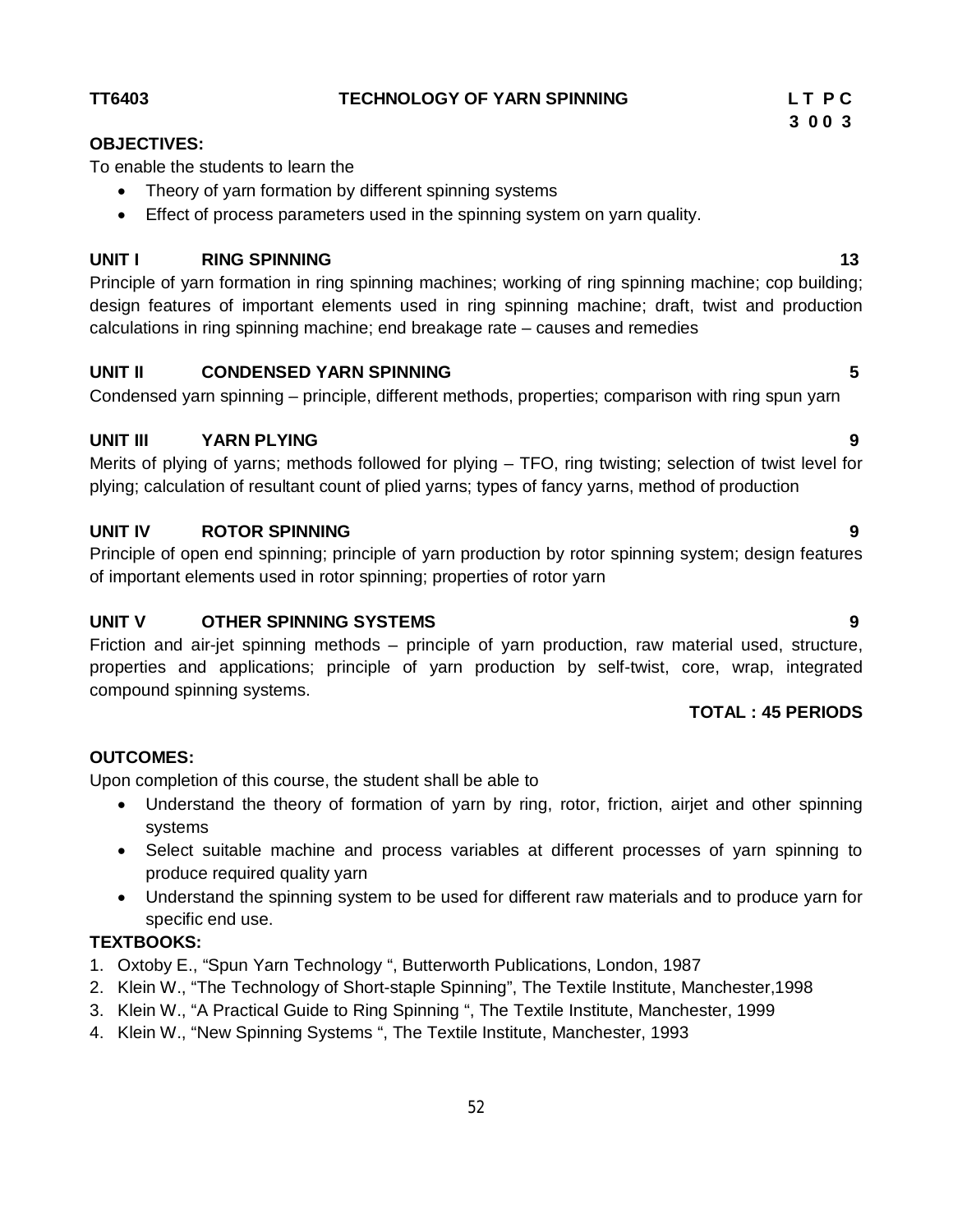### **UNIT IV ROTOR SPINNING 9**

Principle of open end spinning; principle of yarn production by rotor spinning system; design features of important elements used in rotor spinning; properties of rotor yarn

#### **UNIT V OTHER SPINNING SYSTEMS 9**

Friction and air-jet spinning methods – principle of yarn production, raw material used, structure, properties and applications; principle of yarn production by self-twist, core, wrap, integrated compound spinning systems.

#### **TOTAL : 45 PERIODS**

# **OUTCOMES:**

Upon completion of this course, the student shall be able to

- Understand the theory of formation of yarn by ring, rotor, friction, airjet and other spinning systems
- Select suitable machine and process variables at different processes of yarn spinning to produce required quality yarn
- Understand the spinning system to be used for different raw materials and to produce yarn for specific end use.

## **TEXTBOOKS:**

- 1. Oxtoby E., "Spun Yarn Technology ", Butterworth Publications, London, 1987
- 2. Klein W., "The Technology of Short-staple Spinning", The Textile Institute, Manchester,1998

52

- 3. Klein W., "A Practical Guide to Ring Spinning ", The Textile Institute, Manchester, 1999
- 4. Klein W., "New Spinning Systems ", The Textile Institute, Manchester, 1993

# **UNIT I** RING SPINNING 13

Principle of yarn formation in ring spinning machines; working of ring spinning machine; cop building; design features of important elements used in ring spinning machine; draft, twist and production calculations in ring spinning machine; end breakage rate – causes and remedies

#### **UNIT II CONDENSED YARN SPINNING 5**

Condensed yarn spinning – principle, different methods, properties; comparison with ring spun yarn

#### **UNIT III YARN PLYING 9**

Merits of plying of yarns; methods followed for plying – TFO, ring twisting; selection of twist level for plying; calculation of resultant count of plied yarns; types of fancy yarns, method of production

# **OBJECTIVES:**

To enable the students to learn the

- Theory of yarn formation by different spinning systems
- Effect of process parameters used in the spinning system on yarn quality.

#### **TT6403 TECHNOLOGY OF YARN SPINNING L T P C**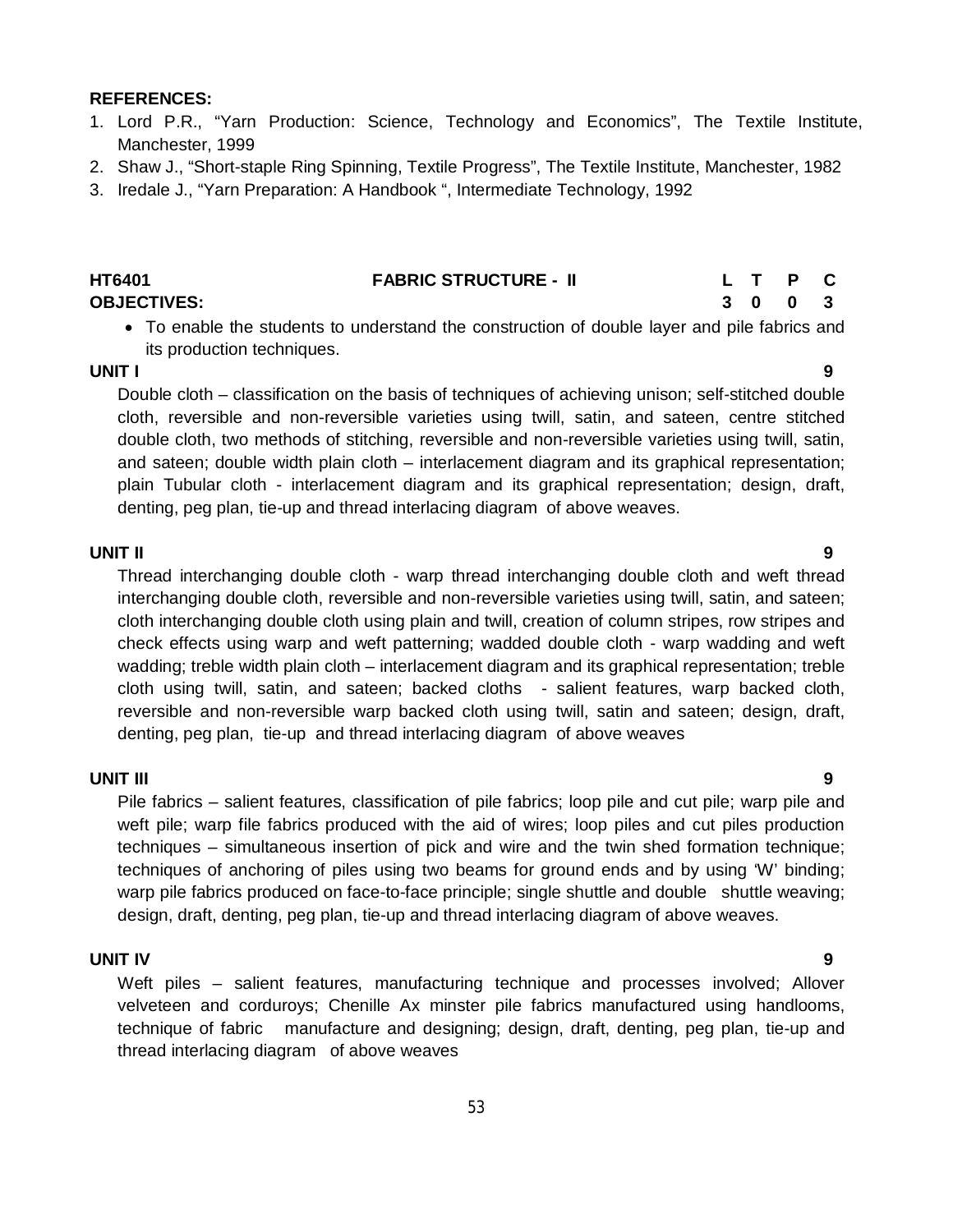#### **REFERENCES:**

- 1. Lord P.R., "Yarn Production: Science, Technology and Economics", The Textile Institute, Manchester, 1999
- 2. Shaw J., "Short-staple Ring Spinning, Textile Progress", The Textile Institute, Manchester, 1982
- 3. Iredale J., "Yarn Preparation: A Handbook ", Intermediate Technology, 1992

| <b>HT6401</b>      | <b>FABRIC STRUCTURE - II</b> |         | L T P C |  |
|--------------------|------------------------------|---------|---------|--|
| <b>OBJECTIVES:</b> |                              | 3 0 0 3 |         |  |
|                    |                              |         |         |  |

 To enable the students to understand the construction of double layer and pile fabrics and its production techniques.

#### **UNIT I 9**

Double cloth – classification on the basis of techniques of achieving unison; self-stitched double cloth, reversible and non-reversible varieties using twill, satin, and sateen, centre stitched double cloth, two methods of stitching, reversible and non-reversible varieties using twill, satin, and sateen; double width plain cloth – interlacement diagram and its graphical representation; plain Tubular cloth - interlacement diagram and its graphical representation; design, draft, denting, peg plan, tie-up and thread interlacing diagram of above weaves.

#### **UNIT II 9**

Thread interchanging double cloth - warp thread interchanging double cloth and weft thread interchanging double cloth, reversible and non-reversible varieties using twill, satin, and sateen; cloth interchanging double cloth using plain and twill, creation of column stripes, row stripes and check effects using warp and weft patterning; wadded double cloth - warp wadding and weft wadding; treble width plain cloth – interlacement diagram and its graphical representation; treble cloth using twill, satin, and sateen; backed cloths - salient features, warp backed cloth, reversible and non-reversible warp backed cloth using twill, satin and sateen; design, draft, denting, peg plan, tie-up and thread interlacing diagram of above weaves

#### **UNIT III 9**

Pile fabrics – salient features, classification of pile fabrics; loop pile and cut pile; warp pile and weft pile; warp file fabrics produced with the aid of wires; loop piles and cut piles production techniques – simultaneous insertion of pick and wire and the twin shed formation technique; techniques of anchoring of piles using two beams for ground ends and by using 'W' binding; warp pile fabrics produced on face-to-face principle; single shuttle and double shuttle weaving; design, draft, denting, peg plan, tie-up and thread interlacing diagram of above weaves.

#### **UNIT IV 9**

Weft piles – salient features, manufacturing technique and processes involved; Allover velveteen and corduroys; Chenille Ax minster pile fabrics manufactured using handlooms, technique of fabric manufacture and designing; design, draft, denting, peg plan, tie-up and thread interlacing diagram of above weaves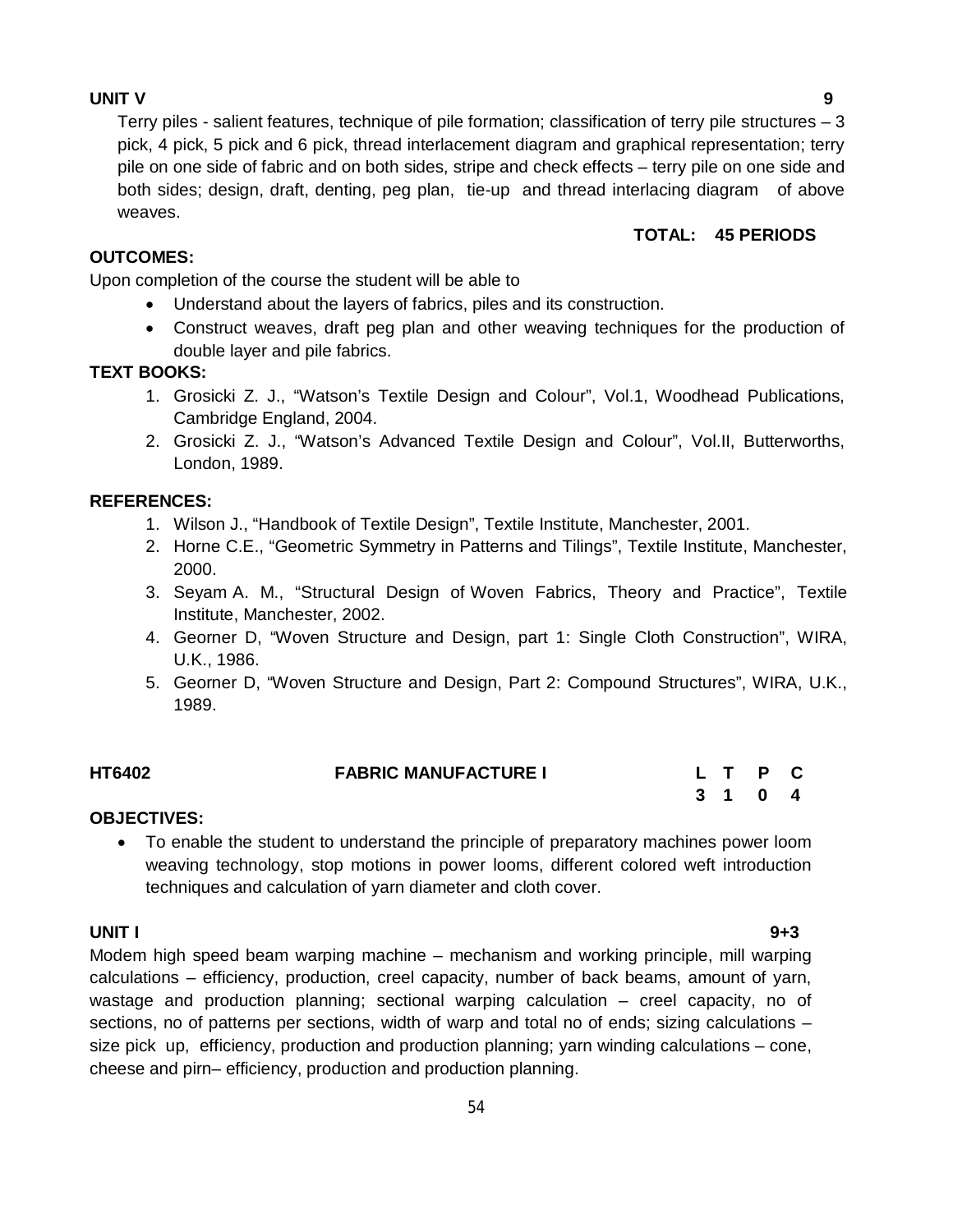#### **UNIT V 9**

Terry piles - salient features, technique of pile formation; classification of terry pile structures  $-3$ pick, 4 pick, 5 pick and 6 pick, thread interlacement diagram and graphical representation; terry pile on one side of fabric and on both sides, stripe and check effects – terry pile on one side and both sides; design, draft, denting, peg plan, tie-up and thread interlacing diagram of above weaves.

#### **TOTAL: 45 PERIODS**

#### **OUTCOMES:**

Upon completion of the course the student will be able to

- Understand about the layers of fabrics, piles and its construction.
- Construct weaves, draft peg plan and other weaving techniques for the production of double layer and pile fabrics.

#### **TEXT BOOKS:**

- 1. Grosicki Z. J., "Watson's Textile Design and Colour", Vol.1, Woodhead Publications, Cambridge England, 2004.
- 2. Grosicki Z. J., "Watson's Advanced Textile Design and Colour", Vol.II, Butterworths, London, 1989.

#### **REFERENCES:**

- 1. Wilson J., "Handbook of Textile Design", Textile Institute, Manchester, 2001.
- 2. Horne C.E., "Geometric Symmetry in Patterns and Tilings", Textile Institute, Manchester, 2000.
- 3. Seyam A. M., "Structural Design of Woven Fabrics, Theory and Practice", Textile Institute, Manchester, 2002.
- 4. Georner D, "Woven Structure and Design, part 1: Single Cloth Construction", WIRA, U.K., 1986.
- 5. Georner D, "Woven Structure and Design, Part 2: Compound Structures", WIRA, U.K., 1989.

| <b>HT6402</b>                                    | <b>FABRIC MANUFACTURE I</b> |  | L T P C |  |
|--------------------------------------------------|-----------------------------|--|---------|--|
|                                                  |                             |  | 3 1 0 4 |  |
| $\sim$ $\sim$ $\sim$ $\sim$ $\sim$ $\sim$ $\sim$ |                             |  |         |  |

#### **OBJECTIVES:**

 To enable the student to understand the principle of preparatory machines power loom weaving technology, stop motions in power looms, different colored weft introduction techniques and calculation of yarn diameter and cloth cover.

#### **UNIT I 9+3**

Modem high speed beam warping machine – mechanism and working principle, mill warping calculations – efficiency, production, creel capacity, number of back beams, amount of yarn, wastage and production planning; sectional warping calculation – creel capacity, no of sections, no of patterns per sections, width of warp and total no of ends; sizing calculations – size pick up, efficiency, production and production planning; yarn winding calculations – cone, cheese and pirn– efficiency, production and production planning.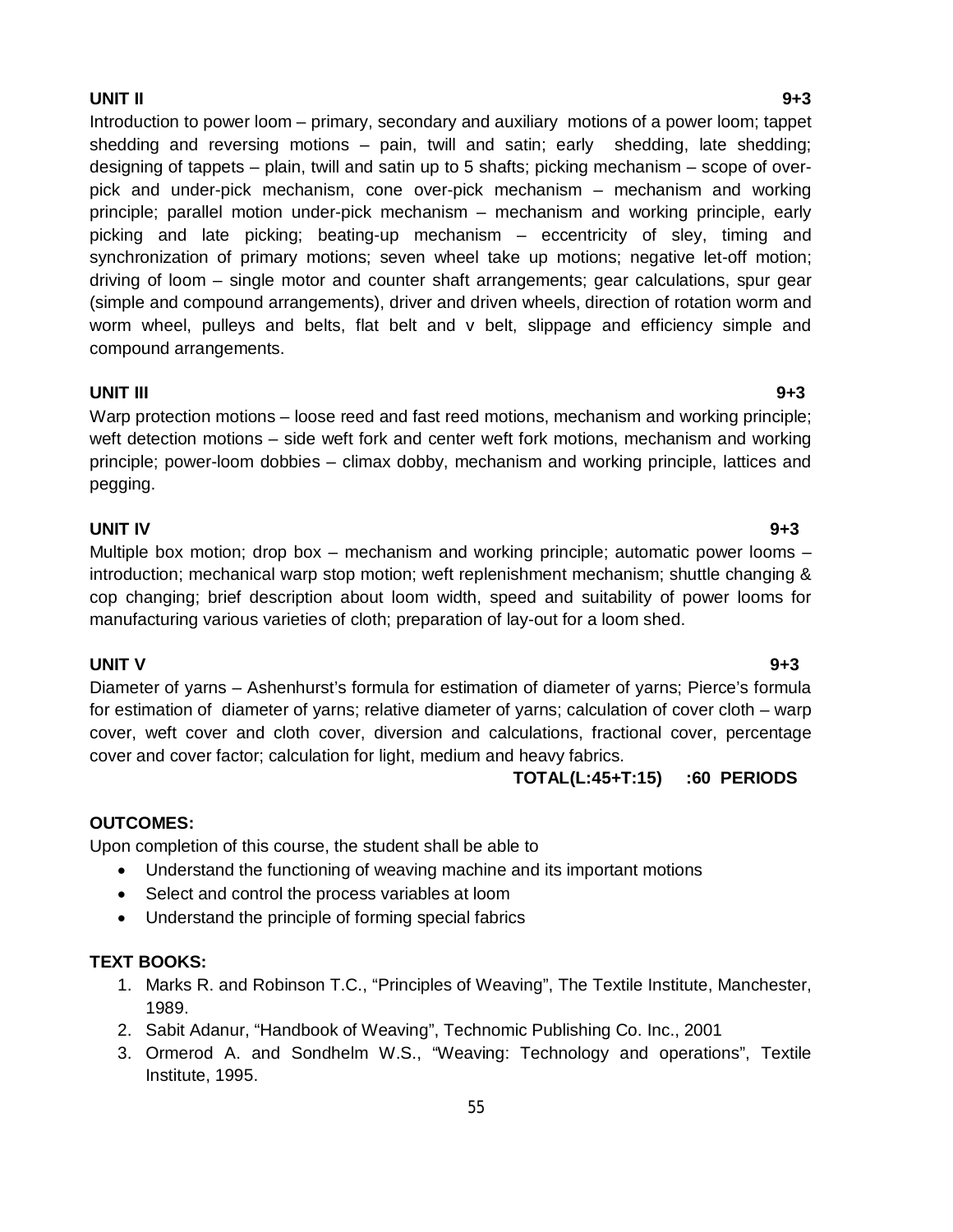#### **UNIT II 9+3**

Introduction to power loom – primary, secondary and auxiliary motions of a power loom; tappet shedding and reversing motions – pain, twill and satin; early shedding, late shedding; designing of tappets – plain, twill and satin up to 5 shafts; picking mechanism – scope of overpick and under-pick mechanism, cone over-pick mechanism – mechanism and working principle; parallel motion under-pick mechanism – mechanism and working principle, early picking and late picking; beating-up mechanism – eccentricity of sley, timing and synchronization of primary motions; seven wheel take up motions; negative let-off motion; driving of loom – single motor and counter shaft arrangements; gear calculations, spur gear (simple and compound arrangements), driver and driven wheels, direction of rotation worm and worm wheel, pulleys and belts, flat belt and v belt, slippage and efficiency simple and compound arrangements.

#### **UNIT III 9+3**

Warp protection motions – loose reed and fast reed motions, mechanism and working principle; weft detection motions – side weft fork and center weft fork motions, mechanism and working principle; power-loom dobbies – climax dobby, mechanism and working principle, lattices and pegging.

#### **UNIT IV 9+3**

Multiple box motion; drop box – mechanism and working principle; automatic power looms – introduction; mechanical warp stop motion; weft replenishment mechanism; shuttle changing & cop changing; brief description about loom width, speed and suitability of power looms for manufacturing various varieties of cloth; preparation of lay-out for a loom shed.

#### **UNIT V 9+3**

Diameter of yarns – Ashenhurst's formula for estimation of diameter of yarns; Pierce's formula for estimation of diameter of yarns; relative diameter of yarns; calculation of cover cloth – warp cover, weft cover and cloth cover, diversion and calculations, fractional cover, percentage cover and cover factor; calculation for light, medium and heavy fabrics.

 **TOTAL(L:45+T:15) :60 PERIODS**

#### **OUTCOMES:**

Upon completion of this course, the student shall be able to

- Understand the functioning of weaving machine and its important motions
- Select and control the process variables at loom
- Understand the principle of forming special fabrics

## **TEXT BOOKS:**

- 1. Marks R. and Robinson T.C., "Principles of Weaving", The Textile Institute, Manchester, 1989.
- 2. Sabit Adanur, "Handbook of Weaving", Technomic Publishing Co. Inc., 2001
- 3. Ormerod A. and Sondhelm W.S., "Weaving: Technology and operations", Textile Institute, 1995.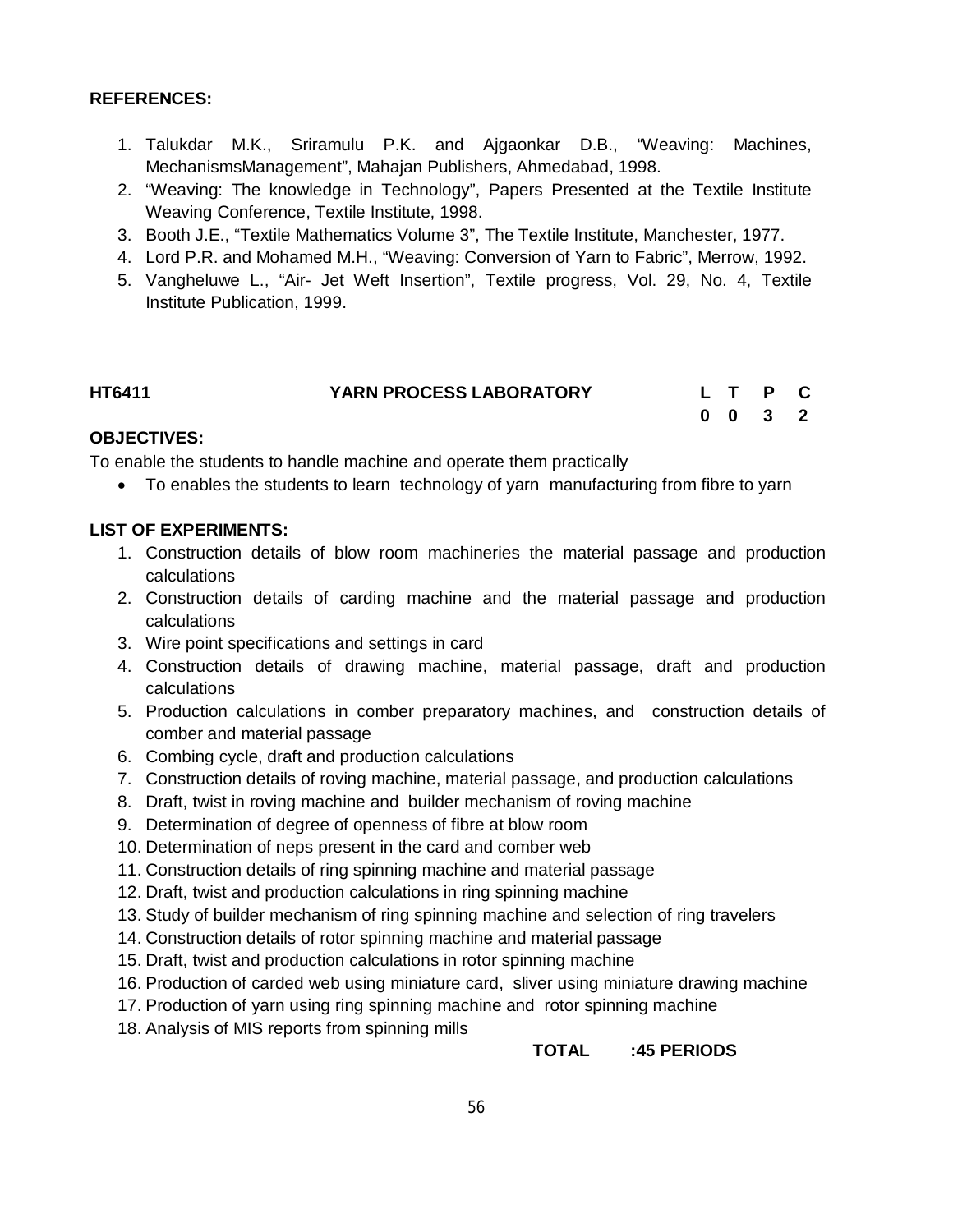#### **REFERENCES:**

- 1. Talukdar M.K., Sriramulu P.K. and Ajgaonkar D.B., "Weaving: Machines, MechanismsManagement", Mahajan Publishers, Ahmedabad, 1998.
- 2. "Weaving: The knowledge in Technology", Papers Presented at the Textile Institute Weaving Conference, Textile Institute, 1998.
- 3. Booth J.E., "Textile Mathematics Volume 3", The Textile Institute, Manchester, 1977.
- 4. Lord P.R. and Mohamed M.H., "Weaving: Conversion of Yarn to Fabric", Merrow, 1992.
- 5. Vangheluwe L., "Air- Jet Weft Insertion", Textile progress, Vol. 29, No. 4, Textile Institute Publication, 1999.

| <b>HT6411</b> | YARN PROCESS LABORATORY |  | L T P C         |  |
|---------------|-------------------------|--|-----------------|--|
|               |                         |  | $0 \t0 \t3 \t2$ |  |

#### **OBJECTIVES:**

To enable the students to handle machine and operate them practically

To enables the students to learn technology of yarn manufacturing from fibre to yarn

#### **LIST OF EXPERIMENTS:**

- 1. Construction details of blow room machineries the material passage and production calculations
- 2. Construction details of carding machine and the material passage and production calculations
- 3. Wire point specifications and settings in card
- 4. Construction details of drawing machine, material passage, draft and production calculations
- 5. Production calculations in comber preparatory machines, and construction details of comber and material passage
- 6. Combing cycle, draft and production calculations
- 7. Construction details of roving machine, material passage, and production calculations
- 8. Draft, twist in roving machine and builder mechanism of roving machine
- 9. Determination of degree of openness of fibre at blow room
- 10. Determination of neps present in the card and comber web
- 11. Construction details of ring spinning machine and material passage
- 12. Draft, twist and production calculations in ring spinning machine
- 13. Study of builder mechanism of ring spinning machine and selection of ring travelers
- 14. Construction details of rotor spinning machine and material passage
- 15. Draft, twist and production calculations in rotor spinning machine
- 16. Production of carded web using miniature card, sliver using miniature drawing machine
- 17. Production of yarn using ring spinning machine and rotor spinning machine
- 18. Analysis of MIS reports from spinning mills

#### **TOTAL :45 PERIODS**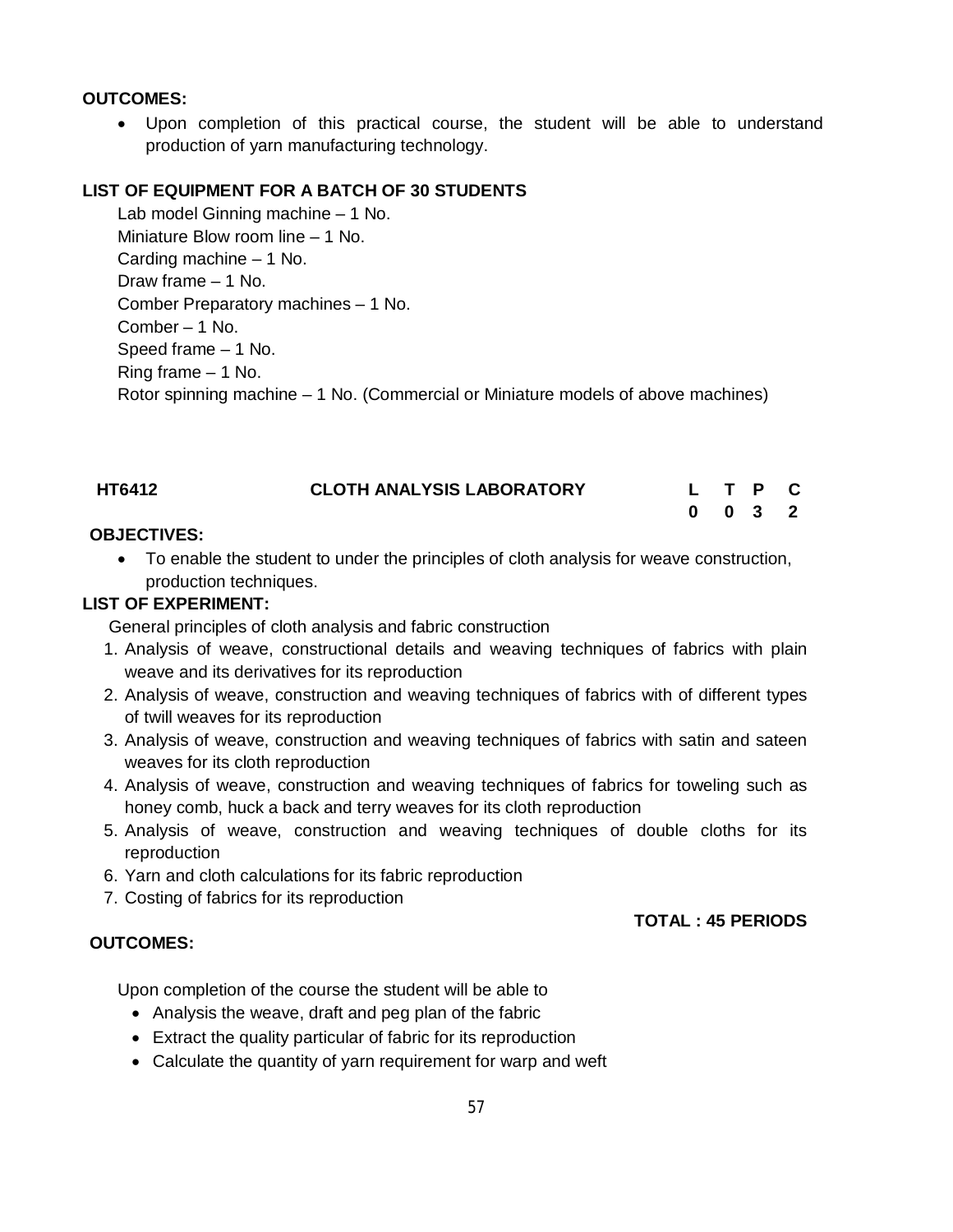#### **OUTCOMES:**

 Upon completion of this practical course, the student will be able to understand production of yarn manufacturing technology.

#### **LIST OF EQUIPMENT FOR A BATCH OF 30 STUDENTS**

Lab model Ginning machine – 1 No. Miniature Blow room line – 1 No. Carding machine – 1 No. Draw frame – 1 No. Comber Preparatory machines – 1 No. Comber – 1 No. Speed frame – 1 No. Ring frame – 1 No. Rotor spinning machine – 1 No. (Commercial or Miniature models of above machines)

| <b>HT6412</b> | <b>CLOTH ANALYSIS LABORATORY</b> |  | L T P C            |  |
|---------------|----------------------------------|--|--------------------|--|
|               |                                  |  | $0 \t 0 \t 3 \t 2$ |  |

#### **OBJECTIVES:**

 To enable the student to under the principles of cloth analysis for weave construction, production techniques.

#### **LIST OF EXPERIMENT:**

General principles of cloth analysis and fabric construction

- 1. Analysis of weave, constructional details and weaving techniques of fabrics with plain weave and its derivatives for its reproduction
- 2. Analysis of weave, construction and weaving techniques of fabrics with of different types of twill weaves for its reproduction
- 3. Analysis of weave, construction and weaving techniques of fabrics with satin and sateen weaves for its cloth reproduction
- 4. Analysis of weave, construction and weaving techniques of fabrics for toweling such as honey comb, huck a back and terry weaves for its cloth reproduction
- 5. Analysis of weave, construction and weaving techniques of double cloths for its reproduction
- 6. Yarn and cloth calculations for its fabric reproduction
- 7. Costing of fabrics for its reproduction

# **TOTAL : 45 PERIODS**

#### **OUTCOMES:**

Upon completion of the course the student will be able to

- Analysis the weave, draft and peg plan of the fabric
- Extract the quality particular of fabric for its reproduction
- Calculate the quantity of yarn requirement for warp and weft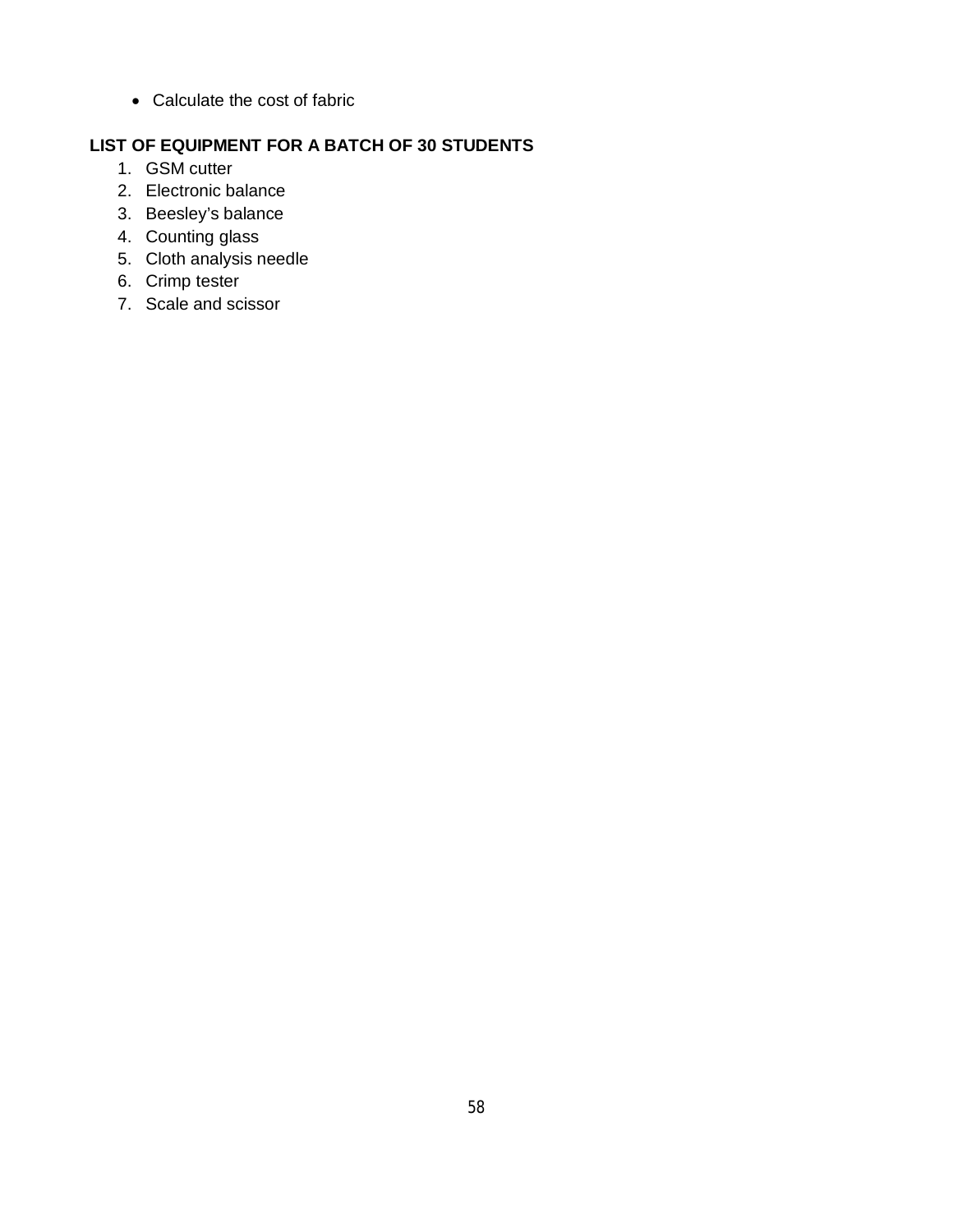Calculate the cost of fabric

# **LIST OF EQUIPMENT FOR A BATCH OF 30 STUDENTS**

- 1. GSM cutter
- 2. Electronic balance
- 3. Beesley's balance
- 4. Counting glass
- 5. Cloth analysis needle
- 6. Crimp tester
- 7. Scale and scissor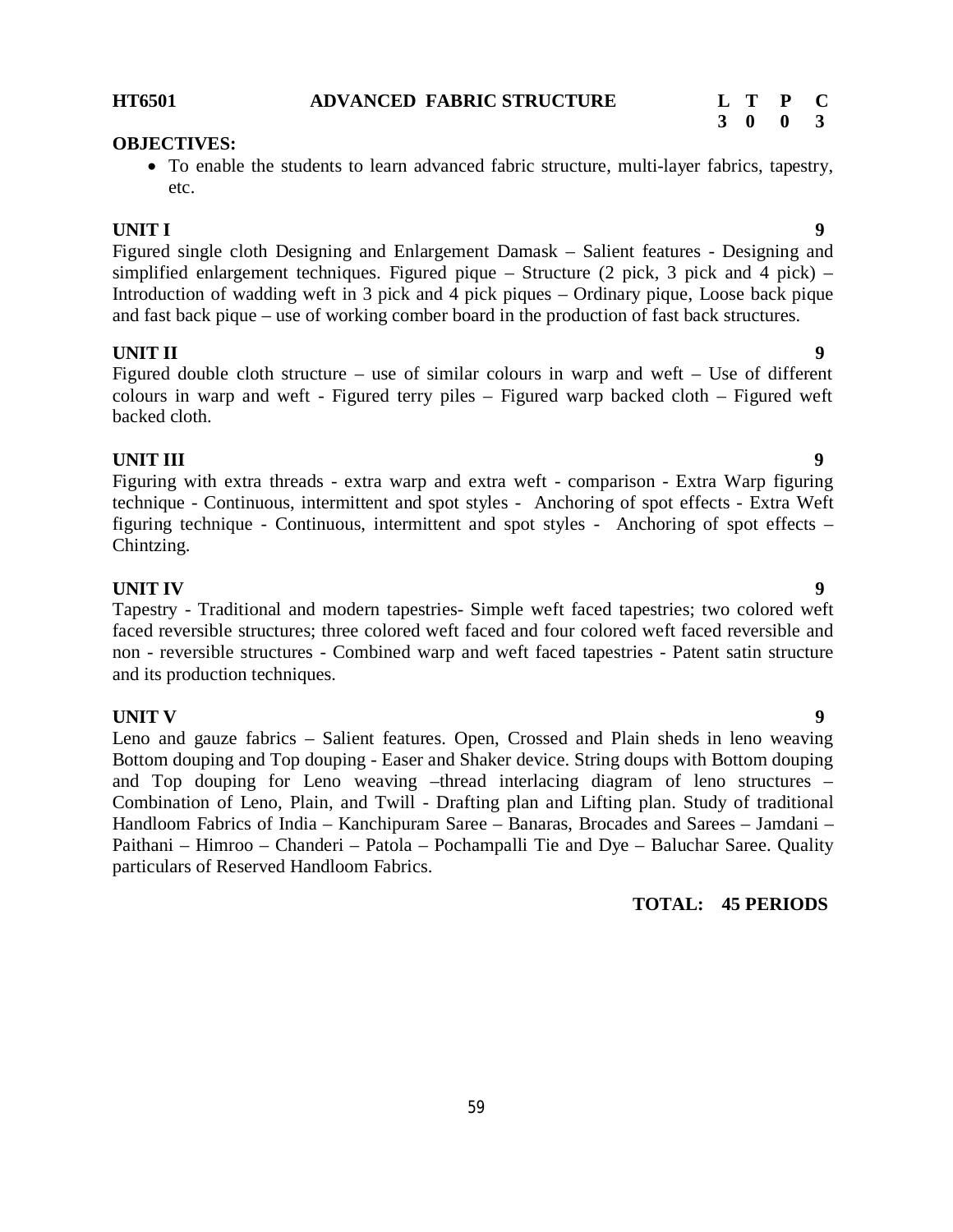Figured single cloth Designing and Enlargement Damask – Salient features - Designing and simplified enlargement techniques. Figured pique – Structure (2 pick, 3 pick and 4 pick) – Introduction of wadding weft in 3 pick and 4 pick piques – Ordinary pique, Loose back pique and fast back pique – use of working comber board in the production of fast back structures.

**UNIT II 9** Figured double cloth structure – use of similar colours in warp and weft – Use of different colours in warp and weft - Figured terry piles – Figured warp backed cloth – Figured weft backed cloth.

# **UNIT III** 9

Figuring with extra threads - extra warp and extra weft - comparison - Extra Warp figuring technique - Continuous, intermittent and spot styles - Anchoring of spot effects - Extra Weft figuring technique - Continuous, intermittent and spot styles - Anchoring of spot effects – Chintzing.

# **UNIT IV 9**

Tapestry - Traditional and modern tapestries- Simple weft faced tapestries; two colored weft faced reversible structures; three colored weft faced and four colored weft faced reversible and non - reversible structures - Combined warp and weft faced tapestries - Patent satin structure and its production techniques.

**UNIT V 9** Leno and gauze fabrics – Salient features. Open, Crossed and Plain sheds in leno weaving Bottom douping and Top douping - Easer and Shaker device. String doups with Bottom douping and Top douping for Leno weaving –thread interlacing diagram of leno structures – Combination of Leno, Plain, and Twill - Drafting plan and Lifting plan. Study of traditional Handloom Fabrics of India – Kanchipuram Saree – Banaras, Brocades and Sarees – Jamdani – Paithani – Himroo – Chanderi – Patola – Pochampalli Tie and Dye – Baluchar Saree. Quality particulars of Reserved Handloom Fabrics.

# **TOTAL: 45 PERIODS**

#### **HT6501 ADVANCED FABRIC STRUCTURE L T P C**

 To enable the students to learn advanced fabric structure, multi-layer fabrics, tapestry, etc.

# **UNIT I 9**

**OBJECTIVES:** 

**3 0 0 3**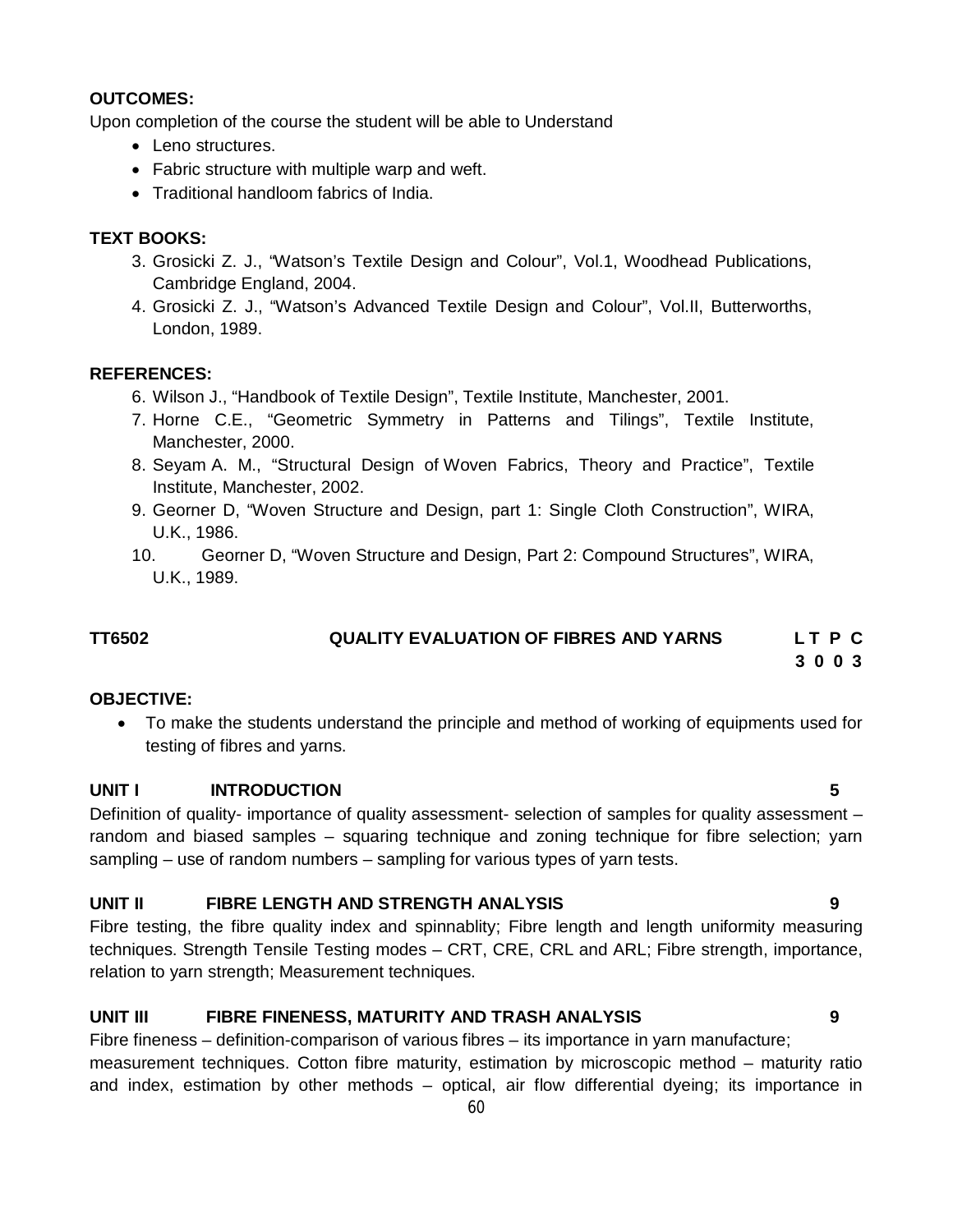#### **OUTCOMES:**

Upon completion of the course the student will be able to Understand

- Leno structures.
- Fabric structure with multiple warp and weft.
- Traditional handloom fabrics of India.

#### **TEXT BOOKS:**

- 3. Grosicki Z. J., "Watson's Textile Design and Colour", Vol.1, Woodhead Publications, Cambridge England, 2004.
- 4. Grosicki Z. J., "Watson's Advanced Textile Design and Colour", Vol.II, Butterworths, London, 1989.

#### **REFERENCES:**

- 6. Wilson J., "Handbook of Textile Design", Textile Institute, Manchester, 2001.
- 7. Horne C.E., "Geometric Symmetry in Patterns and Tilings", Textile Institute, Manchester, 2000.
- 8. Seyam A. M., "Structural Design of Woven Fabrics, Theory and Practice", Textile Institute, Manchester, 2002.
- 9. Georner D, "Woven Structure and Design, part 1: Single Cloth Construction", WIRA, U.K., 1986.
- 10. Georner D, "Woven Structure and Design, Part 2: Compound Structures", WIRA, U.K., 1989.

#### **TT6502 QUALITY EVALUATION OF FIBRES AND YARNS L T P C**

 **3 0 0 3**

#### **OBJECTIVE:**

 To make the students understand the principle and method of working of equipments used for testing of fibres and yarns.

#### **UNIT I INTRODUCTION 5**

Definition of quality- importance of quality assessment- selection of samples for quality assessment – random and biased samples – squaring technique and zoning technique for fibre selection; yarn sampling – use of random numbers – sampling for various types of yarn tests.

#### **UNIT II FIBRE LENGTH AND STRENGTH ANALYSIS 9**

Fibre testing, the fibre quality index and spinnablity; Fibre length and length uniformity measuring techniques. Strength Tensile Testing modes – CRT, CRE, CRL and ARL; Fibre strength, importance, relation to yarn strength; Measurement techniques.

#### **UNIT III FIBRE FINENESS, MATURITY AND TRASH ANALYSIS 9**

Fibre fineness – definition-comparison of various fibres – its importance in yarn manufacture; measurement techniques. Cotton fibre maturity, estimation by microscopic method – maturity ratio and index, estimation by other methods – optical, air flow differential dyeing; its importance in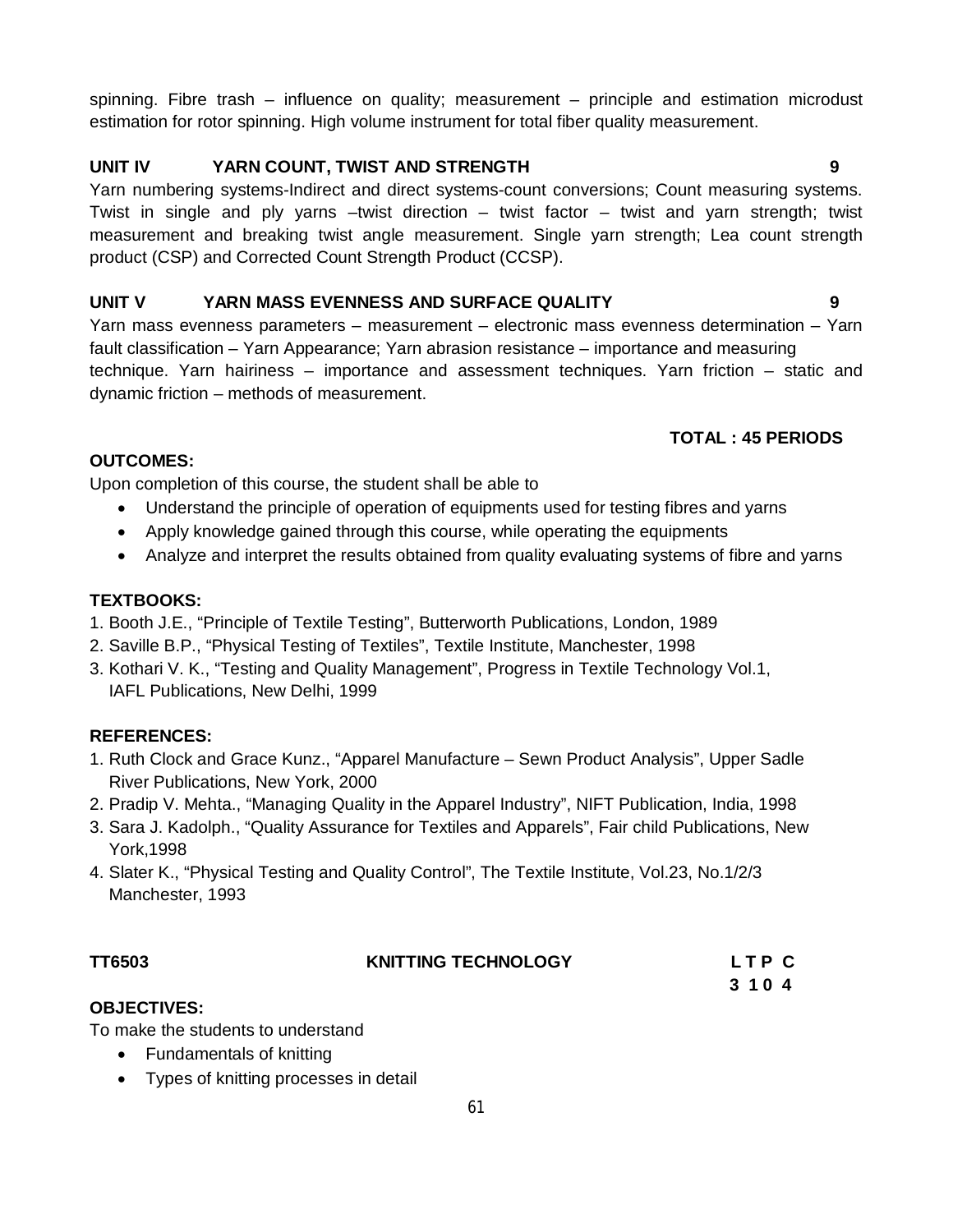spinning. Fibre trash – influence on quality; measurement – principle and estimation microdust estimation for rotor spinning. High volume instrument for total fiber quality measurement.

## **UNIT IV YARN COUNT, TWIST AND STRENGTH 9**

Yarn numbering systems-Indirect and direct systems-count conversions; Count measuring systems. Twist in single and ply yarns –twist direction – twist factor – twist and yarn strength; twist measurement and breaking twist angle measurement. Single yarn strength; Lea count strength product (CSP) and Corrected Count Strength Product (CCSP).

### **UNIT V YARN MASS EVENNESS AND SURFACE QUALITY 9**

Yarn mass evenness parameters – measurement – electronic mass evenness determination – Yarn fault classification – Yarn Appearance; Yarn abrasion resistance – importance and measuring technique. Yarn hairiness – importance and assessment techniques. Yarn friction – static and dynamic friction – methods of measurement.

## **TOTAL : 45 PERIODS**

#### **OUTCOMES:**

Upon completion of this course, the student shall be able to

- Understand the principle of operation of equipments used for testing fibres and yarns
- Apply knowledge gained through this course, while operating the equipments
- Analyze and interpret the results obtained from quality evaluating systems of fibre and yarns

## **TEXTBOOKS:**

- 1. Booth J.E., "Principle of Textile Testing", Butterworth Publications, London, 1989
- 2. Saville B.P., "Physical Testing of Textiles", Textile Institute, Manchester, 1998
- 3. Kothari V. K., "Testing and Quality Management", Progress in Textile Technology Vol.1, IAFL Publications, New Delhi, 1999

# **REFERENCES:**

- 1. Ruth Clock and Grace Kunz., "Apparel Manufacture Sewn Product Analysis", Upper Sadle River Publications, New York, 2000
- 2. Pradip V. Mehta., "Managing Quality in the Apparel Industry", NIFT Publication, India, 1998
- 3. Sara J. Kadolph., "Quality Assurance for Textiles and Apparels", Fair child Publications, New York,1998
- 4. Slater K., "Physical Testing and Quality Control", The Textile Institute, Vol.23, No.1/2/3 Manchester, 1993

| TT6503 | <b>KNITTING TECHNOLOGY</b> | LTP C   |
|--------|----------------------------|---------|
|        |                            | 3 1 0 4 |

## **OBJECTIVES:**

To make the students to understand

- Fundamentals of knitting
- Types of knitting processes in detail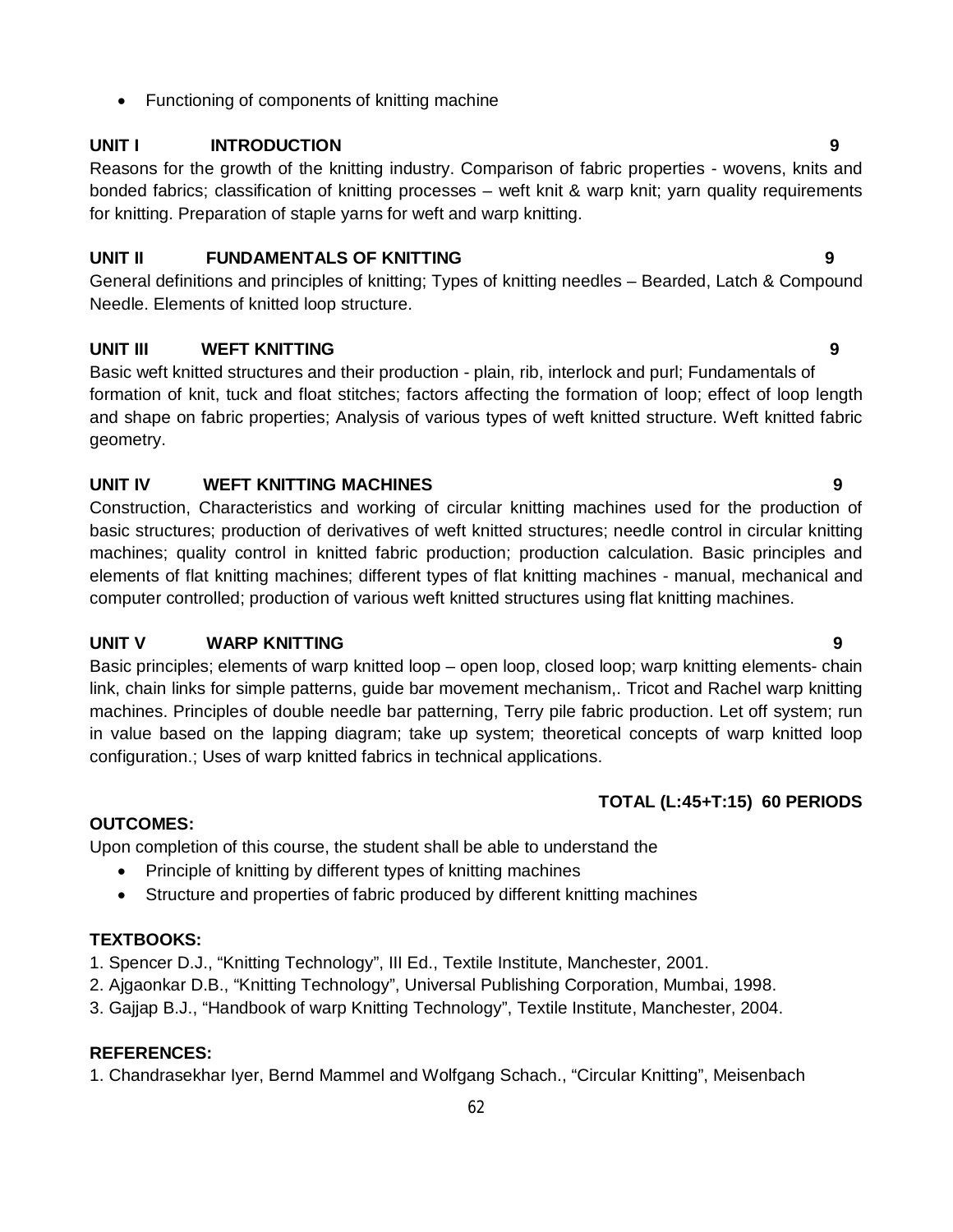• Functioning of components of knitting machine

### **UNIT I INTRODUCTION 9**

Reasons for the growth of the knitting industry. Comparison of fabric properties - wovens, knits and bonded fabrics; classification of knitting processes – weft knit & warp knit; yarn quality requirements for knitting. Preparation of staple yarns for weft and warp knitting.

#### **UNIT II FUNDAMENTALS OF KNITTING 9**

General definitions and principles of knitting; Types of knitting needles – Bearded, Latch & Compound Needle. Elements of knitted loop structure.

## **UNIT III WEFT KNITTING 9**

Basic weft knitted structures and their production - plain, rib, interlock and purl; Fundamentals of formation of knit, tuck and float stitches; factors affecting the formation of loop; effect of loop length and shape on fabric properties; Analysis of various types of weft knitted structure. Weft knitted fabric geometry.

## **UNIT IV WEFT KNITTING MACHINES 9**

Construction, Characteristics and working of circular knitting machines used for the production of basic structures; production of derivatives of weft knitted structures; needle control in circular knitting machines; quality control in knitted fabric production; production calculation. Basic principles and elements of flat knitting machines; different types of flat knitting machines - manual, mechanical and computer controlled; production of various weft knitted structures using flat knitting machines.

## **UNIT V WARP KNITTING 9**

Basic principles; elements of warp knitted loop – open loop, closed loop; warp knitting elements- chain link, chain links for simple patterns, guide bar movement mechanism,. Tricot and Rachel warp knitting machines. Principles of double needle bar patterning, Terry pile fabric production. Let off system; run in value based on the lapping diagram; take up system; theoretical concepts of warp knitted loop configuration.; Uses of warp knitted fabrics in technical applications.

#### **TOTAL (L:45+T:15) 60 PERIODS**

## **OUTCOMES:**

Upon completion of this course, the student shall be able to understand the

- Principle of knitting by different types of knitting machines
- Structure and properties of fabric produced by different knitting machines

# **TEXTBOOKS:**

- 1. Spencer D.J., "Knitting Technology", III Ed., Textile Institute, Manchester, 2001.
- 2. Ajgaonkar D.B., "Knitting Technology", Universal Publishing Corporation, Mumbai, 1998.
- 3. Gajjap B.J., "Handbook of warp Knitting Technology", Textile Institute, Manchester, 2004.

# **REFERENCES:**

1. Chandrasekhar Iyer, Bernd Mammel and Wolfgang Schach., "Circular Knitting", Meisenbach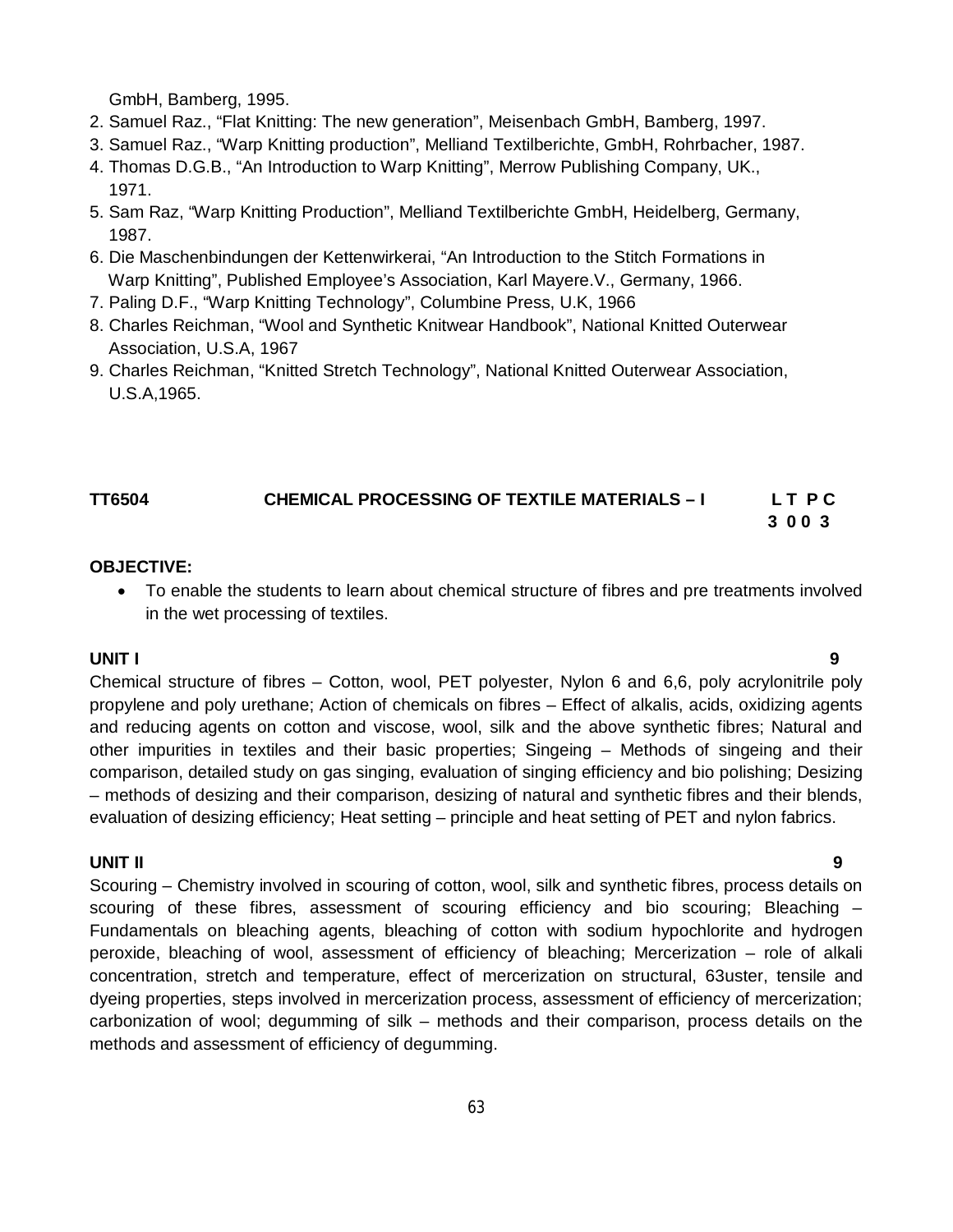GmbH, Bamberg, 1995.

- 2. Samuel Raz., "Flat Knitting: The new generation", Meisenbach GmbH, Bamberg, 1997.
- 3. Samuel Raz., "Warp Knitting production", Melliand Textilberichte, GmbH, Rohrbacher, 1987.
- 4. Thomas D.G.B., "An Introduction to Warp Knitting", Merrow Publishing Company, UK., 1971.
- 5. Sam Raz, "Warp Knitting Production", Melliand Textilberichte GmbH, Heidelberg, Germany, 1987.
- 6. Die Maschenbindungen der Kettenwirkerai, "An Introduction to the Stitch Formations in Warp Knitting", Published Employee's Association, Karl Mayere.V., Germany, 1966.
- 7. Paling D.F., "Warp Knitting Technology", Columbine Press, U.K, 1966
- 8. Charles Reichman, "Wool and Synthetic Knitwear Handbook", National Knitted Outerwear Association, U.S.A, 1967
- 9. Charles Reichman, "Knitted Stretch Technology", National Knitted Outerwear Association, U.S.A,1965.

#### **TT6504 CHEMICAL PROCESSING OF TEXTILE MATERIALS – I L T P C 3 0 0 3**

#### **OBJECTIVE:**

 To enable the students to learn about chemical structure of fibres and pre treatments involved in the wet processing of textiles.

#### **UNIT I 9**

Chemical structure of fibres – Cotton, wool, PET polyester, Nylon 6 and 6,6, poly acrylonitrile poly propylene and poly urethane; Action of chemicals on fibres – Effect of alkalis, acids, oxidizing agents and reducing agents on cotton and viscose, wool, silk and the above synthetic fibres; Natural and other impurities in textiles and their basic properties; Singeing – Methods of singeing and their comparison, detailed study on gas singing, evaluation of singing efficiency and bio polishing; Desizing – methods of desizing and their comparison, desizing of natural and synthetic fibres and their blends, evaluation of desizing efficiency; Heat setting – principle and heat setting of PET and nylon fabrics.

#### **UNIT II 9**

Scouring – Chemistry involved in scouring of cotton, wool, silk and synthetic fibres, process details on scouring of these fibres, assessment of scouring efficiency and bio scouring; Bleaching – Fundamentals on bleaching agents, bleaching of cotton with sodium hypochlorite and hydrogen peroxide, bleaching of wool, assessment of efficiency of bleaching; Mercerization – role of alkali concentration, stretch and temperature, effect of mercerization on structural, 63uster, tensile and dyeing properties, steps involved in mercerization process, assessment of efficiency of mercerization; carbonization of wool; degumming of silk – methods and their comparison, process details on the methods and assessment of efficiency of degumming.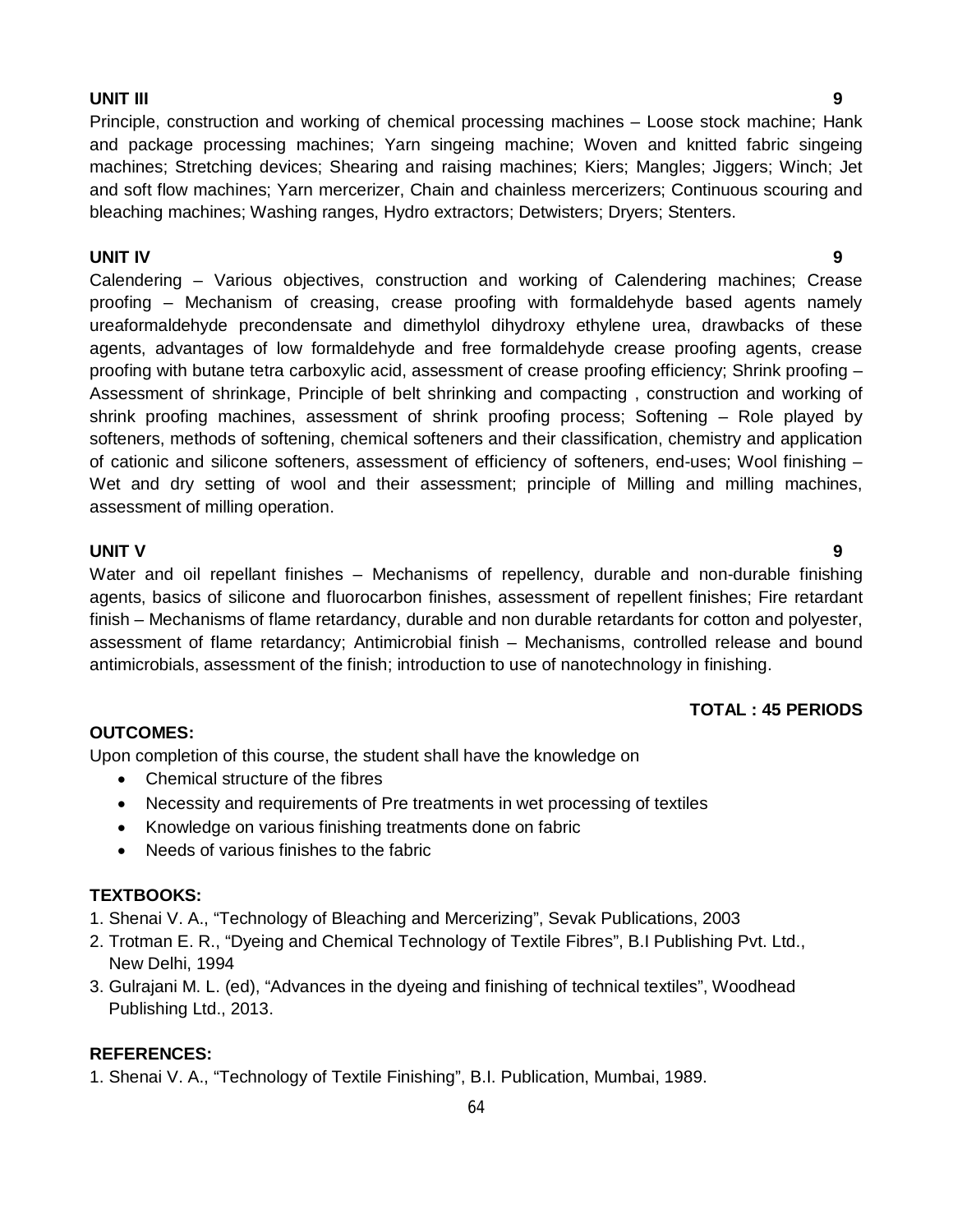#### **UNIT III 9**

Principle, construction and working of chemical processing machines – Loose stock machine; Hank and package processing machines; Yarn singeing machine; Woven and knitted fabric singeing machines; Stretching devices; Shearing and raising machines; Kiers; Mangles; Jiggers; Winch; Jet and soft flow machines; Yarn mercerizer, Chain and chainless mercerizers; Continuous scouring and bleaching machines; Washing ranges, Hydro extractors; Detwisters; Dryers; Stenters.

#### **UNIT IV 9**

Calendering – Various objectives, construction and working of Calendering machines; Crease proofing – Mechanism of creasing, crease proofing with formaldehyde based agents namely ureaformaldehyde precondensate and dimethylol dihydroxy ethylene urea, drawbacks of these agents, advantages of low formaldehyde and free formaldehyde crease proofing agents, crease proofing with butane tetra carboxylic acid, assessment of crease proofing efficiency; Shrink proofing – Assessment of shrinkage, Principle of belt shrinking and compacting , construction and working of shrink proofing machines, assessment of shrink proofing process; Softening – Role played by softeners, methods of softening, chemical softeners and their classification, chemistry and application of cationic and silicone softeners, assessment of efficiency of softeners, end-uses; Wool finishing – Wet and dry setting of wool and their assessment; principle of Milling and milling machines, assessment of milling operation.

#### **UNIT V 9**

Water and oil repellant finishes - Mechanisms of repellency, durable and non-durable finishing agents, basics of silicone and fluorocarbon finishes, assessment of repellent finishes; Fire retardant finish – Mechanisms of flame retardancy, durable and non durable retardants for cotton and polyester, assessment of flame retardancy; Antimicrobial finish – Mechanisms, controlled release and bound antimicrobials, assessment of the finish; introduction to use of nanotechnology in finishing.

#### **TOTAL : 45 PERIODS**

#### **OUTCOMES:**

Upon completion of this course, the student shall have the knowledge on

- Chemical structure of the fibres
- Necessity and requirements of Pre treatments in wet processing of textiles
- Knowledge on various finishing treatments done on fabric
- Needs of various finishes to the fabric

#### **TEXTBOOKS:**

- 1. Shenai V. A., "Technology of Bleaching and Mercerizing", Sevak Publications, 2003
- 2. Trotman E. R., "Dyeing and Chemical Technology of Textile Fibres", B.I Publishing Pvt. Ltd., New Delhi, 1994
- 3. Gulrajani M. L. (ed), "Advances in the dyeing and finishing of technical textiles", Woodhead Publishing Ltd., 2013.

#### **REFERENCES:**

1. Shenai V. A., "Technology of Textile Finishing", B.I. Publication, Mumbai, 1989.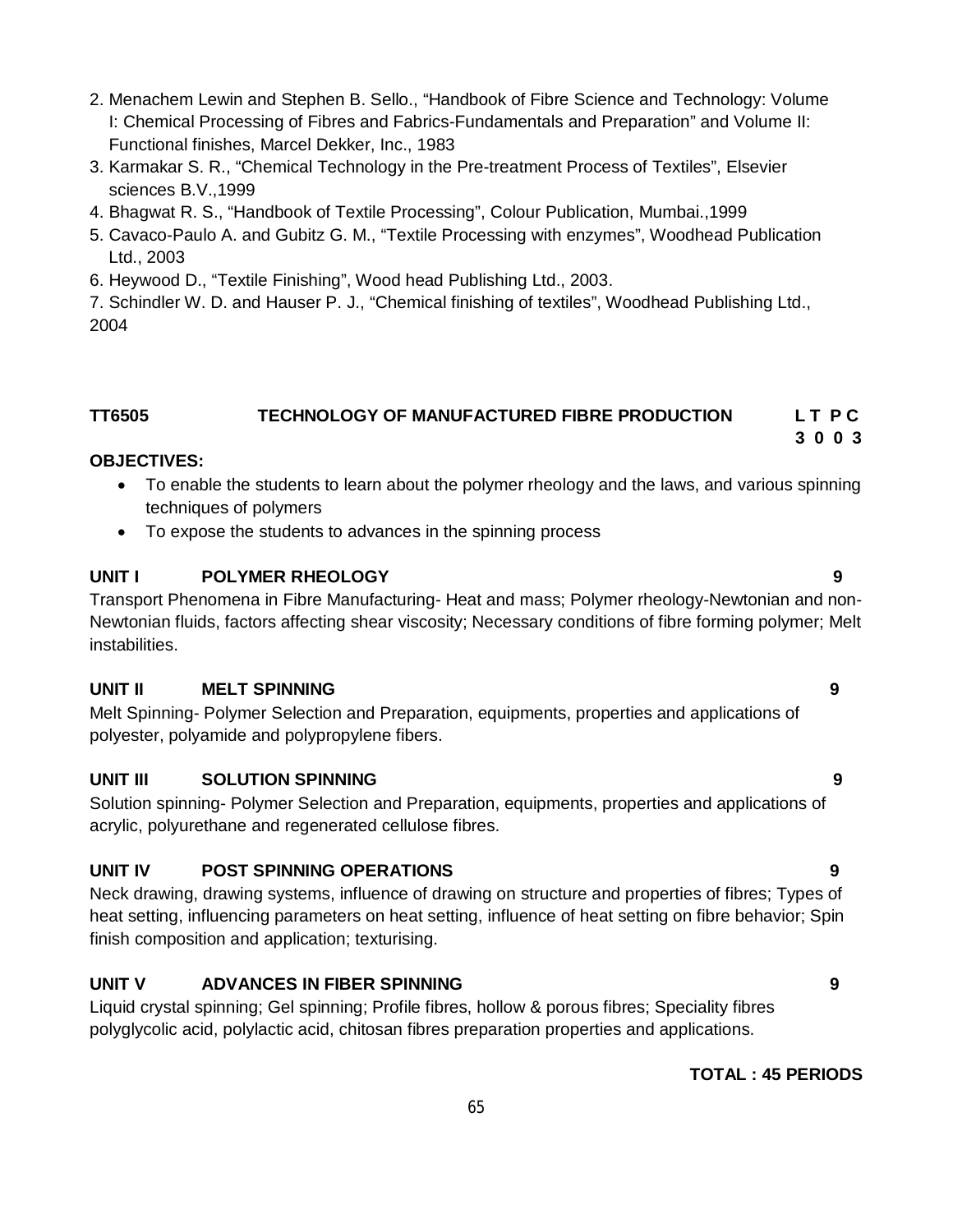- 2. Menachem Lewin and Stephen B. Sello., "Handbook of Fibre Science and Technology: Volume I: Chemical Processing of Fibres and Fabrics-Fundamentals and Preparation" and Volume II: Functional finishes, Marcel Dekker, Inc., 1983
- 3. Karmakar S. R., "Chemical Technology in the Pre-treatment Process of Textiles", Elsevier sciences B.V.,1999
- 4. Bhagwat R. S., "Handbook of Textile Processing", Colour Publication, Mumbai.,1999
- 5. Cavaco-Paulo A. and Gubitz G. M., "Textile Processing with enzymes", Woodhead Publication Ltd., 2003
- 6. Heywood D., "Textile Finishing", Wood head Publishing Ltd., 2003.

7. Schindler W. D. and Hauser P. J., "Chemical finishing of textiles", Woodhead Publishing Ltd., 2004

# **TT6505 TECHNOLOGY OF MANUFACTURED FIBRE PRODUCTION L T P C**

## **OBJECTIVES:**

- To enable the students to learn about the polymer rheology and the laws, and various spinning techniques of polymers
- To expose the students to advances in the spinning process

## **UNIT I POLYMER RHEOLOGY 9**

Transport Phenomena in Fibre Manufacturing- Heat and mass; Polymer rheology-Newtonian and non-Newtonian fluids, factors affecting shear viscosity; Necessary conditions of fibre forming polymer; Melt instabilities.

## **UNIT II MELT SPINNING 9**

Melt Spinning- Polymer Selection and Preparation, equipments, properties and applications of polyester, polyamide and polypropylene fibers.

## **UNIT III SOLUTION SPINNING 9**

Solution spinning- Polymer Selection and Preparation, equipments, properties and applications of acrylic, polyurethane and regenerated cellulose fibres.

## **UNIT IV POST SPINNING OPERATIONS 9**

Neck drawing, drawing systems, influence of drawing on structure and properties of fibres; Types of heat setting, influencing parameters on heat setting, influence of heat setting on fibre behavior; Spin finish composition and application; texturising.

# **UNIT V ADVANCES IN FIBER SPINNING 9**

Liquid crystal spinning; Gel spinning; Profile fibres, hollow & porous fibres; Speciality fibres polyglycolic acid, polylactic acid, chitosan fibres preparation properties and applications.

## **TOTAL : 45 PERIODS**

 **3 0 0 3**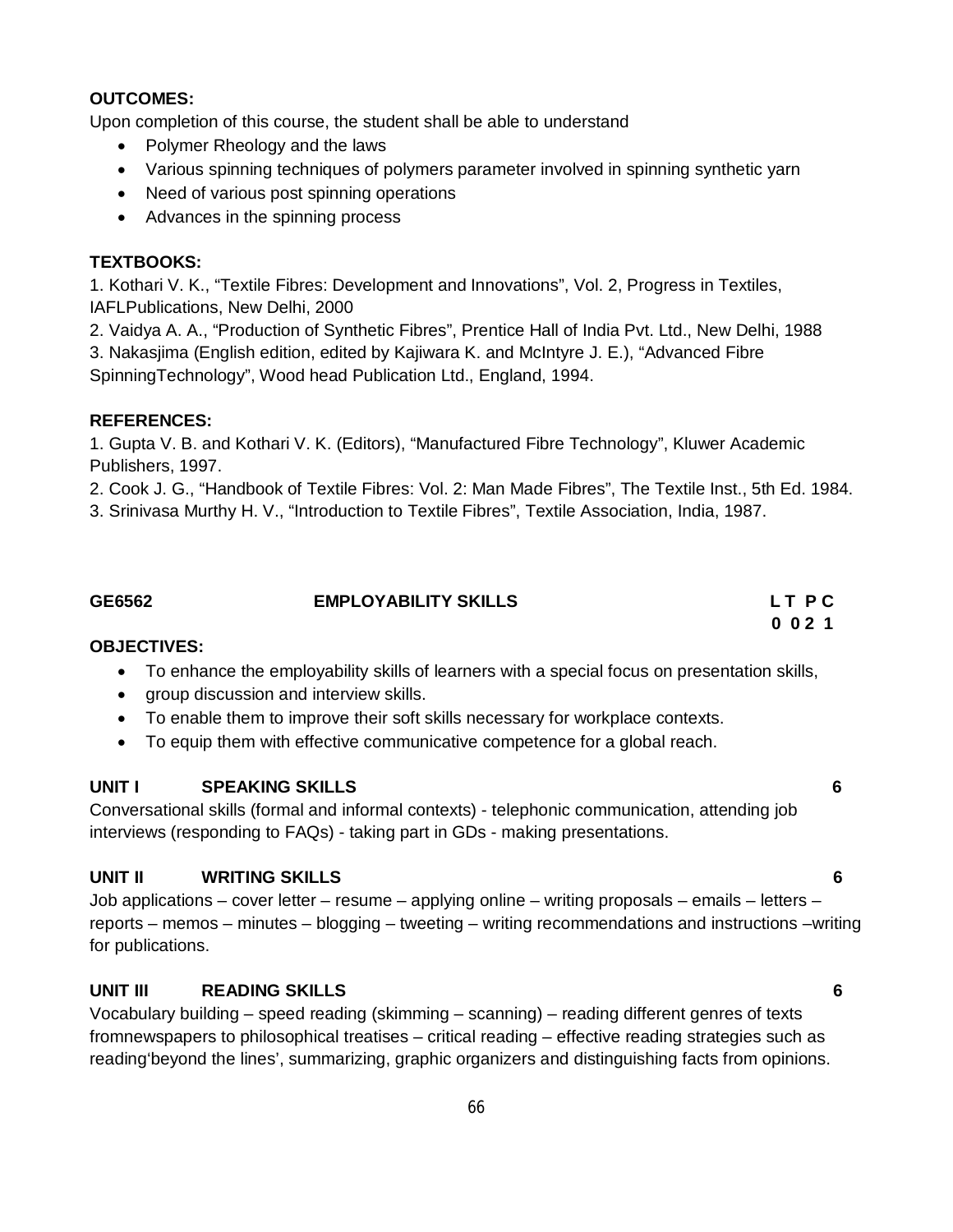#### **OUTCOMES:**

Upon completion of this course, the student shall be able to understand

- Polymer Rheology and the laws
- Various spinning techniques of polymers parameter involved in spinning synthetic yarn
- Need of various post spinning operations
- Advances in the spinning process

#### **TEXTBOOKS:**

1. Kothari V. K., "Textile Fibres: Development and Innovations", Vol. 2, Progress in Textiles, IAFLPublications, New Delhi, 2000

2. Vaidya A. A., "Production of Synthetic Fibres", Prentice Hall of India Pvt. Ltd., New Delhi, 1988 3. Nakasjima (English edition, edited by Kajiwara K. and McIntyre J. E.), "Advanced Fibre SpinningTechnology", Wood head Publication Ltd., England, 1994.

#### **REFERENCES:**

1. Gupta V. B. and Kothari V. K. (Editors), "Manufactured Fibre Technology", Kluwer Academic Publishers, 1997.

2. Cook J. G., "Handbook of Textile Fibres: Vol. 2: Man Made Fibres", The Textile Inst., 5th Ed. 1984.

3. Srinivasa Murthy H. V., "Introduction to Textile Fibres", Textile Association, India, 1987.

## **GE6562 EMPLOYABILITY SKILLS L T P C 0 0 2 1**

#### **OBJECTIVES:**

- To enhance the employability skills of learners with a special focus on presentation skills,
- **•** group discussion and interview skills.
- To enable them to improve their soft skills necessary for workplace contexts.
- To equip them with effective communicative competence for a global reach.

#### **UNIT I SPEAKING SKILLS 6**

Conversational skills (formal and informal contexts) - telephonic communication, attending job interviews (responding to FAQs) - taking part in GDs - making presentations.

## **UNIT II WRITING SKILLS 6**

Job applications – cover letter – resume – applying online – writing proposals – emails – letters – reports – memos – minutes – blogging – tweeting – writing recommendations and instructions –writing for publications.

## **UNIT III READING SKILLS 6**

Vocabulary building – speed reading (skimming – scanning) – reading different genres of texts fromnewspapers to philosophical treatises – critical reading – effective reading strategies such as reading'beyond the lines', summarizing, graphic organizers and distinguishing facts from opinions.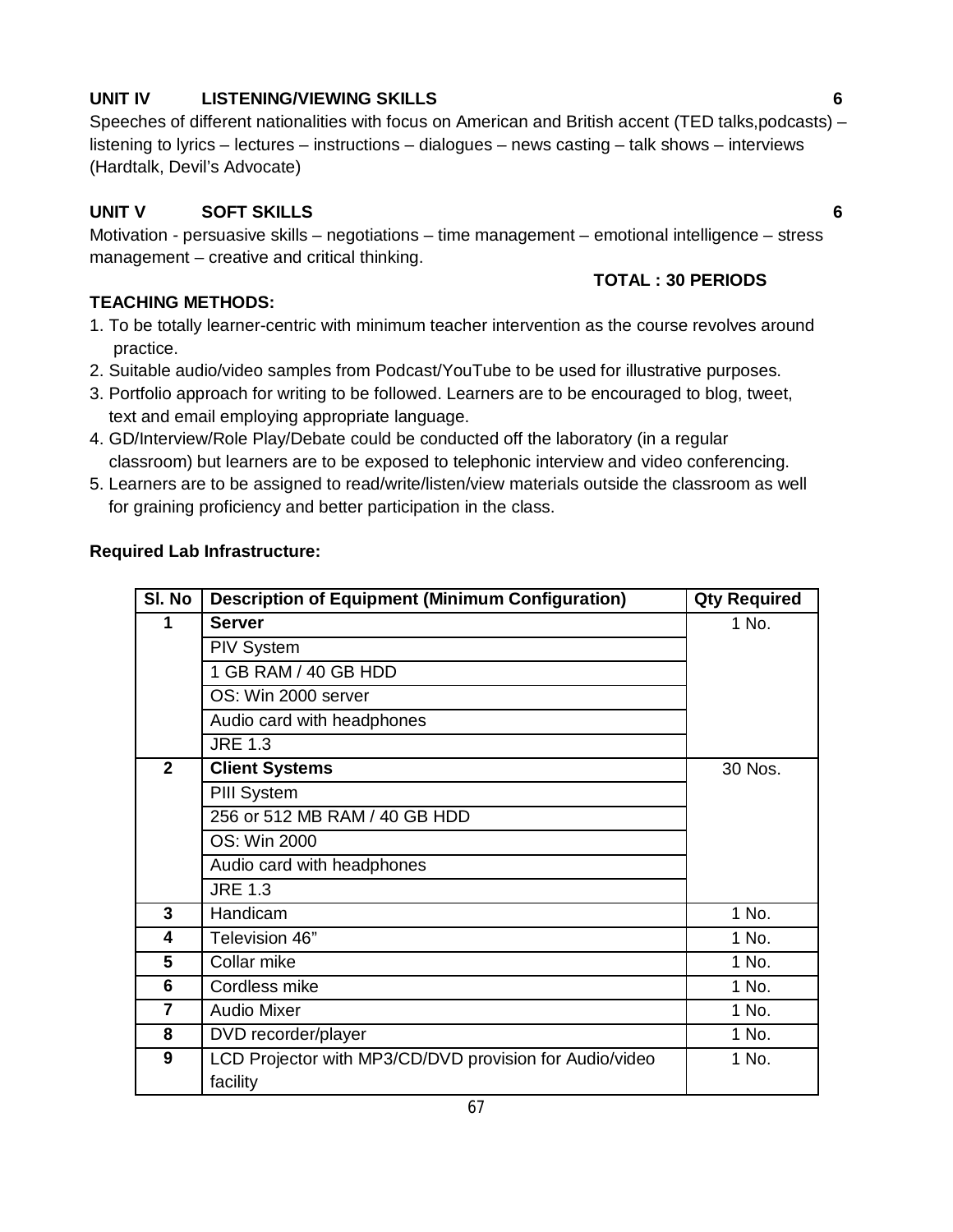# **UNIT IV LISTENING/VIEWING SKILLS 6**

# Speeches of different nationalities with focus on American and British accent (TED talks,podcasts) – listening to lyrics – lectures – instructions – dialogues – news casting – talk shows – interviews (Hardtalk, Devil's Advocate)

# **UNIT V SOFT SKILLS 6**

**TOTAL : 30 PERIODS**

Motivation - persuasive skills – negotiations – time management – emotional intelligence – stress management – creative and critical thinking.

# **TEACHING METHODS:**

- 1. To be totally learner-centric with minimum teacher intervention as the course revolves around practice.
- 2. Suitable audio/video samples from Podcast/YouTube to be used for illustrative purposes.
- 3. Portfolio approach for writing to be followed. Learners are to be encouraged to blog, tweet, text and email employing appropriate language.
- 4. GD/Interview/Role Play/Debate could be conducted off the laboratory (in a regular classroom) but learners are to be exposed to telephonic interview and video conferencing.
- 5. Learners are to be assigned to read/write/listen/view materials outside the classroom as well for graining proficiency and better participation in the class.

## **Required Lab Infrastructure:**

| SI. No         | <b>Description of Equipment (Minimum Configuration)</b> | <b>Qty Required</b> |
|----------------|---------------------------------------------------------|---------------------|
| 1              | <b>Server</b>                                           | 1 No.               |
|                | <b>PIV System</b>                                       |                     |
|                | 1 GB RAM / 40 GB HDD                                    |                     |
|                | OS: Win 2000 server                                     |                     |
|                | Audio card with headphones                              |                     |
|                | <b>JRE 1.3</b>                                          |                     |
| $\overline{2}$ | <b>Client Systems</b>                                   | 30 Nos.             |
|                | PIII System                                             |                     |
|                | 256 or 512 MB RAM / 40 GB HDD                           |                     |
|                | OS: Win 2000                                            |                     |
|                | Audio card with headphones                              |                     |
|                | <b>JRE 1.3</b>                                          |                     |
| 3              | Handicam                                                | 1 No.               |
| 4              | Television 46"                                          | 1 No.               |
| 5              | Collar mike                                             | 1 No.               |
| 6              | Cordless mike                                           | 1 No.               |
| 7              | <b>Audio Mixer</b>                                      | 1 No.               |
| 8              | DVD recorder/player                                     | 1 No.               |
| 9              | LCD Projector with MP3/CD/DVD provision for Audio/video | 1 No.               |
|                | facility                                                |                     |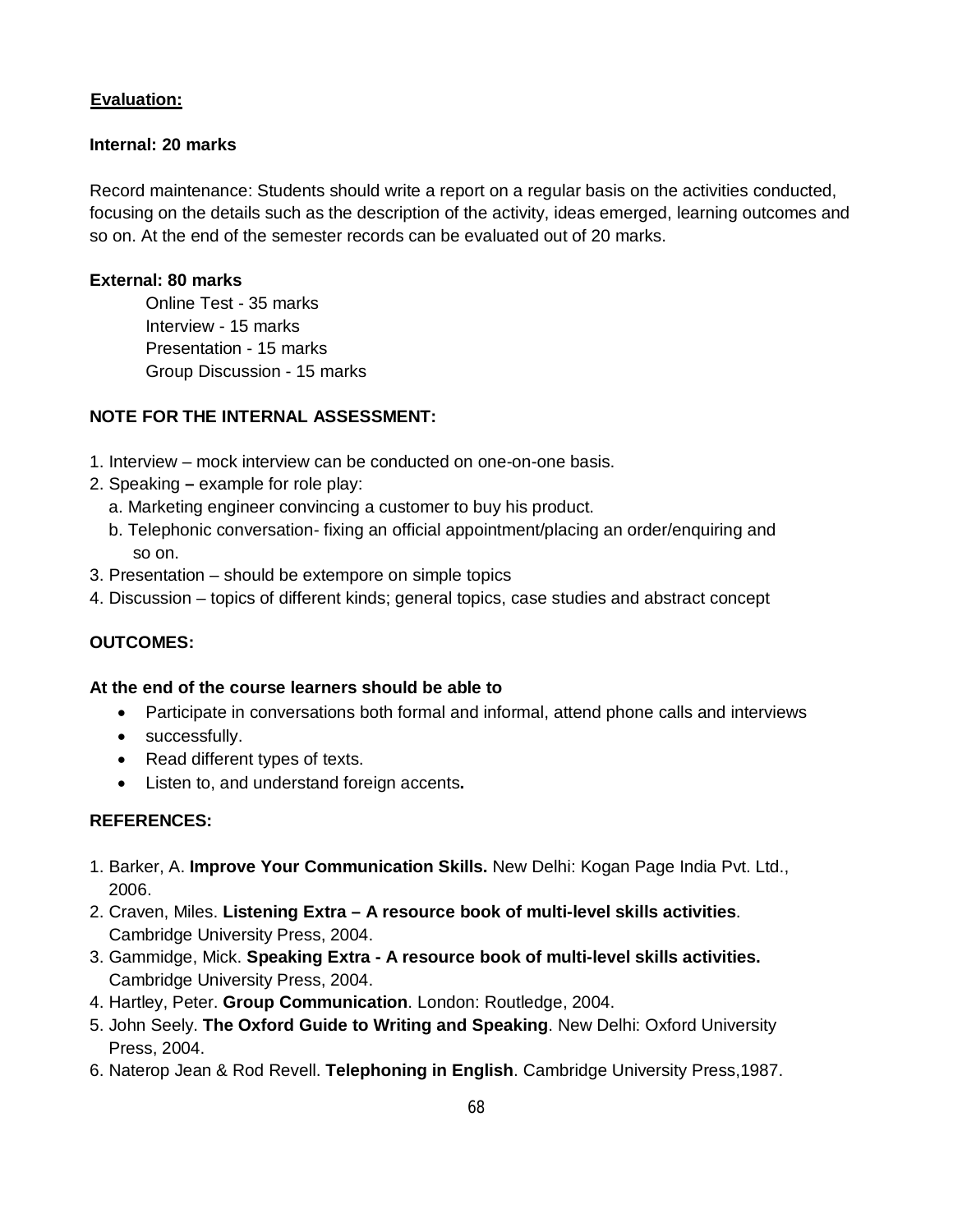#### **Evaluation:**

#### **Internal: 20 marks**

Record maintenance: Students should write a report on a regular basis on the activities conducted, focusing on the details such as the description of the activity, ideas emerged, learning outcomes and so on. At the end of the semester records can be evaluated out of 20 marks.

#### **External: 80 marks**

Online Test - 35 marks Interview - 15 marks Presentation - 15 marks Group Discussion - 15 marks

#### **NOTE FOR THE INTERNAL ASSESSMENT:**

- 1. Interview mock interview can be conducted on one-on-one basis.
- 2. Speaking **–** example for role play:
	- a. Marketing engineer convincing a customer to buy his product.
	- b. Telephonic conversation- fixing an official appointment/placing an order/enquiring and so on.
- 3. Presentation should be extempore on simple topics
- 4. Discussion topics of different kinds; general topics, case studies and abstract concept

## **OUTCOMES:**

#### **At the end of the course learners should be able to**

- Participate in conversations both formal and informal, attend phone calls and interviews
- successfully.
- Read different types of texts.
- Listen to, and understand foreign accents**.**

## **REFERENCES:**

- 1. Barker, A. **Improve Your Communication Skills.** New Delhi: Kogan Page India Pvt. Ltd., 2006.
- 2. Craven, Miles. **Listening Extra – A resource book of multi-level skills activities**. Cambridge University Press, 2004.
- 3. Gammidge, Mick. **Speaking Extra - A resource book of multi-level skills activities.** Cambridge University Press, 2004.
- 4. Hartley, Peter. **Group Communication**. London: Routledge, 2004.
- 5. John Seely. **The Oxford Guide to Writing and Speaking**. New Delhi: Oxford University Press, 2004.
- 6. Naterop Jean & Rod Revell. **Telephoning in English**. Cambridge University Press,1987.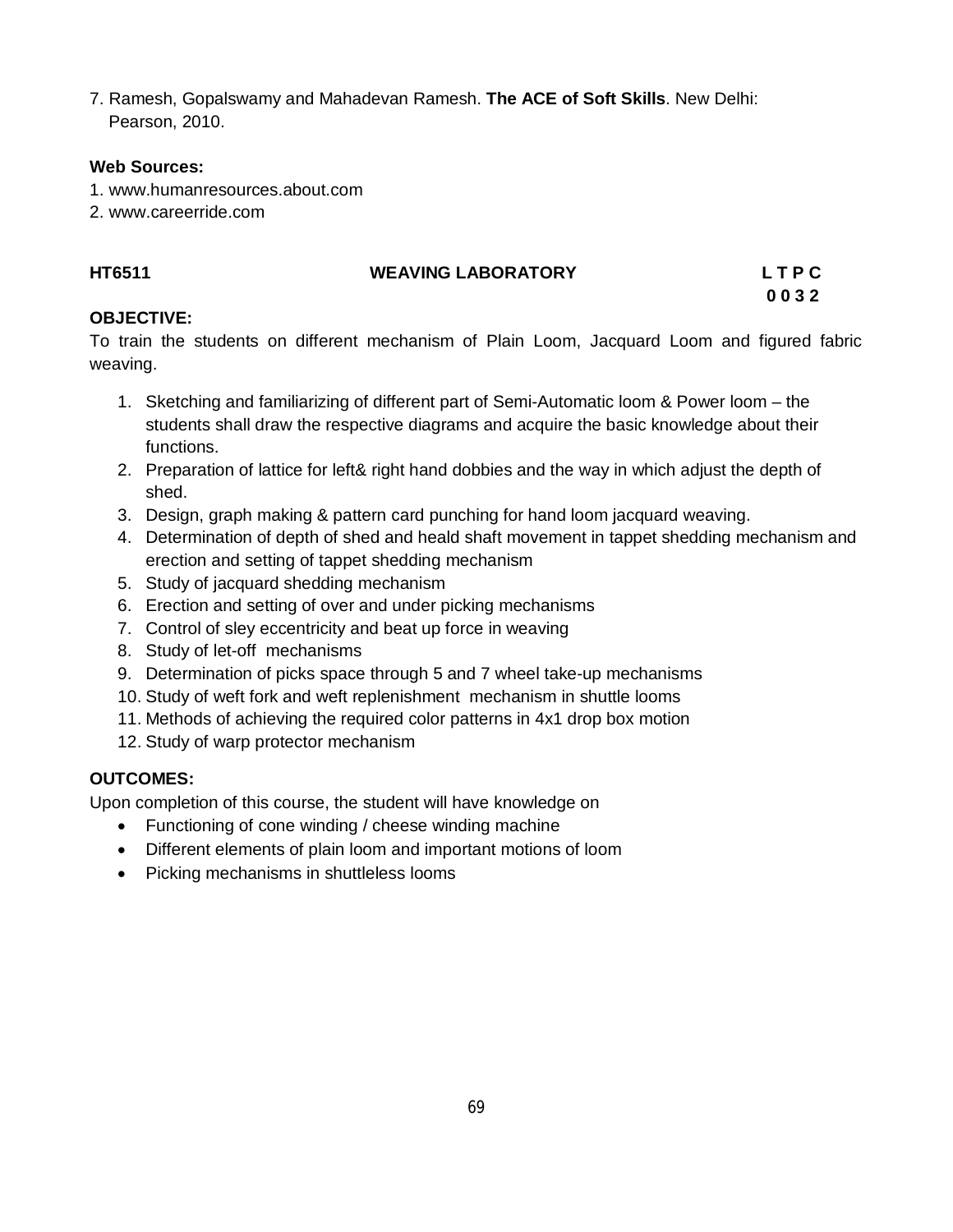7. Ramesh, Gopalswamy and Mahadevan Ramesh. **The ACE of Soft Skills**. New Delhi: Pearson, 2010.

#### **Web Sources:**

- 1. www.humanresources.about.com
- 2. www.careerride.com

# **HT6511 WEAVING LABORATORY L T P C**

# **0 0 3 2**

#### **OBJECTIVE:**

To train the students on different mechanism of Plain Loom, Jacquard Loom and figured fabric weaving.

- 1. Sketching and familiarizing of different part of Semi-Automatic loom & Power loom the students shall draw the respective diagrams and acquire the basic knowledge about their functions.
- 2. Preparation of lattice for left& right hand dobbies and the way in which adjust the depth of shed.
- 3. Design, graph making & pattern card punching for hand loom jacquard weaving.
- 4. Determination of depth of shed and heald shaft movement in tappet shedding mechanism and erection and setting of tappet shedding mechanism
- 5. Study of jacquard shedding mechanism
- 6. Erection and setting of over and under picking mechanisms
- 7. Control of sley eccentricity and beat up force in weaving
- 8. Study of let-off mechanisms
- 9. Determination of picks space through 5 and 7 wheel take-up mechanisms
- 10. Study of weft fork and weft replenishment mechanism in shuttle looms
- 11. Methods of achieving the required color patterns in 4x1 drop box motion
- 12. Study of warp protector mechanism

## **OUTCOMES:**

Upon completion of this course, the student will have knowledge on

- Functioning of cone winding / cheese winding machine
- Different elements of plain loom and important motions of loom
- Picking mechanisms in shuttleless looms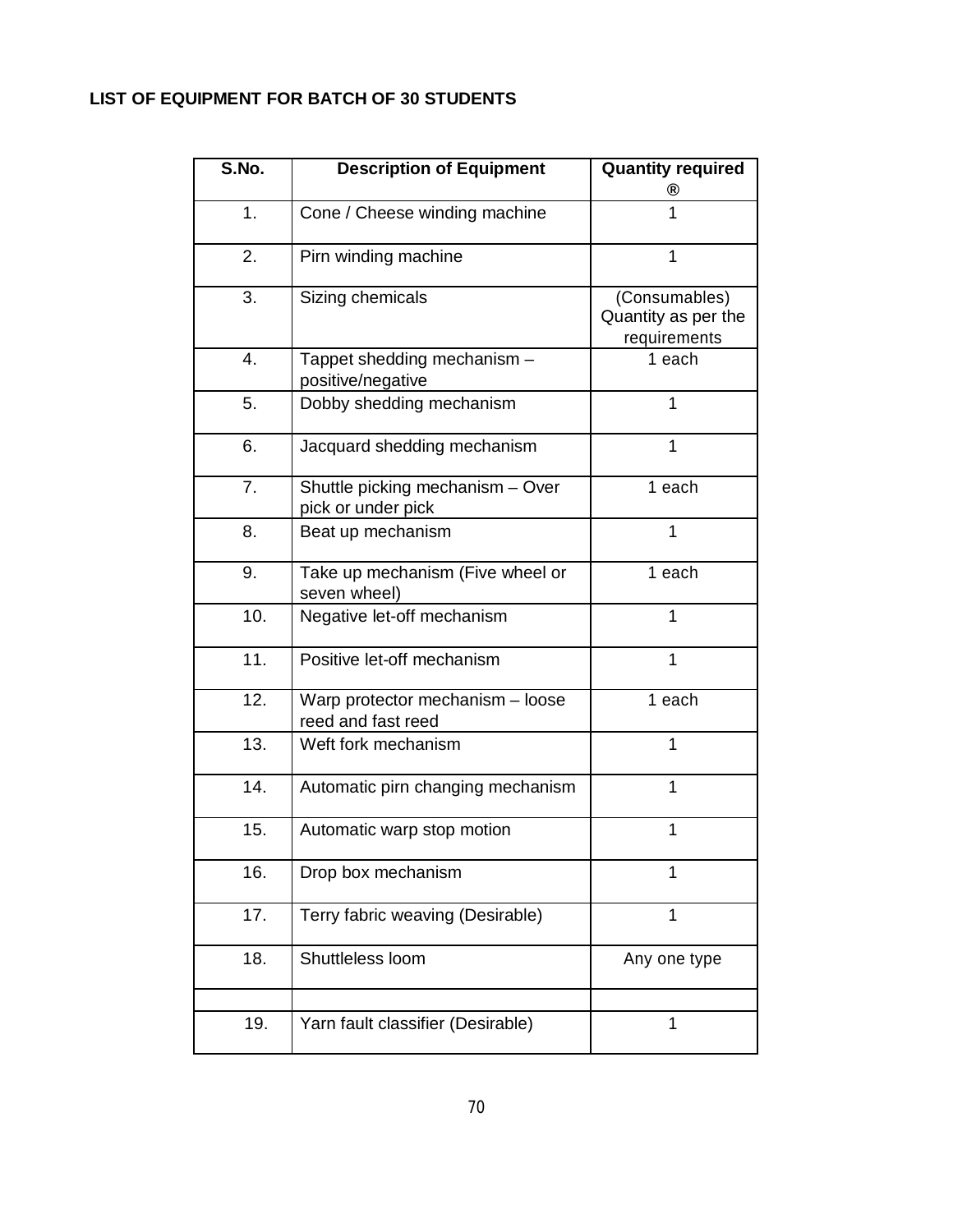# **LIST OF EQUIPMENT FOR BATCH OF 30 STUDENTS**

| S.No.          | <b>Description of Equipment</b>                        | <b>Quantity required</b><br>®                        |
|----------------|--------------------------------------------------------|------------------------------------------------------|
| 1.             | Cone / Cheese winding machine                          | 1                                                    |
| 2.             | Pirn winding machine                                   | 1                                                    |
| 3.             | Sizing chemicals                                       | (Consumables)<br>Quantity as per the<br>requirements |
| 4.             | Tappet shedding mechanism -<br>positive/negative       | 1 each                                               |
| 5.             | Dobby shedding mechanism                               | 1                                                    |
| 6.             | Jacquard shedding mechanism                            | 1                                                    |
| 7 <sub>1</sub> | Shuttle picking mechanism - Over<br>pick or under pick | 1 each                                               |
| 8.             | Beat up mechanism                                      | 1                                                    |
| 9.             | Take up mechanism (Five wheel or<br>seven wheel)       | 1 each                                               |
| 10.            | Negative let-off mechanism                             | 1                                                    |
| 11.            | Positive let-off mechanism                             | $\mathbf 1$                                          |
| 12.            | Warp protector mechanism - loose<br>reed and fast reed | 1 each                                               |
| 13.            | Weft fork mechanism                                    | 1                                                    |
| 14.            | Automatic pirn changing mechanism                      | $\mathbf 1$                                          |
| 15.            | Automatic warp stop motion                             | 1                                                    |
| 16.            | Drop box mechanism                                     | 1                                                    |
| 17.            | Terry fabric weaving (Desirable)                       | 1                                                    |
| 18.            | Shuttleless loom                                       | Any one type                                         |
|                |                                                        |                                                      |
| 19.            | Yarn fault classifier (Desirable)                      | 1                                                    |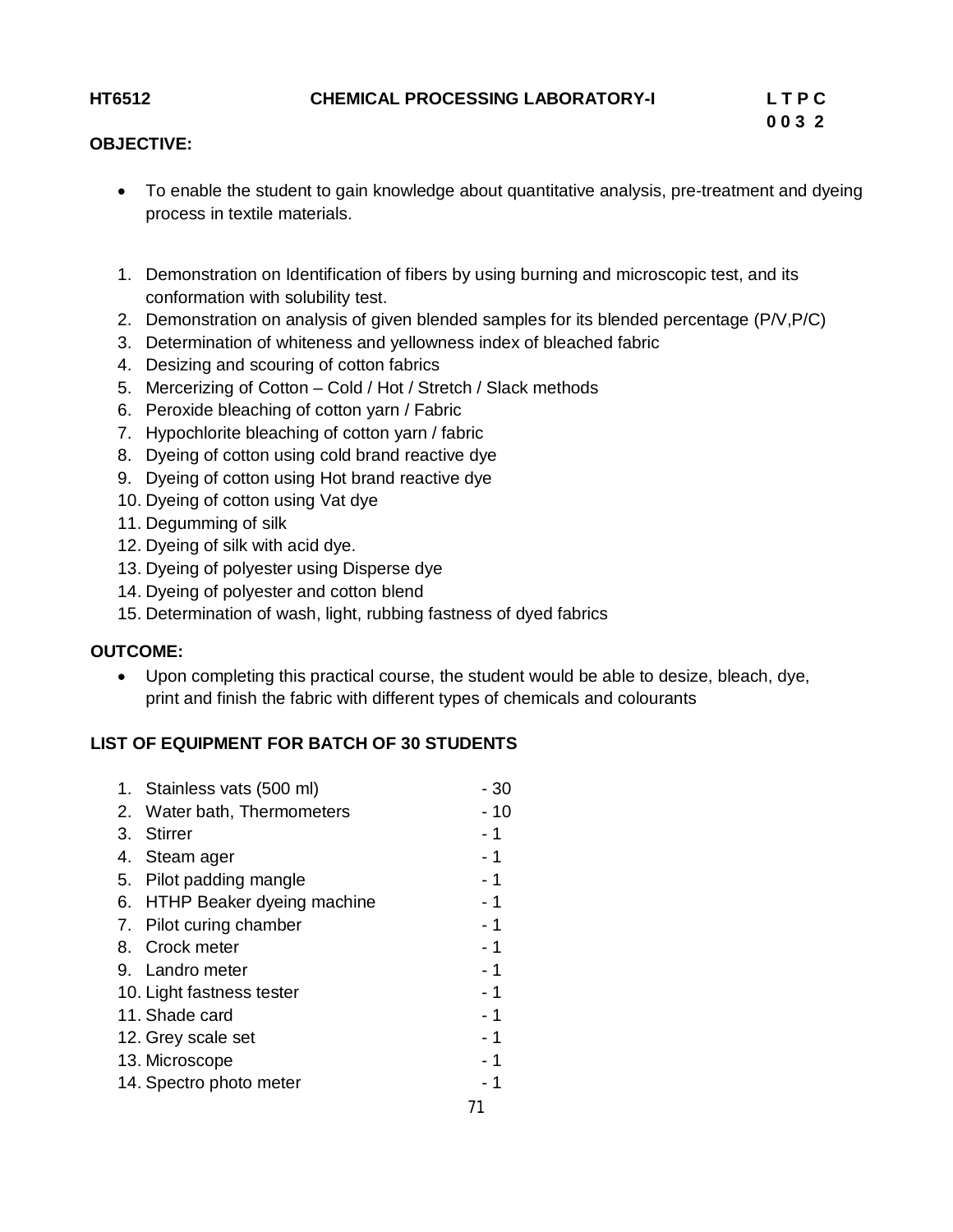#### **OBJECTIVE:**

- To enable the student to gain knowledge about quantitative analysis, pre-treatment and dyeing process in textile materials.
- 1. Demonstration on Identification of fibers by using burning and microscopic test, and its conformation with solubility test.
- 2. Demonstration on analysis of given blended samples for its blended percentage (P/V,P/C)
- 3. Determination of whiteness and yellowness index of bleached fabric
- 4. Desizing and scouring of cotton fabrics
- 5. Mercerizing of Cotton Cold / Hot / Stretch / Slack methods
- 6. Peroxide bleaching of cotton yarn / Fabric
- 7. Hypochlorite bleaching of cotton yarn / fabric
- 8. Dyeing of cotton using cold brand reactive dye
- 9. Dyeing of cotton using Hot brand reactive dye
- 10. Dyeing of cotton using Vat dye
- 11. Degumming of silk
- 12. Dyeing of silk with acid dye.
- 13. Dyeing of polyester using Disperse dye
- 14. Dyeing of polyester and cotton blend
- 15. Determination of wash, light, rubbing fastness of dyed fabrics

## **OUTCOME:**

 Upon completing this practical course, the student would be able to desize, bleach, dye, print and finish the fabric with different types of chemicals and colourants

## **LIST OF EQUIPMENT FOR BATCH OF 30 STUDENTS**

|    | 1. Stainless vats (500 ml)    | - 30 |
|----|-------------------------------|------|
|    | 2. Water bath, Thermometers   | - 10 |
| 3. | Stirrer                       | - 1  |
|    | 4. Steam ager                 | - 1  |
|    | 5. Pilot padding mangle       | $-1$ |
|    | 6. HTHP Beaker dyeing machine | $-1$ |
|    | 7. Pilot curing chamber       | $-1$ |
|    | 8. Crock meter                | $-1$ |
|    | 9. Landro meter               | - 1  |
|    | 10. Light fastness tester     | $-1$ |
|    | 11. Shade card                | $-1$ |
|    | 12. Grey scale set            | $-1$ |
|    | 13. Microscope                | - 1  |
|    | 14. Spectro photo meter       | $-1$ |
|    |                               |      |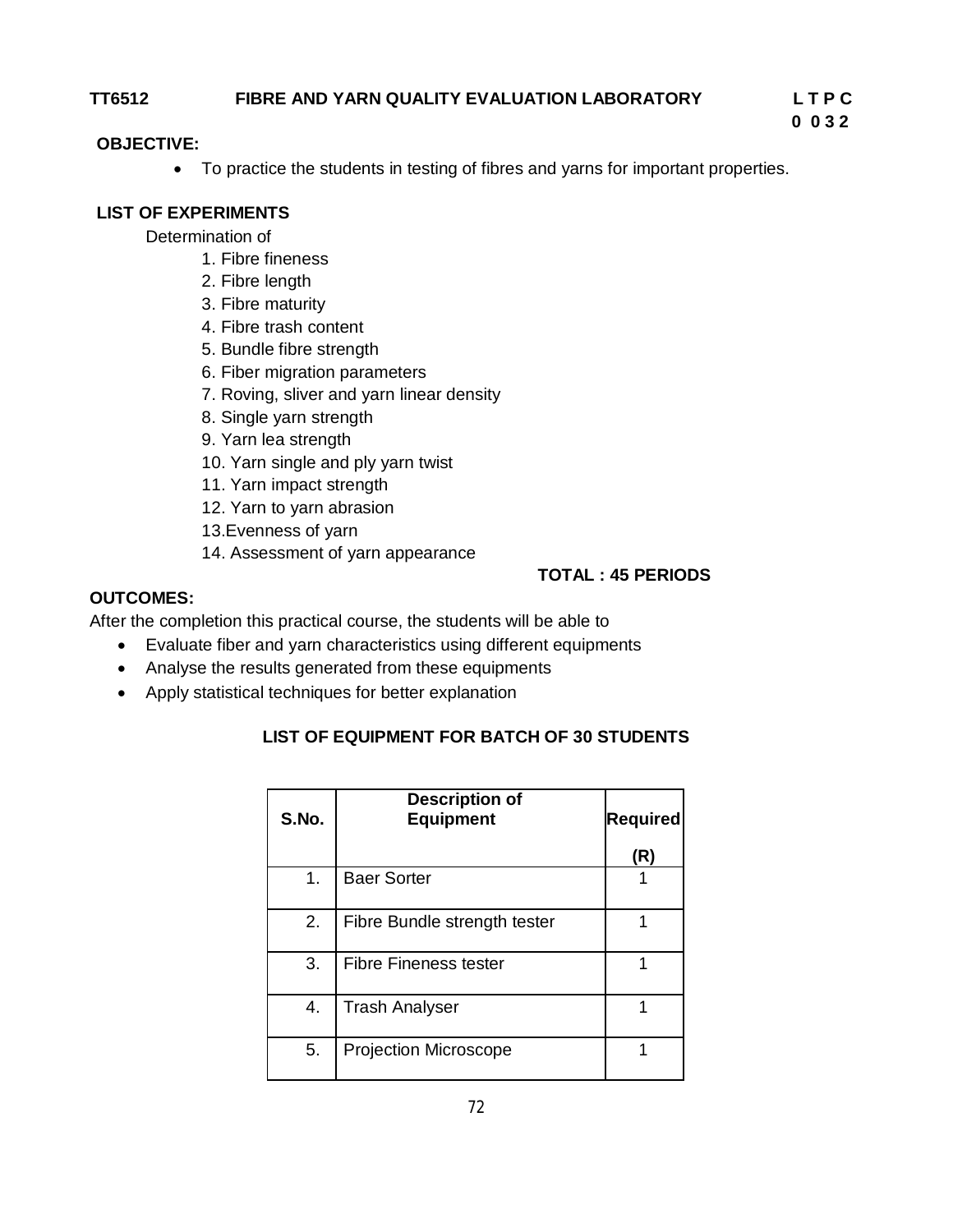#### **TT6512 FIBRE AND YARN QUALITY EVALUATION LABORATORY L T P C**

 **0 0 3 2**

#### **OBJECTIVE:**

• To practice the students in testing of fibres and yarns for important properties.

### **LIST OF EXPERIMENTS**

Determination of

- 1. Fibre fineness
- 2. Fibre length
- 3. Fibre maturity
- 4. Fibre trash content
- 5. Bundle fibre strength
- 6. Fiber migration parameters
- 7. Roving, sliver and yarn linear density
- 8. Single yarn strength
- 9. Yarn lea strength
- 10. Yarn single and ply yarn twist
- 11. Yarn impact strength
- 12. Yarn to yarn abrasion
- 13.Evenness of yarn
- 14. Assessment of yarn appearance

### **TOTAL : 45 PERIODS**

#### **OUTCOMES:**

After the completion this practical course, the students will be able to

- Evaluate fiber and yarn characteristics using different equipments
- Analyse the results generated from these equipments
- Apply statistical techniques for better explanation

## **LIST OF EQUIPMENT FOR BATCH OF 30 STUDENTS**

| S.No.         | <b>Description of</b><br><b>Equipment</b> | Required |
|---------------|-------------------------------------------|----------|
|               |                                           | (R)      |
| $\mathbf 1$ . | <b>Baer Sorter</b>                        |          |
| 2.            | Fibre Bundle strength tester              |          |
| 3.            | Fibre Fineness tester                     |          |
| 4.            | <b>Trash Analyser</b>                     |          |
| 5.            | <b>Projection Microscope</b>              |          |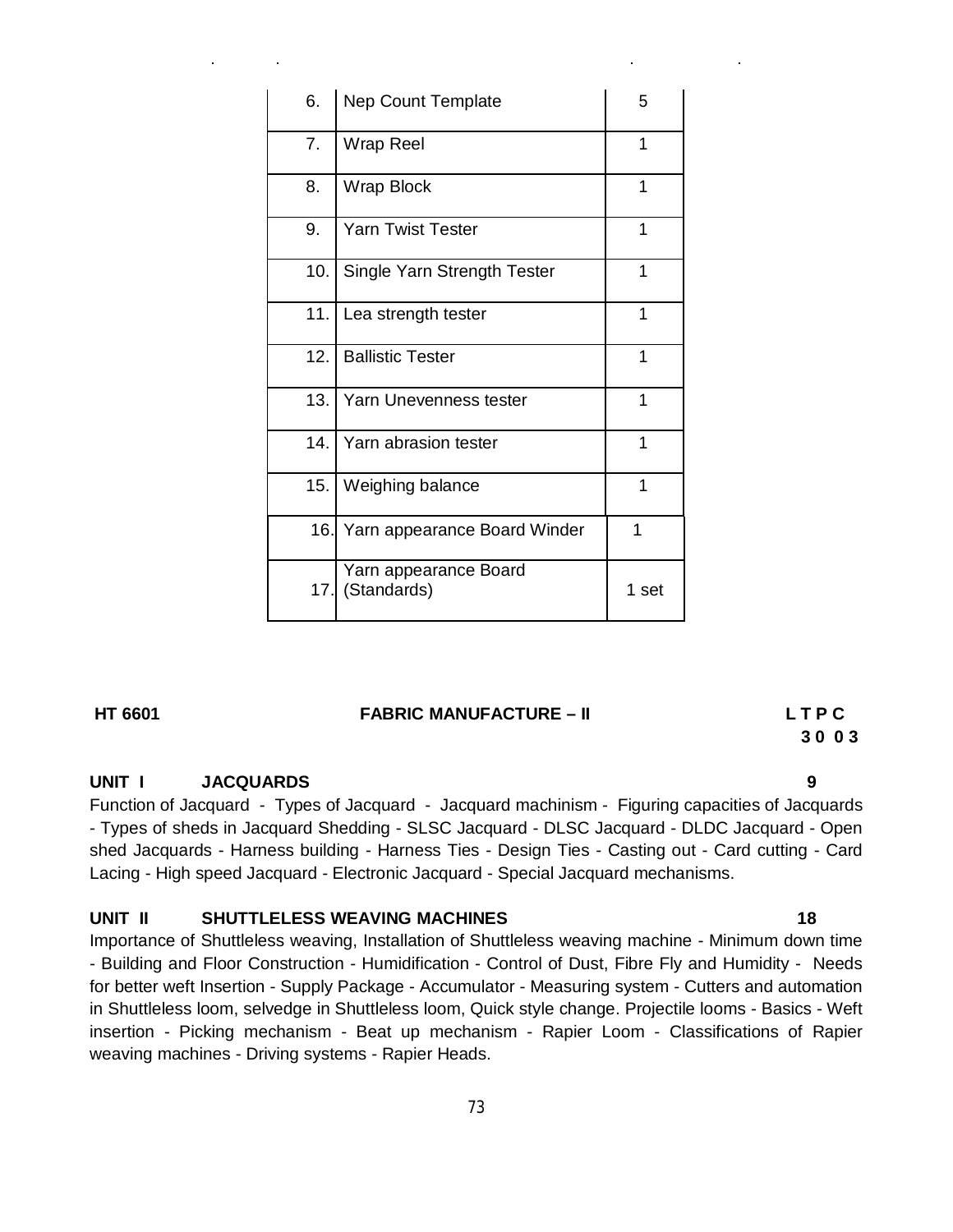| 6.  | <b>Nep Count Template</b>            | 5     |
|-----|--------------------------------------|-------|
| 7.  | Wrap Reel                            | 1     |
| 8.  | <b>Wrap Block</b>                    | 1     |
| 9.  | <b>Yarn Twist Tester</b>             | 1     |
| 10. | Single Yarn Strength Tester          | 1     |
| 11. | Lea strength tester                  | 1     |
| 12. | <b>Ballistic Tester</b>              | 1     |
| 13. | Yarn Unevenness tester               | 1     |
| 14. | Yarn abrasion tester                 | 1     |
| 15. | Weighing balance                     | 1     |
| 16. | Yarn appearance Board Winder         | 1     |
| 17. | Yarn appearance Board<br>(Standards) | 1 set |

### **HT 6601 FABRIC MANUFACTURE – II L T P C**

# **3 0 0 3**

#### **UNIT I JACQUARDS 9**

Function of Jacquard - Types of Jacquard - Jacquard machinism - Figuring capacities of Jacquards - Types of sheds in Jacquard Shedding - SLSC Jacquard - DLSC Jacquard - DLDC Jacquard - Open shed Jacquards - Harness building - Harness Ties - Design Ties - Casting out - Card cutting - Card Lacing - High speed Jacquard - Electronic Jacquard - Special Jacquard mechanisms.

#### **UNIT II SHUTTLELESS WEAVING MACHINES 18**

Importance of Shuttleless weaving, Installation of Shuttleless weaving machine - Minimum down time - Building and Floor Construction - Humidification - Control of Dust, Fibre Fly and Humidity - Needs for better weft Insertion - Supply Package - Accumulator - Measuring system - Cutters and automation in Shuttleless loom, selvedge in Shuttleless loom, Quick style change. Projectile looms - Basics - Weft insertion - Picking mechanism - Beat up mechanism - Rapier Loom - Classifications of Rapier weaving machines - Driving systems - Rapier Heads.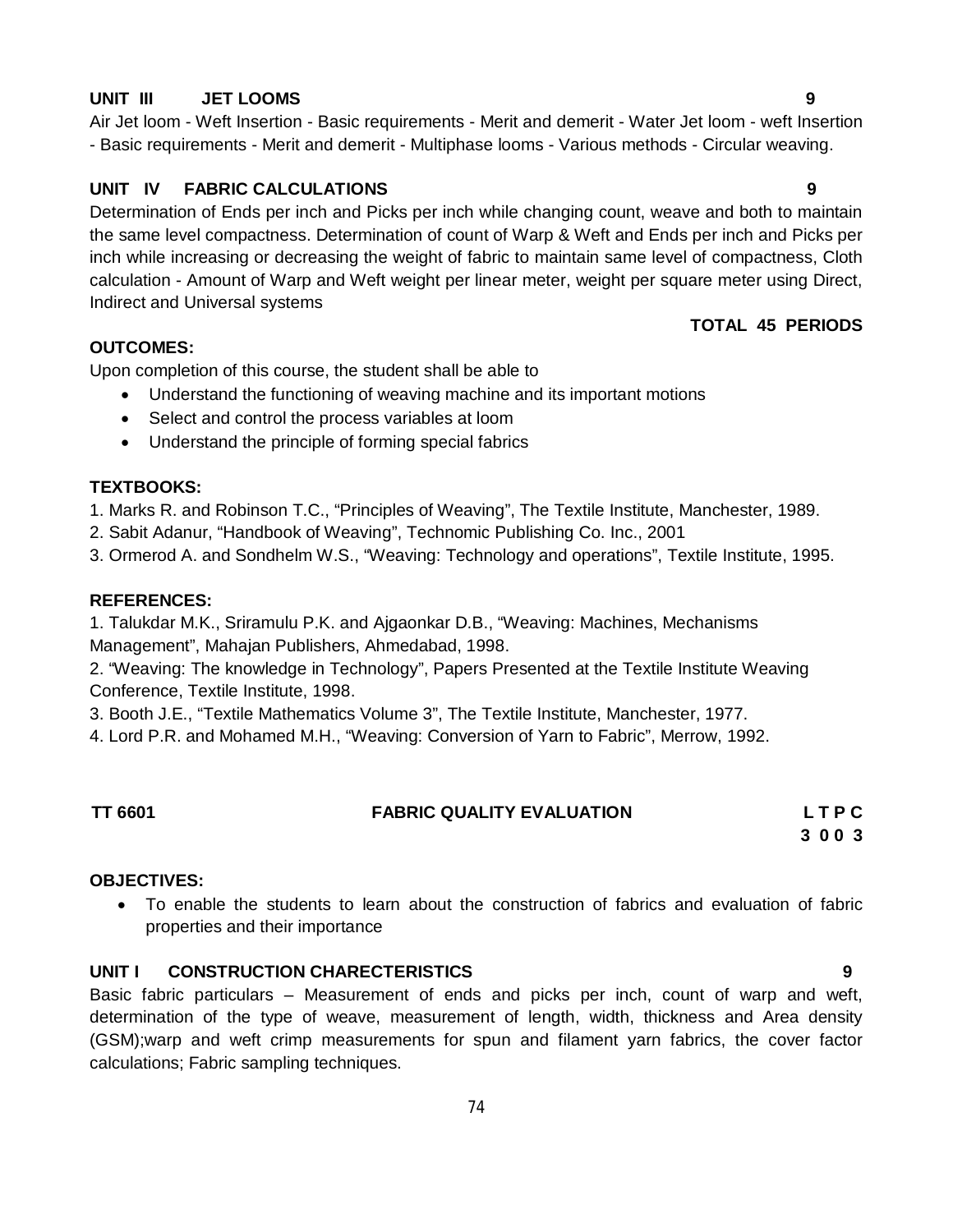#### **UNIT III JET LOOMS 9**

#### **UNIT IV FABRIC CALCULATIONS 9**

Determination of Ends per inch and Picks per inch while changing count, weave and both to maintain the same level compactness. Determination of count of Warp & Weft and Ends per inch and Picks per inch while increasing or decreasing the weight of fabric to maintain same level of compactness, Cloth calculation - Amount of Warp and Weft weight per linear meter, weight per square meter using Direct, Indirect and Universal systems

- Basic requirements - Merit and demerit - Multiphase looms - Various methods - Circular weaving.

#### **OUTCOMES:**

Upon completion of this course, the student shall be able to

- Understand the functioning of weaving machine and its important motions
- Select and control the process variables at loom
- Understand the principle of forming special fabrics

#### **TEXTBOOKS:**

1. Marks R. and Robinson T.C., "Principles of Weaving", The Textile Institute, Manchester, 1989.

2. Sabit Adanur, "Handbook of Weaving", Technomic Publishing Co. Inc., 2001

3. Ormerod A. and Sondhelm W.S., "Weaving: Technology and operations", Textile Institute, 1995.

#### **REFERENCES:**

1. Talukdar M.K., Sriramulu P.K. and Ajgaonkar D.B., "Weaving: Machines, Mechanisms Management", Mahajan Publishers, Ahmedabad, 1998.

2. "Weaving: The knowledge in Technology", Papers Presented at the Textile Institute Weaving Conference, Textile Institute, 1998.

3. Booth J.E., "Textile Mathematics Volume 3", The Textile Institute, Manchester, 1977.

4. Lord P.R. and Mohamed M.H., "Weaving: Conversion of Yarn to Fabric", Merrow, 1992.

#### **TT 6601 FABRIC QUALITY EVALUATION L T P C**

**3 0 0 3**

#### **OBJECTIVES:**

 To enable the students to learn about the construction of fabrics and evaluation of fabric properties and their importance

#### **UNIT I CONSTRUCTION CHARECTERISTICS 9**

Basic fabric particulars – Measurement of ends and picks per inch, count of warp and weft, determination of the type of weave, measurement of length, width, thickness and Area density (GSM);warp and weft crimp measurements for spun and filament yarn fabrics, the cover factor calculations; Fabric sampling techniques.

# Air Jet loom - Weft Insertion - Basic requirements - Merit and demerit - Water Jet loom - weft Insertion

**TOTAL 45 PERIODS**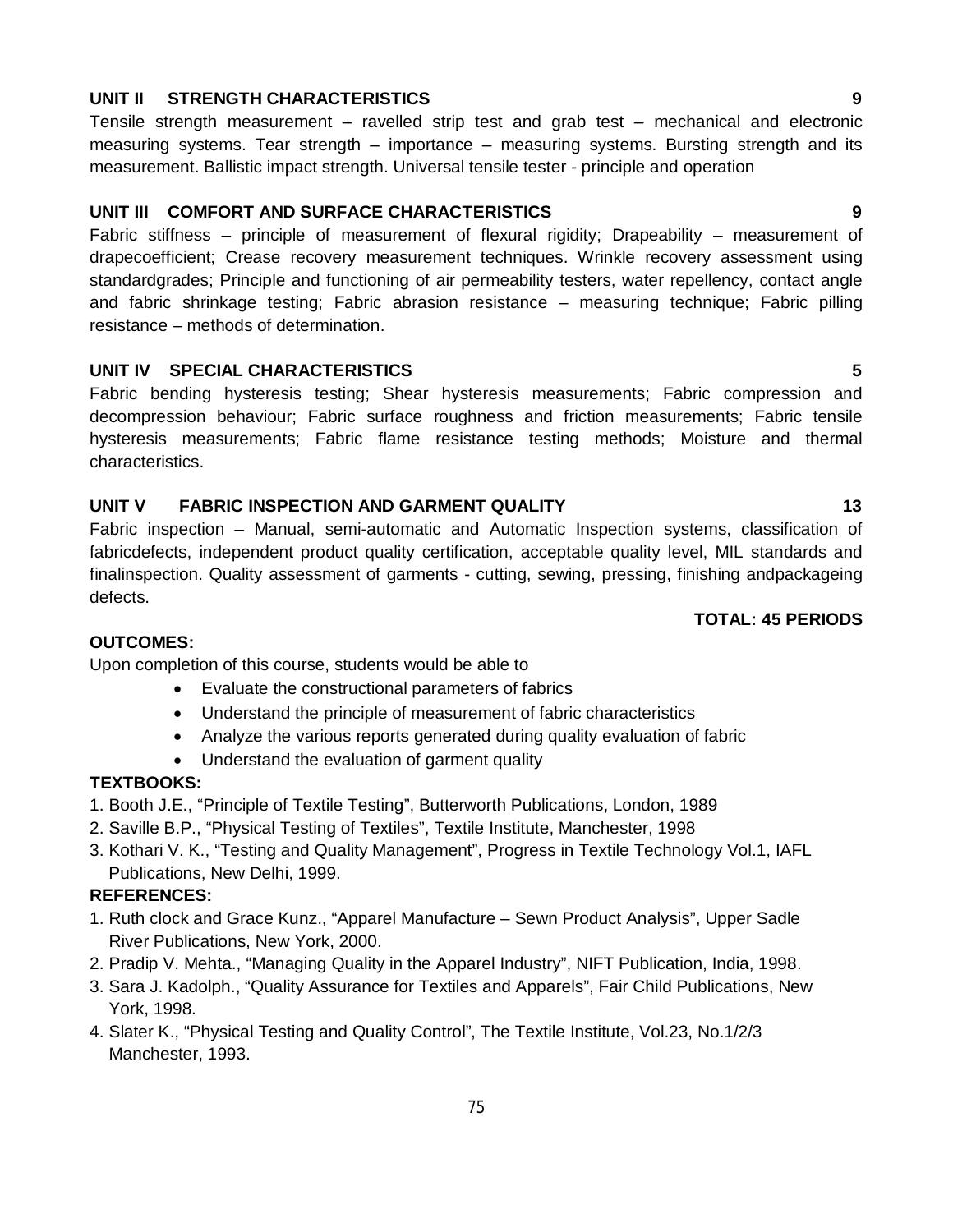#### **UNIT II STRENGTH CHARACTERISTICS 9**

Tensile strength measurement – ravelled strip test and grab test – mechanical and electronic measuring systems. Tear strength – importance – measuring systems. Bursting strength and its measurement. Ballistic impact strength. Universal tensile tester - principle and operation

#### **UNIT III COMFORT AND SURFACE CHARACTERISTICS 9**

Fabric stiffness – principle of measurement of flexural rigidity; Drapeability – measurement of drapecoefficient; Crease recovery measurement techniques. Wrinkle recovery assessment using standardgrades; Principle and functioning of air permeability testers, water repellency, contact angle and fabric shrinkage testing; Fabric abrasion resistance – measuring technique; Fabric pilling resistance – methods of determination.

#### **UNIT IV SPECIAL CHARACTERISTICS 5**

Fabric bending hysteresis testing; Shear hysteresis measurements; Fabric compression and decompression behaviour; Fabric surface roughness and friction measurements; Fabric tensile hysteresis measurements; Fabric flame resistance testing methods; Moisture and thermal characteristics.

#### UNIT V FABRIC INSPECTION AND GARMENT QUALITY **13**

Fabric inspection – Manual, semi-automatic and Automatic Inspection systems, classification of fabricdefects, independent product quality certification, acceptable quality level, MIL standards and finalinspection. Quality assessment of garments - cutting, sewing, pressing, finishing andpackageing defects.

#### **OUTCOMES:**

Upon completion of this course, students would be able to

- Evaluate the constructional parameters of fabrics
- Understand the principle of measurement of fabric characteristics
- Analyze the various reports generated during quality evaluation of fabric
- Understand the evaluation of garment quality

#### **TEXTBOOKS:**

- 1. Booth J.E., "Principle of Textile Testing", Butterworth Publications, London, 1989
- 2. Saville B.P., "Physical Testing of Textiles", Textile Institute, Manchester, 1998
- 3. Kothari V. K., "Testing and Quality Management", Progress in Textile Technology Vol.1, IAFL Publications, New Delhi, 1999.

#### **REFERENCES:**

- 1. Ruth clock and Grace Kunz., "Apparel Manufacture Sewn Product Analysis", Upper Sadle River Publications, New York, 2000.
- 2. Pradip V. Mehta., "Managing Quality in the Apparel Industry", NIFT Publication, India, 1998.
- 3. Sara J. Kadolph., "Quality Assurance for Textiles and Apparels", Fair Child Publications, New York, 1998.
- 4. Slater K., "Physical Testing and Quality Control", The Textile Institute, Vol.23, No.1/2/3 Manchester, 1993.

75

#### **TOTAL: 45 PERIODS**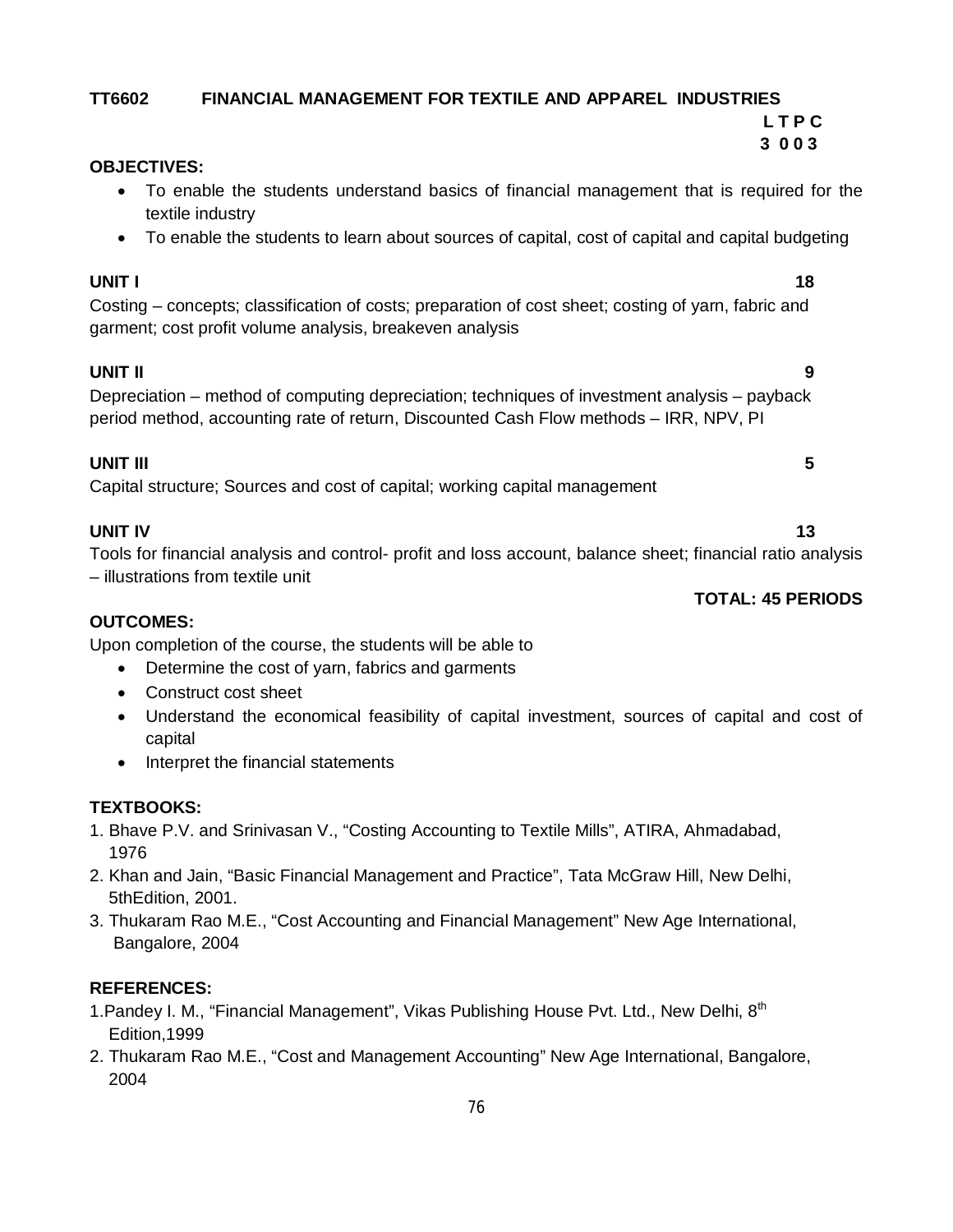#### **TT6602 FINANCIAL MANAGEMENT FOR TEXTILE AND APPAREL INDUSTRIES L T P C**

#### **3 0 0 3 OBJECTIVES:**

- To enable the students understand basics of financial management that is required for the textile industry
- To enable the students to learn about sources of capital, cost of capital and capital budgeting

#### **UNIT I** 18

Costing – concepts; classification of costs; preparation of cost sheet; costing of yarn, fabric and garment; cost profit volume analysis, breakeven analysis

### **UNIT II 9**

Depreciation – method of computing depreciation; techniques of investment analysis – payback period method, accounting rate of return, Discounted Cash Flow methods – IRR, NPV, PI

### **UNIT III 5**

Capital structure; Sources and cost of capital; working capital management

### **UNIT IV** 13

Tools for financial analysis and control- profit and loss account, balance sheet; financial ratio analysis – illustrations from textile unit

#### **OUTCOMES:**

Upon completion of the course, the students will be able to

- Determine the cost of yarn, fabrics and garments
- Construct cost sheet
- Understand the economical feasibility of capital investment, sources of capital and cost of capital
- Interpret the financial statements

### **TEXTBOOKS:**

- 1. Bhave P.V. and Srinivasan V., "Costing Accounting to Textile Mills", ATIRA, Ahmadabad, 1976
- 2. Khan and Jain, "Basic Financial Management and Practice", Tata McGraw Hill, New Delhi, 5thEdition, 2001.
- 3. Thukaram Rao M.E., "Cost Accounting and Financial Management" New Age International, Bangalore, 2004

### **REFERENCES:**

- 1. Pandey I. M., "Financial Management", Vikas Publishing House Pvt. Ltd., New Delhi, 8<sup>th</sup> Edition,1999
- 2. Thukaram Rao M.E., "Cost and Management Accounting" New Age International, Bangalore, 2004

### **TOTAL: 45 PERIODS**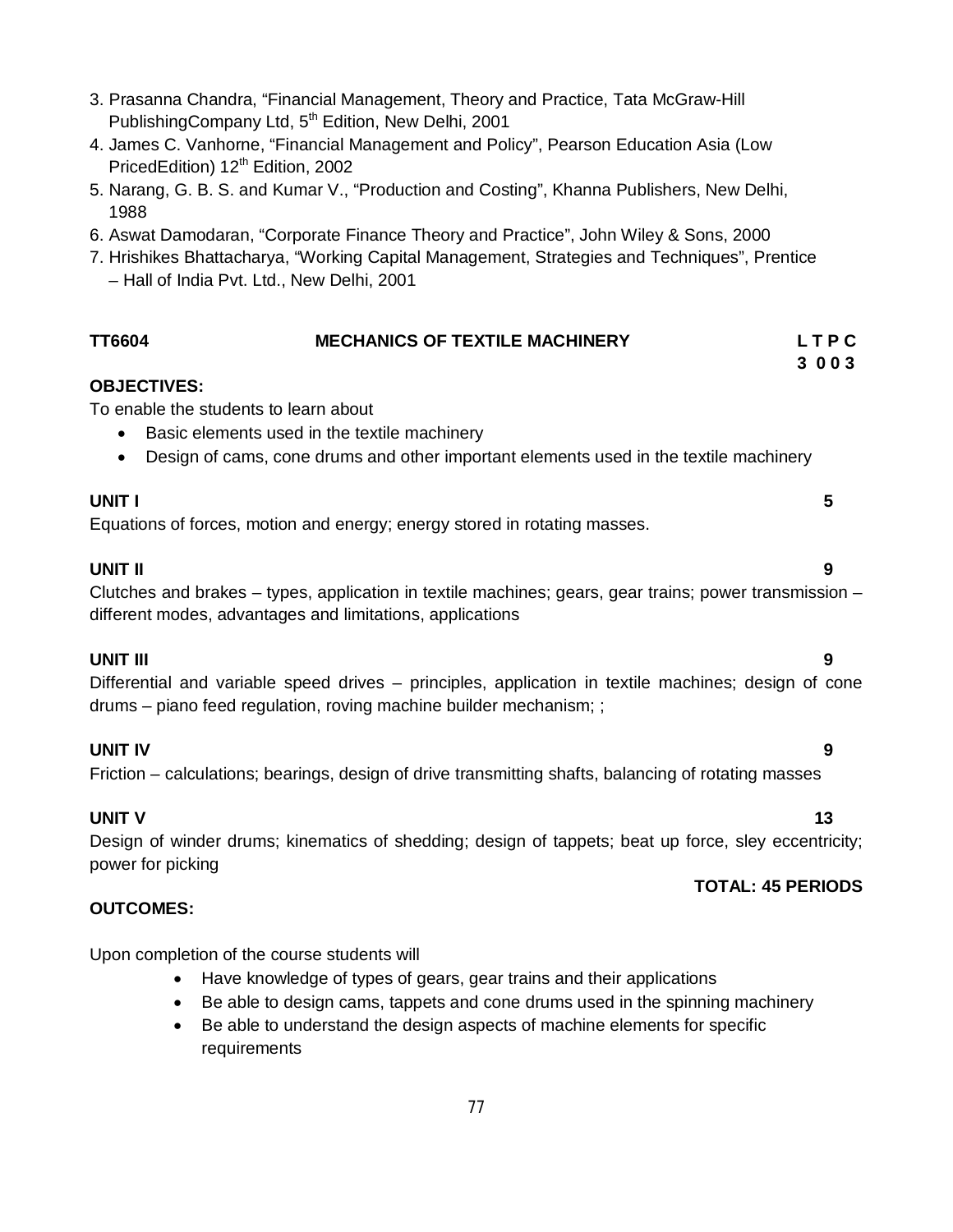| - Hall of India Pvt. Ltd., New Delhi, 2001 |                                                                                                                                                                           |              |
|--------------------------------------------|---------------------------------------------------------------------------------------------------------------------------------------------------------------------------|--------------|
| <b>TT6604</b>                              | <b>MECHANICS OF TEXTILE MACHINERY</b>                                                                                                                                     | LTPC<br>3003 |
| <b>OBJECTIVES:</b>                         |                                                                                                                                                                           |              |
| To enable the students to learn about      | Basic elements used in the textile machinery                                                                                                                              |              |
| $\bullet$                                  | Design of cams, cone drums and other important elements used in the textile machinery                                                                                     |              |
| <b>UNIT I</b>                              | Equations of forces, motion and energy; energy stored in rotating masses.                                                                                                 | 5            |
| <b>UNIT II</b>                             | Clutches and brakes – types, application in textile machines; gears, gear trains; power transmission –<br>different modes, advantages and limitations, applications       | 9            |
| <b>UNIT III</b>                            | Differential and variable speed drives – principles, application in textile machines; design of cone<br>drums - piano feed regulation, roving machine builder mechanism;; | 9            |
| <b>UNIT IV</b>                             | Friction – calculations; bearings, design of drive transmitting shafts, balancing of rotating masses                                                                      | 9            |
| <b>UNIT V</b>                              |                                                                                                                                                                           | 13           |

3. Prasanna Chandra, "Financial Management, Theory and Practice, Tata McGraw-Hill

4. James C. Vanhorne, "Financial Management and Policy", Pearson Education Asia (Low

5. Narang, G. B. S. and Kumar V., "Production and Costing", Khanna Publishers, New Delhi,

6. Aswat Damodaran, "Corporate Finance Theory and Practice", John Wiley & Sons, 2000

7. Hrishikes Bhattacharya, "Working Capital Management, Strategies and Techniques", Prentice

PublishingCompany Ltd, 5<sup>th</sup> Edition, New Delhi, 2001

PricedEdition) 12<sup>th</sup> Edition, 2002

1988

Design of winder drums; kinematics of shedding; design of tappets; beat up force, sley eccentricity; power for picking

### **TOTAL: 45 PERIODS**

Upon completion of the course students will

**OUTCOMES:**

- Have knowledge of types of gears, gear trains and their applications
- Be able to design cams, tappets and cone drums used in the spinning machinery
- Be able to understand the design aspects of machine elements for specific requirements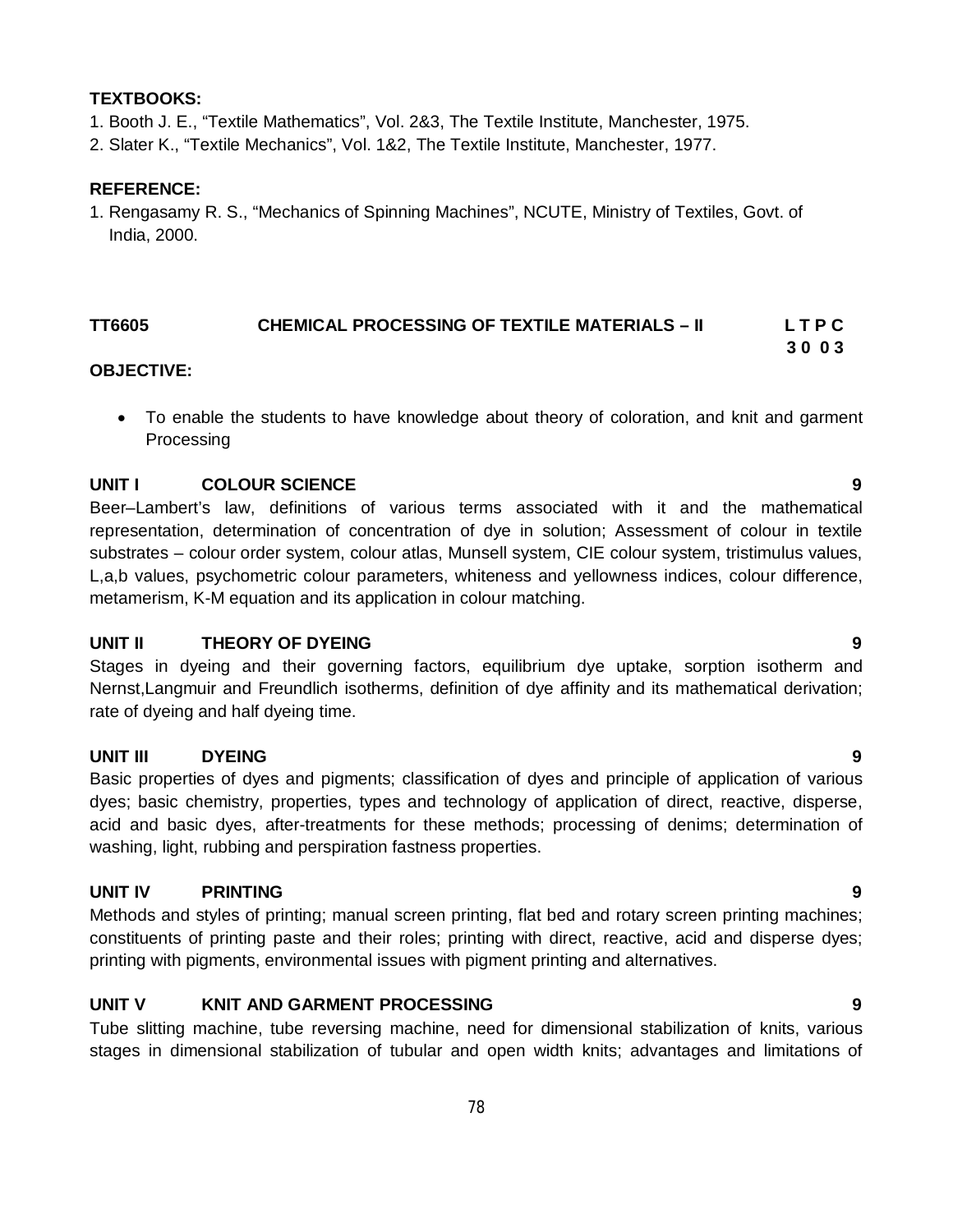#### **TEXTBOOKS:**

- 1. Booth J. E., "Textile Mathematics", Vol. 2&3, The Textile Institute, Manchester, 1975.
- 2. Slater K., "Textile Mechanics", Vol. 1&2, The Textile Institute, Manchester, 1977.

#### **REFERENCE:**

1. Rengasamy R. S., "Mechanics of Spinning Machines", NCUTE, Ministry of Textiles, Govt. of India, 2000.

#### **TT6605 CHEMICAL PROCESSING OF TEXTILE MATERIALS – II L T P C 3 0 0 3**

#### **OBJECTIVE:**

 To enable the students to have knowledge about theory of coloration, and knit and garment Processing

#### **UNIT I COLOUR SCIENCE 9**

Beer–Lambert's law, definitions of various terms associated with it and the mathematical representation, determination of concentration of dye in solution; Assessment of colour in textile substrates – colour order system, colour atlas, Munsell system, CIE colour system, tristimulus values, L,a,b values, psychometric colour parameters, whiteness and yellowness indices, colour difference, metamerism, K-M equation and its application in colour matching.

#### **UNIT II THEORY OF DYEING 9**

Stages in dyeing and their governing factors, equilibrium dye uptake, sorption isotherm and Nernst,Langmuir and Freundlich isotherms, definition of dye affinity and its mathematical derivation; rate of dyeing and half dyeing time.

#### **UNIT III DYEING 9**

Basic properties of dyes and pigments; classification of dyes and principle of application of various dyes; basic chemistry, properties, types and technology of application of direct, reactive, disperse, acid and basic dyes, after-treatments for these methods; processing of denims; determination of washing, light, rubbing and perspiration fastness properties.

#### **UNIT IV PRINTING 9**

Methods and styles of printing; manual screen printing, flat bed and rotary screen printing machines; constituents of printing paste and their roles; printing with direct, reactive, acid and disperse dyes; printing with pigments, environmental issues with pigment printing and alternatives.

#### **UNIT V KNIT AND GARMENT PROCESSING 9**

Tube slitting machine, tube reversing machine, need for dimensional stabilization of knits, various stages in dimensional stabilization of tubular and open width knits; advantages and limitations of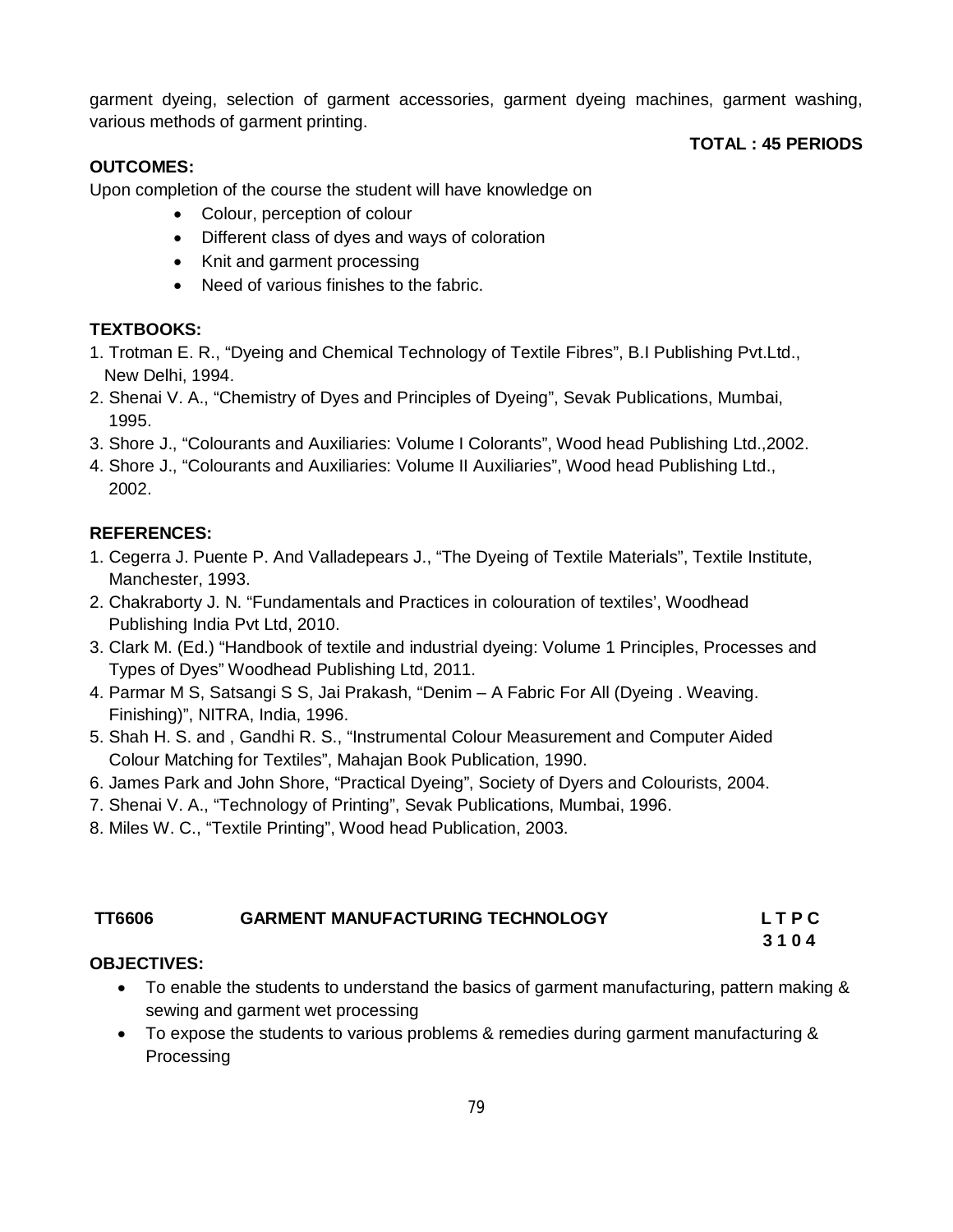garment dyeing, selection of garment accessories, garment dyeing machines, garment washing, various methods of garment printing.

#### **OUTCOMES:**

**TOTAL : 45 PERIODS**

Upon completion of the course the student will have knowledge on

- Colour, perception of colour
- Different class of dyes and ways of coloration
- Knit and garment processing
- Need of various finishes to the fabric.

### **TEXTBOOKS:**

- 1. Trotman E. R., "Dyeing and Chemical Technology of Textile Fibres", B.I Publishing Pvt.Ltd., New Delhi, 1994.
- 2. Shenai V. A., "Chemistry of Dyes and Principles of Dyeing", Sevak Publications, Mumbai, 1995.
- 3. Shore J., "Colourants and Auxiliaries: Volume I Colorants", Wood head Publishing Ltd.,2002.
- 4. Shore J., "Colourants and Auxiliaries: Volume II Auxiliaries", Wood head Publishing Ltd., 2002.

### **REFERENCES:**

- 1. Cegerra J. Puente P. And Valladepears J., "The Dyeing of Textile Materials", Textile Institute, Manchester, 1993.
- 2. Chakraborty J. N. "Fundamentals and Practices in colouration of textiles', Woodhead Publishing India Pvt Ltd, 2010.
- 3. Clark M. (Ed.) "Handbook of textile and industrial dyeing: Volume 1 Principles, Processes and Types of Dyes" Woodhead Publishing Ltd, 2011.
- 4. Parmar M S, Satsangi S S, Jai Prakash, "Denim A Fabric For All (Dyeing . Weaving. Finishing)", NITRA, India, 1996.
- 5. Shah H. S. and , Gandhi R. S., "Instrumental Colour Measurement and Computer Aided Colour Matching for Textiles", Mahajan Book Publication, 1990.
- 6. James Park and John Shore, "Practical Dyeing", Society of Dyers and Colourists, 2004.
- 7. Shenai V. A., "Technology of Printing", Sevak Publications, Mumbai, 1996.
- 8. Miles W. C., "Textile Printing", Wood head Publication, 2003.

| <b>GARMENT MANUFACTURING TECHNOLOGY</b> | <b>LTPC</b> |
|-----------------------------------------|-------------|
|                                         |             |

### **3 1 0 4**

### **OBJECTIVES:**

- To enable the students to understand the basics of garment manufacturing, pattern making & sewing and garment wet processing
- To expose the students to various problems & remedies during garment manufacturing & Processing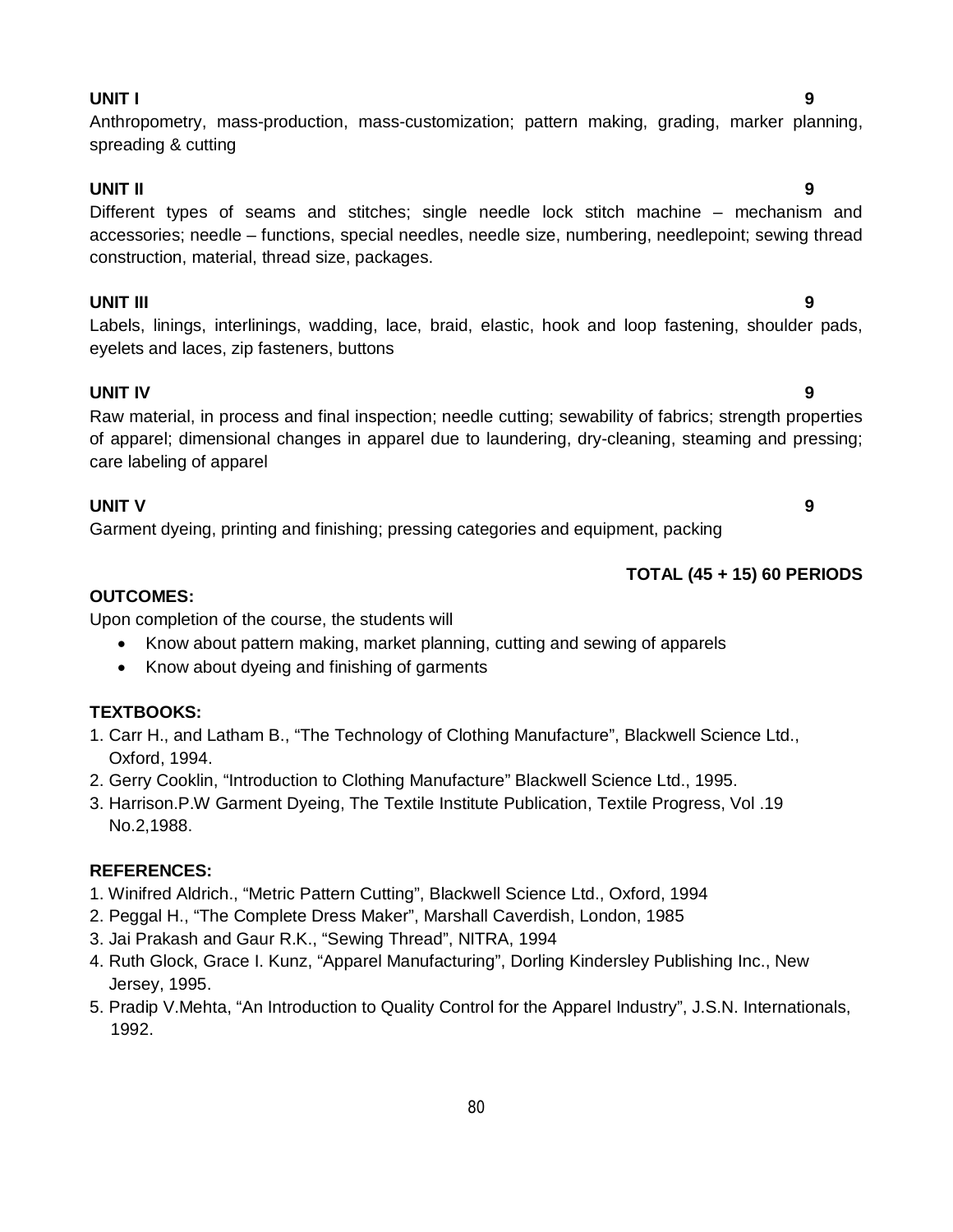#### **UNIT I 9**

### Anthropometry, mass-production, mass-customization; pattern making, grading, marker planning, spreading & cutting

#### **UNIT II 9**

### Different types of seams and stitches; single needle lock stitch machine – mechanism and accessories; needle – functions, special needles, needle size, numbering, needlepoint; sewing thread construction, material, thread size, packages.

#### **UNIT III 9**

#### Labels, linings, interlinings, wadding, lace, braid, elastic, hook and loop fastening, shoulder pads, eyelets and laces, zip fasteners, buttons

#### **UNIT IV 9**

Raw material, in process and final inspection; needle cutting; sewability of fabrics; strength properties of apparel; dimensional changes in apparel due to laundering, dry-cleaning, steaming and pressing; care labeling of apparel

#### **UNIT V 9**

Garment dyeing, printing and finishing; pressing categories and equipment, packing

### **TOTAL (45 + 15) 60 PERIODS**

#### **OUTCOMES:**

Upon completion of the course, the students will

- Know about pattern making, market planning, cutting and sewing of apparels
- Know about dyeing and finishing of garments

### **TEXTBOOKS:**

- 1. Carr H., and Latham B., "The Technology of Clothing Manufacture", Blackwell Science Ltd., Oxford, 1994.
- 2. Gerry Cooklin, "Introduction to Clothing Manufacture" Blackwell Science Ltd., 1995.
- 3. Harrison.P.W Garment Dyeing, The Textile Institute Publication, Textile Progress, Vol .19 No.2,1988.

#### **REFERENCES:**

- 1. Winifred Aldrich., "Metric Pattern Cutting", Blackwell Science Ltd., Oxford, 1994
- 2. Peggal H., "The Complete Dress Maker", Marshall Caverdish, London, 1985
- 3. Jai Prakash and Gaur R.K., "Sewing Thread", NITRA, 1994
- 4. Ruth Glock, Grace I. Kunz, "Apparel Manufacturing", Dorling Kindersley Publishing Inc., New Jersey, 1995.
- 5. Pradip V.Mehta, "An Introduction to Quality Control for the Apparel Industry", J.S.N. Internationals, 1992.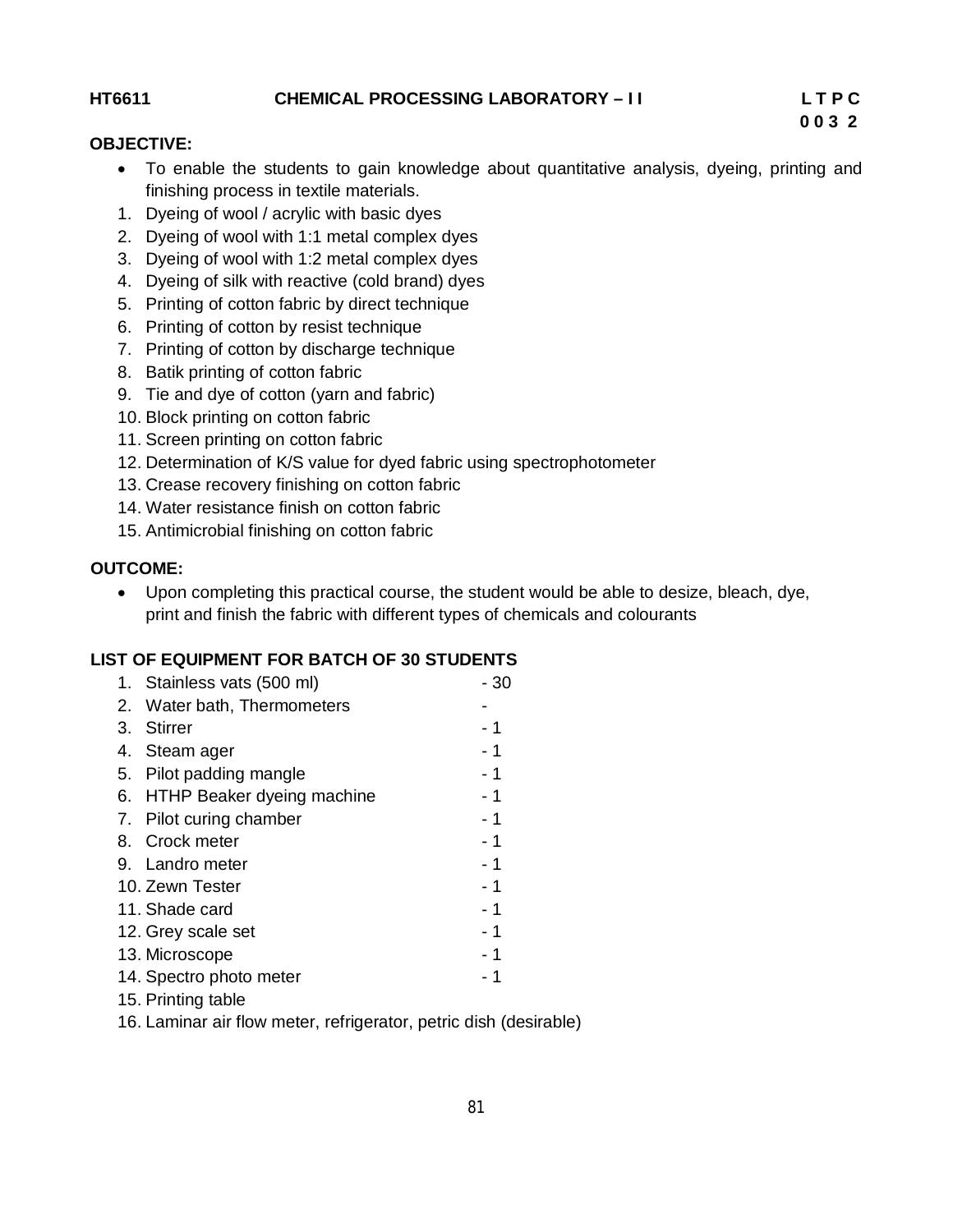**HT6611 CHEMICAL PROCESSING LABORATORY – I I L T P C** 

 **0 0 3 2**

#### **OBJECTIVE:**

- To enable the students to gain knowledge about quantitative analysis, dyeing, printing and finishing process in textile materials.
- 1. Dyeing of wool / acrylic with basic dyes
- 2. Dyeing of wool with 1:1 metal complex dyes
- 3. Dyeing of wool with 1:2 metal complex dyes
- 4. Dyeing of silk with reactive (cold brand) dyes
- 5. Printing of cotton fabric by direct technique
- 6. Printing of cotton by resist technique
- 7. Printing of cotton by discharge technique
- 8. Batik printing of cotton fabric
- 9. Tie and dye of cotton (yarn and fabric)
- 10. Block printing on cotton fabric
- 11. Screen printing on cotton fabric
- 12. Determination of K/S value for dyed fabric using spectrophotometer
- 13. Crease recovery finishing on cotton fabric
- 14. Water resistance finish on cotton fabric
- 15. Antimicrobial finishing on cotton fabric

#### **OUTCOME:**

 Upon completing this practical course, the student would be able to desize, bleach, dye, print and finish the fabric with different types of chemicals and colourants

#### **LIST OF EQUIPMENT FOR BATCH OF 30 STUDENTS**

| 1. Stainless vats (500 ml)    | - 30 |
|-------------------------------|------|
| 2. Water bath, Thermometers   |      |
| 3. Stirrer                    | - 1  |
| 4. Steam ager                 | - 1  |
| 5. Pilot padding mangle       | $-1$ |
| 6. HTHP Beaker dyeing machine | - 1  |
| 7. Pilot curing chamber       | - 1  |
| 8. Crock meter                | $-1$ |
| 9. Landro meter               | $-1$ |
| 10. Zewn Tester               | - 1  |
| 11. Shade card                | - 1  |
| 12. Grey scale set            | - 1  |
| 13. Microscope                | - 1  |
| 14. Spectro photo meter       | - 1  |
| 15. Printing table            |      |

16. Laminar air flow meter, refrigerator, petric dish (desirable)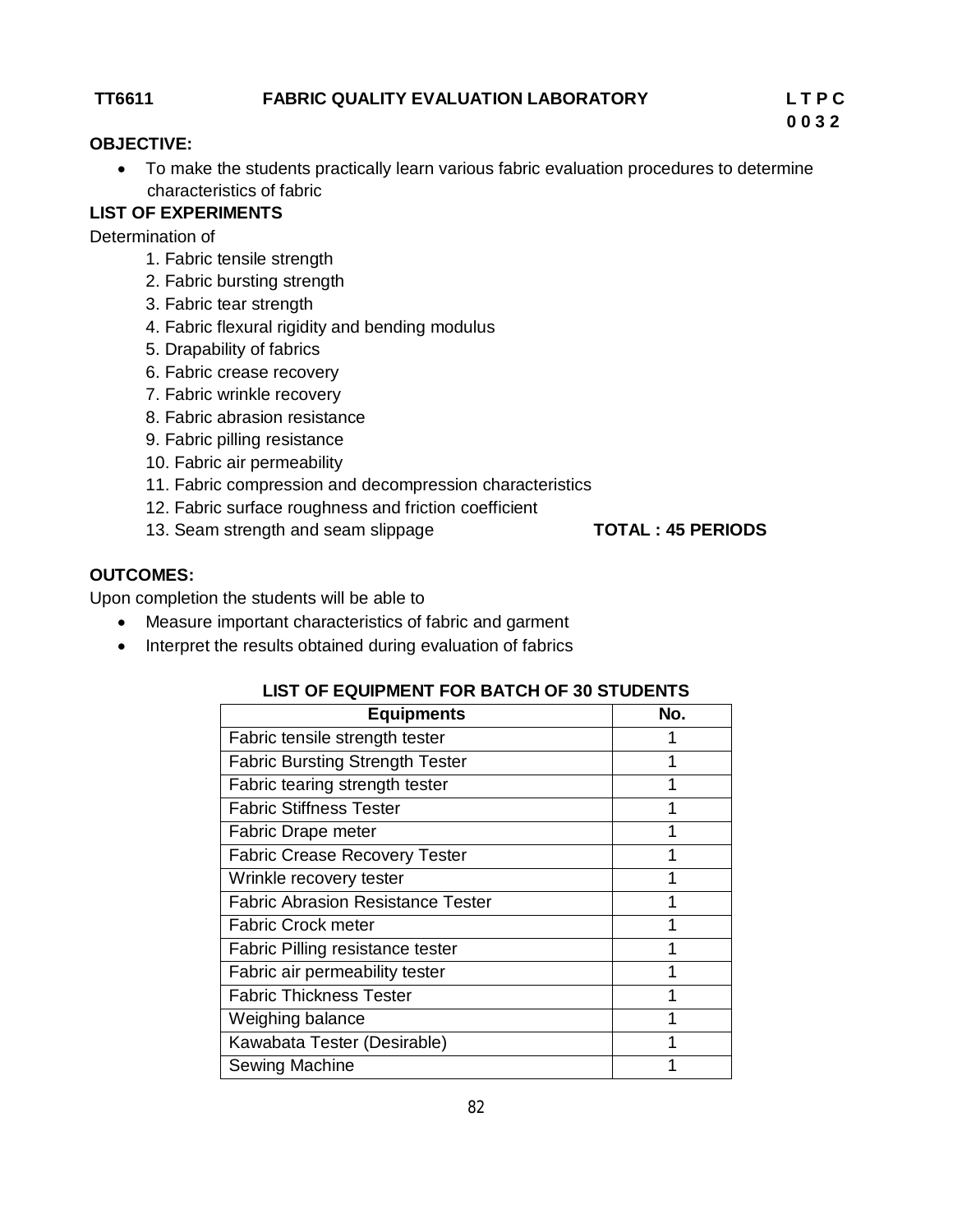#### **TT6611 FABRIC QUALITY EVALUATION LABORATORY L T P C**

#### **OBJECTIVE:**

 To make the students practically learn various fabric evaluation procedures to determine characteristics of fabric

### **LIST OF EXPERIMENTS**

Determination of

- 1. Fabric tensile strength
- 2. Fabric bursting strength
- 3. Fabric tear strength
- 4. Fabric flexural rigidity and bending modulus
- 5. Drapability of fabrics
- 6. Fabric crease recovery
- 7. Fabric wrinkle recovery
- 8. Fabric abrasion resistance
- 9. Fabric pilling resistance
- 10. Fabric air permeability
- 11. Fabric compression and decompression characteristics
- 12. Fabric surface roughness and friction coefficient
- 13. Seam strength and seam slippage **TOTAL : 45 PERIODS**

### **OUTCOMES:**

Upon completion the students will be able to

- Measure important characteristics of fabric and garment
- Interpret the results obtained during evaluation of fabrics

| <b>Equipments</b>                        | No. |  |
|------------------------------------------|-----|--|
| Fabric tensile strength tester           |     |  |
| <b>Fabric Bursting Strength Tester</b>   | 4   |  |
| Fabric tearing strength tester           |     |  |
| <b>Fabric Stiffness Tester</b>           |     |  |
| Fabric Drape meter                       |     |  |
| <b>Fabric Crease Recovery Tester</b>     |     |  |
| Wrinkle recovery tester                  |     |  |
| <b>Fabric Abrasion Resistance Tester</b> |     |  |
| <b>Fabric Crock meter</b>                | 4   |  |
| Fabric Pilling resistance tester         |     |  |
| Fabric air permeability tester           |     |  |
| <b>Fabric Thickness Tester</b>           |     |  |
| Weighing balance                         |     |  |
| Kawabata Tester (Desirable)              |     |  |
| Sewing Machine                           |     |  |

#### **LIST OF EQUIPMENT FOR BATCH OF 30 STUDENTS**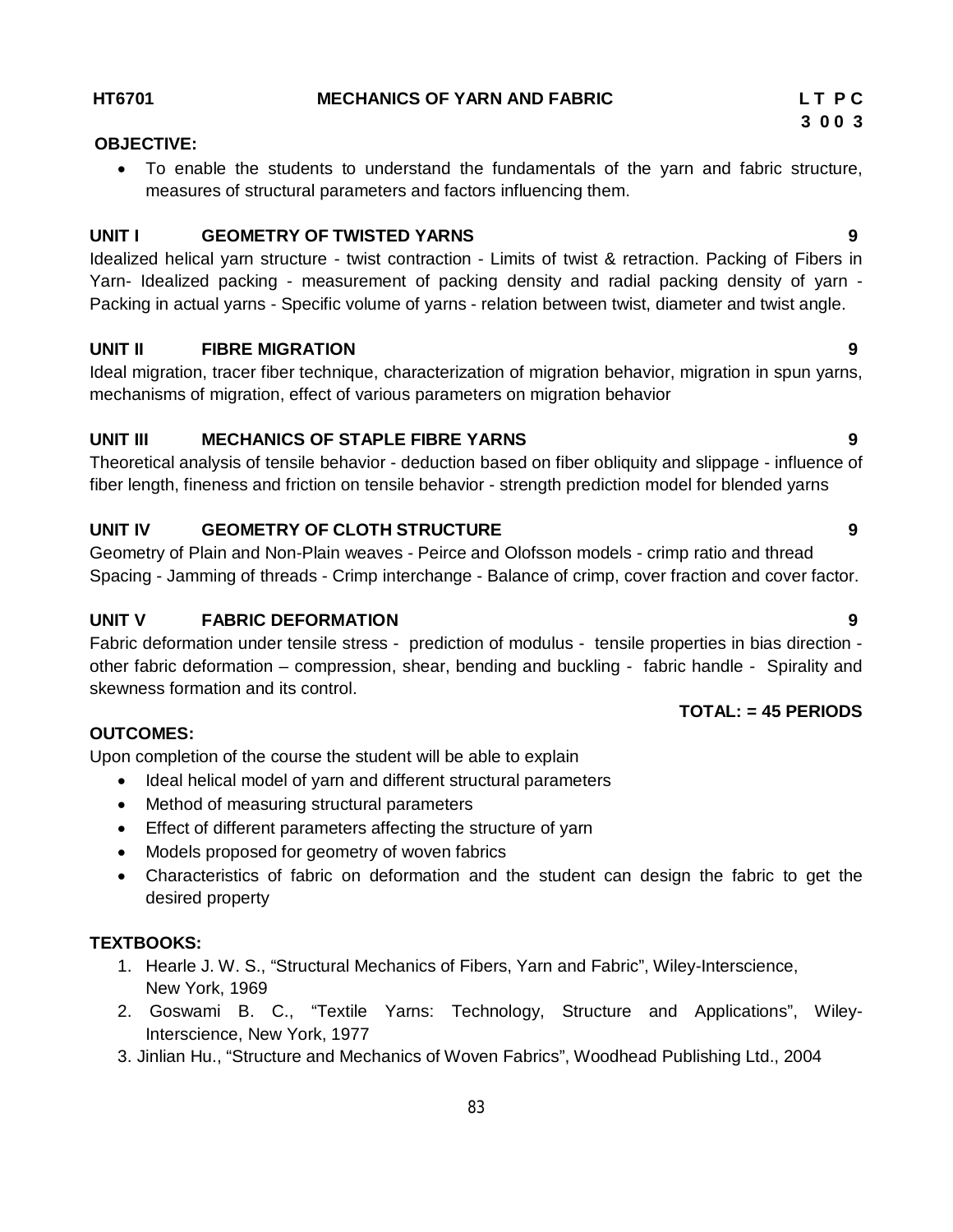#### **HT6701 MECHANICS OF YARN AND FABRIC L T P C**

#### **OBJECTIVE:**

 To enable the students to understand the fundamentals of the yarn and fabric structure, measures of structural parameters and factors influencing them.

#### **UNIT I GEOMETRY OF TWISTED YARNS 9**

Idealized helical yarn structure - twist contraction - Limits of twist & retraction. Packing of Fibers in Yarn- Idealized packing - measurement of packing density and radial packing density of yarn - Packing in actual yarns - Specific volume of yarns - relation between twist, diameter and twist angle.

#### **UNIT II FIBRE MIGRATION 9**

Ideal migration, tracer fiber technique, characterization of migration behavior, migration in spun yarns, mechanisms of migration, effect of various parameters on migration behavior

### **UNIT III MECHANICS OF STAPLE FIBRE YARNS 9**

Theoretical analysis of tensile behavior - deduction based on fiber obliquity and slippage - influence of fiber length, fineness and friction on tensile behavior - strength prediction model for blended yarns

### **UNIT IV GEOMETRY OF CLOTH STRUCTURE 9**

Geometry of Plain and Non-Plain weaves - Peirce and Olofsson models - crimp ratio and thread Spacing - Jamming of threads - Crimp interchange - Balance of crimp, cover fraction and cover factor.

### **UNIT V FABRIC DEFORMATION 9**

Fabric deformation under tensile stress - prediction of modulus - tensile properties in bias direction other fabric deformation – compression, shear, bending and buckling - fabric handle - Spirality and skewness formation and its control.

### **OUTCOMES:**

Upon completion of the course the student will be able to explain

- Ideal helical model of yarn and different structural parameters
- Method of measuring structural parameters
- Effect of different parameters affecting the structure of yarn
- Models proposed for geometry of woven fabrics
- Characteristics of fabric on deformation and the student can design the fabric to get the desired property

### **TEXTBOOKS:**

- 1. Hearle J. W. S., "Structural Mechanics of Fibers, Yarn and Fabric", Wiley-Interscience, New York, 1969
- 2. Goswami B. C., "Textile Yarns: Technology, Structure and Applications", Wiley-Interscience, New York, 1977
- 3. Jinlian Hu., "Structure and Mechanics of Woven Fabrics", Woodhead Publishing Ltd., 2004

### **TOTAL: = 45 PERIODS**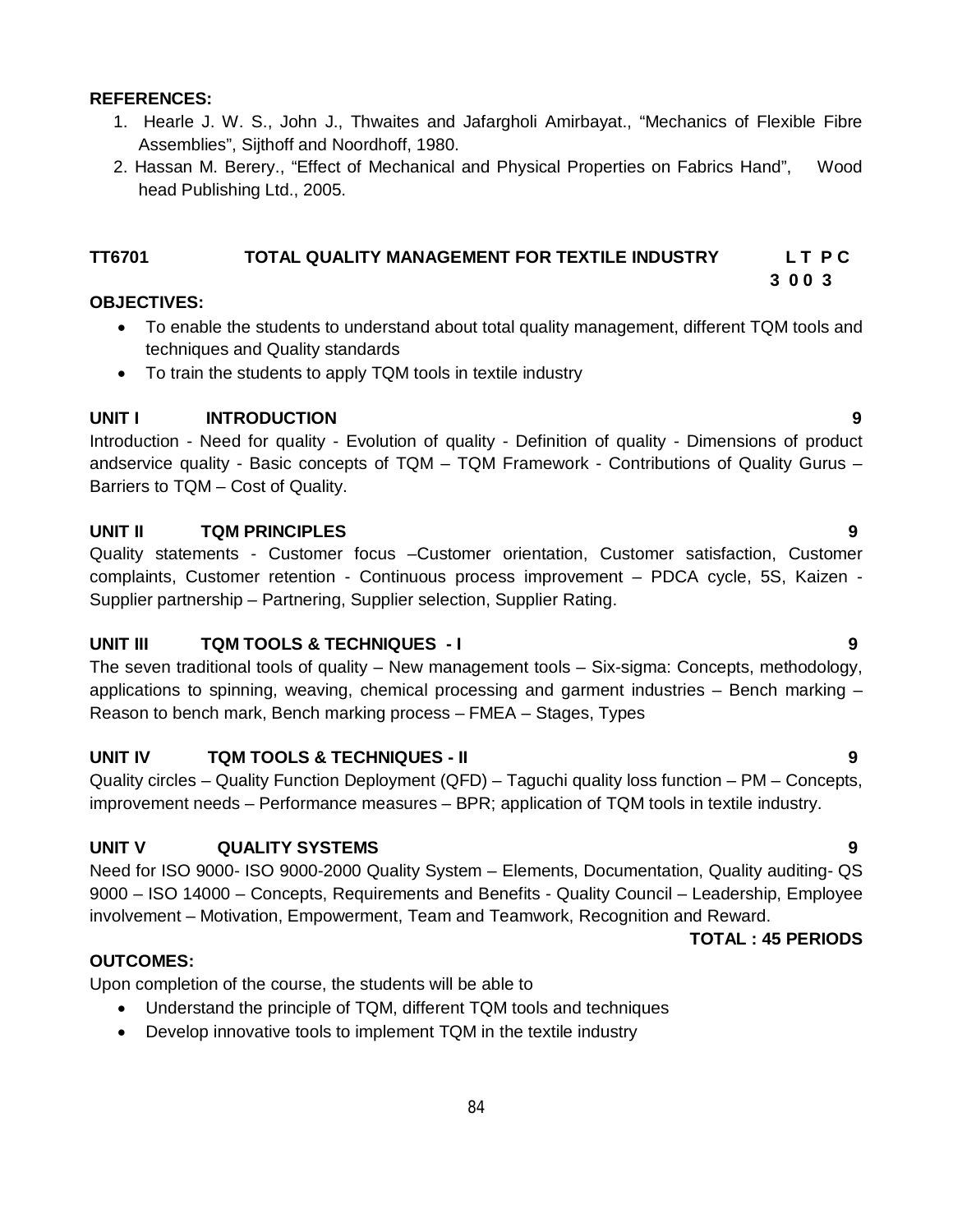#### **REFERENCES:**

- 1. Hearle J. W. S., John J., Thwaites and Jafargholi Amirbayat., "Mechanics of Flexible Fibre Assemblies", Sijthoff and Noordhoff, 1980.
- 2. Hassan M. Berery., "Effect of Mechanical and Physical Properties on Fabrics Hand", Wood head Publishing Ltd., 2005.

#### **TT6701 TOTAL QUALITY MANAGEMENT FOR TEXTILE INDUSTRY L T P C**

 **3 0 0 3**

#### **OBJECTIVES:**

- To enable the students to understand about total quality management, different TQM tools and techniques and Quality standards
- To train the students to apply TQM tools in textile industry

#### **UNIT I INTRODUCTION 9**

Introduction - Need for quality - Evolution of quality - Definition of quality - Dimensions of product andservice quality - Basic concepts of TQM – TQM Framework - Contributions of Quality Gurus – Barriers to TQM – Cost of Quality.

#### **UNIT II TQM PRINCIPLES 9**

Quality statements - Customer focus –Customer orientation, Customer satisfaction, Customer complaints, Customer retention - Continuous process improvement – PDCA cycle, 5S, Kaizen - Supplier partnership – Partnering, Supplier selection, Supplier Rating.

#### **UNIT III TQM TOOLS & TECHNIQUES - I 9**

The seven traditional tools of quality – New management tools – Six-sigma: Concepts, methodology, applications to spinning, weaving, chemical processing and garment industries – Bench marking – Reason to bench mark, Bench marking process – FMEA – Stages, Types

#### **UNIT IV TQM TOOLS & TECHNIQUES - II 9**

Quality circles – Quality Function Deployment (QFD) – Taguchi quality loss function – PM – Concepts, improvement needs – Performance measures – BPR; application of TQM tools in textile industry.

#### **UNIT V QUALITY SYSTEMS 9**

Need for ISO 9000- ISO 9000-2000 Quality System – Elements, Documentation, Quality auditing- QS 9000 – ISO 14000 – Concepts, Requirements and Benefits - Quality Council – Leadership, Employee involvement – Motivation, Empowerment, Team and Teamwork, Recognition and Reward.

**TOTAL : 45 PERIODS**

#### **OUTCOMES:**

Upon completion of the course, the students will be able to

- Understand the principle of TQM, different TQM tools and techniques
- Develop innovative tools to implement TQM in the textile industry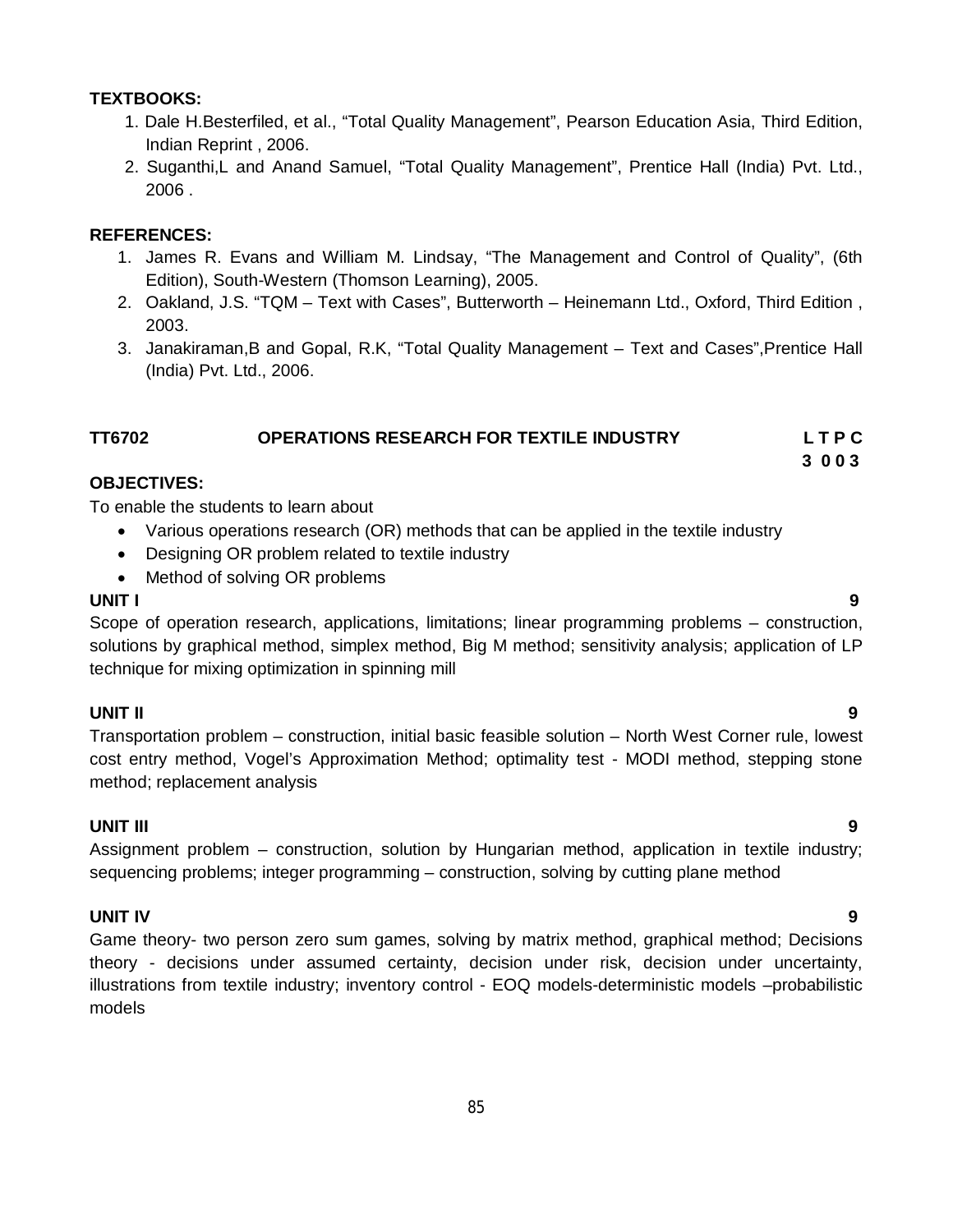#### **TEXTBOOKS:**

- 1. Dale H.Besterfiled, et al., "Total Quality Management", Pearson Education Asia, Third Edition, Indian Reprint , 2006.
- 2. Suganthi,L and Anand Samuel, "Total Quality Management", Prentice Hall (India) Pvt. Ltd., 2006 .

#### **REFERENCES:**

- 1. James R. Evans and William M. Lindsay, "The Management and Control of Quality", (6th Edition), South-Western (Thomson Learning), 2005.
- 2. Oakland, J.S. "TQM Text with Cases", Butterworth Heinemann Ltd., Oxford, Third Edition , 2003.
- 3. Janakiraman,B and Gopal, R.K, "Total Quality Management Text and Cases",Prentice Hall (India) Pvt. Ltd., 2006.

#### **TT6702 OPERATIONS RESEARCH FOR TEXTILE INDUSTRY L T P C**

#### **3 0 0 3**

#### **OBJECTIVES:**

To enable the students to learn about

- Various operations research (OR) methods that can be applied in the textile industry
- Designing OR problem related to textile industry
- Method of solving OR problems

#### **UNIT I 9**

Scope of operation research, applications, limitations; linear programming problems – construction, solutions by graphical method, simplex method, Big M method; sensitivity analysis; application of LP technique for mixing optimization in spinning mill

#### **UNIT II 9**

Transportation problem – construction, initial basic feasible solution – North West Corner rule, lowest cost entry method, Vogel's Approximation Method; optimality test - MODI method, stepping stone method; replacement analysis

#### **UNIT III 9**

Assignment problem – construction, solution by Hungarian method, application in textile industry; sequencing problems; integer programming – construction, solving by cutting plane method

#### **UNIT IV 9**

Game theory- two person zero sum games, solving by matrix method, graphical method; Decisions theory - decisions under assumed certainty, decision under risk, decision under uncertainty, illustrations from textile industry; inventory control - EOQ models-deterministic models –probabilistic models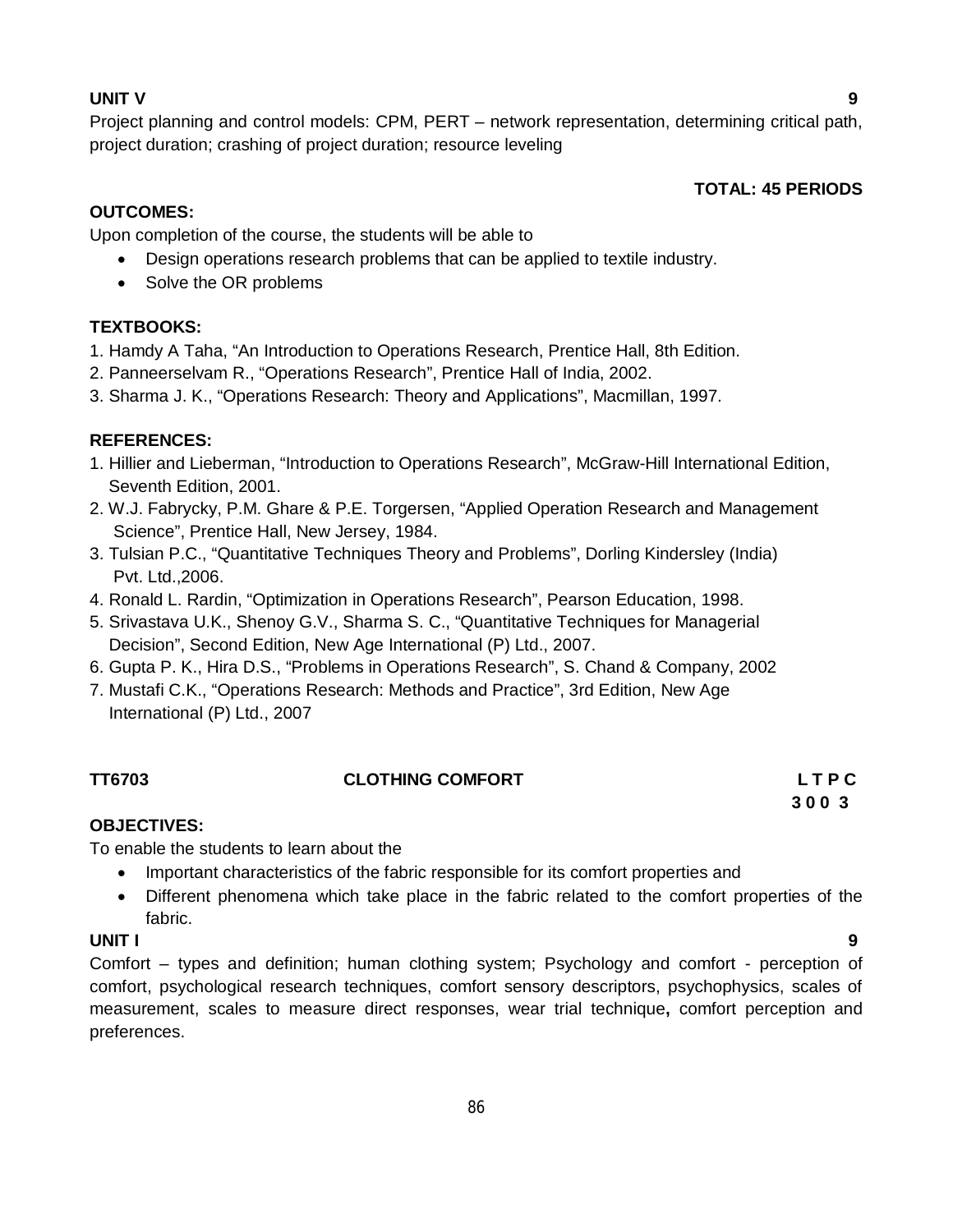#### **UNIT V 9**

Project planning and control models: CPM, PERT – network representation, determining critical path, project duration; crashing of project duration; resource leveling

#### **TOTAL: 45 PERIODS**

#### **OUTCOMES:**

Upon completion of the course, the students will be able to

- Design operations research problems that can be applied to textile industry.
- Solve the OR problems

#### **TEXTBOOKS:**

- 1. Hamdy A Taha, "An Introduction to Operations Research, Prentice Hall, 8th Edition.
- 2. Panneerselvam R., "Operations Research", Prentice Hall of India, 2002.
- 3. Sharma J. K., "Operations Research: Theory and Applications", Macmillan, 1997.

#### **REFERENCES:**

- 1. Hillier and Lieberman, "Introduction to Operations Research", McGraw-Hill International Edition, Seventh Edition, 2001.
- 2. W.J. Fabrycky, P.M. Ghare & P.E. Torgersen, "Applied Operation Research and Management Science", Prentice Hall, New Jersey, 1984.
- 3. Tulsian P.C., "Quantitative Techniques Theory and Problems", Dorling Kindersley (India) Pvt. Ltd.,2006.
- 4. Ronald L. Rardin, "Optimization in Operations Research", Pearson Education, 1998.
- 5. Srivastava U.K., Shenoy G.V., Sharma S. C., "Quantitative Techniques for Managerial Decision", Second Edition, New Age International (P) Ltd., 2007.
- 6. Gupta P. K., Hira D.S., "Problems in Operations Research", S. Chand & Company, 2002
- 7. Mustafi C.K., "Operations Research: Methods and Practice", 3rd Edition, New Age International (P) Ltd., 2007

#### **TT6703 CLOTHING COMFORT L T P C**

# **3 0 0 3**

#### **OBJECTIVES:**

To enable the students to learn about the

- Important characteristics of the fabric responsible for its comfort properties and
- Different phenomena which take place in the fabric related to the comfort properties of the fabric.

#### **UNIT I 9**

Comfort – types and definition; human clothing system; Psychology and comfort - perception of comfort, psychological research techniques, comfort sensory descriptors, psychophysics, scales of measurement, scales to measure direct responses, wear trial technique**,** comfort perception and preferences.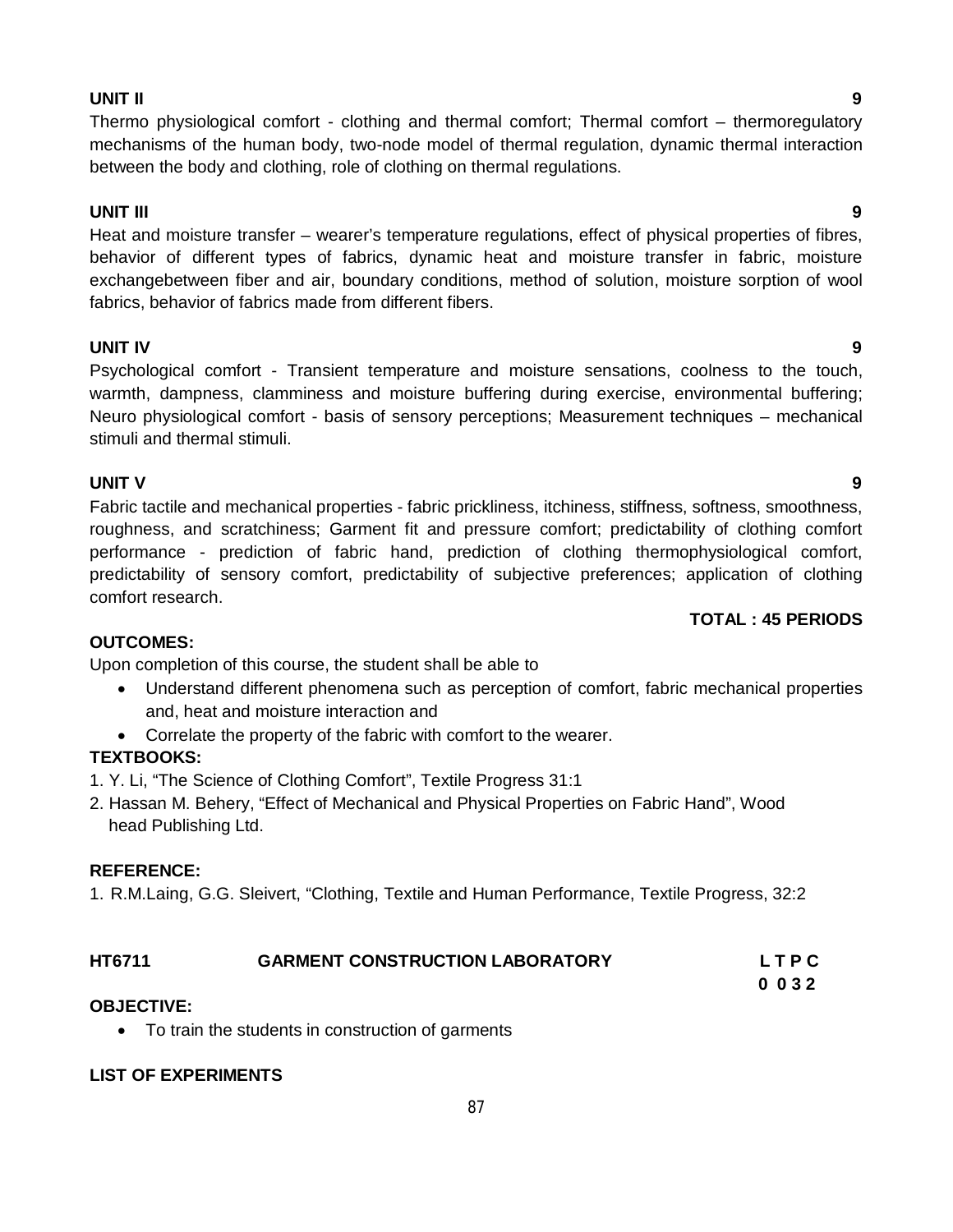#### **UNIT II 9**

Thermo physiological comfort - clothing and thermal comfort; Thermal comfort – thermoregulatory mechanisms of the human body, two-node model of thermal regulation, dynamic thermal interaction between the body and clothing, role of clothing on thermal regulations.

#### **UNIT III 9**

Heat and moisture transfer – wearer's temperature regulations, effect of physical properties of fibres, behavior of different types of fabrics, dynamic heat and moisture transfer in fabric, moisture exchangebetween fiber and air, boundary conditions, method of solution, moisture sorption of wool fabrics, behavior of fabrics made from different fibers.

#### **UNIT IV 9**

Psychological comfort - Transient temperature and moisture sensations, coolness to the touch, warmth, dampness, clamminess and moisture buffering during exercise, environmental buffering; Neuro physiological comfort - basis of sensory perceptions; Measurement techniques – mechanical stimuli and thermal stimuli.

#### **UNIT V 9**

Fabric tactile and mechanical properties - fabric prickliness, itchiness, stiffness, softness, smoothness, roughness, and scratchiness; Garment fit and pressure comfort; predictability of clothing comfort performance - prediction of fabric hand, prediction of clothing thermophysiological comfort, predictability of sensory comfort, predictability of subjective preferences; application of clothing comfort research.

#### **OUTCOMES:**

Upon completion of this course, the student shall be able to

- Understand different phenomena such as perception of comfort, fabric mechanical properties and, heat and moisture interaction and
- Correlate the property of the fabric with comfort to the wearer.

### **TEXTBOOKS:**

- 1. Y. Li, "The Science of Clothing Comfort", Textile Progress 31:1
- 2. Hassan M. Behery, "Effect of Mechanical and Physical Properties on Fabric Hand", Wood head Publishing Ltd.

#### **REFERENCE:**

1. R.M.Laing, G.G. Sleivert, "Clothing, Textile and Human Performance, Textile Progress, 32:2

| HT6711 | <b>GARMENT CONSTRUCTION LABORATORY</b> | LTPC |
|--------|----------------------------------------|------|
|        |                                        |      |

 **0 0 3 2**

### **OBJECTIVE:**

• To train the students in construction of garments

### **LIST OF EXPERIMENTS**

### **TOTAL : 45 PERIODS**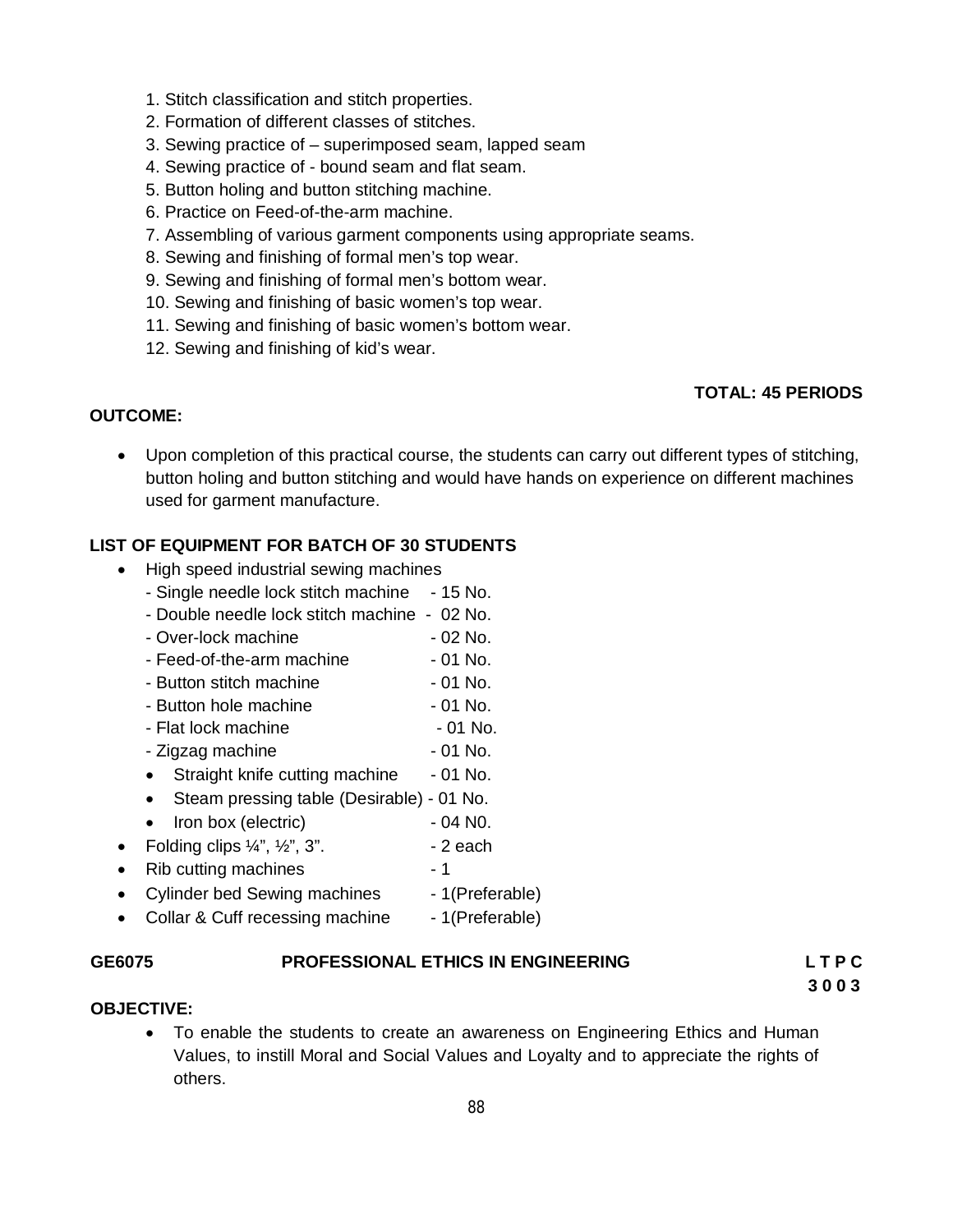- 1. Stitch classification and stitch properties.
- 2. Formation of different classes of stitches.
- 3. Sewing practice of superimposed seam, lapped seam
- 4. Sewing practice of bound seam and flat seam.
- 5. Button holing and button stitching machine.
- 6. Practice on Feed-of-the-arm machine.
- 7. Assembling of various garment components using appropriate seams.
- 8. Sewing and finishing of formal men's top wear.
- 9. Sewing and finishing of formal men's bottom wear.
- 10. Sewing and finishing of basic women's top wear.
- 11. Sewing and finishing of basic women's bottom wear.
- 12. Sewing and finishing of kid's wear.

#### **TOTAL: 45 PERIODS**

#### **OUTCOME:**

 Upon completion of this practical course, the students can carry out different types of stitching, button holing and button stitching and would have hands on experience on different machines used for garment manufacture.

#### **LIST OF EQUIPMENT FOR BATCH OF 30 STUDENTS**

- High speed industrial sewing machines
	- Single needle lock stitch machine 15 No.
	- Double needle lock stitch machine 02 No.
	- Over-lock machine 02 No.
	- Feed-of-the-arm machine 01 No.
	- Button stitch machine 01 No.
	- Button hole machine  $-01$  No.
	- Flat lock machine  $-01$  No.
	- Zigzag machine  $-$  01 No.
	- Straight knife cutting machine 01 No.
	- Steam pressing table (Desirable) 01 No.
	- Iron box (electric) 04 N0.
- Folding clips  $\frac{1}{4}$ ,  $\frac{1}{2}$ ,  $\frac{3}{4}$ .  $\frac{1}{2}$  each
- Rib cutting machines 1
- Cylinder bed Sewing machines 1(Preferable)
- Collar & Cuff recessing machine 1(Preferable)

#### **GE6075 PROFESSIONAL ETHICS IN ENGINEERING L T P C**

 **3 0 0 3**

#### **OBJECTIVE:**

 To enable the students to create an awareness on Engineering Ethics and Human Values, to instill Moral and Social Values and Loyalty and to appreciate the rights of others.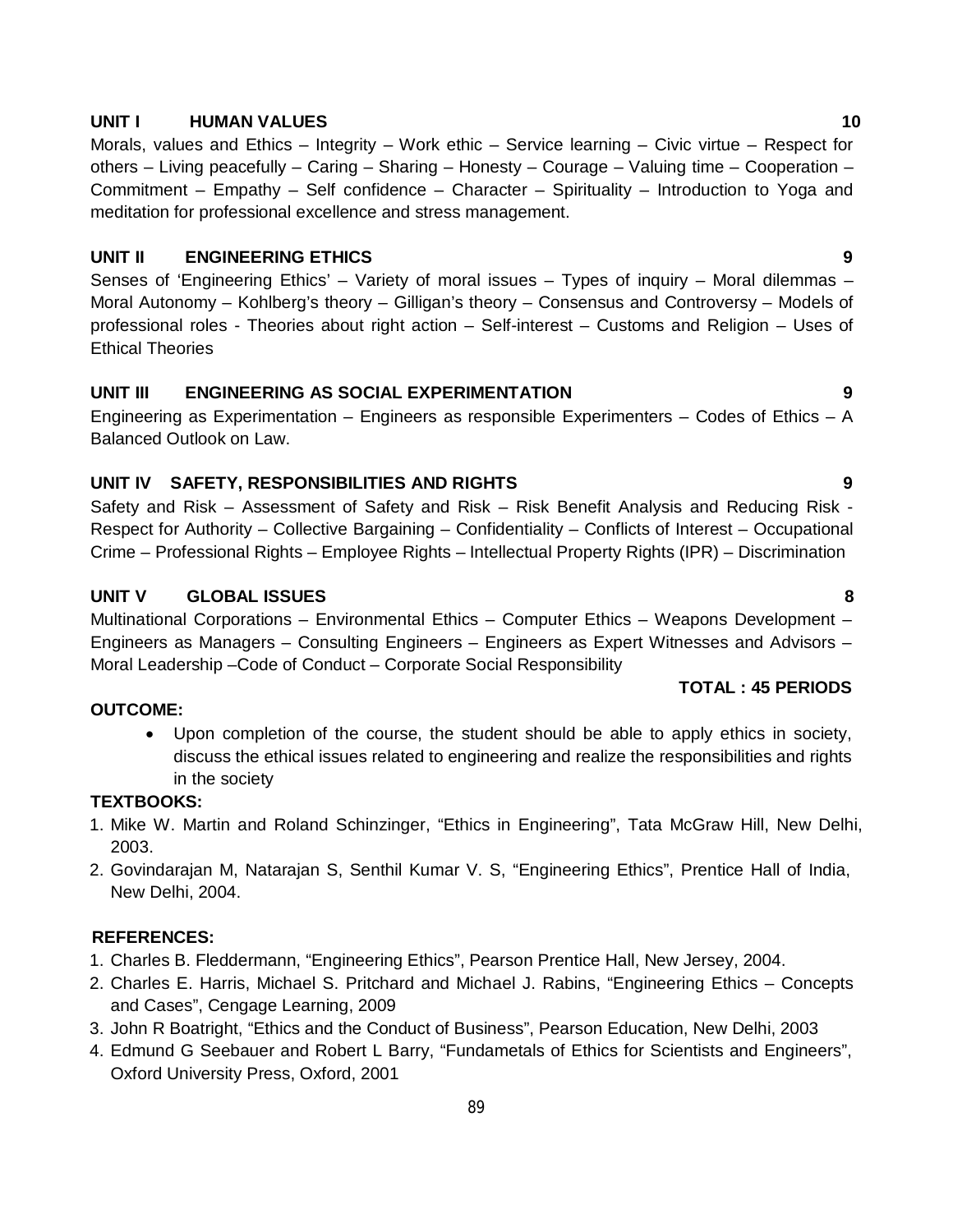#### **UNIT I HUMAN VALUES 10**

Morals, values and Ethics – Integrity – Work ethic – Service learning – Civic virtue – Respect for others – Living peacefully – Caring – Sharing – Honesty – Courage – Valuing time – Cooperation – Commitment – Empathy – Self confidence – Character – Spirituality – Introduction to Yoga and meditation for professional excellence and stress management.

#### **UNIT II ENGINEERING ETHICS 9**

Senses of 'Engineering Ethics' – Variety of moral issues – Types of inquiry – Moral dilemmas – Moral Autonomy – Kohlberg's theory – Gilligan's theory – Consensus and Controversy – Models of professional roles - Theories about right action – Self-interest – Customs and Religion – Uses of Ethical Theories

#### **UNIT III ENGINEERING AS SOCIAL EXPERIMENTATION 9**

Engineering as Experimentation – Engineers as responsible Experimenters – Codes of Ethics – A Balanced Outlook on Law.

#### **UNIT IV SAFETY, RESPONSIBILITIES AND RIGHTS 9**

Safety and Risk – Assessment of Safety and Risk – Risk Benefit Analysis and Reducing Risk - Respect for Authority – Collective Bargaining – Confidentiality – Conflicts of Interest – Occupational Crime – Professional Rights – Employee Rights – Intellectual Property Rights (IPR) – Discrimination

#### **UNIT V GLOBAL ISSUES 8**

Multinational Corporations – Environmental Ethics – Computer Ethics – Weapons Development – Engineers as Managers – Consulting Engineers – Engineers as Expert Witnesses and Advisors – Moral Leadership –Code of Conduct – Corporate Social Responsibility

#### **OUTCOME:**

 Upon completion of the course, the student should be able to apply ethics in society, discuss the ethical issues related to engineering and realize the responsibilities and rights in the society

#### **TEXTBOOKS:**

- 1. Mike W. Martin and Roland Schinzinger, "Ethics in Engineering", Tata McGraw Hill, New Delhi, 2003.
- 2. Govindarajan M, Natarajan S, Senthil Kumar V. S, "Engineering Ethics", Prentice Hall of India, New Delhi, 2004.

#### **REFERENCES:**

- 1. Charles B. Fleddermann, "Engineering Ethics", Pearson Prentice Hall, New Jersey, 2004.
- 2. Charles E. Harris, Michael S. Pritchard and Michael J. Rabins, "Engineering Ethics Concepts and Cases", Cengage Learning, 2009
- 3. John R Boatright, "Ethics and the Conduct of Business", Pearson Education, New Delhi, 2003
- 4. Edmund G Seebauer and Robert L Barry, "Fundametals of Ethics for Scientists and Engineers", Oxford University Press, Oxford, 2001

**TOTAL : 45 PERIODS**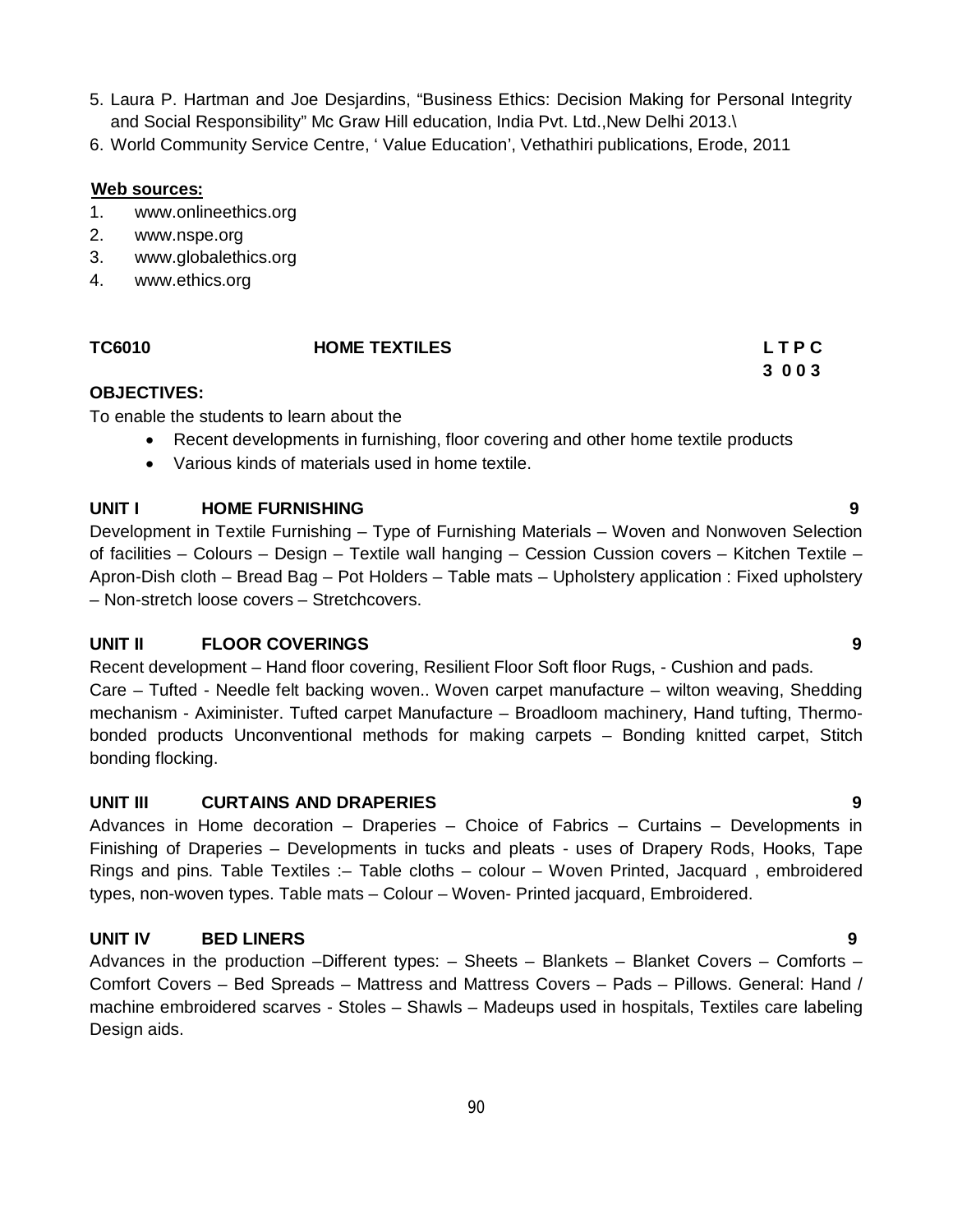- 5. Laura P. Hartman and Joe Desjardins, "Business Ethics: Decision Making for Personal Integrity and Social Responsibility" Mc Graw Hill education, India Pvt. Ltd.,New Delhi 2013.\
- 6. World Community Service Centre, ' Value Education', Vethathiri publications, Erode, 2011

#### **Web sources:**

- 1. www.onlineethics.org
- 2. www.nspe.org
- 3. www.globalethics.org
- 4. www.ethics.org

#### **TC6010 HOME TEXTILES L T P C**

 **3 0 0 3**

#### **OBJECTIVES:**

To enable the students to learn about the

- Recent developments in furnishing, floor covering and other home textile products
- Various kinds of materials used in home textile.

#### **UNIT I HOME FURNISHING 9**

Development in Textile Furnishing – Type of Furnishing Materials – Woven and Nonwoven Selection of facilities – Colours – Design – Textile wall hanging – Cession Cussion covers – Kitchen Textile – Apron-Dish cloth – Bread Bag – Pot Holders – Table mats – Upholstery application : Fixed upholstery – Non-stretch loose covers – Stretchcovers.

#### **UNIT II FLOOR COVERINGS 9**

Recent development – Hand floor covering, Resilient Floor Soft floor Rugs, - Cushion and pads. Care – Tufted - Needle felt backing woven.. Woven carpet manufacture – wilton weaving, Shedding mechanism - Aximinister. Tufted carpet Manufacture – Broadloom machinery, Hand tufting, Thermobonded products Unconventional methods for making carpets – Bonding knitted carpet, Stitch bonding flocking.

#### **UNIT III CURTAINS AND DRAPERIES 9**

Advances in Home decoration – Draperies – Choice of Fabrics – Curtains – Developments in Finishing of Draperies – Developments in tucks and pleats - uses of Drapery Rods, Hooks, Tape Rings and pins. Table Textiles :– Table cloths – colour – Woven Printed, Jacquard , embroidered types, non-woven types. Table mats – Colour – Woven- Printed jacquard, Embroidered.

### **UNIT IV BED LINERS 9**

Advances in the production –Different types:  $-$  Sheets – Blankets – Blanket Covers – Comforts – Comfort Covers – Bed Spreads – Mattress and Mattress Covers – Pads – Pillows. General: Hand / machine embroidered scarves - Stoles – Shawls – Madeups used in hospitals, Textiles care labeling Design aids.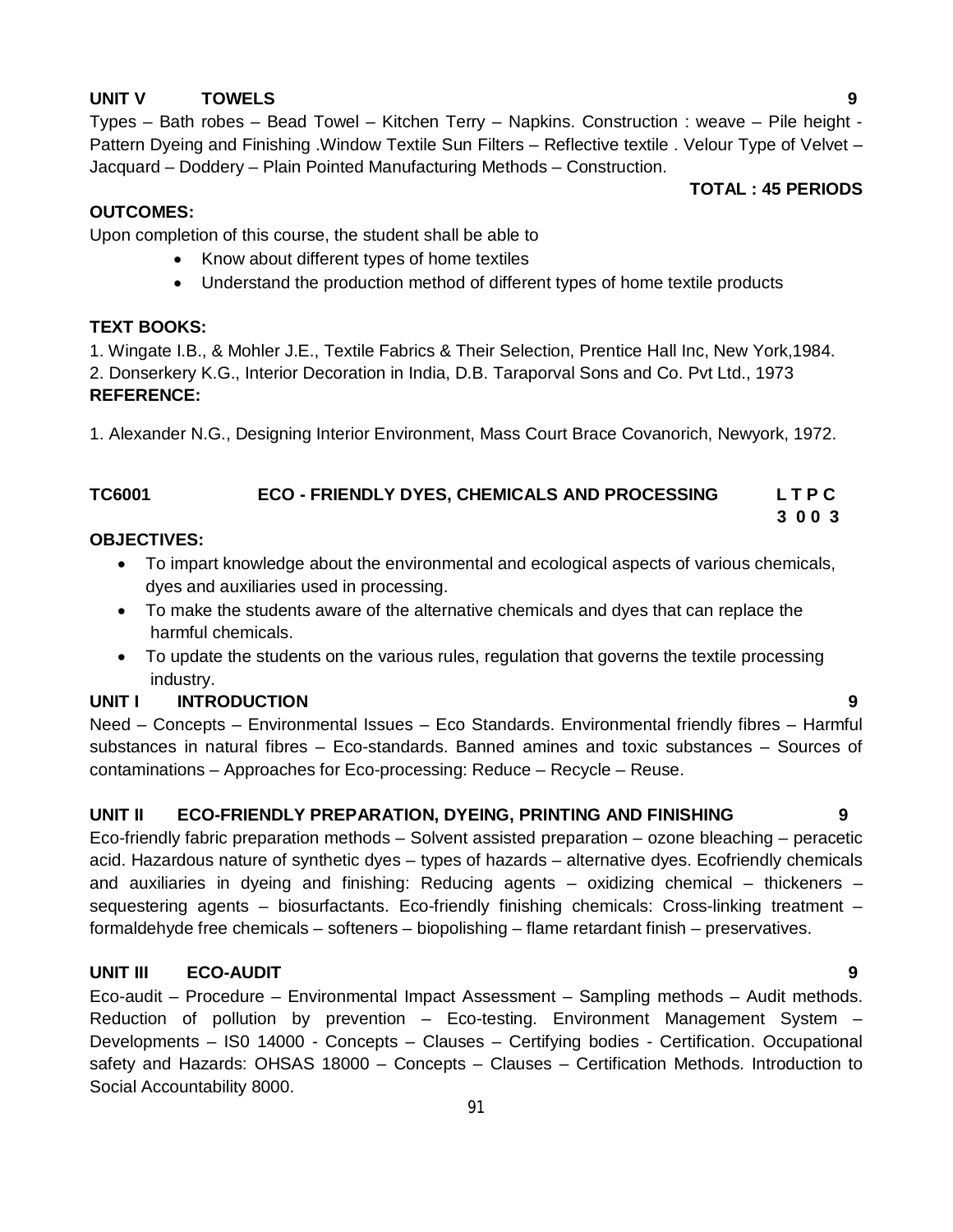#### **UNIT V TOWELS 9**

Types – Bath robes – Bead Towel – Kitchen Terry – Napkins. Construction : weave – Pile height - Pattern Dyeing and Finishing .Window Textile Sun Filters – Reflective textile . Velour Type of Velvet – Jacquard – Doddery – Plain Pointed Manufacturing Methods – Construction.

#### **TOTAL : 45 PERIODS**

#### **OUTCOMES:**

Upon completion of this course, the student shall be able to

- Know about different types of home textiles
- Understand the production method of different types of home textile products

#### **TEXT BOOKS:**

1. Wingate I.B., & Mohler J.E., Textile Fabrics & Their Selection, Prentice Hall Inc, New York,1984. 2. Donserkery K.G., Interior Decoration in India, D.B. Taraporval Sons and Co. Pvt Ltd., 1973 **REFERENCE:**

1. Alexander N.G., Designing Interior Environment, Mass Court Brace Covanorich, Newyork, 1972.

#### **TC6001 ECO - FRIENDLY DYES, CHEMICALS AND PROCESSING L T P C 3 0 0 3**

#### **OBJECTIVES:**

- To impart knowledge about the environmental and ecological aspects of various chemicals, dyes and auxiliaries used in processing.
- To make the students aware of the alternative chemicals and dyes that can replace the harmful chemicals.
- To update the students on the various rules, regulation that governs the textile processing industry.

### **UNIT I INTRODUCTION 9**

Need – Concepts – Environmental Issues – Eco Standards. Environmental friendly fibres – Harmful substances in natural fibres – Eco-standards. Banned amines and toxic substances – Sources of contaminations – Approaches for Eco-processing: Reduce – Recycle – Reuse.

#### **UNIT II ECO-FRIENDLY PREPARATION, DYEING, PRINTING AND FINISHING 9**

Eco-friendly fabric preparation methods – Solvent assisted preparation – ozone bleaching – peracetic acid. Hazardous nature of synthetic dyes – types of hazards – alternative dyes. Ecofriendly chemicals and auxiliaries in dyeing and finishing: Reducing agents – oxidizing chemical – thickeners – sequestering agents – biosurfactants. Eco-friendly finishing chemicals: Cross-linking treatment – formaldehyde free chemicals – softeners – biopolishing – flame retardant finish – preservatives.

#### **UNIT III ECO-AUDIT 9**

Eco-audit – Procedure – Environmental Impact Assessment – Sampling methods – Audit methods. Reduction of pollution by prevention – Eco-testing. Environment Management System – Developments – IS0 14000 - Concepts – Clauses – Certifying bodies - Certification. Occupational safety and Hazards: OHSAS 18000 – Concepts – Clauses – Certification Methods. Introduction to Social Accountability 8000.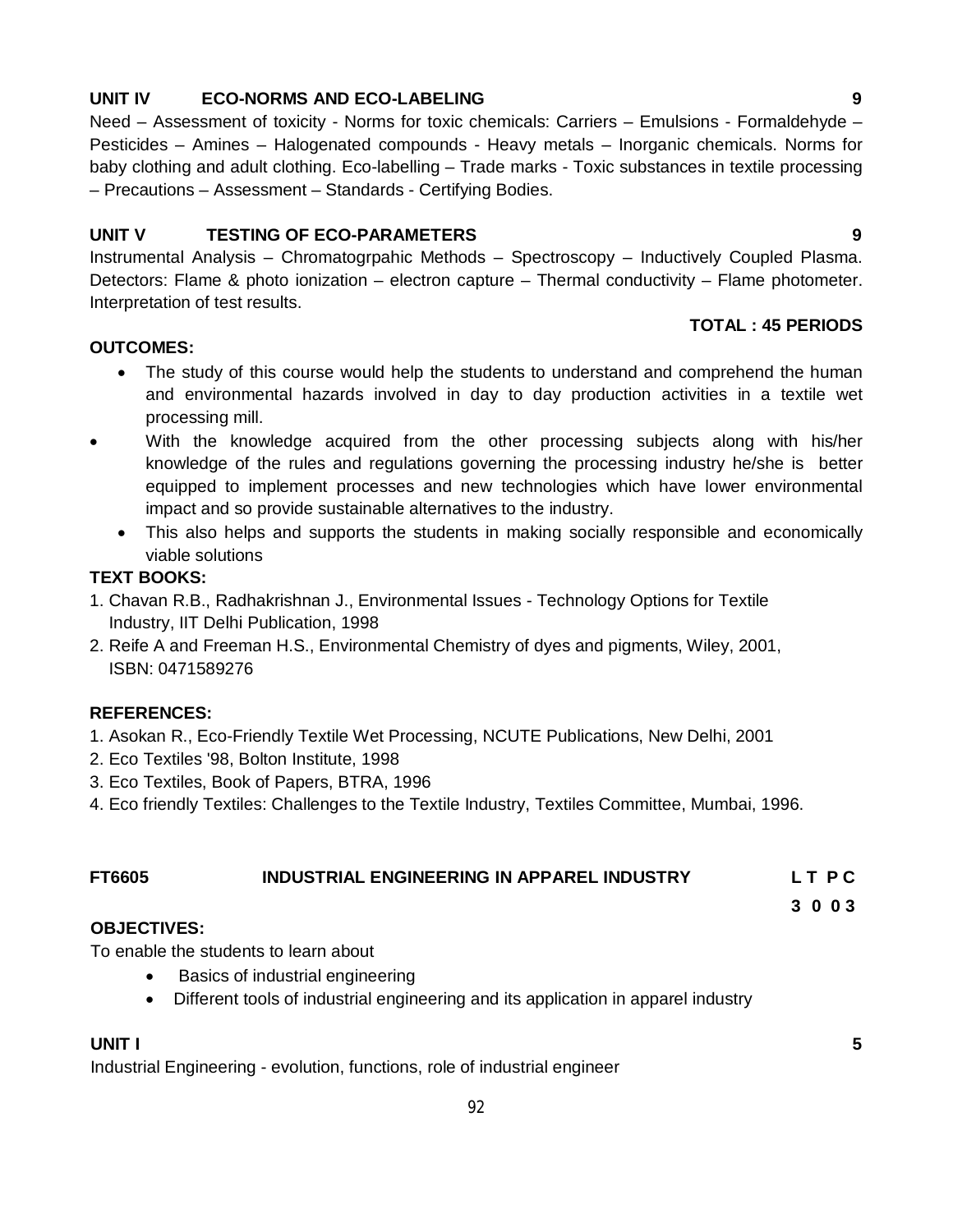#### **UNIT IV ECO-NORMS AND ECO-LABELING 9**

Need – Assessment of toxicity - Norms for toxic chemicals: Carriers – Emulsions - Formaldehyde – Pesticides – Amines – Halogenated compounds - Heavy metals – Inorganic chemicals. Norms for baby clothing and adult clothing. Eco-labelling – Trade marks - Toxic substances in textile processing – Precautions – Assessment – Standards - Certifying Bodies.

#### **UNIT V TESTING OF ECO-PARAMETERS 9**

Instrumental Analysis – Chromatogrpahic Methods – Spectroscopy – Inductively Coupled Plasma. Detectors: Flame & photo ionization – electron capture – Thermal conductivity – Flame photometer. Interpretation of test results.

#### **OUTCOMES:**

- The study of this course would help the students to understand and comprehend the human and environmental hazards involved in day to day production activities in a textile wet processing mill.
- With the knowledge acquired from the other processing subjects along with his/her knowledge of the rules and regulations governing the processing industry he/she is better equipped to implement processes and new technologies which have lower environmental impact and so provide sustainable alternatives to the industry.
	- This also helps and supports the students in making socially responsible and economically viable solutions

#### **TEXT BOOKS:**

- 1. Chavan R.B., Radhakrishnan J., Environmental Issues Technology Options for Textile Industry, IIT Delhi Publication, 1998
- 2. Reife A and Freeman H.S., Environmental Chemistry of dyes and pigments, Wiley, 2001, ISBN: 0471589276

#### **REFERENCES:**

- 1. Asokan R., Eco-Friendly Textile Wet Processing, NCUTE Publications, New Delhi, 2001
- 2. Eco Textiles '98, Bolton Institute, 1998
- 3. Eco Textiles, Book of Papers, BTRA, 1996
- 4. Eco friendly Textiles: Challenges to the Textile Industry, Textiles Committee, Mumbai, 1996.

### **FT6605 INDUSTRIAL ENGINEERING IN APPAREL INDUSTRY L T P C**

**3 0 0 3**

#### **OBJECTIVES:**

To enable the students to learn about

- Basics of industrial engineering
- Different tools of industrial engineering and its application in apparel industry

### **UNIT I 5**

Industrial Engineering - evolution, functions, role of industrial engineer

**TOTAL : 45 PERIODS**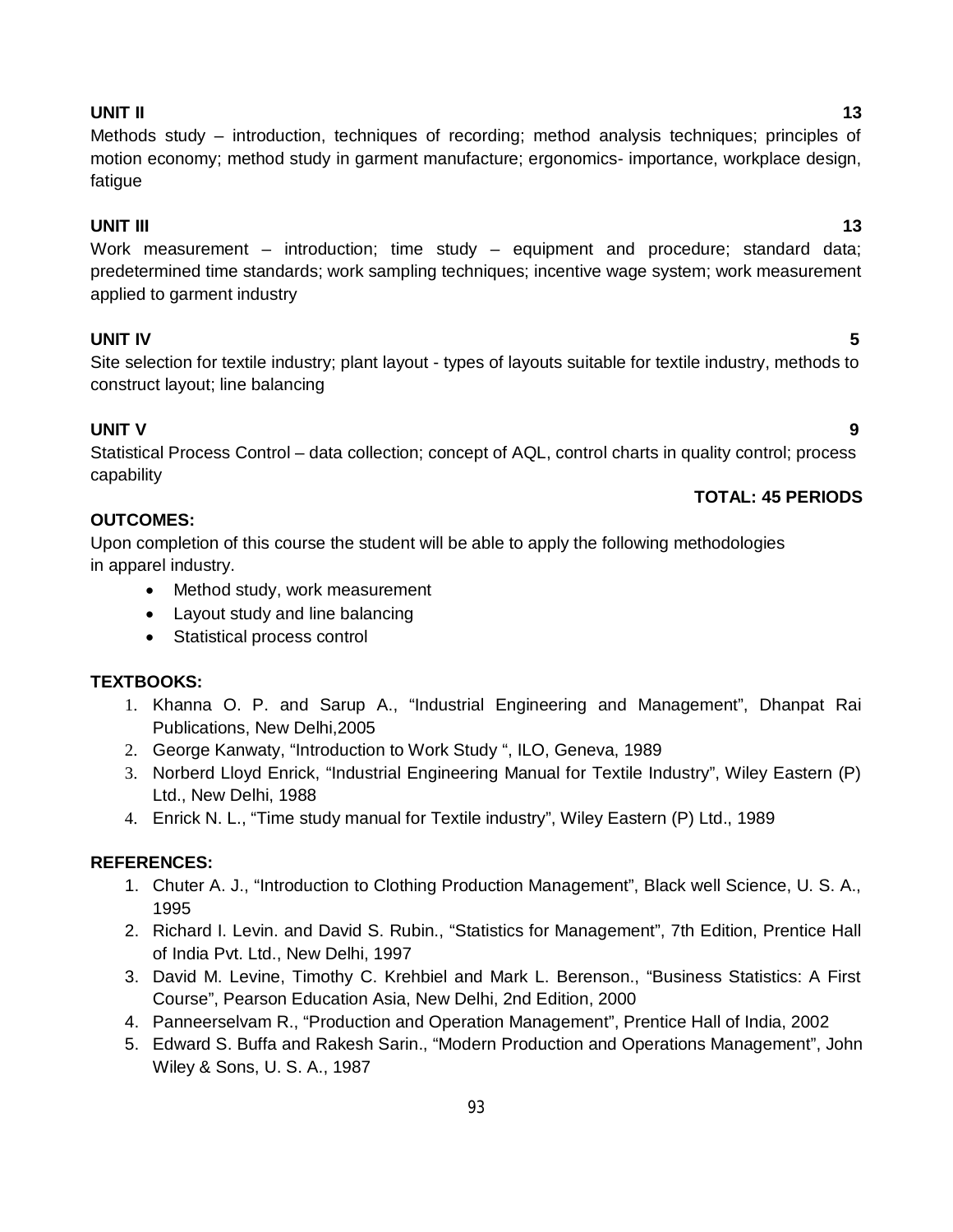#### 93

## **UNIT II 13**

Methods study – introduction, techniques of recording; method analysis techniques; principles of motion economy; method study in garment manufacture; ergonomics- importance, workplace design, fatigue

### **UNIT III 13**

Work measurement – introduction; time study – equipment and procedure; standard data; predetermined time standards; work sampling techniques; incentive wage system; work measurement applied to garment industry

### **UNIT IV 5**

Site selection for textile industry; plant layout - types of layouts suitable for textile industry, methods to construct layout; line balancing

### **UNIT V 9**

Statistical Process Control – data collection; concept of AQL, control charts in quality control; process capability

### **TOTAL: 45 PERIODS**

### **OUTCOMES:**

Upon completion of this course the student will be able to apply the following methodologies in apparel industry.

- Method study, work measurement
- Layout study and line balancing
- Statistical process control

### **TEXTBOOKS:**

- 1. Khanna O. P. and Sarup A., "Industrial Engineering and Management", Dhanpat Rai Publications, New Delhi,2005
- 2. George Kanwaty, "Introduction to Work Study ", ILO, Geneva, 1989
- 3. Norberd Lloyd Enrick, "Industrial Engineering Manual for Textile Industry", Wiley Eastern (P) Ltd., New Delhi, 1988
- 4. Enrick N. L., "Time study manual for Textile industry", Wiley Eastern (P) Ltd., 1989

### **REFERENCES:**

- 1. Chuter A. J., "Introduction to Clothing Production Management", Black well Science, U. S. A., 1995
- 2. Richard I. Levin. and David S. Rubin., "Statistics for Management", 7th Edition, Prentice Hall of India Pvt. Ltd., New Delhi, 1997
- 3. David M. Levine, Timothy C. Krehbiel and Mark L. Berenson., "Business Statistics: A First Course", Pearson Education Asia, New Delhi, 2nd Edition, 2000
- 4. Panneerselvam R., "Production and Operation Management", Prentice Hall of India, 2002
- 5. Edward S. Buffa and Rakesh Sarin., "Modern Production and Operations Management", John Wiley & Sons, U. S. A., 1987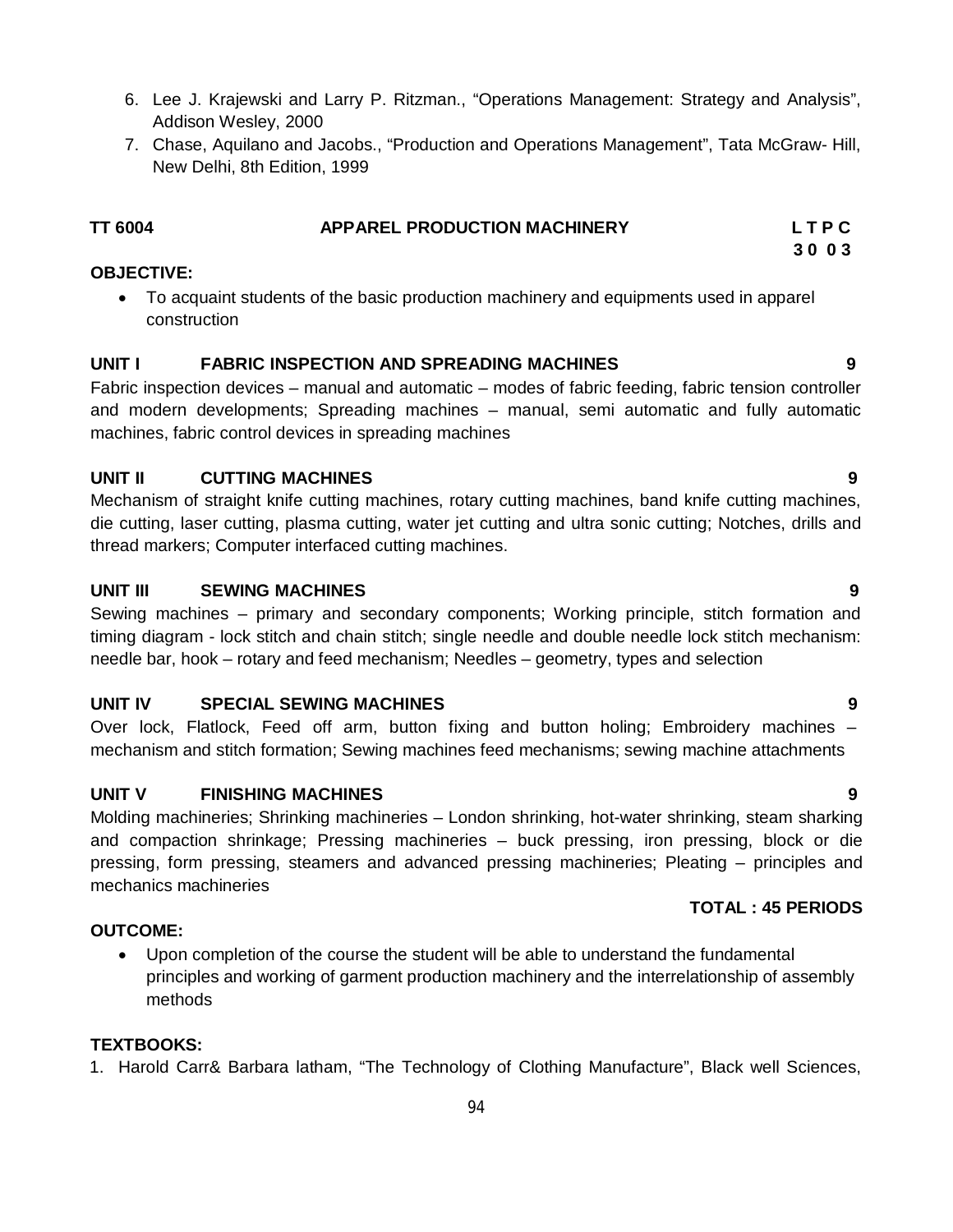- 6. Lee J. Krajewski and Larry P. Ritzman., "Operations Management: Strategy and Analysis", Addison Wesley, 2000
- 7. Chase, Aquilano and Jacobs., "Production and Operations Management", Tata McGraw- Hill, New Delhi, 8th Edition, 1999

| TT 6004 | <b>APPAREL PRODUCTION MACHINERY</b> | LTPC |
|---------|-------------------------------------|------|
|         |                                     |      |

#### **OBJECTIVE:**

 To acquaint students of the basic production machinery and equipments used in apparel construction

#### **UNIT I FABRIC INSPECTION AND SPREADING MACHINES 9**

Fabric inspection devices – manual and automatic – modes of fabric feeding, fabric tension controller and modern developments; Spreading machines – manual, semi automatic and fully automatic machines, fabric control devices in spreading machines

#### **UNIT II CUTTING MACHINES 9**

Mechanism of straight knife cutting machines, rotary cutting machines, band knife cutting machines, die cutting, laser cutting, plasma cutting, water jet cutting and ultra sonic cutting; Notches, drills and thread markers; Computer interfaced cutting machines.

#### **UNIT III SEWING MACHINES 9**

Sewing machines – primary and secondary components; Working principle, stitch formation and timing diagram - lock stitch and chain stitch; single needle and double needle lock stitch mechanism: needle bar, hook – rotary and feed mechanism; Needles – geometry, types and selection

#### **UNIT IV SPECIAL SEWING MACHINES 9**

Over lock, Flatlock, Feed off arm, button fixing and button holing; Embroidery machines – mechanism and stitch formation; Sewing machines feed mechanisms; sewing machine attachments

#### **UNIT V FINISHING MACHINES 9**

Molding machineries; Shrinking machineries – London shrinking, hot-water shrinking, steam sharking and compaction shrinkage; Pressing machineries – buck pressing, iron pressing, block or die pressing, form pressing, steamers and advanced pressing machineries; Pleating – principles and mechanics machineries

#### **TOTAL : 45 PERIODS**

#### **OUTCOME:**

 Upon completion of the course the student will be able to understand the fundamental principles and working of garment production machinery and the interrelationship of assembly methods

#### **TEXTBOOKS:**

1. Harold Carr& Barbara latham, "The Technology of Clothing Manufacture", Black well Sciences,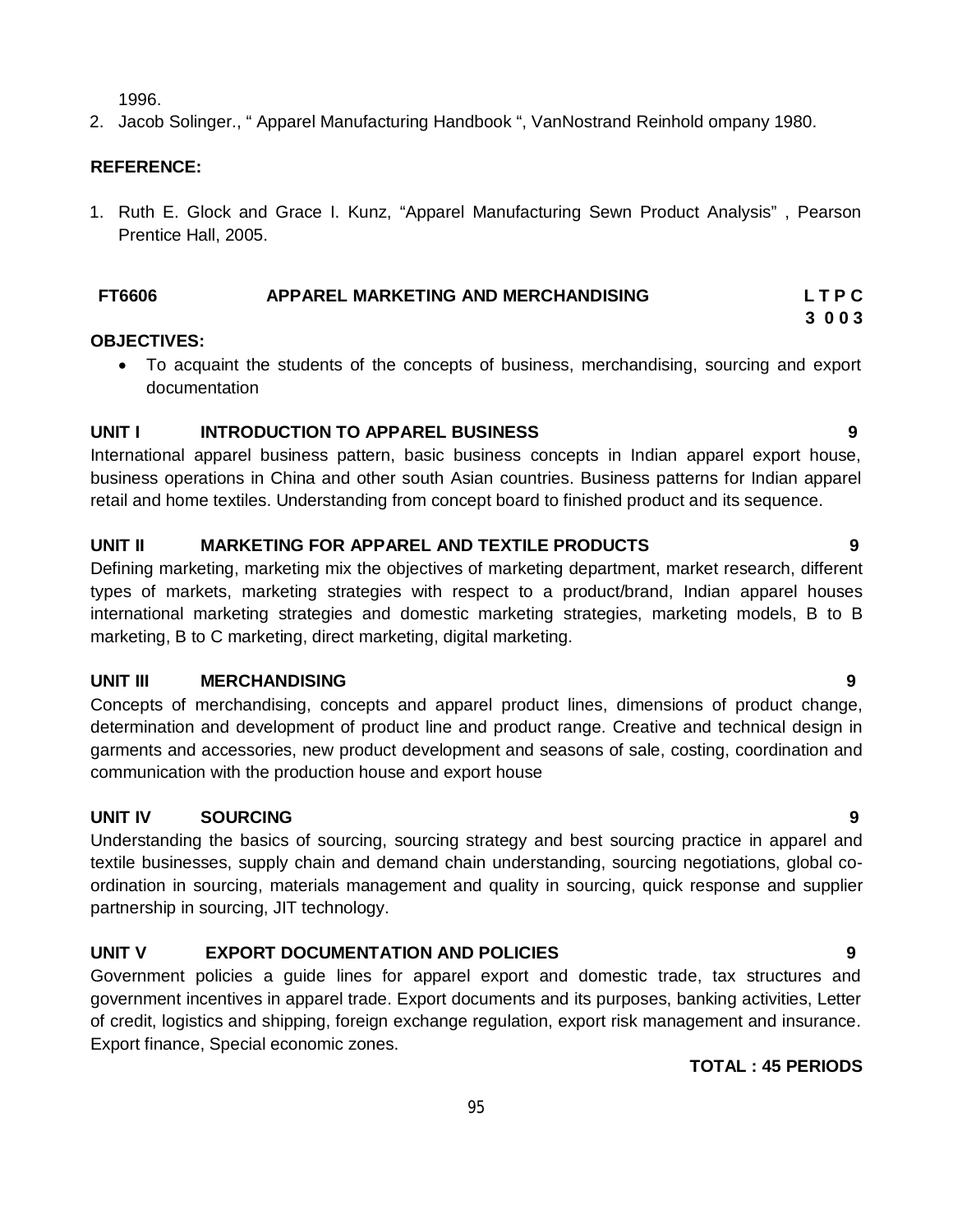1996.

2. Jacob Solinger., " Apparel Manufacturing Handbook ", VanNostrand Reinhold ompany 1980.

#### **REFERENCE:**

1. Ruth E. Glock and Grace I. Kunz, "Apparel Manufacturing Sewn Product Analysis" , Pearson Prentice Hall, 2005.

#### **FT6606 APPAREL MARKETING AND MERCHANDISING L T P C**

#### **OBJECTIVES:**

 To acquaint the students of the concepts of business, merchandising, sourcing and export documentation

#### **UNIT I INTRODUCTION TO APPAREL BUSINESS 9**

International apparel business pattern, basic business concepts in Indian apparel export house, business operations in China and other south Asian countries. Business patterns for Indian apparel retail and home textiles. Understanding from concept board to finished product and its sequence.

#### **UNIT II MARKETING FOR APPAREL AND TEXTILE PRODUCTS 9**

Defining marketing, marketing mix the objectives of marketing department, market research, different types of markets, marketing strategies with respect to a product/brand, Indian apparel houses international marketing strategies and domestic marketing strategies, marketing models, B to B marketing, B to C marketing, direct marketing, digital marketing.

#### **UNIT III MERCHANDISING 9**

Concepts of merchandising, concepts and apparel product lines, dimensions of product change, determination and development of product line and product range. Creative and technical design in garments and accessories, new product development and seasons of sale, costing, coordination and communication with the production house and export house

#### **UNIT IV SOURCING 9**

Understanding the basics of sourcing, sourcing strategy and best sourcing practice in apparel and textile businesses, supply chain and demand chain understanding, sourcing negotiations, global coordination in sourcing, materials management and quality in sourcing, quick response and supplier partnership in sourcing, JIT technology.

### **UNIT V EXPORT DOCUMENTATION AND POLICIES 9**

Government policies a guide lines for apparel export and domestic trade, tax structures and government incentives in apparel trade. Export documents and its purposes, banking activities, Letter of credit, logistics and shipping, foreign exchange regulation, export risk management and insurance. Export finance, Special economic zones.

#### **TOTAL : 45 PERIODS**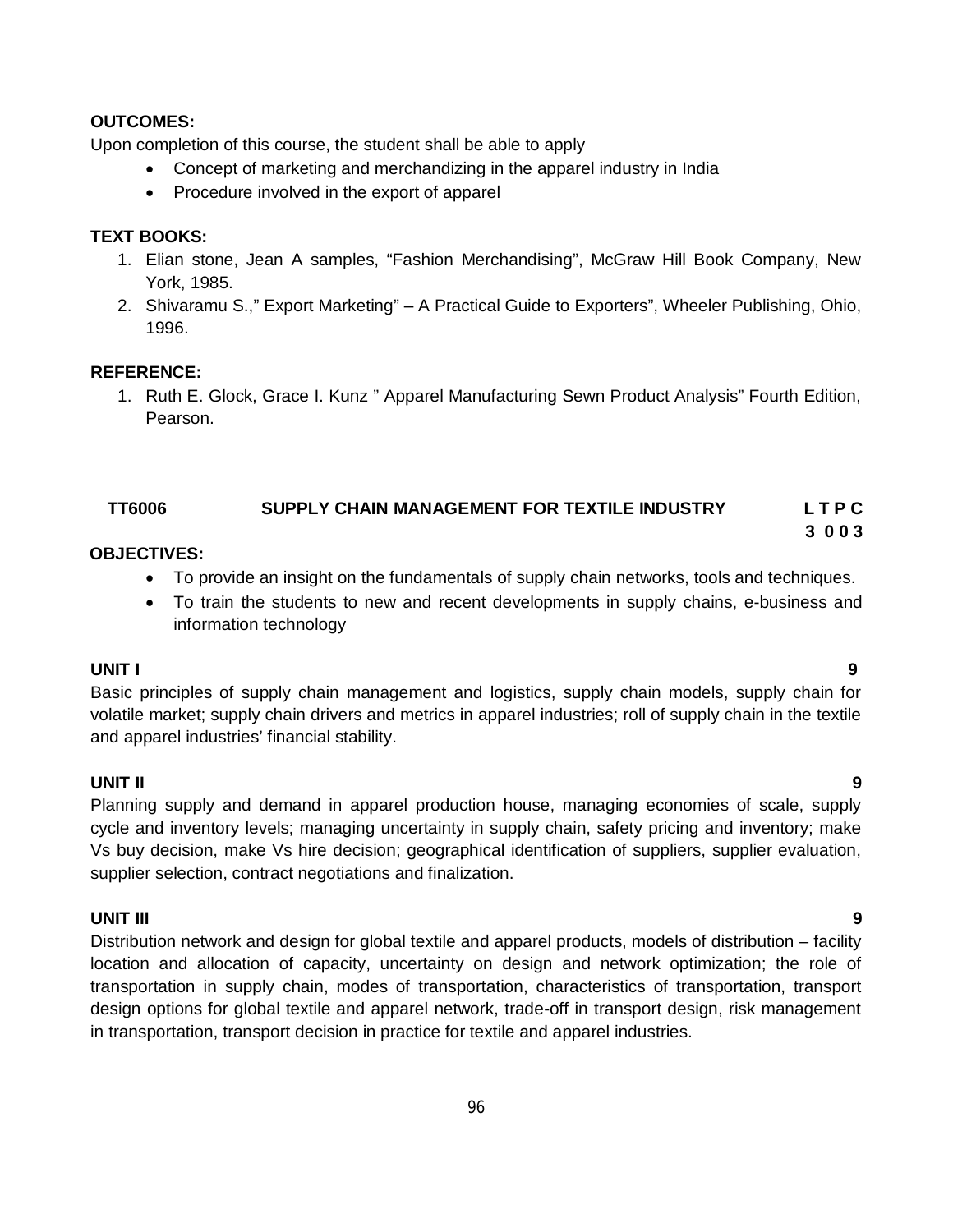#### **OUTCOMES:**

Upon completion of this course, the student shall be able to apply

- Concept of marketing and merchandizing in the apparel industry in India
- Procedure involved in the export of apparel

#### **TEXT BOOKS:**

- 1. Elian stone, Jean A samples, "Fashion Merchandising", McGraw Hill Book Company, New York, 1985.
- 2. Shivaramu S.," Export Marketing" A Practical Guide to Exporters", Wheeler Publishing, Ohio, 1996.

#### **REFERENCE:**

1. Ruth E. Glock, Grace I. Kunz " Apparel Manufacturing Sewn Product Analysis" Fourth Edition, Pearson.

#### **TT6006 SUPPLY CHAIN MANAGEMENT FOR TEXTILE INDUSTRY L T P C**

#### **OBJECTIVES:**

- To provide an insight on the fundamentals of supply chain networks, tools and techniques.
- To train the students to new and recent developments in supply chains, e-business and information technology

#### **UNIT I 9**

Basic principles of supply chain management and logistics, supply chain models, supply chain for volatile market; supply chain drivers and metrics in apparel industries; roll of supply chain in the textile and apparel industries' financial stability.

#### **UNIT II 9**

Planning supply and demand in apparel production house, managing economies of scale, supply cycle and inventory levels; managing uncertainty in supply chain, safety pricing and inventory; make Vs buy decision, make Vs hire decision; geographical identification of suppliers, supplier evaluation, supplier selection, contract negotiations and finalization.

#### **UNIT III 9**

Distribution network and design for global textile and apparel products, models of distribution – facility location and allocation of capacity, uncertainty on design and network optimization; the role of transportation in supply chain, modes of transportation, characteristics of transportation, transport design options for global textile and apparel network, trade-off in transport design, risk management in transportation, transport decision in practice for textile and apparel industries.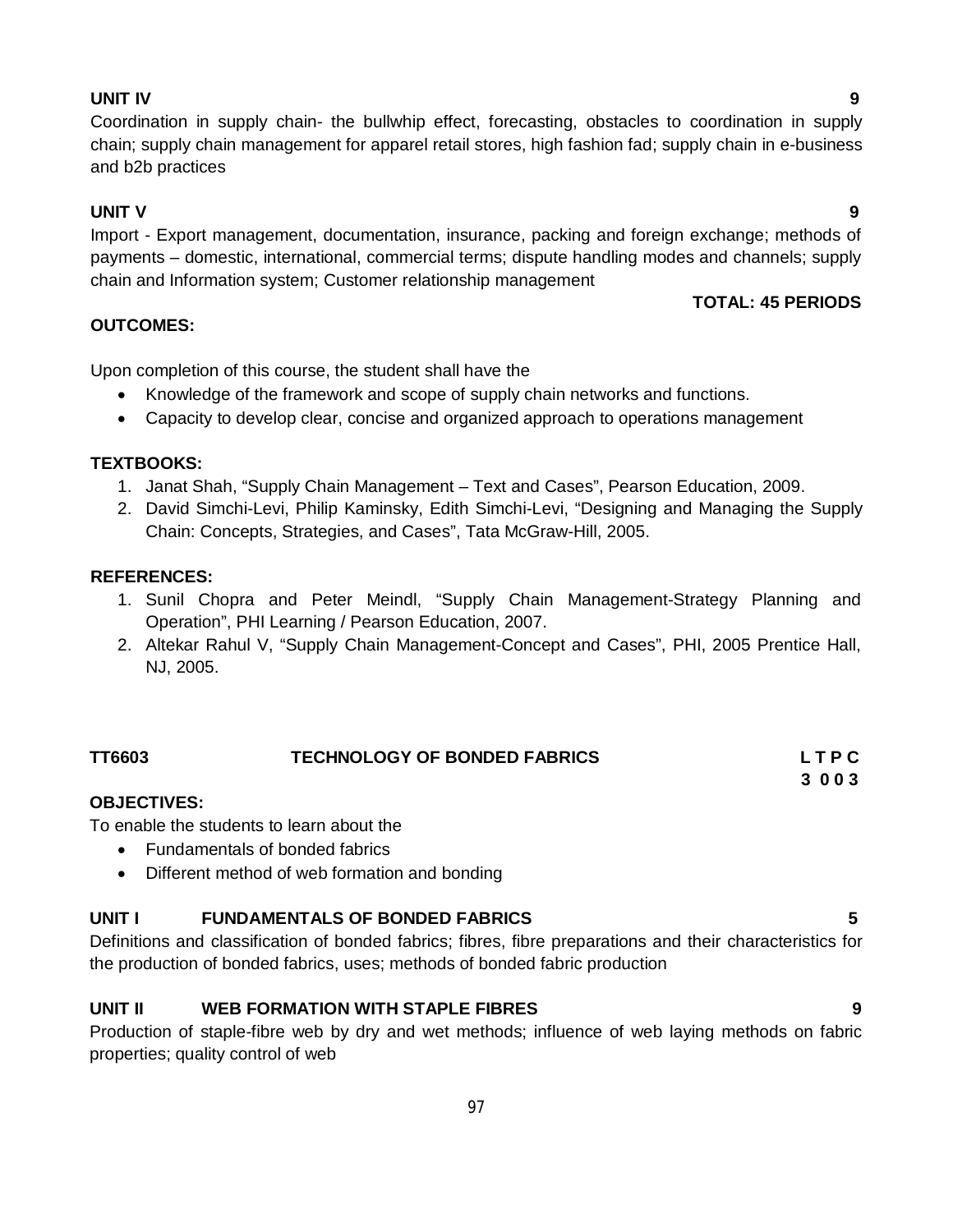#### **UNIT IV 9**

### Coordination in supply chain- the bullwhip effect, forecasting, obstacles to coordination in supply chain; supply chain management for apparel retail stores, high fashion fad; supply chain in e-business and b2b practices

#### **UNIT V 9**

Import - Export management, documentation, insurance, packing and foreign exchange; methods of payments – domestic, international, commercial terms; dispute handling modes and channels; supply chain and Information system; Customer relationship management

#### **OUTCOMES:**

Upon completion of this course, the student shall have the

- Knowledge of the framework and scope of supply chain networks and functions.
- Capacity to develop clear, concise and organized approach to operations management

#### **TEXTBOOKS:**

- 1. Janat Shah, "Supply Chain Management Text and Cases", Pearson Education, 2009.
- 2. David Simchi-Levi, Philip Kaminsky, Edith Simchi-Levi, "Designing and Managing the Supply Chain: Concepts, Strategies, and Cases", Tata McGraw-Hill, 2005.

#### **REFERENCES:**

- 1. Sunil Chopra and Peter Meindl, "Supply Chain Management-Strategy Planning and Operation", PHI Learning / Pearson Education, 2007.
- 2. Altekar Rahul V, "Supply Chain Management-Concept and Cases", PHI, 2005 Prentice Hall, NJ, 2005.

| TT6603 | <b>TECHNOLOGY OF BONDED FABRICS</b> | LTPC |
|--------|-------------------------------------|------|
|        |                                     | 3003 |
|        |                                     |      |

#### **OBJECTIVES:**

To enable the students to learn about the

- Fundamentals of bonded fabrics
- Different method of web formation and bonding

### **UNIT I FUNDAMENTALS OF BONDED FABRICS 5**

Definitions and classification of bonded fabrics; fibres, fibre preparations and their characteristics for the production of bonded fabrics, uses; methods of bonded fabric production

### **UNIT II WEB FORMATION WITH STAPLE FIBRES 9**

Production of staple-fibre web by dry and wet methods; influence of web laying methods on fabric properties; quality control of web

**TOTAL: 45 PERIODS**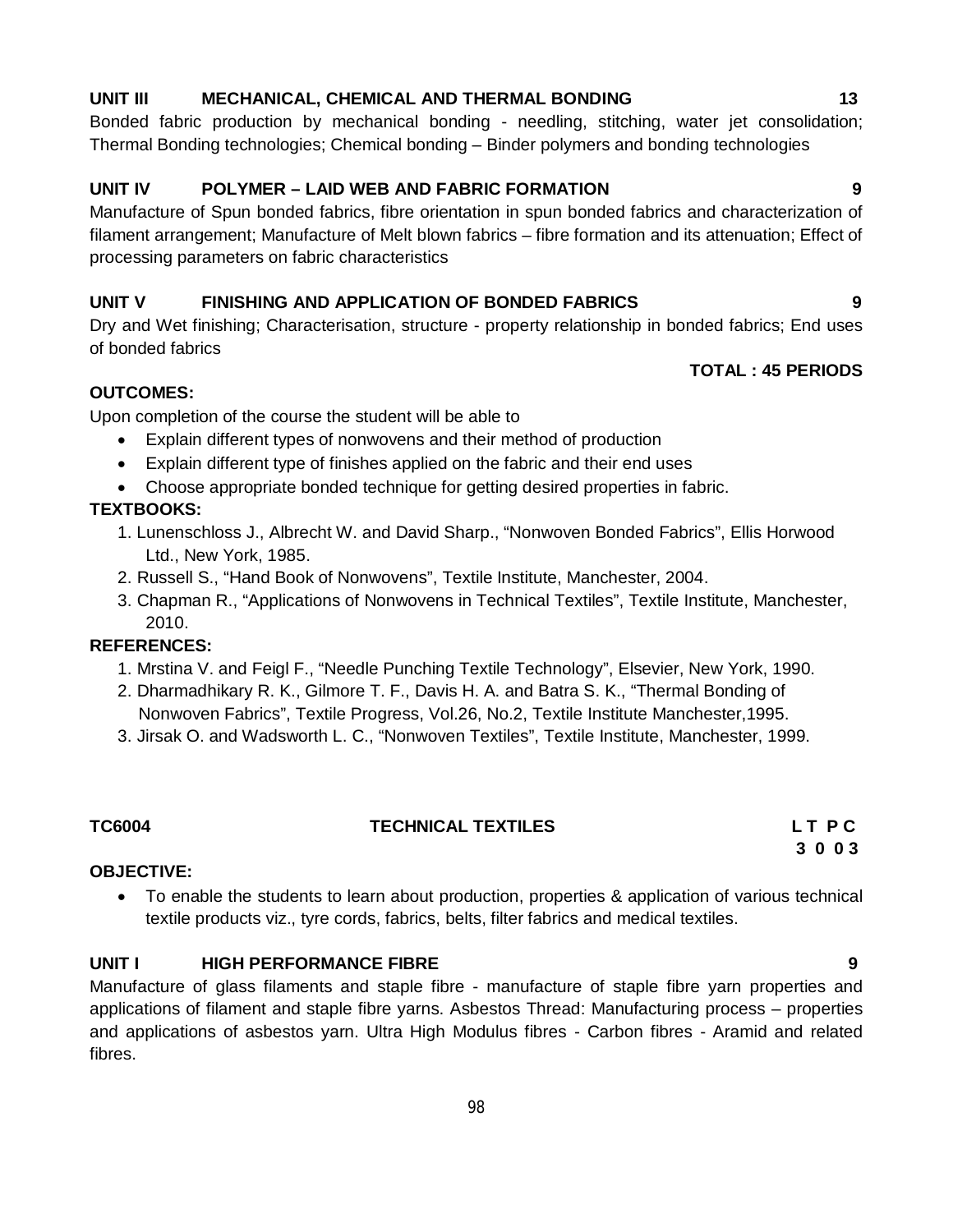### **UNIT III MECHANICAL, CHEMICAL AND THERMAL BONDING 13**

### Bonded fabric production by mechanical bonding - needling, stitching, water jet consolidation; Thermal Bonding technologies; Chemical bonding – Binder polymers and bonding technologies

#### **UNIT IV POLYMER – LAID WEB AND FABRIC FORMATION 9**

Manufacture of Spun bonded fabrics, fibre orientation in spun bonded fabrics and characterization of filament arrangement; Manufacture of Melt blown fabrics – fibre formation and its attenuation; Effect of processing parameters on fabric characteristics

#### **UNIT V FINISHING AND APPLICATION OF BONDED FABRICS 9**

Dry and Wet finishing; Characterisation, structure - property relationship in bonded fabrics; End uses of bonded fabrics

#### **TOTAL : 45 PERIODS**

#### **OUTCOMES:**

Upon completion of the course the student will be able to

- Explain different types of nonwovens and their method of production
- Explain different type of finishes applied on the fabric and their end uses
- Choose appropriate bonded technique for getting desired properties in fabric.

### **TEXTBOOKS:**

- 1. Lunenschloss J., Albrecht W. and David Sharp., "Nonwoven Bonded Fabrics", Ellis Horwood Ltd., New York, 1985.
- 2. Russell S., "Hand Book of Nonwovens", Textile Institute, Manchester, 2004.
- 3. Chapman R., "Applications of Nonwovens in Technical Textiles", Textile Institute, Manchester, 2010.

#### **REFERENCES:**

- 1. Mrstina V. and Feigl F., "Needle Punching Textile Technology", Elsevier, New York, 1990.
- 2. Dharmadhikary R. K., Gilmore T. F., Davis H. A. and Batra S. K., "Thermal Bonding of
- Nonwoven Fabrics", Textile Progress, Vol.26, No.2, Textile Institute Manchester,1995.
- 3. Jirsak O. and Wadsworth L. C., "Nonwoven Textiles", Textile Institute, Manchester, 1999.

#### **TC6004 TECHNICAL TEXTILES L T P C**

#### **OBJECTIVE:**

 To enable the students to learn about production, properties & application of various technical textile products viz., tyre cords, fabrics, belts, filter fabrics and medical textiles.

#### **UNIT I HIGH PERFORMANCE FIBRE 9**

Manufacture of glass filaments and staple fibre - manufacture of staple fibre yarn properties and applications of filament and staple fibre yarns. Asbestos Thread: Manufacturing process – properties and applications of asbestos yarn. Ultra High Modulus fibres - Carbon fibres - Aramid and related fibres.